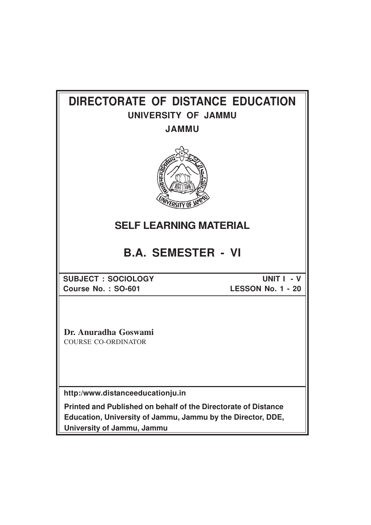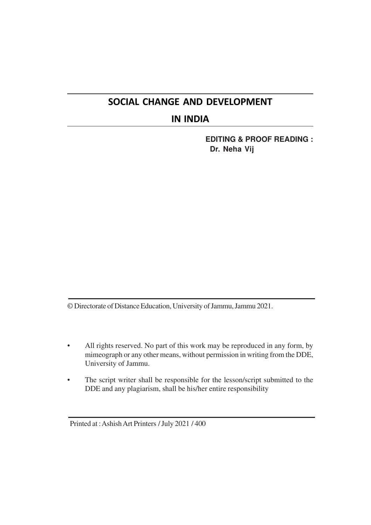# **SOCIAL CHANGE AND DEVELOPMENT**

# **IN INDIA**

**EDITING & PROOF READING : Dr. Neha Vij**

© Directorate of Distance Education, University of Jammu, Jammu 2021.

- All rights reserved. No part of this work may be reproduced in any form, by mimeograph or any other means, without permission in writing from the DDE, University of Jammu.
- The script writer shall be responsible for the lesson/script submitted to the DDE and any plagiarism, shall be his/her entire responsibility

Printed at : Ashish Art Printers / July 2021 / 400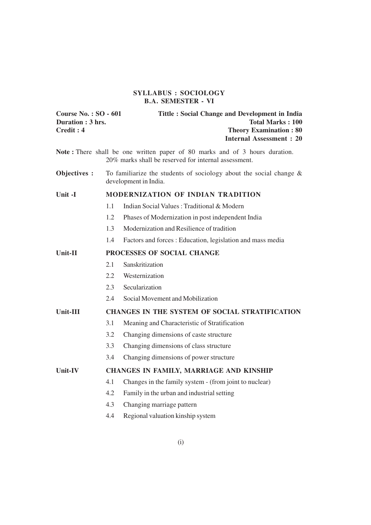# **SYLLABUS : SOCIOLOGY B.A. SEMESTER - VI**

| <b>Course No.: SO - 601</b><br>Duration : 3 hrs.<br>Credit: 4 |                                                       | <b>Tittle: Social Change and Development in India</b><br><b>Total Marks: 100</b><br><b>Theory Examination: 80</b><br><b>Internal Assessment: 20</b> |  |
|---------------------------------------------------------------|-------------------------------------------------------|-----------------------------------------------------------------------------------------------------------------------------------------------------|--|
|                                                               |                                                       | <b>Note:</b> There shall be one written paper of 80 marks and of 3 hours duration.<br>20% marks shall be reserved for internal assessment.          |  |
| Objectives :                                                  |                                                       | To familiarize the students of sociology about the social change $\&$<br>development in India.                                                      |  |
| Unit -I                                                       | <b>MODERNIZATION OF INDIAN TRADITION</b>              |                                                                                                                                                     |  |
|                                                               | 1.1                                                   | Indian Social Values: Traditional & Modern                                                                                                          |  |
|                                                               | 1.2                                                   | Phases of Modernization in post independent India                                                                                                   |  |
|                                                               | 1.3                                                   | Modernization and Resilience of tradition                                                                                                           |  |
|                                                               | 1.4                                                   | Factors and forces : Education, legislation and mass media                                                                                          |  |
| $Unit-II$                                                     | PROCESSES OF SOCIAL CHANGE                            |                                                                                                                                                     |  |
|                                                               | 2.1                                                   | Sanskritization                                                                                                                                     |  |
|                                                               | 2.2                                                   | Westernization                                                                                                                                      |  |
|                                                               | 2.3                                                   | Secularization                                                                                                                                      |  |
|                                                               | 2.4                                                   | Social Movement and Mobilization                                                                                                                    |  |
| Unit-III                                                      | <b>CHANGES IN THE SYSTEM OF SOCIAL STRATIFICATION</b> |                                                                                                                                                     |  |
|                                                               | 3.1                                                   | Meaning and Characteristic of Stratification                                                                                                        |  |
|                                                               | 3.2                                                   | Changing dimensions of caste structure                                                                                                              |  |
|                                                               | 3.3                                                   | Changing dimensions of class structure                                                                                                              |  |
|                                                               | 3.4                                                   | Changing dimensions of power structure                                                                                                              |  |
| <b>Unit-IV</b>                                                | <b>CHANGES IN FAMILY, MARRIAGE AND KINSHIP</b>        |                                                                                                                                                     |  |
|                                                               | 4.1                                                   | Changes in the family system - (from joint to nuclear)                                                                                              |  |
|                                                               | 4.2                                                   | Family in the urban and industrial setting                                                                                                          |  |
|                                                               | 4.3                                                   | Changing marriage pattern                                                                                                                           |  |

4.4 Regional valuation kinship system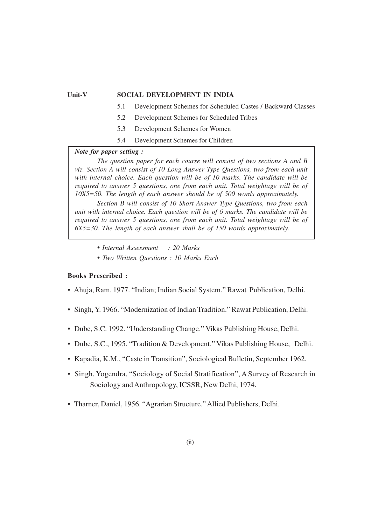#### **Unit-V SOCIAL DEVELOPMENT IN INDIA**

- 5.1 Development Schemes for Scheduled Castes / Backward Classes
- 5.2 Development Schemes for Scheduled Tribes
- 5.3 Development Schemes for Women
- 5.4 Development Schemes for Children

#### *Note for paper setting :*

*The question paper for each course will consist of two sections A and B viz. Section A will consist of 10 Long Answer Type Questions, two from each unit with internal choice. Each question will be of 10 marks. The candidate will be required to answer 5 questions, one from each unit. Total weightage will be of 10X5=50. The length of each answer should be of 500 words approximately.*

*Section B will consist of 10 Short Answer Type Questions, two from each unit with internal choice. Each question will be of 6 marks. The candidate will be required to answer 5 questions, one from each unit. Total weightage will be of 6X5=30. The length of each answer shall be of 150 words approximately.*

- • *Internal Assessment : 20 Marks*
- • *Two Written Questions : 10 Marks Each*

### **Books Prescribed :**

- Ahuja, Ram. 1977. "Indian; Indian Social System." Rawat Publication, Delhi.
- Singh, Y. 1966. "Modernization of Indian Tradition." Rawat Publication, Delhi.
- Dube, S.C. 1992. "Understanding Change." Vikas Publishing House, Delhi.
- Dube, S.C., 1995. "Tradition & Development." Vikas Publishing House, Delhi.
- Kapadia, K.M., "Caste in Transition", Sociological Bulletin, September 1962.
- Singh, Yogendra, "Sociology of Social Stratification", A Survey of Research in Sociology and Anthropology, ICSSR, New Delhi, 1974.
- Tharner, Daniel, 1956. "Agrarian Structure." Allied Publishers, Delhi.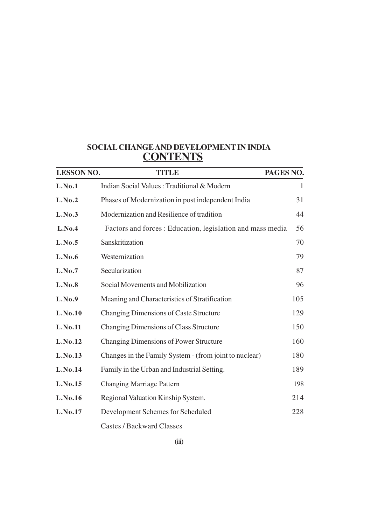|                 | SOCIAL CHANGE AND DEVELOPMENT IN INDIA |
|-----------------|----------------------------------------|
| <b>CONTENTS</b> |                                        |

| <b>LESSON NO.</b> | <b>TITLE</b>                                               | PAGES NO.    |  |
|-------------------|------------------------------------------------------------|--------------|--|
| L.No.1            | Indian Social Values: Traditional & Modern                 | $\mathbf{1}$ |  |
| L.No.2            | Phases of Modernization in post independent India          | 31           |  |
| L.No.3            | Modernization and Resilience of tradition                  | 44           |  |
| L.No.4            | Factors and forces : Education, legislation and mass media | 56           |  |
| L.No.5            | Sanskritization                                            | 70           |  |
| L.No.6            | Westernization                                             | 79           |  |
| L.No.7            | Secularization                                             | 87           |  |
| L.No.8            | Social Movements and Mobilization                          | 96           |  |
| L.No.9            | Meaning and Characteristics of Stratification              | 105          |  |
| L.No.10           | <b>Changing Dimensions of Caste Structure</b>              | 129          |  |
| L.No.11           | <b>Changing Dimensions of Class Structure</b>              | 150          |  |
| L.No.12           | <b>Changing Dimensions of Power Structure</b>              | 160          |  |
| L.No.13           | Changes in the Family System - (from joint to nuclear)     | 180          |  |
| L.No.14           | Family in the Urban and Industrial Setting.                | 189          |  |
| L.No.15           | Changing Marriage Pattern                                  | 198          |  |
| L.No.16           | Regional Valuation Kinship System.                         | 214          |  |
| L.No.17           | Development Schemes for Scheduled                          | 228          |  |
|                   | Castes / Backward Classes                                  |              |  |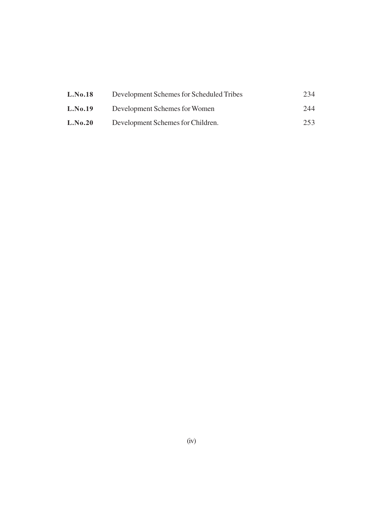| L.No.18 | Development Schemes for Scheduled Tribes | 234 |
|---------|------------------------------------------|-----|
| L.No.19 | Development Schemes for Women            | 244 |
| L.No.20 | Development Schemes for Children.        | 253 |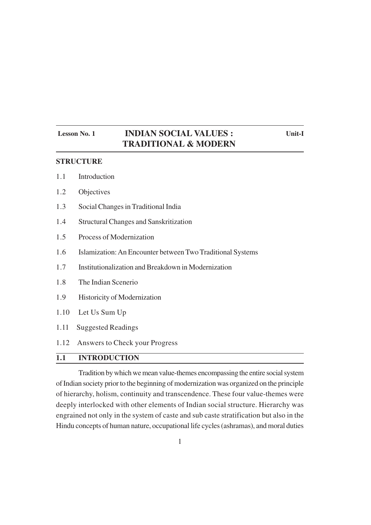# **INDIAN SOCIAL VALUES :** Unit-I **TRADITIONAL & MODERN**

## **STRUCTURE**

- 1.1 Introduction
- 1.2 Objectives
- 1.3 Social Changes in Traditional India
- 1.4 Structural Changes and Sanskritization
- 1.5 Process of Modernization
- 1.6 Islamization: An Encounter between Two Traditional Systems
- 1.7 Institutionalization and Breakdown in Modernization
- 1.8 The Indian Scenerio
- 1.9 Historicity of Modernization
- 1.10 Let Us Sum Up
- 1.11 Suggested Readings
- 1.12 Answers to Check your Progress

## **1.1 INTRODUCTION**

Tradition by which we mean value-themes encompassing the entire social system of Indian society prior to the beginning of modernization was organized on the principle of hierarchy, holism, continuity and transcendence. These four value-themes were deeply interlocked with other elements of Indian social structure. Hierarchy was engrained not only in the system of caste and sub caste stratification but also in the Hindu concepts of human nature, occupational life cycles (ashramas), and moral duties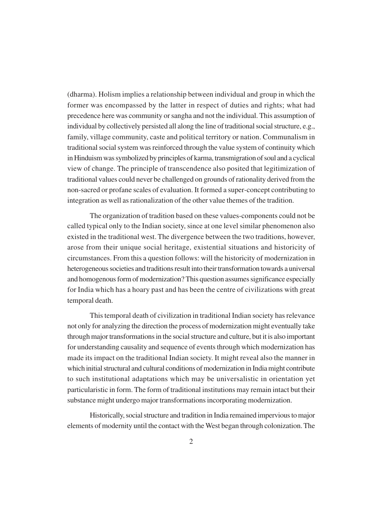(dharma). Holism implies a relationship between individual and group in which the former was encompassed by the latter in respect of duties and rights; what had precedence here was community or sangha and not the individual. This assumption of individual by collectively persisted all along the line of traditional social structure, e.g., family, village community, caste and political territory or nation. Communalism in traditional social system was reinforced through the value system of continuity which in Hinduism was symbolized by principles of karma, transmigration of soul and a cyclical view of change. The principle of transcendence also posited that legitimization of traditional values could never be challenged on grounds of rationality derived from the non-sacred or profane scales of evaluation. It formed a super-concept contributing to integration as well as rationalization of the other value themes of the tradition.

The organization of tradition based on these values-components could not be called typical only to the Indian society, since at one level similar phenomenon also existed in the traditional west. The divergence between the two traditions, however, arose from their unique social heritage, existential situations and historicity of circumstances. From this a question follows: will the historicity of modernization in heterogeneous societies and traditions result into their transformation towards a universal and homogenous form of modernization? This question assumes significance especially for India which has a hoary past and has been the centre of civilizations with great temporal death.

This temporal death of civilization in traditional Indian society has relevance not only for analyzing the direction the process of modernization might eventually take through major transformations in the social structure and culture, but it is also important for understanding causality and sequence of events through which modernization has made its impact on the traditional Indian society. It might reveal also the manner in which initial structural and cultural conditions of modernization in India might contribute to such institutional adaptations which may be universalistic in orientation yet particularistic in form. The form of traditional institutions may remain intact but their substance might undergo major transformations incorporating modernization.

Historically, social structure and tradition in India remained impervious to major elements of modernity until the contact with the West began through colonization. The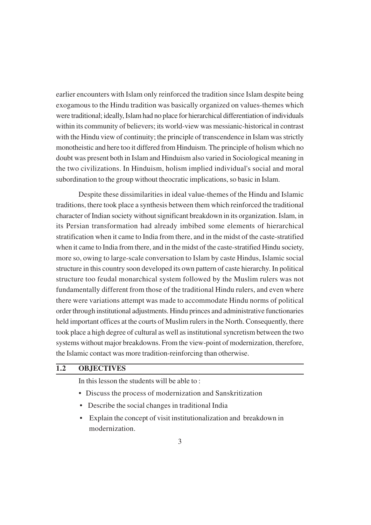earlier encounters with Islam only reinforced the tradition since Islam despite being exogamous to the Hindu tradition was basically organized on values-themes which were traditional; ideally, Islam had no place for hierarchical differentiation of individuals within its community of believers; its world-view was messianic-historical in contrast with the Hindu view of continuity; the principle of transcendence in Islam was strictly monotheistic and here too it differed from Hinduism. The principle of holism which no doubt was present both in Islam and Hinduism also varied in Sociological meaning in the two civilizations. In Hinduism, holism implied individual's social and moral subordination to the group without theocratic implications, so basic in Islam.

Despite these dissimilarities in ideal value-themes of the Hindu and Islamic traditions, there took place a synthesis between them which reinforced the traditional character of Indian society without significant breakdown in its organization. Islam, in its Persian transformation had already imbibed some elements of hierarchical stratification when it came to India from there, and in the midst of the caste-stratified when it came to India from there, and in the midst of the caste-stratified Hindu society, more so, owing to large-scale conversation to Islam by caste Hindus, Islamic social structure in this country soon developed its own pattern of caste hierarchy. In political structure too feudal monarchical system followed by the Muslim rulers was not fundamentally different from those of the traditional Hindu rulers, and even where there were variations attempt was made to accommodate Hindu norms of political order through institutional adjustments. Hindu princes and administrative functionaries held important offices at the courts of Muslim rulers in the North. Consequently, there took place a high degree of cultural as well as institutional syncretism between the two systems without major breakdowns. From the view-point of modernization, therefore, the Islamic contact was more tradition-reinforcing than otherwise.

## **1.2 OBJECTIVES**

In this lesson the students will be able to :

- Discuss the process of modernization and Sanskritization
- Describe the social changes in traditional India
- Explain the concept of visit institutionalization and breakdown in modernization.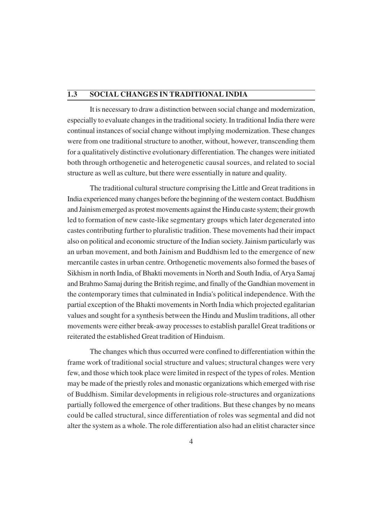# **1.3 SOCIAL CHANGES IN TRADITIONAL INDIA**

It is necessary to draw a distinction between social change and modernization, especially to evaluate changes in the traditional society. In traditional India there were continual instances of social change without implying modernization. These changes were from one traditional structure to another, without, however, transcending them for a qualitatively distinctive evolutionary differentiation. The changes were initiated both through orthogenetic and heterogenetic causal sources, and related to social structure as well as culture, but there were essentially in nature and quality.

The traditional cultural structure comprising the Little and Great traditions in India experienced many changes before the beginning of the western contact. Buddhism and Jainism emerged as protest movements against the Hindu caste system; their growth led to formation of new caste-like segmentary groups which later degenerated into castes contributing further to pluralistic tradition. These movements had their impact also on political and economic structure of the Indian society. Jainism particularly was an urban movement, and both Jainism and Buddhism led to the emergence of new mercantile castes in urban centre. Orthogenetic movements also formed the bases of Sikhism in north India, of Bhakti movements in North and South India, of Arya Samaj and Brahmo Samaj during the British regime, and finally of the Gandhian movement in the contemporary times that culminated in India's political independence. With the partial exception of the Bhakti movements in North India which projected egalitarian values and sought for a synthesis between the Hindu and Muslim traditions, all other movements were either break-away processes to establish parallel Great traditions or reiterated the established Great tradition of Hinduism.

The changes which thus occurred were confined to differentiation within the frame work of traditional social structure and values; structural changes were very few, and those which took place were limited in respect of the types of roles. Mention may be made of the priestly roles and monastic organizations which emerged with rise of Buddhism. Similar developments in religious role-structures and organizations partially followed the emergence of other traditions. But these changes by no means could be called structural, since differentiation of roles was segmental and did not alter the system as a whole. The role differentiation also had an elitist character since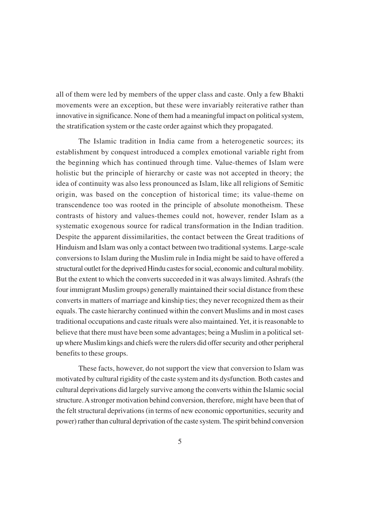all of them were led by members of the upper class and caste. Only a few Bhakti movements were an exception, but these were invariably reiterative rather than innovative in significance. None of them had a meaningful impact on political system, the stratification system or the caste order against which they propagated.

The Islamic tradition in India came from a heterogenetic sources; its establishment by conquest introduced a complex emotional variable right from the beginning which has continued through time. Value-themes of Islam were holistic but the principle of hierarchy or caste was not accepted in theory; the idea of continuity was also less pronounced as Islam, like all religions of Semitic origin, was based on the conception of historical time; its value-theme on transcendence too was rooted in the principle of absolute monotheism. These contrasts of history and values-themes could not, however, render Islam as a systematic exogenous source for radical transformation in the Indian tradition. Despite the apparent dissimilarities, the contact between the Great traditions of Hinduism and Islam was only a contact between two traditional systems. Large-scale conversions to Islam during the Muslim rule in India might be said to have offered a structural outlet for the deprived Hindu castes for social, economic and cultural mobility. But the extent to which the converts succeeded in it was always limited. Ashrafs (the four immigrant Muslim groups) generally maintained their social distance from these converts in matters of marriage and kinship ties; they never recognized them as their equals. The caste hierarchy continued within the convert Muslims and in most cases traditional occupations and caste rituals were also maintained. Yet, it is reasonable to believe that there must have been some advantages; being a Muslim in a political setup where Muslim kings and chiefs were the rulers did offer security and other peripheral benefits to these groups.

These facts, however, do not support the view that conversion to Islam was motivated by cultural rigidity of the caste system and its dysfunction. Both castes and cultural deprivations did largely survive among the converts within the Islamic social structure. A stronger motivation behind conversion, therefore, might have been that of the felt structural deprivations (in terms of new economic opportunities, security and power) rather than cultural deprivation of the caste system. The spirit behind conversion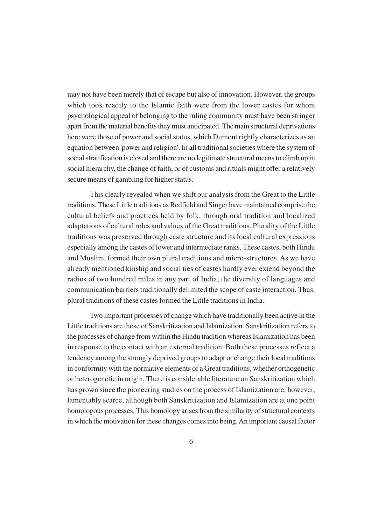may not have been merely that of escape but also of innovation. However, the groups which took readily to the Islamic faith were from the lower castes for whom psychological appeal of belonging to the ruling community must have been stringer apart from the material benefits they must anticipated. The main structural deprivations here were those of power and social status, which Dumont rightly characterizes as an equation between 'power and religion'. In all traditional societies where the system of social stratification is closed and there are no legitimate structural means to climb up in social hierarchy, the change of faith, or of customs and rituals might offer a relatively secure means of gambling for higher status.

This clearly revealed when we shift our analysis from the Great to the Little traditions. These Little traditions as Redfield and Singer have maintained comprise the cultural beliefs and practices held by folk, through oral tradition and localized adaptations of cultural roles and values of the Great traditions. Plurality of the Little traditions was preserved through caste structure and its local cultural expressions especially among the castes of lower and intermediate ranks. These castes, both Hindu and Muslim, formed their own plural traditions and micro-structures. As we have already mentioned kinship and social ties of castes hardly ever extend beyond the radius of two hundred miles in any part of India; the diversity of languages and communication barriers traditionally delimited the scope of caste interaction. Thus, plural traditions of these castes formed the Little traditions in India.

Two important processes of change which have traditionally been active in the Little traditions are those of Sanskritization and Islamization. Sanskritization refers to the processes of change from within the Hindu tradition whereas Islamization has been in response to the contact with an external tradition. Both these processes reflect a tendency among the strongly deprived groups to adapt or change their local traditions in conformity with the normative elements of a Great traditions, whether orthogenetic or heterogenetic in origin. There is considerable literature on Sanskritization which has grown since the pioneering studies on the process of Islamization are, however, lamentably scarce, although both Sanskritization and Islamization are at one point homologous processes. This homology arises from the similarity of structural contexts in which the motivation for these changes comes into being. An important causal factor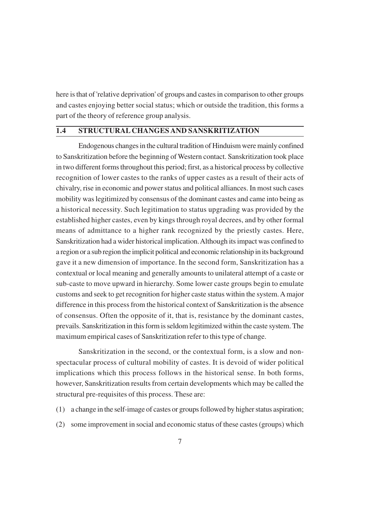here is that of 'relative deprivation' of groups and castes in comparison to other groups and castes enjoying better social status; which or outside the tradition, this forms a part of the theory of reference group analysis.

## **1.4 STRUCTURAL CHANGES AND SANSKRITIZATION**

Endogenous changes in the cultural tradition of Hinduism were mainly confined to Sanskritization before the beginning of Western contact. Sanskritization took place in two different forms throughout this period; first, as a historical process by collective recognition of lower castes to the ranks of upper castes as a result of their acts of chivalry, rise in economic and power status and political alliances. In most such cases mobility was legitimized by consensus of the dominant castes and came into being as a historical necessity. Such legitimation to status upgrading was provided by the established higher castes, even by kings through royal decrees, and by other formal means of admittance to a higher rank recognized by the priestly castes. Here, Sanskritization had a wider historical implication. Although its impact was confined to a region or a sub region the implicit political and economic relationship in its background gave it a new dimension of importance. In the second form, Sanskritization has a contextual or local meaning and generally amounts to unilateral attempt of a caste or sub-caste to move upward in hierarchy. Some lower caste groups begin to emulate customs and seek to get recognition for higher caste status within the system. A major difference in this process from the historical context of Sanskritization is the absence of consensus. Often the opposite of it, that is, resistance by the dominant castes, prevails. Sanskritization in this form is seldom legitimized within the caste system. The maximum empirical cases of Sanskritization refer to this type of change.

Sanskritization in the second, or the contextual form, is a slow and nonspectacular process of cultural mobility of castes. It is devoid of wider political implications which this process follows in the historical sense. In both forms, however, Sanskritization results from certain developments which may be called the structural pre-requisites of this process. These are:

- (1) a change in the self-image of castes or groups followed by higher status aspiration;
- (2) some improvement in social and economic status of these castes (groups) which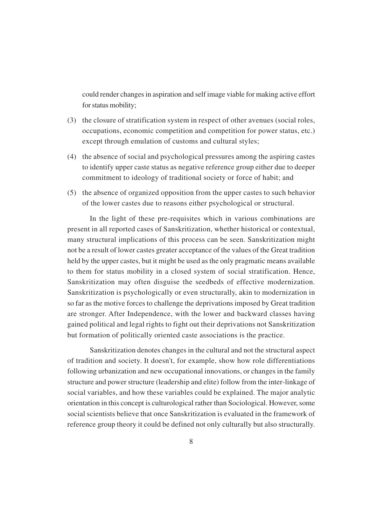could render changes in aspiration and self image viable for making active effort for status mobility;

- (3) the closure of stratification system in respect of other avenues (social roles, occupations, economic competition and competition for power status, etc.) except through emulation of customs and cultural styles;
- (4) the absence of social and psychological pressures among the aspiring castes to identify upper caste status as negative reference group either due to deeper commitment to ideology of traditional society or force of habit; and
- (5) the absence of organized opposition from the upper castes to such behavior of the lower castes due to reasons either psychological or structural.

In the light of these pre-requisites which in various combinations are present in all reported cases of Sanskritization, whether historical or contextual, many structural implications of this process can be seen. Sanskritization might not be a result of lower castes greater acceptance of the values of the Great tradition held by the upper castes, but it might be used as the only pragmatic means available to them for status mobility in a closed system of social stratification. Hence, Sanskritization may often disguise the seedbeds of effective modernization. Sanskritization is psychologically or even structurally, akin to modernization in so far as the motive forces to challenge the deprivations imposed by Great tradition are stronger. After Independence, with the lower and backward classes having gained political and legal rights to fight out their deprivations not Sanskritization but formation of politically oriented caste associations is the practice.

Sanskritization denotes changes in the cultural and not the structural aspect of tradition and society. It doesn't, for example, show how role differentiations following urbanization and new occupational innovations, or changes in the family structure and power structure (leadership and elite) follow from the inter-linkage of social variables, and how these variables could be explained. The major analytic orientation in this concept is culturological rather than Sociological. However, some social scientists believe that once Sanskritization is evaluated in the framework of reference group theory it could be defined not only culturally but also structurally.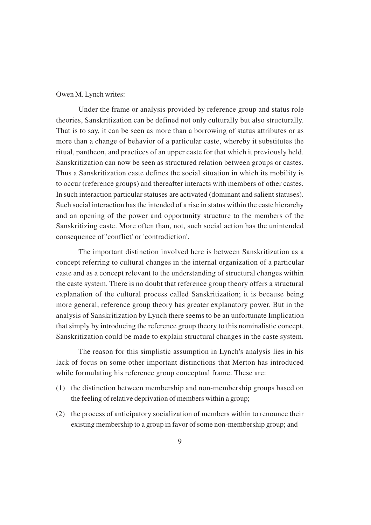### Owen M. Lynch writes:

Under the frame or analysis provided by reference group and status role theories, Sanskritization can be defined not only culturally but also structurally. That is to say, it can be seen as more than a borrowing of status attributes or as more than a change of behavior of a particular caste, whereby it substitutes the ritual, pantheon, and practices of an upper caste for that which it previously held. Sanskritization can now be seen as structured relation between groups or castes. Thus a Sanskritization caste defines the social situation in which its mobility is to occur (reference groups) and thereafter interacts with members of other castes. In such interaction particular statuses are activated (dominant and salient statuses). Such social interaction has the intended of a rise in status within the caste hierarchy and an opening of the power and opportunity structure to the members of the Sanskritizing caste. More often than, not, such social action has the unintended consequence of 'conflict' or 'contradiction'.

The important distinction involved here is between Sanskritization as a concept referring to cultural changes in the internal organization of a particular caste and as a concept relevant to the understanding of structural changes within the caste system. There is no doubt that reference group theory offers a structural explanation of the cultural process called Sanskritization; it is because being more general, reference group theory has greater explanatory power. But in the analysis of Sanskritization by Lynch there seems to be an unfortunate Implication that simply by introducing the reference group theory to this nominalistic concept, Sanskritization could be made to explain structural changes in the caste system.

The reason for this simplistic assumption in Lynch's analysis lies in his lack of focus on some other important distinctions that Merton has introduced while formulating his reference group conceptual frame. These are:

- (1) the distinction between membership and non-membership groups based on the feeling of relative deprivation of members within a group;
- (2) the process of anticipatory socialization of members within to renounce their existing membership to a group in favor of some non-membership group; and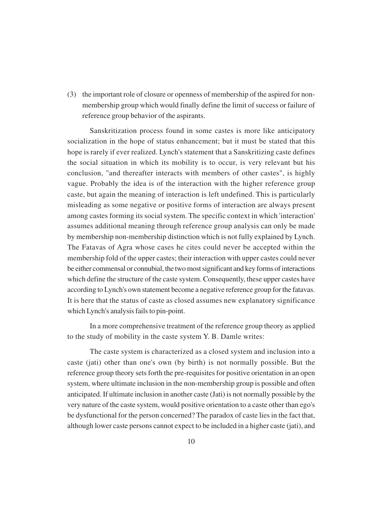(3) the important role of closure or openness of membership of the aspired for nonmembership group which would finally define the limit of success or failure of reference group behavior of the aspirants.

Sanskritization process found in some castes is more like anticipatory socialization in the hope of status enhancement; but it must be stated that this hope is rarely if ever realized. Lynch's statement that a Sanskritizing caste defines the social situation in which its mobility is to occur, is very relevant but his conclusion, "and thereafter interacts with members of other castes", is highly vague. Probably the idea is of the interaction with the higher reference group caste, but again the meaning of interaction is left undefined. This is particularly misleading as some negative or positive forms of interaction are always present among castes forming its social system. The specific context in which 'interaction' assumes additional meaning through reference group analysis can only be made by membership non-membership distinction which is not fully explained by Lynch. The Fatavas of Agra whose cases he cites could never be accepted within the membership fold of the upper castes; their interaction with upper castes could never be either commensal or connubial, the two most significant and key forms of interactions which define the structure of the caste system. Consequently, these upper castes have according to Lynch's own statement become a negative reference group for the fatavas. It is here that the status of caste as closed assumes new explanatory significance which Lynch's analysis fails to pin-point.

In a more comprehensive treatment of the reference group theory as applied to the study of mobility in the caste system Y. B. Damle writes:

The caste system is characterized as a closed system and inclusion into a caste (jati) other than one's own (by birth) is not normally possible. But the reference group theory sets forth the pre-requisites for positive orientation in an open system, where ultimate inclusion in the non-membership group is possible and often anticipated. If ultimate inclusion in another caste (Jati) is not normally possible by the very nature of the caste system, would positive orientation to a caste other than ego's be dysfunctional for the person concerned? The paradox of caste lies in the fact that, although lower caste persons cannot expect to be included in a higher caste (jati), and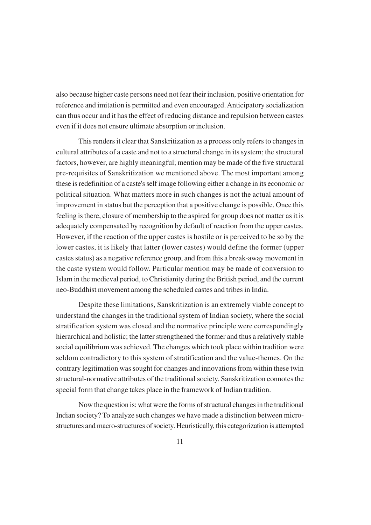also because higher caste persons need not fear their inclusion, positive orientation for reference and imitation is permitted and even encouraged. Anticipatory socialization can thus occur and it has the effect of reducing distance and repulsion between castes even if it does not ensure ultimate absorption or inclusion.

This renders it clear that Sanskritization as a process only refers to changes in cultural attributes of a caste and not to a structural change in its system; the structural factors, however, are highly meaningful; mention may be made of the five structural pre-requisites of Sanskritization we mentioned above. The most important among these is redefinition of a caste's self image following either a change in its economic or political situation. What matters more in such changes is not the actual amount of improvement in status but the perception that a positive change is possible. Once this feeling is there, closure of membership to the aspired for group does not matter as it is adequately compensated by recognition by default of reaction from the upper castes. However, if the reaction of the upper castes is hostile or is perceived to be so by the lower castes, it is likely that latter (lower castes) would define the former (upper castes status) as a negative reference group, and from this a break-away movement in the caste system would follow. Particular mention may be made of conversion to Islam in the medieval period, to Christianity during the British period, and the current neo-Buddhist movement among the scheduled castes and tribes in India.

Despite these limitations, Sanskritization is an extremely viable concept to understand the changes in the traditional system of Indian society, where the social stratification system was closed and the normative principle were correspondingly hierarchical and holistic; the latter strengthened the former and thus a relatively stable social equilibrium was achieved. The changes which took place within tradition were seldom contradictory to this system of stratification and the value-themes. On the contrary legitimation was sought for changes and innovations from within these twin structural-normative attributes of the traditional society. Sanskritization connotes the special form that change takes place in the framework of Indian tradition.

Now the question is: what were the forms of structural changes in the traditional Indian society? To analyze such changes we have made a distinction between microstructures and macro-structures of society. Heuristically, this categorization is attempted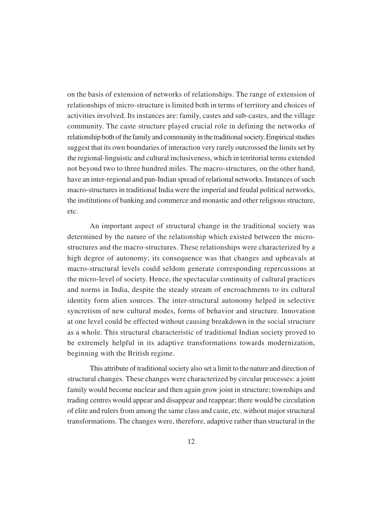on the basis of extension of networks of relationships. The range of extension of relationships of micro-structure is limited both in terms of territory and choices of activities involved. Its instances are: family, castes and sub-castes, and the village community. The caste structure played crucial role in defining the networks of relationship both of the family and community in the traditional society. Empirical studies suggest that its own boundaries of interaction very rarely outcrossed the limits set by the regional-linguistic and cultural inclusiveness, which in territorial terms extended not beyond two to three hundred miles. The macro-structures, on the other hand, have an inter-regional and pan-Indian spread of relational networks. Instances of such macro-structures in traditional India were the imperial and feudal political networks, the institutions of banking and commerce and monastic and other religious structure, etc.

An important aspect of structural change in the traditional society was determined by the nature of the relationship which existed between the microstructures and the macro-structures. These relationships were characterized by a high degree of autonomy; its consequence was that changes and upheavals at macro-structural levels could seldom generate corresponding repercussions at the micro-level of society. Hence, the spectacular continuity of cultural practices and norms in India, despite the steady stream of encroachments to its cultural identity form alien sources. The inter-structural autonomy helped in selective syncretism of new cultural modes, forms of behavior and structure. Innovation at one level could be effected without causing breakdown in the social structure as a whole. This structural characteristic of traditional Indian society proved to be extremely helpful in its adaptive transformations towards modernization, beginning with the British regime.

This attribute of traditional society also set a limit to the nature and direction of structural changes. These changes were characterized by circular processes: a joint family would become nuclear and then again grow joint in structure; townships and trading centres would appear and disappear and reappear; there would be circulation of elite and rulers from among the same class and caste, etc. without major structural transformations. The changes were, therefore, adaptive rather than structural in the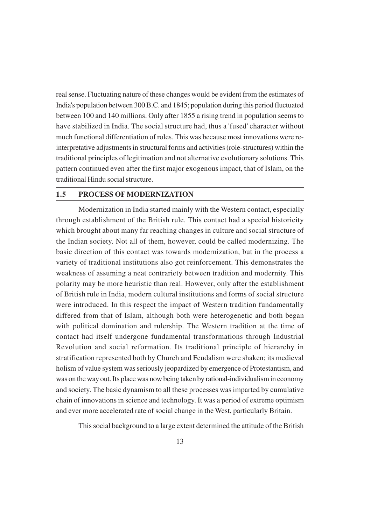real sense. Fluctuating nature of these changes would be evident from the estimates of India's population between 300 B.C. and 1845; population during this period fluctuated between 100 and 140 millions. Only after 1855 a rising trend in population seems to have stabilized in India. The social structure had, thus a 'fused' character without much functional differentiation of roles. This was because most innovations were reinterpretative adjustments in structural forms and activities (role-structures) within the traditional principles of legitimation and not alternative evolutionary solutions. This pattern continued even after the first major exogenous impact, that of Islam, on the traditional Hindu social structure.

### **1.5 PROCESS OF MODERNIZATION**

Modernization in India started mainly with the Western contact, especially through establishment of the British rule. This contact had a special historicity which brought about many far reaching changes in culture and social structure of the Indian society. Not all of them, however, could be called modernizing. The basic direction of this contact was towards modernization, but in the process a variety of traditional institutions also got reinforcement. This demonstrates the weakness of assuming a neat contrariety between tradition and modernity. This polarity may be more heuristic than real. However, only after the establishment of British rule in India, modern cultural institutions and forms of social structure were introduced. In this respect the impact of Western tradition fundamentally differed from that of Islam, although both were heterogenetic and both began with political domination and rulership. The Western tradition at the time of contact had itself undergone fundamental transformations through Industrial Revolution and social reformation. Its traditional principle of hierarchy in stratification represented both by Church and Feudalism were shaken; its medieval holism of value system was seriously jeopardized by emergence of Protestantism, and was on the way out. Its place was now being taken by rational-individualism in economy and society. The basic dynamism to all these processes was imparted by cumulative chain of innovations in science and technology. It was a period of extreme optimism and ever more accelerated rate of social change in the West, particularly Britain.

This social background to a large extent determined the attitude of the British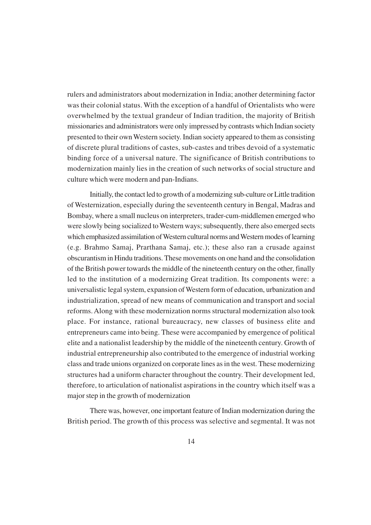rulers and administrators about modernization in India; another determining factor was their colonial status. With the exception of a handful of Orientalists who were overwhelmed by the textual grandeur of Indian tradition, the majority of British missionaries and administrators were only impressed by contrasts which Indian society presented to their own Western society. Indian society appeared to them as consisting of discrete plural traditions of castes, sub-castes and tribes devoid of a systematic binding force of a universal nature. The significance of British contributions to modernization mainly lies in the creation of such networks of social structure and culture which were modern and pan-Indians.

Initially, the contact led to growth of a modernizing sub-culture or Little tradition of Westernization, especially during the seventeenth century in Bengal, Madras and Bombay, where a small nucleus on interpreters, trader-cum-middlemen emerged who were slowly being socialized to Western ways; subsequently, there also emerged sects which emphasized assimilation of Western cultural norms and Western modes of learning (e.g. Brahmo Samaj, Prarthana Samaj, etc.); these also ran a crusade against obscurantism in Hindu traditions. These movements on one hand and the consolidation of the British power towards the middle of the nineteenth century on the other, finally led to the institution of a modernizing Great tradition. Its components were: a universalistic legal system, expansion of Western form of education, urbanization and industrialization, spread of new means of communication and transport and social reforms. Along with these modernization norms structural modernization also took place. For instance, rational bureaucracy, new classes of business elite and entrepreneurs came into being. These were accompanied by emergence of political elite and a nationalist leadership by the middle of the nineteenth century. Growth of industrial entrepreneurship also contributed to the emergence of industrial working class and trade unions organized on corporate lines as in the west. These modernizing structures had a uniform character throughout the country. Their development led, therefore, to articulation of nationalist aspirations in the country which itself was a major step in the growth of modernization

There was, however, one important feature of Indian modernization during the British period. The growth of this process was selective and segmental. It was not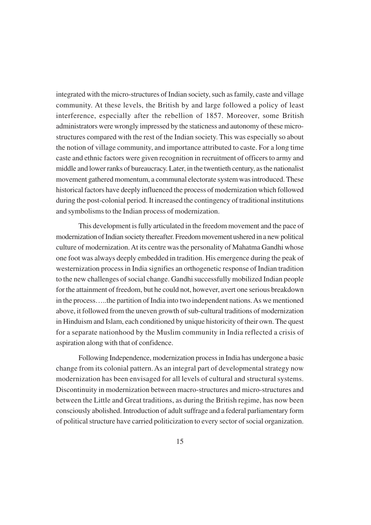integrated with the micro-structures of Indian society, such as family, caste and village community. At these levels, the British by and large followed a policy of least interference, especially after the rebellion of 1857. Moreover, some British administrators were wrongly impressed by the staticness and autonomy of these microstructures compared with the rest of the Indian society. This was especially so about the notion of village community, and importance attributed to caste. For a long time caste and ethnic factors were given recognition in recruitment of officers to army and middle and lower ranks of bureaucracy. Later, in the twentieth century, as the nationalist movement gathered momentum, a communal electorate system was introduced. These historical factors have deeply influenced the process of modernization which followed during the post-colonial period. It increased the contingency of traditional institutions and symbolisms to the Indian process of modernization.

This development is fully articulated in the freedom movement and the pace of modernization of Indian society thereafter. Freedom movement ushered in a new political culture of modernization. At its centre was the personality of Mahatma Gandhi whose one foot was always deeply embedded in tradition. His emergence during the peak of westernization process in India signifies an orthogenetic response of Indian tradition to the new challenges of social change. Gandhi successfully mobilized Indian people for the attainment of freedom, but he could not, however, avert one serious breakdown in the process…..the partition of India into two independent nations. As we mentioned above, it followed from the uneven growth of sub-cultural traditions of modernization in Hinduism and Islam, each conditioned by unique historicity of their own. The quest for a separate nationhood by the Muslim community in India reflected a crisis of aspiration along with that of confidence.

Following Independence, modernization process in India has undergone a basic change from its colonial pattern. As an integral part of developmental strategy now modernization has been envisaged for all levels of cultural and structural systems. Discontinuity in modernization between macro-structures and micro-structures and between the Little and Great traditions, as during the British regime, has now been consciously abolished. Introduction of adult suffrage and a federal parliamentary form of political structure have carried politicization to every sector of social organization.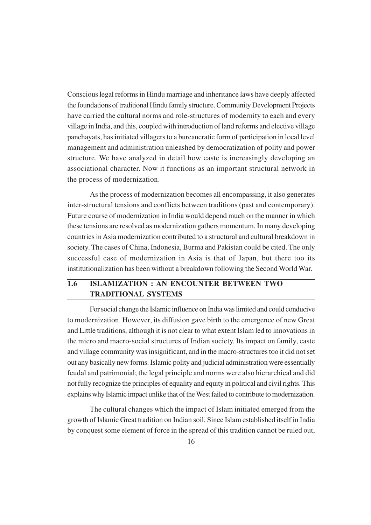Conscious legal reforms in Hindu marriage and inheritance laws have deeply affected the foundations of traditional Hindu family structure. Community Development Projects have carried the cultural norms and role-structures of modernity to each and every village in India, and this, coupled with introduction of land reforms and elective village panchayats, has initiated villagers to a bureaucratic form of participation in local level management and administration unleashed by democratization of polity and power structure. We have analyzed in detail how caste is increasingly developing an associational character. Now it functions as an important structural network in the process of modernization.

As the process of modernization becomes all encompassing, it also generates inter-structural tensions and conflicts between traditions (past and contemporary). Future course of modernization in India would depend much on the manner in which these tensions are resolved as modernization gathers momentum. In many developing countries in Asia modernization contributed to a structural and cultural breakdown in society. The cases of China, Indonesia, Burma and Pakistan could be cited. The only successful case of modernization in Asia is that of Japan, but there too its institutionalization has been without a breakdown following the Second World War.

# **1.6 ISLAMIZATION : AN ENCOUNTER BETWEEN TWO TRADITIONAL SYSTEMS**

For social change the Islamic influence on India was limited and could conducive to modernization. However, its diffusion gave birth to the emergence of new Great and Little traditions, although it is not clear to what extent Islam led to innovations in the micro and macro-social structures of Indian society. Its impact on family, caste and village community was insignificant, and in the macro-structures too it did not set out any basically new forms. Islamic polity and judicial administration were essentially feudal and patrimonial; the legal principle and norms were also hierarchical and did not fully recognize the principles of equality and equity in political and civil rights. This explains why Islamic impact unlike that of the West failed to contribute to modernization.

The cultural changes which the impact of Islam initiated emerged from the growth of Islamic Great tradition on Indian soil. Since Islam established itself in India by conquest some element of force in the spread of this tradition cannot be ruled out,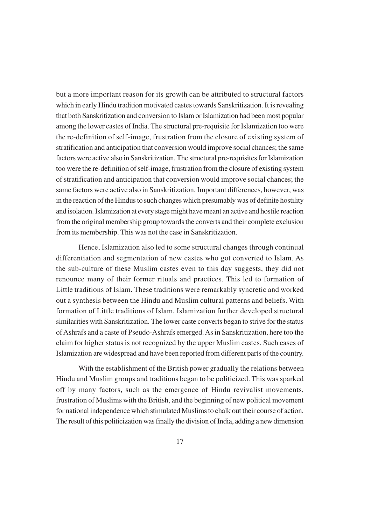but a more important reason for its growth can be attributed to structural factors which in early Hindu tradition motivated castes towards Sanskritization. It is revealing that both Sanskritization and conversion to Islam or Islamization had been most popular among the lower castes of India. The structural pre-requisite for Islamization too were the re-definition of self-image, frustration from the closure of existing system of stratification and anticipation that conversion would improve social chances; the same factors were active also in Sanskritization. The structural pre-requisites for Islamization too were the re-definition of self-image, frustration from the closure of existing system of stratification and anticipation that conversion would improve social chances; the same factors were active also in Sanskritization. Important differences, however, was in the reaction of the Hindus to such changes which presumably was of definite hostility and isolation. Islamization at every stage might have meant an active and hostile reaction from the original membership group towards the converts and their complete exclusion from its membership. This was not the case in Sanskritization.

Hence, Islamization also led to some structural changes through continual differentiation and segmentation of new castes who got converted to Islam. As the sub-culture of these Muslim castes even to this day suggests, they did not renounce many of their former rituals and practices. This led to formation of Little traditions of Islam. These traditions were remarkably syncretic and worked out a synthesis between the Hindu and Muslim cultural patterns and beliefs. With formation of Little traditions of Islam, Islamization further developed structural similarities with Sanskritization. The lower caste converts began to strive for the status of Ashrafs and a caste of Pseudo-Ashrafs emerged. As in Sanskritization, here too the claim for higher status is not recognized by the upper Muslim castes. Such cases of Islamization are widespread and have been reported from different parts of the country.

With the establishment of the British power gradually the relations between Hindu and Muslim groups and traditions began to be politicized. This was sparked off by many factors, such as the emergence of Hindu revivalist movements, frustration of Muslims with the British, and the beginning of new political movement for national independence which stimulated Muslims to chalk out their course of action. The result of this politicization was finally the division of India, adding a new dimension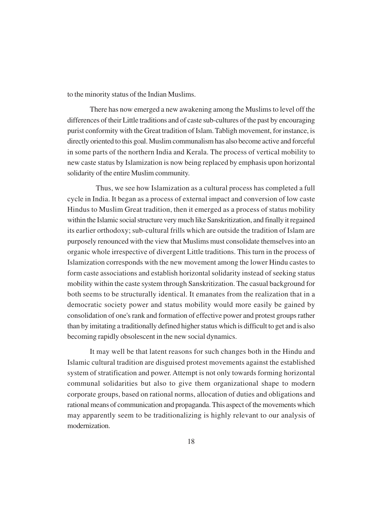to the minority status of the Indian Muslims.

There has now emerged a new awakening among the Muslims to level off the differences of their Little traditions and of caste sub-cultures of the past by encouraging purist conformity with the Great tradition of Islam. Tabligh movement, for instance, is directly oriented to this goal. Muslim communalism has also become active and forceful in some parts of the northern India and Kerala. The process of vertical mobility to new caste status by Islamization is now being replaced by emphasis upon horizontal solidarity of the entire Muslim community.

 Thus, we see how Islamization as a cultural process has completed a full cycle in India. It began as a process of external impact and conversion of low caste Hindus to Muslim Great tradition, then it emerged as a process of status mobility within the Islamic social structure very much like Sanskritization, and finally it regained its earlier orthodoxy; sub-cultural frills which are outside the tradition of Islam are purposely renounced with the view that Muslims must consolidate themselves into an organic whole irrespective of divergent Little traditions. This turn in the process of Islamization corresponds with the new movement among the lower Hindu castes to form caste associations and establish horizontal solidarity instead of seeking status mobility within the caste system through Sanskritization. The casual background for both seems to be structurally identical. It emanates from the realization that in a democratic society power and status mobility would more easily be gained by consolidation of one's rank and formation of effective power and protest groups rather than by imitating a traditionally defined higher status which is difficult to get and is also becoming rapidly obsolescent in the new social dynamics.

It may well be that latent reasons for such changes both in the Hindu and Islamic cultural tradition are disguised protest movements against the established system of stratification and power. Attempt is not only towards forming horizontal communal solidarities but also to give them organizational shape to modern corporate groups, based on rational norms, allocation of duties and obligations and rational means of communication and propaganda. This aspect of the movements which may apparently seem to be traditionalizing is highly relevant to our analysis of modernization.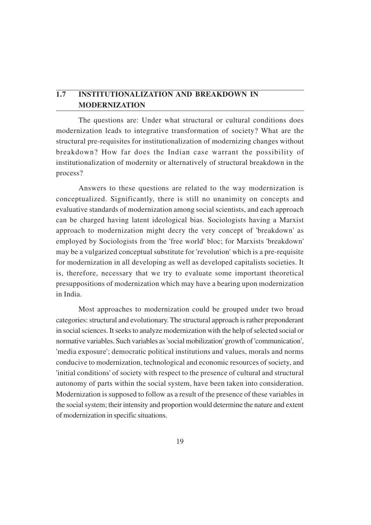# **1.7 INSTITUTIONALIZATION AND BREAKDOWN IN MODERNIZATION**

The questions are: Under what structural or cultural conditions does modernization leads to integrative transformation of society? What are the structural pre-requisites for institutionalization of modernizing changes without breakdown? How far does the Indian case warrant the possibility of institutionalization of modernity or alternatively of structural breakdown in the process?

Answers to these questions are related to the way modernization is conceptualized. Significantly, there is still no unanimity on concepts and evaluative standards of modernization among social scientists, and each approach can be charged having latent ideological bias. Sociologists having a Marxist approach to modernization might decry the very concept of 'breakdown' as employed by Sociologists from the 'free world' bloc; for Marxists 'breakdown' may be a vulgarized conceptual substitute for 'revolution' which is a pre-requisite for modernization in all developing as well as developed capitalists societies. It is, therefore, necessary that we try to evaluate some important theoretical presuppositions of modernization which may have a bearing upon modernization in India.

Most approaches to modernization could be grouped under two broad categories: structural and evolutionary. The structural approach is rather preponderant in social sciences. It seeks to analyze modernization with the help of selected social or normative variables. Such variables as 'social mobilization' growth of 'communication', 'media exposure'; democratic political institutions and values, morals and norms conducive to modernization, technological and economic resources of society, and 'initial conditions' of society with respect to the presence of cultural and structural autonomy of parts within the social system, have been taken into consideration. Modernization is supposed to follow as a result of the presence of these variables in the social system; their intensity and proportion would determine the nature and extent of modernization in specific situations.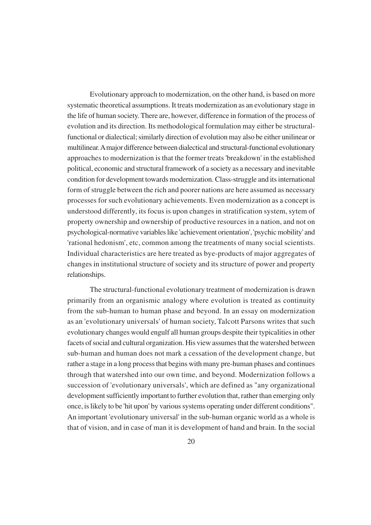Evolutionary approach to modernization, on the other hand, is based on more systematic theoretical assumptions. It treats modernization as an evolutionary stage in the life of human society. There are, however, difference in formation of the process of evolution and its direction. Its methodological formulation may either be structuralfunctional or dialectical; similarly direction of evolution may also be either unilinear or multilinear. A major difference between dialectical and structural-functional evolutionary approaches to modernization is that the former treats 'breakdown' in the established political, economic and structural framework of a society as a necessary and inevitable condition for development towards modernization. Class-struggle and its international form of struggle between the rich and poorer nations are here assumed as necessary processes for such evolutionary achievements. Even modernization as a concept is understood differently, its focus is upon changes in stratification system, sytem of property ownership and ownership of productive resources in a nation, and not on psychological-normative variables like 'achievement orientation', 'psychic mobility' and 'rational hedonism', etc, common among the treatments of many social scientists. Individual characteristics are here treated as bye-products of major aggregates of changes in institutional structure of society and its structure of power and property relationships.

The structural-functional evolutionary treatment of modernization is drawn primarily from an organismic analogy where evolution is treated as continuity from the sub-human to human phase and beyond. In an essay on modernization as an 'evolutionary universals' of human society, Talcott Parsons writes that such evolutionary changes would engulf all human groups despite their typicalities in other facets of social and cultural organization. His view assumes that the watershed between sub-human and human does not mark a cessation of the development change, but rather a stage in a long process that begins with many pre-human phases and continues through that watershed into our own time, and beyond. Modernization follows a succession of 'evolutionary universals', which are defined as "any organizational development sufficiently important to further evolution that, rather than emerging only once, is likely to be 'hit upon' by various systems operating under different conditions". An important 'evolutionary universal' in the sub-human organic world as a whole is that of vision, and in case of man it is development of hand and brain. In the social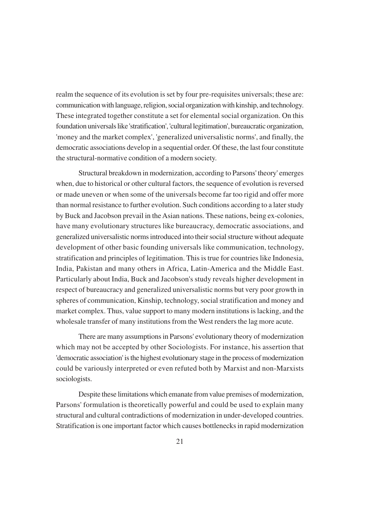realm the sequence of its evolution is set by four pre-requisites universals; these are: communication with language, religion, social organization with kinship, and technology. These integrated together constitute a set for elemental social organization. On this foundation universals like 'stratification', 'cultural legitimation', bureaucratic organization, 'money and the market complex', 'generalized universalistic norms', and finally, the democratic associations develop in a sequential order. Of these, the last four constitute the structural-normative condition of a modern society.

Structural breakdown in modernization, according to Parsons' theory' emerges when, due to historical or other cultural factors, the sequence of evolution is reversed or made uneven or when some of the universals become far too rigid and offer more than normal resistance to further evolution. Such conditions according to a later study by Buck and Jacobson prevail in the Asian nations. These nations, being ex-colonies, have many evolutionary structures like bureaucracy, democratic associations, and generalized universalistic norms introduced into their social structure without adequate development of other basic founding universals like communication, technology, stratification and principles of legitimation. This is true for countries like Indonesia, India, Pakistan and many others in Africa, Latin-America and the Middle East. Particularly about India, Buck and Jacobson's study reveals higher development in respect of bureaucracy and generalized universalistic norms but very poor growth in spheres of communication, Kinship, technology, social stratification and money and market complex. Thus, value support to many modern institutions is lacking, and the wholesale transfer of many institutions from the West renders the lag more acute.

There are many assumptions in Parsons' evolutionary theory of modernization which may not be accepted by other Sociologists. For instance, his assertion that 'democratic association' is the highest evolutionary stage in the process of modernization could be variously interpreted or even refuted both by Marxist and non-Marxists sociologists.

Despite these limitations which emanate from value premises of modernization, Parsons' formulation is theoretically powerful and could be used to explain many structural and cultural contradictions of modernization in under-developed countries. Stratification is one important factor which causes bottlenecks in rapid modernization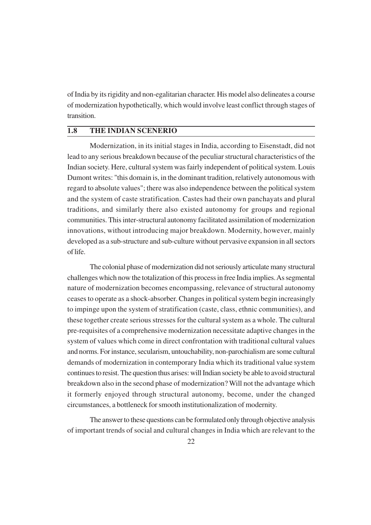of India by its rigidity and non-egalitarian character. His model also delineates a course of modernization hypothetically, which would involve least conflict through stages of transition.

## **1.8 THE INDIAN SCENERIO**

Modernization, in its initial stages in India, according to Eisenstadt, did not lead to any serious breakdown because of the peculiar structural characteristics of the Indian society. Here, cultural system was fairly independent of political system. Louis Dumont writes: "this domain is, in the dominant tradition, relatively autonomous with regard to absolute values"; there was also independence between the political system and the system of caste stratification. Castes had their own panchayats and plural traditions, and similarly there also existed autonomy for groups and regional communities. This inter-structural autonomy facilitated assimilation of modernization innovations, without introducing major breakdown. Modernity, however, mainly developed as a sub-structure and sub-culture without pervasive expansion in all sectors of life.

The colonial phase of modernization did not seriously articulate many structural challenges which now the totalization of this process in free India implies. As segmental nature of modernization becomes encompassing, relevance of structural autonomy ceases to operate as a shock-absorber. Changes in political system begin increasingly to impinge upon the system of stratification (caste, class, ethnic communities), and these together create serious stresses for the cultural system as a whole. The cultural pre-requisites of a comprehensive modernization necessitate adaptive changes in the system of values which come in direct confrontation with traditional cultural values and norms. For instance, secularism, untouchability, non-parochialism are some cultural demands of modernization in contemporary India which its traditional value system continues to resist. The question thus arises: will Indian society be able to avoid structural breakdown also in the second phase of modernization? Will not the advantage which it formerly enjoyed through structural autonomy, become, under the changed circumstances, a bottleneck for smooth institutionalization of modernity.

The answer to these questions can be formulated only through objective analysis of important trends of social and cultural changes in India which are relevant to the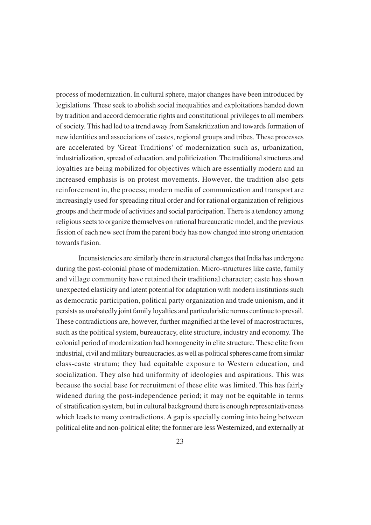process of modernization. In cultural sphere, major changes have been introduced by legislations. These seek to abolish social inequalities and exploitations handed down by tradition and accord democratic rights and constitutional privileges to all members of society. This had led to a trend away from Sanskritization and towards formation of new identities and associations of castes, regional groups and tribes. These processes are accelerated by 'Great Traditions' of modernization such as, urbanization, industrialization, spread of education, and politicization. The traditional structures and loyalties are being mobilized for objectives which are essentially modern and an increased emphasis is on protest movements. However, the tradition also gets reinforcement in, the process; modern media of communication and transport are increasingly used for spreading ritual order and for rational organization of religious groups and their mode of activities and social participation. There is a tendency among religious sects to organize themselves on rational bureaucratic model, and the previous fission of each new sect from the parent body has now changed into strong orientation towards fusion.

Inconsistencies are similarly there in structural changes that India has undergone during the post-colonial phase of modernization. Micro-structures like caste, family and village community have retained their traditional character; caste has shown unexpected elasticity and latent potential for adaptation with modern institutions such as democratic participation, political party organization and trade unionism, and it persists as unabatedly joint family loyalties and particularistic norms continue to prevail. These contradictions are, however, further magnified at the level of macrostructures, such as the political system, bureaucracy, elite structure, industry and economy. The colonial period of modernization had homogeneity in elite structure. These elite from industrial, civil and military bureaucracies, as well as political spheres came from similar class-caste stratum; they had equitable exposure to Western education, and socialization. They also had uniformity of ideologies and aspirations. This was because the social base for recruitment of these elite was limited. This has fairly widened during the post-independence period; it may not be equitable in terms of stratification system, but in cultural background there is enough representativeness which leads to many contradictions. A gap is specially coming into being between political elite and non-political elite; the former are less Westernized, and externally at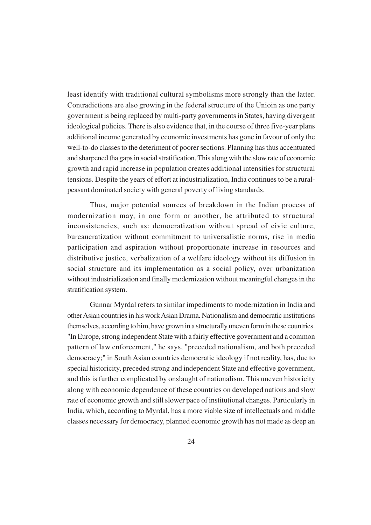least identify with traditional cultural symbolisms more strongly than the latter. Contradictions are also growing in the federal structure of the Unioin as one party government is being replaced by multi-party governments in States, having divergent ideological policies. There is also evidence that, in the course of three five-year plans additional income generated by economic investments has gone in favour of only the well-to-do classes to the deteriment of poorer sections. Planning has thus accentuated and sharpened tha gaps in social stratification. This along with the slow rate of economic growth and rapid increase in population creates additional intensities for structural tensions. Despite the years of effort at industrialization, India continues to be a ruralpeasant dominated society with general poverty of living standards.

Thus, major potential sources of breakdown in the Indian process of modernization may, in one form or another, be attributed to structural inconsistencies, such as: democratization without spread of civic culture, bureaucratization without commitment to universalistic norms, rise in media participation and aspiration without proportionate increase in resources and distributive justice, verbalization of a welfare ideology without its diffusion in social structure and its implementation as a social policy, over urbanization without industrialization and finally modernization without meaningful changes in the stratification system.

Gunnar Myrdal refers to similar impediments to modernization in India and other Asian countries in his work Asian Drama. Nationalism and democratic institutions themselves, according to him, have grown in a structurally uneven form in these countries. "In Europe, strong independent State with a fairly effective government and a common pattern of law enforcement," he says, "preceded nationalism, and both preceded democracy;" in South Asian countries democratic ideology if not reality, has, due to special historicity, preceded strong and independent State and effective government, and this is further complicated by onslaught of nationalism. This uneven historicity along with economic dependence of these countries on developed nations and slow rate of economic growth and still slower pace of institutional changes. Particularly in India, which, according to Myrdal, has a more viable size of intellectuals and middle classes necessary for democracy, planned economic growth has not made as deep an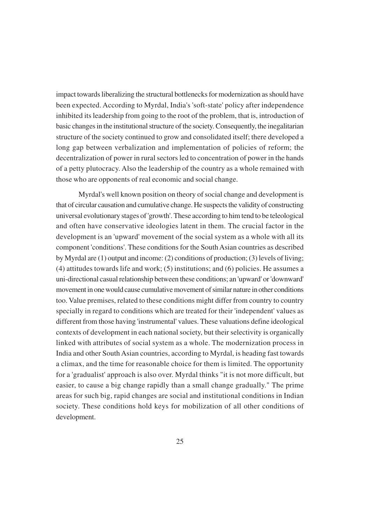impact towards liberalizing the structural bottlenecks for modernization as should have been expected. According to Myrdal, India's 'soft-state' policy after independence inhibited its leadership from going to the root of the problem, that is, introduction of basic changes in the institutional structure of the society. Consequently, the inegalitarian structure of the society continued to grow and consolidated itself; there developed a long gap between verbalization and implementation of policies of reform; the decentralization of power in rural sectors led to concentration of power in the hands of a petty plutocracy. Also the leadership of the country as a whole remained with those who are opponents of real economic and social change.

Myrdal's well known position on theory of social change and development is that of circular causation and cumulative change. He suspects the validity of constructing universal evolutionary stages of 'growth'. These according to him tend to be teleological and often have conservative ideologies latent in them. The crucial factor in the development is an 'upward' movement of the social system as a whole with all its component 'conditions'. These conditions for the South Asian countries as described by Myrdal are (1) output and income: (2) conditions of production; (3) levels of living; (4) attitudes towards life and work; (5) institutions; and (6) policies. He assumes a uni-directional casual relationship between these conditions; an 'upward' or 'downward' movement in one would cause cumulative movement of similar nature in other conditions too. Value premises, related to these conditions might differ from country to country specially in regard to conditions which are treated for their 'independent' values as different from those having 'instrumental' values. These valuations define ideological contexts of development in each national society, but their selectivity is organically linked with attributes of social system as a whole. The modernization process in India and other South Asian countries, according to Myrdal, is heading fast towards a climax, and the time for reasonable choice for them is limited. The opportunity for a 'gradualist' approach is also over. Myrdal thinks "it is not more difficult, but easier, to cause a big change rapidly than a small change gradually." The prime areas for such big, rapid changes are social and institutional conditions in Indian society. These conditions hold keys for mobilization of all other conditions of development.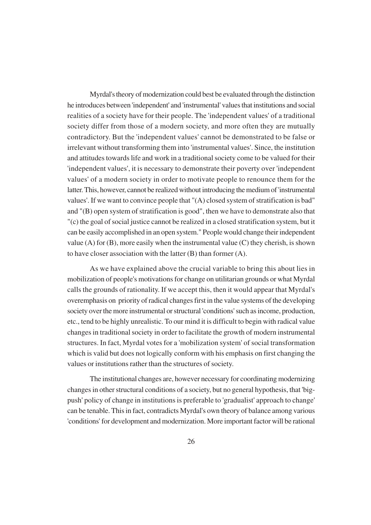Myrdal's theory of modernization could best be evaluated through the distinction he introduces between 'independent' and 'instrumental' values that institutions and social realities of a society have for their people. The 'independent values' of a traditional society differ from those of a modern society, and more often they are mutually contradictory. But the 'independent values' cannot be demonstrated to be false or irrelevant without transforming them into 'instrumental values'. Since, the institution and attitudes towards life and work in a traditional society come to be valued for their 'independent values', it is necessary to demonstrate their poverty over 'independent values' of a modern society in order to motivate people to renounce them for the latter. This, however, cannot be realized without introducing the medium of 'instrumental values'. If we want to convince people that "(A) closed system of stratification is bad" and "(B) open system of stratification is good", then we have to demonstrate also that "(c) the goal of social justice cannot be realized in a closed stratification system, but it can be easily accomplished in an open system." People would change their independent value (A) for  $(B)$ , more easily when the instrumental value  $(C)$  they cherish, is shown to have closer association with the latter (B) than former (A).

As we have explained above the crucial variable to bring this about lies in mobilization of people's motivations for change on utilitarian grounds or what Myrdal calls the grounds of rationality. If we accept this, then it would appear that Myrdal's overemphasis on priority of radical changes first in the value systems of the developing society over the more instrumental or structural 'conditions' such as income, production, etc., tend to be highly unrealistic. To our mind it is difficult to begin with radical value changes in traditional society in order to facilitate the growth of modern instrumental structures. In fact, Myrdal votes for a 'mobilization system' of social transformation which is valid but does not logically conform with his emphasis on first changing the values or institutions rather than the structures of society.

The institutional changes are, however necessary for coordinating modernizing changes in other structural conditions of a society, but no general hypothesis, that 'bigpush' policy of change in institutions is preferable to 'gradualist' approach to change' can be tenable. This in fact, contradicts Myrdal's own theory of balance among various 'conditions' for development and modernization. More important factor will be rational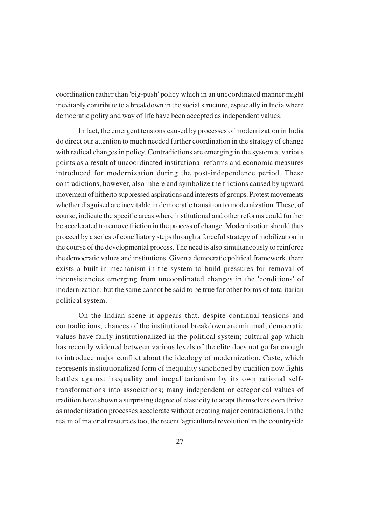coordination rather than 'big-push' policy which in an uncoordinated manner might inevitably contribute to a breakdown in the social structure, especially in India where democratic polity and way of life have been accepted as independent values.

In fact, the emergent tensions caused by processes of modernization in India do direct our attention to much needed further coordination in the strategy of change with radical changes in policy. Contradictions are emerging in the system at various points as a result of uncoordinated institutional reforms and economic measures introduced for modernization during the post-independence period. These contradictions, however, also inhere and symbolize the frictions caused by upward movement of hitherto suppressed aspirations and interests of groups. Protest movements whether disguised are inevitable in democratic transition to modernization. These, of course, indicate the specific areas where institutional and other reforms could further be accelerated to remove friction in the process of change. Modernization should thus proceed by a series of conciliatory steps through a forceful strategy of mobilization in the course of the developmental process. The need is also simultaneously to reinforce the democratic values and institutions. Given a democratic political framework, there exists a built-in mechanism in the system to build pressures for removal of inconsistencies emerging from uncoordinated changes in the 'conditions' of modernization; but the same cannot be said to be true for other forms of totalitarian political system.

On the Indian scene it appears that, despite continual tensions and contradictions, chances of the institutional breakdown are minimal; democratic values have fairly institutionalized in the political system; cultural gap which has recently widened between various levels of the elite does not go far enough to introduce major conflict about the ideology of modernization. Caste, which represents institutionalized form of inequality sanctioned by tradition now fights battles against inequality and inegalitarianism by its own rational selftransformations into associations; many independent or categorical values of tradition have shown a surprising degree of elasticity to adapt themselves even thrive as modernization processes accelerate without creating major contradictions. In the realm of material resources too, the recent 'agricultural revolution' in the countryside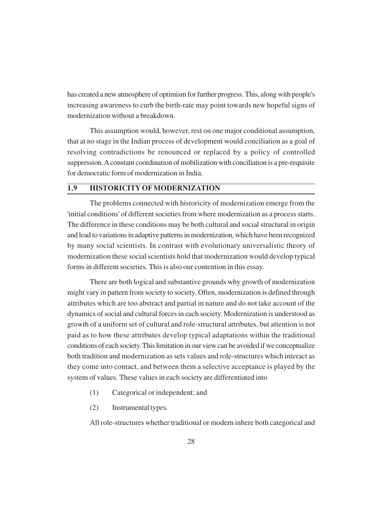has created a new atmosphere of optimism for further progress. This, along with people's increasing awareness to curb the birth-rate may point towards new hopeful signs of modernization without a breakdown.

This assumption would, however, rest on one major conditional assumption, that at no stage in the Indian process of development would conciliation as a goal of resolving contradictions be renounced or replaced by a policy of controlled suppression. A constant coordination of mobilization with conciliation is a pre-requisite for democratic form of modernization in India.

# **1.9 HISTORICITY OF MODERNIZATION**

The problems connected with historicity of modernization emerge from the 'initial conditions' of different societies from where modernization as a process starts. The difference in these conditions may be both cultural and social structural in origin and lead to variations in adaptive patterns in modernization, which have been recognized by many social scientists. In contrast with evolutionary universalistic theory of modernization these social scientists hold that modernization would develop typical forms in different societies. This is also our contention in this essay.

There are both logical and substantive grounds why growth of modernization might vary in pattern from society to society. Often, modernization is defined through attributes which are too abstract and partial in nature and do not take account of the dynamics of social and cultural forces in each society. Modernization is understood as growth of a uniform set of cultural and role-structural attributes, but attention is not paid as to how these attributes develop typical adaptations within the traditional conditions of each society. This limitation in our view can be avoided if we conceptualize both tradition and modernization as sets values and role-structures which interact as they come into contact, and between them a selective acceptance is played by the system of values. These values in each society are differentiated into

- (1) Categorical or independent; and
- (2) Instrumental types.

All role-structures whether traditional or modern inhere both categorical and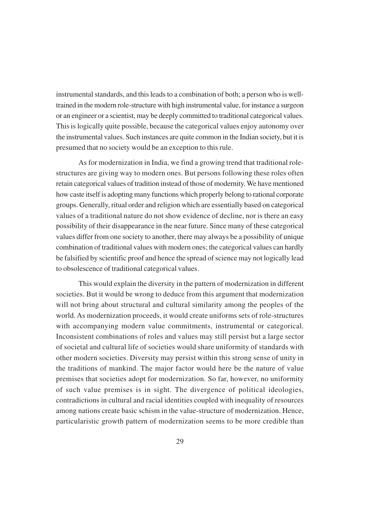instrumental standards, and this leads to a combination of both; a person who is welltrained in the modern role-structure with high instrumental value, for instance a surgeon or an engineer or a scientist, may be deeply committed to traditional categorical values. This is logically quite possible, because the categorical values enjoy autonomy over the instrumental values. Such instances are quite common in the Indian society, but it is presumed that no society would be an exception to this rule.

As for modernization in India, we find a growing trend that traditional rolestructures are giving way to modern ones. But persons following these roles often retain categorical values of tradition instead of those of modernity. We have mentioned how caste itself is adopting many functions which properly belong to rational corporate groups. Generally, ritual order and religion which are essentially based on categorical values of a traditional nature do not show evidence of decline, nor is there an easy possibility of their disappearance in the near future. Since many of these categorical values differ from one society to another, there may always be a possibility of unique combination of traditional values with modern ones; the categorical values can hardly be falsified by scientific proof and hence the spread of science may not logically lead to obsolescence of traditional categorical values.

This would explain the diversity in the pattern of modernization in different societies. But it would be wrong to deduce from this argument that modernization will not bring about structural and cultural similarity among the peoples of the world. As modernization proceeds, it would create uniforms sets of role-structures with accompanying modern value commitments, instrumental or categorical. Inconsistent combinations of roles and values may still persist but a large sector of societal and cultural life of societies would share uniformity of standards with other modern societies. Diversity may persist within this strong sense of unity in the traditions of mankind. The major factor would here be the nature of value premises that societies adopt for modernization. So far, however, no uniformity of such value premises is in sight. The divergence of political ideologies, contradictions in cultural and racial identities coupled with inequality of resources among nations create basic schism in the value-structure of modernization. Hence, particularistic growth pattern of modernization seems to be more credible than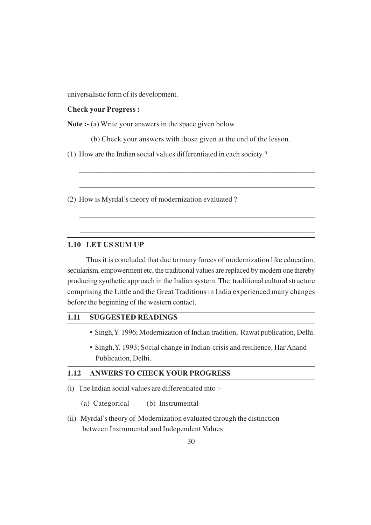universalistic form of its development.

### **Check your Progress :**

**Note :-** (a) Write your answers in the space given below.

(b) Check your answers with those given at the end of the lesson.

\_\_\_\_\_\_\_\_\_\_\_\_\_\_\_\_\_\_\_\_\_\_\_\_\_\_\_\_\_\_\_\_\_\_\_\_\_\_\_\_\_\_\_\_\_\_\_\_\_\_\_\_\_\_\_\_\_\_\_\_\_\_

 $\frac{1}{2}$  ,  $\frac{1}{2}$  ,  $\frac{1}{2}$  ,  $\frac{1}{2}$  ,  $\frac{1}{2}$  ,  $\frac{1}{2}$  ,  $\frac{1}{2}$  ,  $\frac{1}{2}$  ,  $\frac{1}{2}$  ,  $\frac{1}{2}$  ,  $\frac{1}{2}$  ,  $\frac{1}{2}$  ,  $\frac{1}{2}$  ,  $\frac{1}{2}$  ,  $\frac{1}{2}$  ,  $\frac{1}{2}$  ,  $\frac{1}{2}$  ,  $\frac{1}{2}$  ,  $\frac{1$ 

 $\mathcal{L} = \{ \mathcal{L} = \{ \mathcal{L} \} \cup \{ \mathcal{L} \} \cup \{ \mathcal{L} \} \cup \{ \mathcal{L} \} \cup \{ \mathcal{L} \} \cup \{ \mathcal{L} \} \cup \{ \mathcal{L} \} \cup \{ \mathcal{L} \} \cup \{ \mathcal{L} \} \cup \{ \mathcal{L} \} \cup \{ \mathcal{L} \} \cup \{ \mathcal{L} \} \cup \{ \mathcal{L} \} \cup \{ \mathcal{L} \} \cup \{ \mathcal{L} \} \cup \{ \mathcal{L} \} \cup \{ \mathcal{L} \} \cup$ 

\_\_\_\_\_\_\_\_\_\_\_\_\_\_\_\_\_\_\_\_\_\_\_\_\_\_\_\_\_\_\_\_\_\_\_\_\_\_\_\_\_\_\_\_\_\_\_\_\_\_\_\_\_\_\_\_\_\_\_\_\_\_\_

(1) How are the Indian social values differentiated in each society ?

(2) How is Myrdal's theory of modernization evaluated ?

### **1.10 LET US SUM UP**

 Thus it is concluded that due to many forces of modernization like education, secularism, empowerment etc, the traditional values are replaced by modern one thereby producing synthetic approach in the Indian system. The traditional cultural structure comprising the Little and the Great Traditions in India experienced many changes before the beginning of the western contact.

# **1.11 SUGGESTED READINGS**

- Singh,Y. 1996; Modernization of Indian tradition, Rawat publication, Delhi.
- Singh,Y. 1993; Social change in Indian-crisis and resilience, Har Anand Publication, Delhi.

## **1.12 ANWERS TO CHECK YOUR PROGRESS**

- (i) The Indian social values are differentiated into :-
	- (a) Categorical (b) Instrumental
- (ii) Myrdal's theory of Modernization evaluated through the distinction between Instrumental and Independent Values.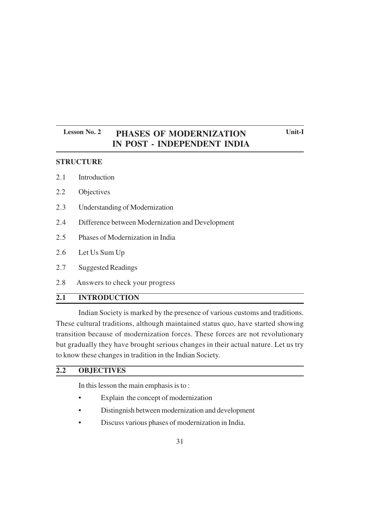# **Lesson No. 2 PHASES OF MODERNIZATION** Unit-I **IN POST - INDEPENDENT INDIA**

## **STRUCTURE**

- 2.1 Introduction
- 2.2 Objectives
- 2.3 Understanding of Modernization
- 2.4 Difference between Modernization and Development
- 2.5 Phases of Modernization in India
- 2.6 Let Us Sum Up
- 2.7 Suggested Readings
- 2.8 Answers to check your progress

# **2.1 INTRODUCTION**

Indian Society is marked by the presence of various customs and traditions. These cultural traditions, although maintained status quo, have started showing transition because of modernization forces. These forces are not revolutionary but gradually they have brought serious changes in their actual nature. Let us try to know these changes in tradition in the Indian Society.

### **2.2 OBJECTIVES**

In this lesson the main emphasis is to :

- Explain the concept of modernization
- Distingnish between modernization and development
- Discuss various phases of modernization in India.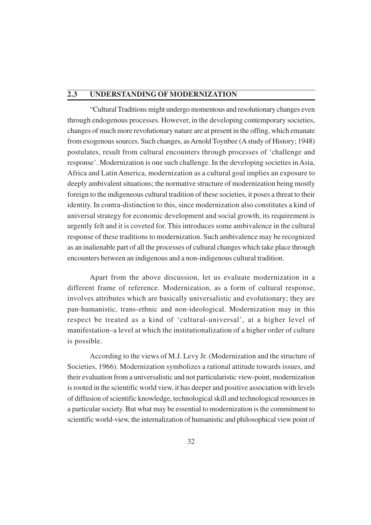## **2.3 UNDERSTANDING OF MODERNIZATION**

"Cultural Traditions might undergo momentous and resolutionary changes even through endogenous processes. However, in the developing contemporary societies, changes of much more revolutionary nature are at present in the offing, which emanate from exogenous sources. Such changes, as Arnold Toynbee (A study of History; 1948) postulates, result from cultural encounters through processes of 'challenge and response'. Modernization is one such challenge. In the developing societies in Asia, Africa and Latin America, modernization as a cultural goal implies an exposure to deeply ambivalent situations; the normative structure of modernization being mostly foreign to the indigeneous cultural tradition of these societies, it poses a threat to their identity. In contra-distinction to this, since modernization also constitutes a kind of universal strategy for economic development and social growth, its requirement is urgently felt and it is coveted for. This introduces some ambivalence in the cultural response of these traditions to modernization. Such ambivalence may be recognized as an inalienable part of all the processes of cultural changes which take place through encounters between an indigenous and a non-indigenous cultural tradition.

Apart from the above discussion, let us evaluate modernization in a different frame of reference. Modernization, as a form of cultural response, involves attributes which are basically universalistic and evolutionary; they are pan-humanistic, trans-ethnic and non-ideological. Modernization may in this respect be treated as a kind of 'cultural-universal', at a higher level of manifestation–a level at which the institutionalization of a higher order of culture is possible.

According to the views of M.J. Levy Jr. (Modernization and the structure of Societies, 1966). Modernization symbolizes a rational attitude towards issues, and their evaluation from a universalistic and not particularistic view-point, modernization is rooted in the scientific world view, it has deeper and positive association with levels of diffusion of scientific knowledge, technological skill and technological resources in a particular society. But what may be essential to modernization is the commitment to scientific world-view, the internalization of humanistic and philosophical view point of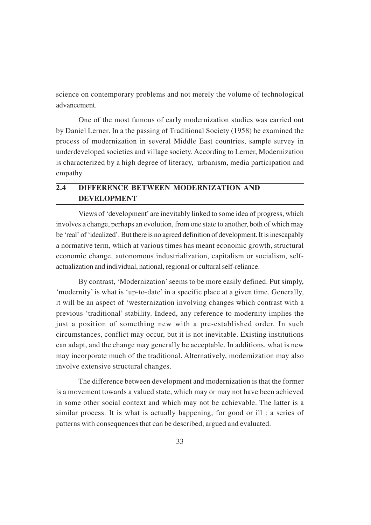science on contemporary problems and not merely the volume of technological advancement.

One of the most famous of early modernization studies was carried out by Daniel Lerner. In a the passing of Traditional Society (1958) he examined the process of modernization in several Middle East countries, sample survey in underdeveloped societies and village society. According to Lerner, Modernization is characterized by a high degree of literacy, urbanism, media participation and empathy.

# **2.4 DIFFERENCE BETWEEN MODERNIZATION AND DEVELOPMENT**

Views of 'development' are inevitably linked to some idea of progress, which involves a change, perhaps an evolution, from one state to another, both of which may be 'real' of 'idealized'. But there is no agreed definition of development. It is inescapably a normative term, which at various times has meant economic growth, structural economic change, autonomous industrialization, capitalism or socialism, selfactualization and individual, national, regional or cultural self-reliance.

By contrast, 'Modernization' seems to be more easily defined. Put simply, 'modernity' is what is 'up-to-date' in a specific place at a given time. Generally, it will be an aspect of 'westernization involving changes which contrast with a previous 'traditional' stability. Indeed, any reference to modernity implies the just a position of something new with a pre-established order. In such circumstances, conflict may occur, but it is not inevitable. Existing institutions can adapt, and the change may generally be acceptable. In additions, what is new may incorporate much of the traditional. Alternatively, modernization may also involve extensive structural changes.

The difference between development and modernization is that the former is a movement towards a valued state, which may or may not have been achieved in some other social context and which may not be achievable. The latter is a similar process. It is what is actually happening, for good or ill : a series of patterns with consequences that can be described, argued and evaluated.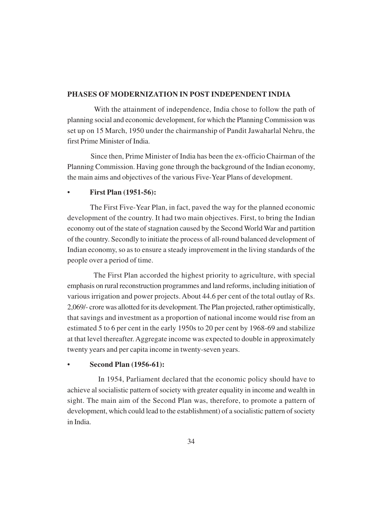#### **PHASES OF MODERNIZATION IN POST INDEPENDENT INDIA**

 With the attainment of independence, India chose to follow the path of planning social and economic development, for which the Planning Commission was set up on 15 March, 1950 under the chairmanship of Pandit Jawaharlal Nehru, the first Prime Minister of India.

 Since then, Prime Minister of India has been the ex-officio Chairman of the Planning Commission. Having gone through the background of the Indian economy, the main aims and objectives of the various Five-Year Plans of development.

#### • **First Plan (1951-56):**

 The First Five-Year Plan, in fact, paved the way for the planned economic development of the country. It had two main objectives. First, to bring the Indian economy out of the state of stagnation caused by the Second World War and partition of the country. Secondly to initiate the process of all-round balanced development of Indian economy, so as to ensure a steady improvement in the living standards of the people over a period of time.

 The First Plan accorded the highest priority to agriculture, with special emphasis on rural reconstruction programmes and land reforms, including initiation of various irrigation and power projects. About 44.6 per cent of the total outlay of Rs. 2,069/- crore was allotted for its development. The Plan projected, rather optimistically, that savings and investment as a proportion of national income would rise from an estimated 5 to 6 per cent in the early 1950s to 20 per cent by 1968-69 and stabilize at that level thereafter. Aggregate income was expected to double in approximately twenty years and per capita income in twenty-seven years.

#### • **Second Plan (1956-61):**

 In 1954, Parliament declared that the economic policy should have to achieve al socialistic pattern of society with greater equality in income and wealth in sight. The main aim of the Second Plan was, therefore, to promote a pattern of development, which could lead to the establishment) of a socialistic pattern of society in India.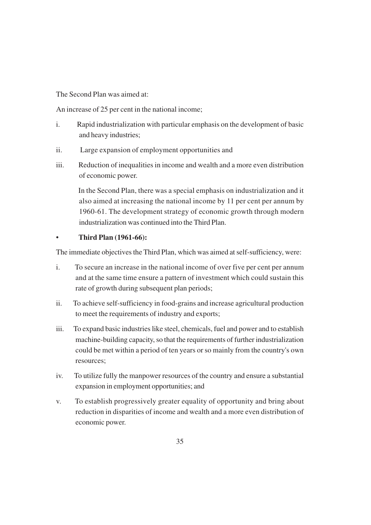The Second Plan was aimed at:

An increase of 25 per cent in the national income;

- i. Rapid industrialization with particular emphasis on the development of basic and heavy industries;
- ii. Large expansion of employment opportunities and
- iii. Reduction of inequalities in income and wealth and a more even distribution of economic power.

 In the Second Plan, there was a special emphasis on industrialization and it also aimed at increasing the national income by 11 per cent per annum by 1960-61. The development strategy of economic growth through modern industrialization was continued into the Third Plan.

## • **Third Plan (1961-66):**

The immediate objectives the Third Plan, which was aimed at self-sufficiency, were:

- i. To secure an increase in the national income of over five per cent per annum and at the same time ensure a pattern of investment which could sustain this rate of growth during subsequent plan periods;
- ii. To achieve self-sufficiency in food-grains and increase agricultural production to meet the requirements of industry and exports;
- iii. To expand basic industries like steel, chemicals, fuel and power and to establish machine-building capacity, so that the requirements of further industrialization could be met within a period of ten years or so mainly from the country's own resources;
- iv. To utilize fully the manpower resources of the country and ensure a substantial expansion in employment opportunities; and
- v. To establish progressively greater equality of opportunity and bring about reduction in disparities of income and wealth and a more even distribution of economic power.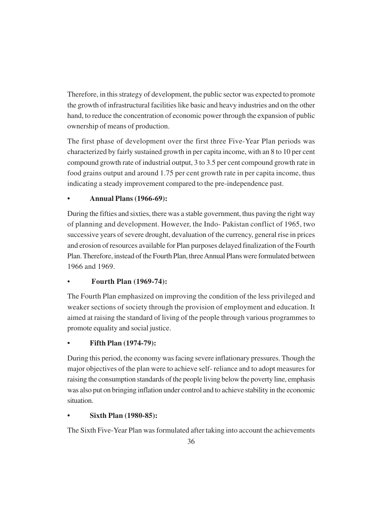Therefore, in this strategy of development, the public sector was expected to promote the growth of infrastructural facilities like basic and heavy industries and on the other hand, to reduce the concentration of economic power through the expansion of public ownership of means of production.

The first phase of development over the first three Five-Year Plan periods was characterized by fairly sustained growth in per capita income, with an 8 to 10 per cent compound growth rate of industrial output, 3 to 3.5 per cent compound growth rate in food grains output and around 1.75 per cent growth rate in per capita income, thus indicating a steady improvement compared to the pre-independence past.

# **• Annual Plans (1966-69):**

During the fifties and sixties, there was a stable government, thus paving the right way of planning and development. However, the Indo- Pakistan conflict of 1965, two successive years of severe drought, devaluation of the currency, general rise in prices and erosion of resources available for Plan purposes delayed finalization of the Fourth Plan. Therefore, instead of the Fourth Plan, three Annual Plans were formulated between 1966 and 1969.

## • **Fourth Plan (1969-74):**

The Fourth Plan emphasized on improving the condition of the less privileged and weaker sections of society through the provision of employment and education. It aimed at raising the standard of living of the people through various programmes to promote equality and social justice.

## **• Fifth Plan (1974-79):**

During this period, the economy was facing severe inflationary pressures. Though the major objectives of the plan were to achieve self- reliance and to adopt measures for raising the consumption standards of the people living below the poverty line, emphasis was also put on bringing inflation under control and to achieve stability in the economic situation.

## **• Sixth Plan (1980-85):**

The Sixth Five-Year Plan was formulated after taking into account the achievements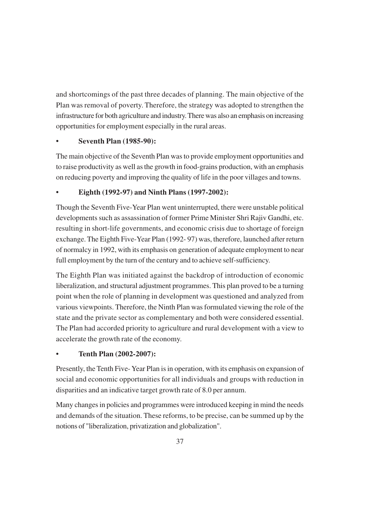and shortcomings of the past three decades of planning. The main objective of the Plan was removal of poverty. Therefore, the strategy was adopted to strengthen the infrastructure for both agriculture and industry. There was also an emphasis on increasing opportunities for employment especially in the rural areas.

# **• Seventh Plan (1985-90):**

The main objective of the Seventh Plan was to provide employment opportunities and to raise productivity as well as the growth in food-grains production, with an emphasis on reducing poverty and improving the quality of life in the poor villages and towns.

# **• Eighth (1992-97) and Ninth Plans (1997-2002):**

Though the Seventh Five-Year Plan went uninterrupted, there were unstable political developments such as assassination of former Prime Minister Shri Rajiv Gandhi, etc. resulting in short-life governments, and economic crisis due to shortage of foreign exchange. The Eighth Five-Year Plan (1992- 97) was, therefore, launched after return of normalcy in 1992, with its emphasis on generation of adequate employment to near full employment by the turn of the century and to achieve self-sufficiency.

The Eighth Plan was initiated against the backdrop of introduction of economic liberalization, and structural adjustment programmes. This plan proved to be a turning point when the role of planning in development was questioned and analyzed from various viewpoints. Therefore, the Ninth Plan was formulated viewing the role of the state and the private sector as complementary and both were considered essential. The Plan had accorded priority to agriculture and rural development with a view to accelerate the growth rate of the economy.

# **• Tenth Plan (2002-2007):**

Presently, the Tenth Five- Year Plan is in operation, with its emphasis on expansion of social and economic opportunities for all individuals and groups with reduction in disparities and an indicative target growth rate of 8.0 per annum.

Many changes in policies and programmes were introduced keeping in mind the needs and demands of the situation. These reforms, to be precise, can be summed up by the notions of "liberalization, privatization and globalization".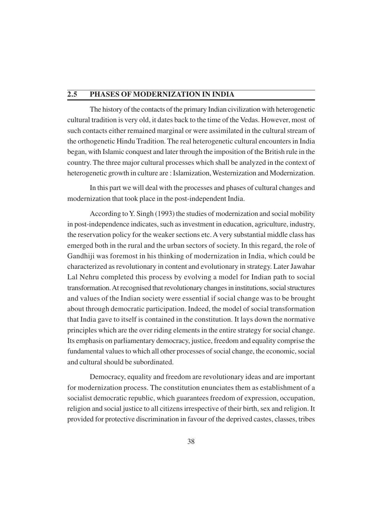## **2.5 PHASES OF MODERNIZATION IN INDIA**

The history of the contacts of the primary Indian civilization with heterogenetic cultural tradition is very old, it dates back to the time of the Vedas. However, most of such contacts either remained marginal or were assimilated in the cultural stream of the orthogenetic Hindu Tradition. The real heterogenetic cultural encounters in India began, with Islamic conquest and later through the imposition of the British rule in the country. The three major cultural processes which shall be analyzed in the context of heterogenetic growth in culture are : Islamization, Westernization and Modernization.

In this part we will deal with the processes and phases of cultural changes and modernization that took place in the post-independent India.

According to Y. Singh (1993) the studies of modernization and social mobility in post-independence indicates, such as investment in education, agriculture, industry, the reservation policy for the weaker sections etc. A very substantial middle class has emerged both in the rural and the urban sectors of society. In this regard, the role of Gandhiji was foremost in his thinking of modernization in India, which could be characterized as revolutionary in content and evolutionary in strategy. Later Jawahar Lal Nehru completed this process by evolving a model for Indian path to social transformation. At recognised that revolutionary changes in institutions, social structures and values of the Indian society were essential if social change was to be brought about through democratic participation. Indeed, the model of social transformation that India gave to itself is contained in the constitution. It lays down the normative principles which are the over riding elements in the entire strategy for social change. Its emphasis on parliamentary democracy, justice, freedom and equality comprise the fundamental values to which all other processes of social change, the economic, social and cultural should be subordinated.

Democracy, equality and freedom are revolutionary ideas and are important for modernization process. The constitution enunciates them as establishment of a socialist democratic republic, which guarantees freedom of expression, occupation, religion and social justice to all citizens irrespective of their birth, sex and religion. It provided for protective discrimination in favour of the deprived castes, classes, tribes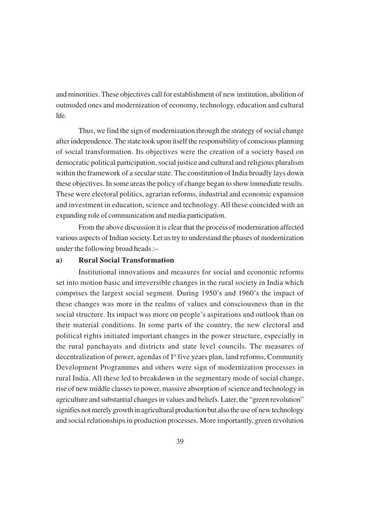and minorities. These objectives call for establishment of new institution, abolition of outmoded ones and modernization of economy, technology, education and cultural life.

Thus, we find the sign of modernization through the strategy of social change after independence. The state took upon itself the responsibility of conscious planning of social transformation. Its objectives were the creation of a society based on democratic political participation, social justice and cultural and religious pluralism within the framework of a secular state. The constitution of India broadly lays down these objectives. In some areas the policy of change began to show immediate results. These were electoral politics, agrarian reforms, industrial and economic expansion and investment in education, science and technology. All these coincided with an expanding role of communication and media participation.

From the above discussion it is clear that the process of modernization affected various aspects of Indian society. Let us try to understand the phases of modernization under the following broad heads :–

#### **a) Rural Social Transformation**

Institutional innovations and measures for social and economic reforms set into motion basic and irreversible changes in the rural society in India which comprises the largest social segment. During 1950's and 1960's the impact of these changes was more in the realms of values and consciousness than in the social structure. Its impact was more on people's aspirations and outlook than on their material conditions. In some parts of the country, the new electoral and political rights initiated important changes in the power structure, especially in the rural panchayats and districts and state level councils. The measures of decentralization of power, agendas of I<sup>st</sup> five years plan, land reforms, Community Development Programmes and others were sign of modernization processes in rural India. All these led to breakdown in the segmentary mode of social change, rise of new middle classes to power, massive absorption of science and technology in agriculture and substantial changes in values and beliefs. Later, the "green revolution" signifies not merely growth in agricultural production but also the use of new technology and social relationships in production processes. More importantly, green revolution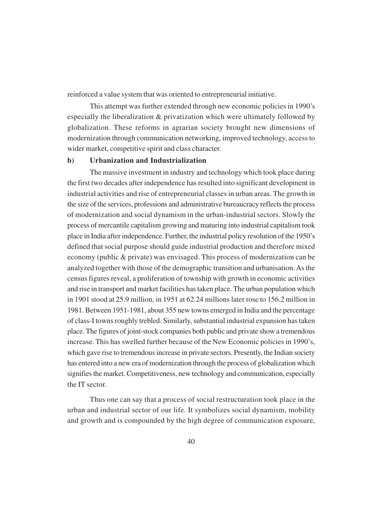reinforced a value system that was oriented to entrepreneurial initiative.

This attempt was further extended through new economic policies in 1990's especially the liberalization & privatization which were ultimately followed by globalization. These reforms in agrarian society brought new dimensions of modernization through communication networking, improved technology, access to wider market, competitive spirit and class character.

### **b) Urbanization and Industrialization**

The massive investment in industry and technology which took place during the first two decades after independence has resulted into significant development in industrial activities and rise of entrepreneurial classes in urban areas. The growth in the size of the services, professions and administrative bureaucracy reflects the process of modernization and social dynamism in the urban-industrial sectors. Slowly the process of mercantile capitalism growing and maturing into industrial capitalism took place in India after independence. Further, the industrial policy resolution of the 1950's defined that social purpose should guide industrial production and therefore mixed economy (public & private) was envisaged. This process of modernization can be analyzed together with those of the demographic transition and urbanisation. As the census figures reveal, a proliferation of township with growth in economic activities and rise in transport and market facilities has taken place. The urban population which in 1901 stood at 25.9 million, in 1951 at 62.24 millions later rose to 156.2 million in 1981. Between 1951-1981, about 355 new towns emerged in India and the percentage of class-I towns roughly trebled. Similarly, substantial industrial expansion has taken place. The figures of joint-stock companies both public and private show a tremendous increase. This has swelled further because of the New Economic policies in 1990's, which gave rise to tremendous increase in private sectors. Presently, the Indian society has entered into a new era of modernization through the process of globalization which signifies the market. Competitiveness, new technology and communication, especially the IT sector.

Thus one can say that a process of social restructuration took place in the urban and industrial sector of our life. It symbolizes social dynamism, mobility and growth and is compounded by the high degree of communication exposure,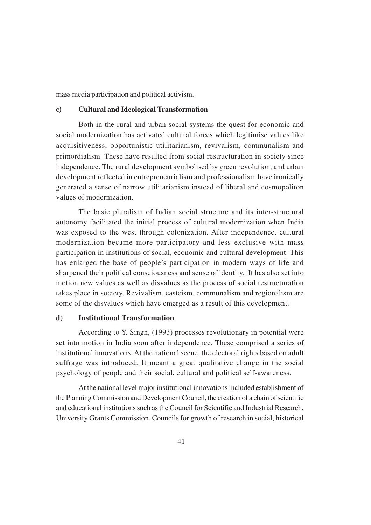mass media participation and political activism.

#### **c) Cultural and Ideological Transformation**

Both in the rural and urban social systems the quest for economic and social modernization has activated cultural forces which legitimise values like acquisitiveness, opportunistic utilitarianism, revivalism, communalism and primordialism. These have resulted from social restructuration in society since independence. The rural development symbolised by green revolution, and urban development reflected in entrepreneurialism and professionalism have ironically generated a sense of narrow utilitarianism instead of liberal and cosmopoliton values of modernization.

The basic pluralism of Indian social structure and its inter-structural autonomy facilitated the initial process of cultural modernization when India was exposed to the west through colonization. After independence, cultural modernization became more participatory and less exclusive with mass participation in institutions of social, economic and cultural development. This has enlarged the base of people's participation in modern ways of life and sharpened their political consciousness and sense of identity. It has also set into motion new values as well as disvalues as the process of social restructuration takes place in society. Revivalism, casteism, communalism and regionalism are some of the disvalues which have emerged as a result of this development.

#### **d) Institutional Transformation**

According to Y. Singh, (1993) processes revolutionary in potential were set into motion in India soon after independence. These comprised a series of institutional innovations. At the national scene, the electoral rights based on adult suffrage was introduced. It meant a great qualitative change in the social psychology of people and their social, cultural and political self-awareness.

At the national level major institutional innovations included establishment of the Planning Commission and Development Council, the creation of a chain of scientific and educational institutions such as the Council for Scientific and Industrial Research, University Grants Commission, Councils for growth of research in social, historical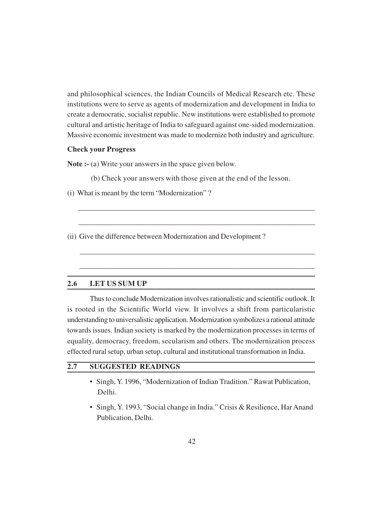and philosophical sciences, the Indian Councils of Medical Research etc. These institutions were to serve as agents of modernization and development in India to create a democratic, socialist republic. New institutions were established to promote cultural and artistic heritage of India to safeguard against one-sided modernization. Massive economic investment was made to modernize both industry and agriculture.

#### **Check your Progress**

**Note :-** (a) Write your answers in the space given below.

(b) Check your answers with those given at the end of the lesson.

 $\frac{1}{\sqrt{2}}$  ,  $\frac{1}{\sqrt{2}}$  ,  $\frac{1}{\sqrt{2}}$  ,  $\frac{1}{\sqrt{2}}$  ,  $\frac{1}{\sqrt{2}}$  ,  $\frac{1}{\sqrt{2}}$  ,  $\frac{1}{\sqrt{2}}$  ,  $\frac{1}{\sqrt{2}}$  ,  $\frac{1}{\sqrt{2}}$  ,  $\frac{1}{\sqrt{2}}$  ,  $\frac{1}{\sqrt{2}}$  ,  $\frac{1}{\sqrt{2}}$  ,  $\frac{1}{\sqrt{2}}$  ,  $\frac{1}{\sqrt{2}}$  ,  $\frac{1}{\sqrt{2}}$ 

\_\_\_\_\_\_\_\_\_\_\_\_\_\_\_\_\_\_\_\_\_\_\_\_\_\_\_\_\_\_\_\_\_\_\_\_\_\_\_\_\_\_\_\_\_\_\_\_\_\_\_\_\_\_\_\_\_\_\_\_\_\_\_

\_\_\_\_\_\_\_\_\_\_\_\_\_\_\_\_\_\_\_\_\_\_\_\_\_\_\_\_\_\_\_\_\_\_\_\_\_\_\_\_\_\_\_\_\_\_\_\_\_\_\_\_\_\_\_\_\_\_\_\_\_\_\_

 $\frac{1}{2}$  ,  $\frac{1}{2}$  ,  $\frac{1}{2}$  ,  $\frac{1}{2}$  ,  $\frac{1}{2}$  ,  $\frac{1}{2}$  ,  $\frac{1}{2}$  ,  $\frac{1}{2}$  ,  $\frac{1}{2}$  ,  $\frac{1}{2}$  ,  $\frac{1}{2}$  ,  $\frac{1}{2}$  ,  $\frac{1}{2}$  ,  $\frac{1}{2}$  ,  $\frac{1}{2}$  ,  $\frac{1}{2}$  ,  $\frac{1}{2}$  ,  $\frac{1}{2}$  ,  $\frac{1$ 

- (i) What is meant by the term "Modernization" ?
- (ii) Give the difference between Modernization and Development ?

#### **2.6 LET US SUM UP**

Thus to conclude Modernization involves rationalistic and scientific outlook. It is rooted in the Scientific World view. It involves a shift from particularistic understanding to universalistic application. Modernization symbolizes a rational attitude towards issues. Indian society is marked by the modernization processes in terms of equality, democracy, freedom, secularism and others. The modernization process effected rural setup, urban setup, cultural and institutional transformation in India.

## **2.7 SUGGESTED READINGS**

- Singh, Y. 1996, "Modernization of Indian Tradition." Rawat Publication, Delhi.
- Singh, Y. 1993, "Social change in India." Crisis & Resilience, Har Anand Publication, Delhi.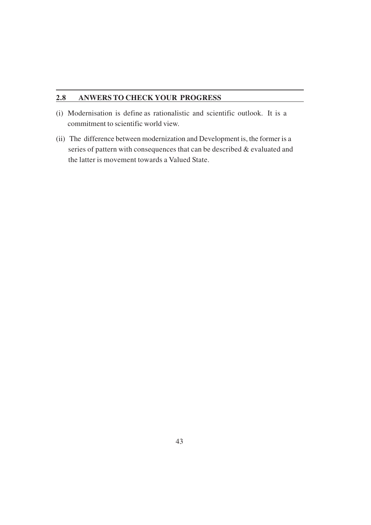### **2.8 ANWERS TO CHECK YOUR PROGRESS**

- (i) Modernisation is define as rationalistic and scientific outlook. It is a commitment to scientific world view.
- (ii) The difference between modernization and Development is, the former is a series of pattern with consequences that can be described & evaluated and the latter is movement towards a Valued State.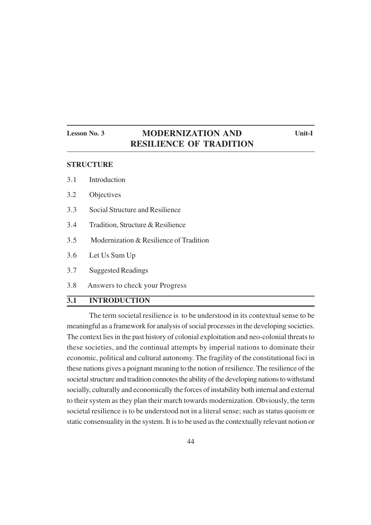# Lesson No. 3 **MODERNIZATION AND** Unit-I **RESILIENCE OF TRADITION**

#### **STRUCTURE**

- 3.1 Introduction
- 3.2 Objectives
- 3.3 Social Structure and Resilience
- 3.4 Tradition, Structure & Resilience
- 3.5 Modernization & Resilience of Tradition
- 3.6 Let Us Sum Up
- 3.7 Suggested Readings
- 3.8 Answers to check your Progress

## **3.1 INTRODUCTION**

The term societal resilience is to be understood in its contextual sense to be meaningful as a framework for analysis of social processes in the developing societies. The context lies in the past history of colonial exploitation and neo-colonial threats to these societies, and the continual attempts by imperial nations to dominate their economic, political and cultural autonomy. The fragility of the constitutional foci in these nations gives a poignant meaning to the notion of resilience. The resilience of the societal structure and tradition connotes the ability of the developing nations to withstand socially, culturally and economically the forces of instability both internal and external to their system as they plan their march towards modernization. Obviously, the term societal resilience is to be understood not in a literal sense; such as status quoism or static consensuality in the system. It is to be used as the contextually relevant notion or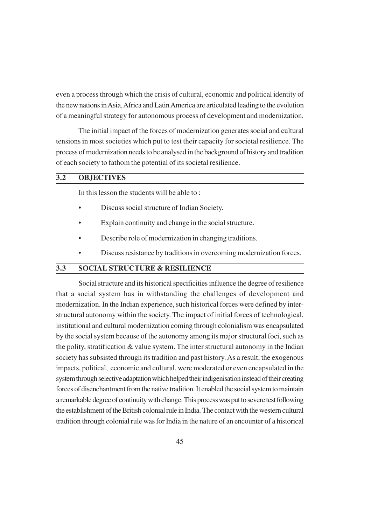even a process through which the crisis of cultural, economic and political identity of the new nations in Asia, Africa and Latin America are articulated leading to the evolution of a meaningful strategy for autonomous process of development and modernization.

The initial impact of the forces of modernization generates social and cultural tensions in most societies which put to test their capacity for societal resilience. The process of modernization needs to be analysed in the background of history and tradition of each society to fathom the potential of its societal resilience.

#### **3.2 OBJECTIVES**

In this lesson the students will be able to :

- Discuss social structure of Indian Society.
- Explain continuity and change in the social structure.
- Describe role of modernization in changing traditions.
- Discuss resistance by traditions in overcoming modernization forces.

#### **3.3 SOCIAL STRUCTURE & RESILIENCE**

Social structure and its historical specificities influence the degree of resilience that a social system has in withstanding the challenges of development and modernization. In the Indian experience, such historical forces were defined by interstructural autonomy within the society. The impact of initial forces of technological, institutional and cultural modernization coming through colonialism was encapsulated by the social system because of the autonomy among its major structural foci, such as the polity, stratification & value system. The inter structural autonomy in the Indian society has subsisted through its tradition and past history. As a result, the exogenous impacts, political, economic and cultural, were moderated or even encapsulated in the system through selective adaptation which helped their indigenisation instead of their creating forces of disenchantment from the native tradition. It enabled the social system to maintain a remarkable degree of continuity with change. This process was put to severe test following the establishment of the British colonial rule in India. The contact with the western cultural tradition through colonial rule was for India in the nature of an encounter of a historical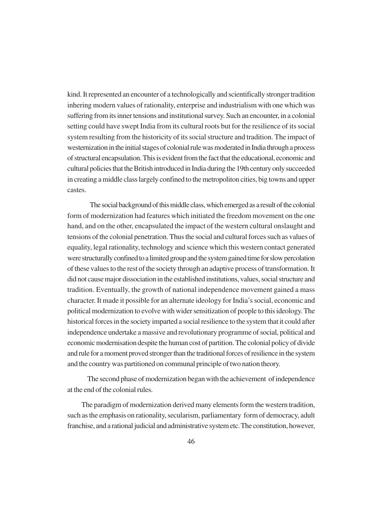kind. It represented an encounter of a technologically and scientifically stronger tradition inhering modern values of rationality, enterprise and industrialism with one which was suffering from its inner tensions and institutional survey. Such an encounter, in a colonial setting could have swept India from its cultural roots but for the resilience of its social system resulting from the historicity of its social structure and tradition. The impact of westernization in the initial stages of colonial rule was moderated in India through a process of structural encapsulation. This is evident from the fact that the educational, economic and cultural policies that the British introduced in India during the 19th century only succeeded in creating a middle class largely confined to the metropoliton cities, big towns and upper castes.

The social background of this middle class, which emerged as a result of the colonial form of modernization had features which initiated the freedom movement on the one hand, and on the other, encapsulated the impact of the western cultural onslaught and tensions of the colonial penetration. Thus the social and cultural forces such as values of equality, legal rationality, technology and science which this western contact generated were structurally confined to a limited group and the system gained time for slow percolation of these values to the rest of the society through an adaptive process of transformation. It did not cause major dissociation in the established institutions, values, social structure and tradition. Eventually, the growth of national independence movement gained a mass character. It made it possible for an alternate ideology for India's social, economic and political modernization to evolve with wider sensitization of people to this ideology. The historical forces in the society imparted a social resilience to the system that it could after independence undertake a massive and revolutionary programme of social, political and economic modernisation despite the human cost of partition. The colonial policy of divide and rule for a moment proved stronger than the traditional forces of resilience in the system and the country was partitioned on communal principle of two nation theory.

 The second phase of modernization began with the achievement of independence at the end of the colonial rules.

 The paradigm of modernization derived many elements form the western tradition, such as the emphasis on rationality, secularism, parliamentary form of democracy, adult franchise, and a rational judicial and administrative system etc. The constitution, however,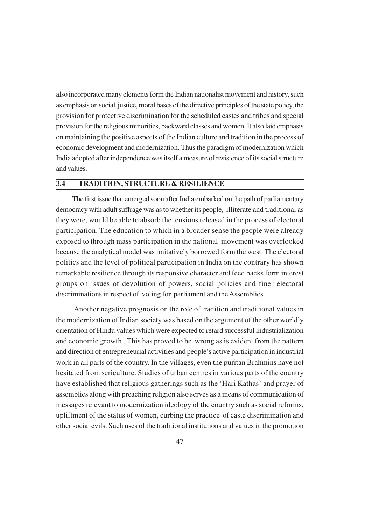also incorporated many elements form the Indian nationalist movement and history, such as emphasis on social justice, moral bases of the directive principles of the state policy, the provision for protective discrimination for the scheduled castes and tribes and special provision for the religious minorities, backward classes and women. It also laid emphasis on maintaining the positive aspects of the Indian culture and tradition in the process of economic development and modernization. Thus the paradigm of modernization which India adopted after independence was itself a measure of resistence of its social structure and values.

### **3.4 TRADITION, STRUCTURE & RESILIENCE**

 The first issue that emerged soon after India embarked on the path of parliamentary democracy with adult suffrage was as to whether its people, illiterate and traditional as they were, would be able to absorb the tensions released in the process of electoral participation. The education to which in a broader sense the people were already exposed to through mass participation in the national movement was overlooked because the analytical model was imitatively borrowed form the west. The electoral politics and the level of political participation in India on the contrary has shown remarkable resilience through its responsive character and feed backs form interest groups on issues of devolution of powers, social policies and finer electoral discriminations in respect of voting for parliament and the Assemblies.

 Another negative prognosis on the role of tradition and traditional values in the modernization of Indian society was based on the argument of the other worldly orientation of Hindu values which were expected to retard successful industrialization and economic growth . This has proved to be wrong as is evident from the pattern and direction of entrepreneurial activities and people's active participation in industrial work in all parts of the country. In the villages, even the puritan Brahmins have not hesitated from sericulture. Studies of urban centres in various parts of the country have established that religious gatherings such as the 'Hari Kathas' and prayer of assemblies along with preaching religion also serves as a means of communication of messages relevant to modernization ideology of the country such as social reforms, upliftment of the status of women, curbing the practice of caste discrimination and other social evils. Such uses of the traditional institutions and values in the promotion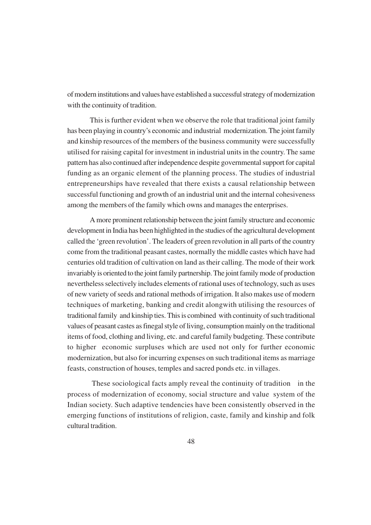of modern institutions and values have established a successful strategy of modernization with the continuity of tradition.

This is further evident when we observe the role that traditional joint family has been playing in country's economic and industrial modernization. The joint family and kinship resources of the members of the business community were successfully utilised for raising capital for investment in industrial units in the country. The same pattern has also continued after independence despite governmental support for capital funding as an organic element of the planning process. The studies of industrial entrepreneurships have revealed that there exists a causal relationship between successful functioning and growth of an industrial unit and the internal cohesiveness among the members of the family which owns and manages the enterprises.

A more prominent relationship between the joint family structure and economic development in India has been highlighted in the studies of the agricultural development called the 'green revolution'. The leaders of green revolution in all parts of the country come from the traditional peasant castes, normally the middle castes which have had centuries old tradition of cultivation on land as their calling. The mode of their work invariably is oriented to the joint family partnership. The joint family mode of production nevertheless selectively includes elements of rational uses of technology, such as uses of new variety of seeds and rational methods of irrigation. It also makes use of modern techniques of marketing, banking and credit alongwith utilising the resources of traditional family and kinship ties. This is combined with continuity of such traditional values of peasant castes as finegal style of living, consumption mainly on the traditional items of food, clothing and living, etc. and careful family budgeting. These contribute to higher economic surpluses which are used not only for further economic modernization, but also for incurring expenses on such traditional items as marriage feasts, construction of houses, temples and sacred ponds etc. in villages.

 These sociological facts amply reveal the continuity of tradition in the process of modernization of economy, social structure and value system of the Indian society. Such adaptive tendencies have been consistently observed in the emerging functions of institutions of religion, caste, family and kinship and folk cultural tradition.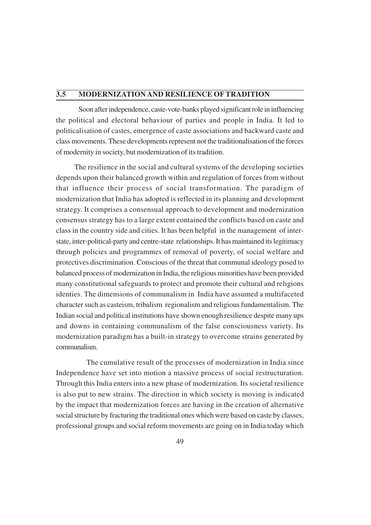### **3.5 MODERNIZATION AND RESILIENCE OFTRADITION**

Soon after independence, caste-vote-banks played significant role in influencing the political and electoral behaviour of parties and people in India. It led to politicalisation of castes, emergence of caste associations and backward caste and class movements. These developments represent not the traditionalisation of the forces of modernity in society, but modernization of its tradition.

 The resilience in the social and cultural systems of the developing societies depends upon their balanced growth within and regulation of forces from without that influence their process of social transformation. The paradigm of modernization that India has adopted is reflected in its planning and development strategy. It comprises a consensual approach to development and modernization consensus strategy has to a large extent contained the conflicts based on caste and class in the country side and cities. It has been helpful in the management of interstate, inter-political-party and centre-state relationships. It has maintained its legitimacy through policies and programmes of removal of poverty, of social welfare and protectives discrimination. Conscious of the threat that communal ideology posed to balanced process of modernization in India, the religious minorities have been provided many constitutional safeguards to protect and promote their cultural and religions identies. The dimensions of communalism in India have assumed a multifaceted character such as casteism, tribalism regionalism and religious fundamentalism. The Indian social and political institutions have shown enough resilience despite many ups and downs in containing communalism of the false consciousness variety. Its modernization paradigm has a built-in strategy to overcome strains generated by communalism.

 The cumulative result of the processes of modernization in India since Independence have set into motion a massive process of social restructuration. Through this India enters into a new phase of modernization. Its societal resilience is also put to new strains. The direction in which society is moving is indicated by the impact that modernization forces are having in the creation of alternative social structure by fracturing the traditional ones which were based on caste by classes, professional groups and social reform movements are going on in India today which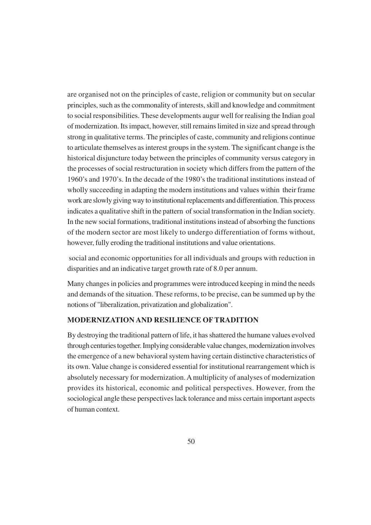are organised not on the principles of caste, religion or community but on secular principles, such as the commonality of interests, skill and knowledge and commitment to social responsibilities. These developments augur well for realising the Indian goal of modernization. Its impact, however, still remains limited in size and spread through strong in qualitative terms. The principles of caste, community and religions continue to articulate themselves as interest groups in the system. The significant change is the historical disjuncture today between the principles of community versus category in the processes of social restructuration in society which differs from the pattern of the 1960's and 1970's. In the decade of the 1980's the traditional institutions instead of wholly succeeding in adapting the modern institutions and values within their frame work are slowly giving way to institutional replacements and differentiation. This process indicates a qualitative shift in the pattern of social transformation in the Indian society. In the new social formations, traditional institutions instead of absorbing the functions of the modern sector are most likely to undergo differentiation of forms without, however, fully eroding the traditional institutions and value orientations.

 social and economic opportunities for all individuals and groups with reduction in disparities and an indicative target growth rate of 8.0 per annum.

Many changes in policies and programmes were introduced keeping in mind the needs and demands of the situation. These reforms, to be precise, can be summed up by the notions of "liberalization, privatization and globalization".

#### **MODERNIZATION AND RESILIENCE OFTRADITION**

By destroying the traditional pattern of life, it has shattered the humane values evolved through centuries together. Implying considerable value changes, modernization involves the emergence of a new behavioral system having certain distinctive characteristics of its own. Value change is considered essential for institutional rearrangement which is absolutely necessary for modernization. A multiplicity of analyses of modernization provides its historical, economic and political perspectives. However, from the sociological angle these perspectives lack tolerance and miss certain important aspects of human context.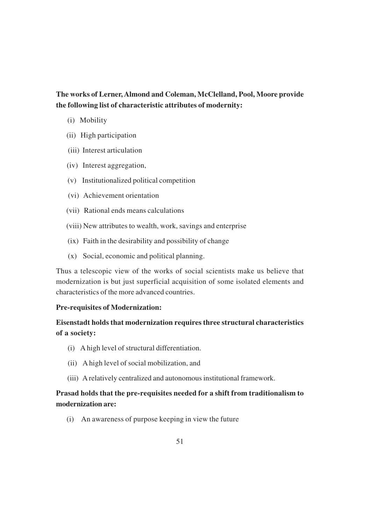# **The works of Lerner, Almond and Coleman, McClelland, Pool, Moore provide the following list of characteristic attributes of modernity:**

- (i) Mobility
- (ii) High participation
- (iii) Interest articulation
- (iv) Interest aggregation,
- (v) Institutionalized political competition
- (vi) Achievement orientation
- (vii) Rational ends means calculations
- (viii) New attributes to wealth, work, savings and enterprise
- (ix) Faith in the desirability and possibility of change
- (x) Social, economic and political planning.

Thus a telescopic view of the works of social scientists make us believe that modernization is but just superficial acquisition of some isolated elements and characteristics of the more advanced countries.

#### **Pre-requisites of Modernization:**

# **Eisenstadt holds that modernization requires three structural characteristics of a society:**

- (i) A high level of structural differentiation.
- (ii) A high level of social mobilization, and
- (iii) A relatively centralized and autonomous institutional framework.

## **Prasad holds that the pre-requisites needed for a shift from traditionalism to modernization are:**

(i) An awareness of purpose keeping in view the future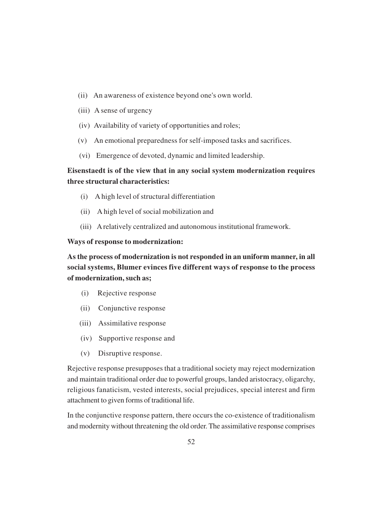- (ii) An awareness of existence beyond one's own world.
- (iii) A sense of urgency
- (iv) Availability of variety of opportunities and roles;
- (v) An emotional preparedness for self-imposed tasks and sacrifices.
- (vi) Emergence of devoted, dynamic and limited leadership.

# **Eisenstaedt is of the view that in any social system modernization requires three structural characteristics:**

- (i) A high level of structural differentiation
- (ii) A high level of social mobilization and
- (iii) A relatively centralized and autonomous institutional framework.

#### **Ways of response to modernization:**

**As the process of modernization is not responded in an uniform manner, in all social systems, Blumer evinces five different ways of response to the process of modernization, such as;**

- (i) Rejective response
- (ii) Conjunctive response
- (iii) Assimilative response
- (iv) Supportive response and
- (v) Disruptive response.

Rejective response presupposes that a traditional society may reject modernization and maintain traditional order due to powerful groups, landed aristocracy, oligarchy, religious fanaticism, vested interests, social prejudices, special interest and firm attachment to given forms of traditional life.

In the conjunctive response pattern, there occurs the co-existence of traditionalism and modernity without threatening the old order. The assimilative response comprises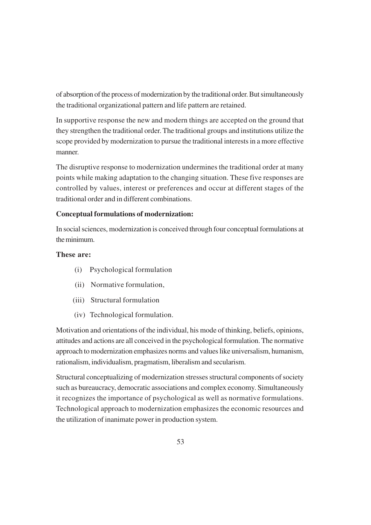of absorption of the process of modernization by the traditional order. But simultaneously the traditional organizational pattern and life pattern are retained.

In supportive response the new and modern things are accepted on the ground that they strengthen the traditional order. The traditional groups and institutions utilize the scope provided by modernization to pursue the traditional interests in a more effective manner.

The disruptive response to modernization undermines the traditional order at many points while making adaptation to the changing situation. These five responses are controlled by values, interest or preferences and occur at different stages of the traditional order and in different combinations.

### **Conceptual formulations of modernization:**

In social sciences, modernization is conceived through four conceptual formulations at the minimum.

#### **These are:**

- (i) Psychological formulation
- (ii) Normative formulation,
- (iii) Structural formulation
- (iv) Technological formulation.

Motivation and orientations of the individual, his mode of thinking, beliefs, opinions, attitudes and actions are all conceived in the psychological formulation. The normative approach to modernization emphasizes norms and values like universalism, humanism, rationalism, individualism, pragmatism, liberalism and secularism.

Structural conceptualizing of modernization stresses structural components of society such as bureaucracy, democratic associations and complex economy. Simultaneously it recognizes the importance of psychological as well as normative formulations. Technological approach to modernization emphasizes the economic resources and the utilization of inanimate power in production system.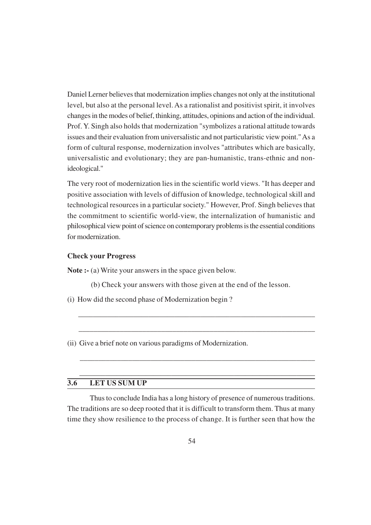Daniel Lerner believes that modernization implies changes not only at the institutional level, but also at the personal level. As a rationalist and positivist spirit, it involves changes in the modes of belief, thinking, attitudes, opinions and action of the individual. Prof. Y. Singh also holds that modernization "symbolizes a rational attitude towards issues and their evaluation from universalistic and not particularistic view point." As a form of cultural response, modernization involves "attributes which are basically, universalistic and evolutionary; they are pan-humanistic, trans-ethnic and nonideological."

The very root of modernization lies in the scientific world views. "It has deeper and positive association with levels of diffusion of knowledge, technological skill and technological resources in a particular society." However, Prof. Singh believes that the commitment to scientific world-view, the internalization of humanistic and philosophical view point of science on contemporary problems is the essential conditions for modernization.

#### **Check your Progress**

**Note :-** (a) Write your answers in the space given below.

(b) Check your answers with those given at the end of the lesson.

 $\overline{\phantom{a}}$  ,  $\overline{\phantom{a}}$  ,  $\overline{\phantom{a}}$  ,  $\overline{\phantom{a}}$  ,  $\overline{\phantom{a}}$  ,  $\overline{\phantom{a}}$  ,  $\overline{\phantom{a}}$  ,  $\overline{\phantom{a}}$  ,  $\overline{\phantom{a}}$  ,  $\overline{\phantom{a}}$  ,  $\overline{\phantom{a}}$  ,  $\overline{\phantom{a}}$  ,  $\overline{\phantom{a}}$  ,  $\overline{\phantom{a}}$  ,  $\overline{\phantom{a}}$  ,  $\overline{\phantom{a}}$ 

\_\_\_\_\_\_\_\_\_\_\_\_\_\_\_\_\_\_\_\_\_\_\_\_\_\_\_\_\_\_\_\_\_\_\_\_\_\_\_\_\_\_\_\_\_\_\_\_\_\_\_\_\_\_\_\_\_\_\_\_\_\_\_

 $\overline{\phantom{a}}$  ,  $\overline{\phantom{a}}$  ,  $\overline{\phantom{a}}$  ,  $\overline{\phantom{a}}$  ,  $\overline{\phantom{a}}$  ,  $\overline{\phantom{a}}$  ,  $\overline{\phantom{a}}$  ,  $\overline{\phantom{a}}$  ,  $\overline{\phantom{a}}$  ,  $\overline{\phantom{a}}$  ,  $\overline{\phantom{a}}$  ,  $\overline{\phantom{a}}$  ,  $\overline{\phantom{a}}$  ,  $\overline{\phantom{a}}$  ,  $\overline{\phantom{a}}$  ,  $\overline{\phantom{a}}$ 

 $\frac{1}{2}$  ,  $\frac{1}{2}$  ,  $\frac{1}{2}$  ,  $\frac{1}{2}$  ,  $\frac{1}{2}$  ,  $\frac{1}{2}$  ,  $\frac{1}{2}$  ,  $\frac{1}{2}$  ,  $\frac{1}{2}$  ,  $\frac{1}{2}$  ,  $\frac{1}{2}$  ,  $\frac{1}{2}$  ,  $\frac{1}{2}$  ,  $\frac{1}{2}$  ,  $\frac{1}{2}$  ,  $\frac{1}{2}$  ,  $\frac{1}{2}$  ,  $\frac{1}{2}$  ,  $\frac{1$ 

(i) How did the second phase of Modernization begin ?

(ii) Give a brief note on various paradigms of Modernization.

#### **3.6 LET US SUM UP**

Thus to conclude India has a long history of presence of numerous traditions. The traditions are so deep rooted that it is difficult to transform them. Thus at many time they show resilience to the process of change. It is further seen that how the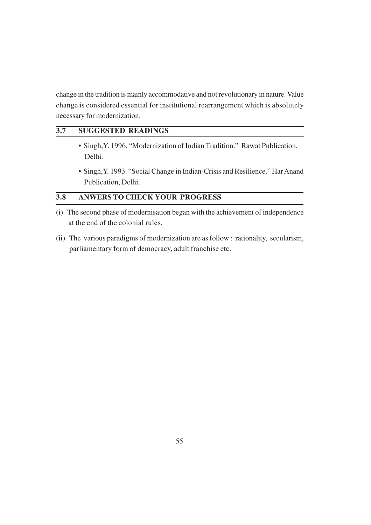change in the tradition is mainly accommodative and not revolutionary in nature. Value change is considered essential for institutional rearrangement which is absolutely necessary for modernization.

## **3.7 SUGGESTED READINGS**

- Singh,Y. 1996. "Modernization of Indian Tradition." Rawat Publication, Delhi.
- Singh,Y. 1993. "Social Change in Indian-Crisis and Resilience." Har Anand Publication, Delhi.

## **3.8 ANWERS TO CHECK YOUR PROGRESS**

- (i) The second phase of modernisation began with the achievement of independence at the end of the colonial rules.
- (ii) The various paradigms of modernization are as follow : rationality, secularism, parliamentary form of democracy, adult franchise etc.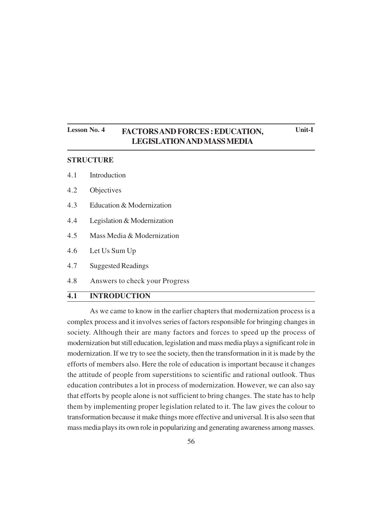# Lesson No. 4 **FACTORS AND FORCES : EDUCATION,** Unit-I **LEGISLATION AND MASS MEDIA**

#### **STRUCTURE**

- 4.1 Introduction
- 4.2 Objectives
- 4.3 Education & Modernization
- 4.4 Legislation & Modernization
- 4.5 Mass Media & Modernization
- 4.6 Let Us Sum Up
- 4.7 Suggested Readings
- 4.8 Answers to check your Progress

## **4.1 INTRODUCTION**

As we came to know in the earlier chapters that modernization process is a complex process and it involves series of factors responsible for bringing changes in society. Although their are many factors and forces to speed up the process of modernization but still education, legislation and mass media plays a significant role in modernization. If we try to see the society, then the transformation in it is made by the efforts of members also. Here the role of education is important because it changes the attitude of people from superstitions to scientific and rational outlook. Thus education contributes a lot in process of modernization. However, we can also say that efforts by people alone is not sufficient to bring changes. The state has to help them by implementing proper legislation related to it. The law gives the colour to transformation because it make things more effective and universal. It is also seen that mass media plays its own role in popularizing and generating awareness among masses.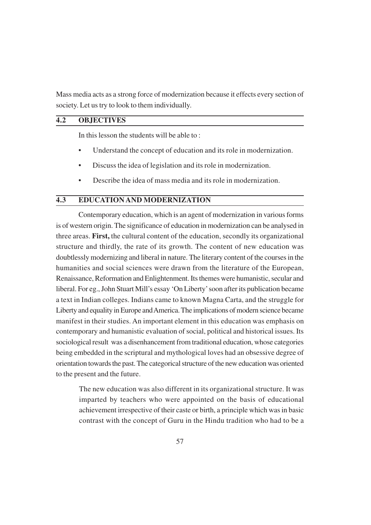Mass media acts as a strong force of modernization because it effects every section of society. Let us try to look to them individually.

## **4.2 OBJECTIVES**

In this lesson the students will be able to :

- Understand the concept of education and its role in modernization.
- Discuss the idea of legislation and its role in modernization.
- Describe the idea of mass media and its role in modernization.

#### **4.3 EDUCATION AND MODERNIZATION**

Contemporary education, which is an agent of modernization in various forms is of western origin. The significance of education in modernization can be analysed in three areas. **First,** the cultural content of the education, secondly its organizational structure and thirdly, the rate of its growth. The content of new education was doubtlessly modernizing and liberal in nature. The literary content of the courses in the humanities and social sciences were drawn from the literature of the European, Renaissance, Reformation and Enlightenment. Its themes were humanistic, secular and liberal. For eg., John Stuart Mill's essay 'On Liberty' soon after its publication became a text in Indian colleges. Indians came to known Magna Carta, and the struggle for Liberty and equality in Europe and America. The implications of modern science became manifest in their studies. An important element in this education was emphasis on contemporary and humanistic evaluation of social, political and historical issues. Its sociological result was a disenhancement from traditional education, whose categories being embedded in the scriptural and mythological loves had an obsessive degree of orientation towards the past. The categorical structure of the new education was oriented to the present and the future.

The new education was also different in its organizational structure. It was imparted by teachers who were appointed on the basis of educational achievement irrespective of their caste or birth, a principle which was in basic contrast with the concept of Guru in the Hindu tradition who had to be a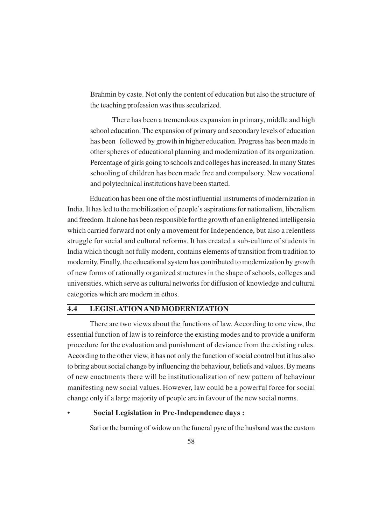Brahmin by caste. Not only the content of education but also the structure of the teaching profession was thus secularized.

There has been a tremendous expansion in primary, middle and high school education. The expansion of primary and secondary levels of education has been followed by growth in higher education. Progress has been made in other spheres of educational planning and modernization of its organization. Percentage of girls going to schools and colleges has increased. In many States schooling of children has been made free and compulsory. New vocational and polytechnical institutions have been started.

Education has been one of the most influential instruments of modernization in India. It has led to the mobilization of people's aspirations for nationalism, liberalism and freedom. It alone has been responsible for the growth of an enlightened intelligensia which carried forward not only a movement for Independence, but also a relentless struggle for social and cultural reforms. It has created a sub-culture of students in India which though not fully modern, contains elements of transition from tradition to modernity. Finally, the educational system has contributed to modernization by growth of new forms of rationally organized structures in the shape of schools, colleges and universities, which serve as cultural networks for diffusion of knowledge and cultural categories which are modern in ethos.

## **4.4 LEGISLATION AND MODERNIZATION**

There are two views about the functions of law. According to one view, the essential function of law is to reinforce the existing modes and to provide a uniform procedure for the evaluation and punishment of deviance from the existing rules. According to the other view, it has not only the function of social control but it has also to bring about social change by influencing the behaviour, beliefs and values. By means of new enactments there will be institutionalization of new pattern of behaviour manifesting new social values. However, law could be a powerful force for social change only if a large majority of people are in favour of the new social norms.

#### • **Social Legislation in Pre-Independence days :**

Sati or the burning of widow on the funeral pyre of the husband was the custom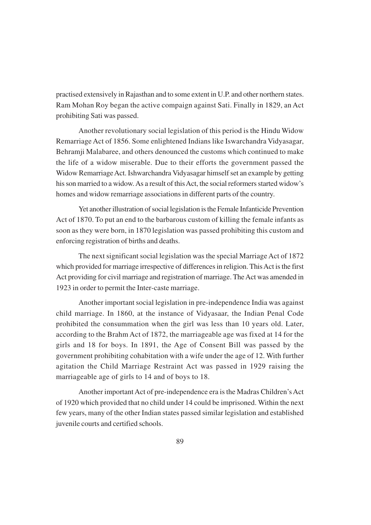practised extensively in Rajasthan and to some extent in U.P. and other northern states. Ram Mohan Roy began the active compaign against Sati. Finally in 1829, an Act prohibiting Sati was passed.

Another revolutionary social legislation of this period is the Hindu Widow Remarriage Act of 1856. Some enlightened Indians like Iswarchandra Vidyasagar, Behramji Malabaree, and others denounced the customs which continued to make the life of a widow miserable. Due to their efforts the government passed the Widow Remarriage Act. Ishwarchandra Vidyasagar himself set an example by getting his son married to a widow. As a result of this Act, the social reformers started widow's homes and widow remarriage associations in different parts of the country.

Yet another illustration of social legislation is the Female Infanticide Prevention Act of 1870. To put an end to the barbarous custom of killing the female infants as soon as they were born, in 1870 legislation was passed prohibiting this custom and enforcing registration of births and deaths.

The next significant social legislation was the special Marriage Act of 1872 which provided for marriage irrespective of differences in religion. This Act is the first Act providing for civil marriage and registration of marriage. The Act was amended in 1923 in order to permit the Inter-caste marriage.

Another important social legislation in pre-independence India was against child marriage. In 1860, at the instance of Vidyasaar, the Indian Penal Code prohibited the consummation when the girl was less than 10 years old. Later, according to the Brahm Act of 1872, the marriageable age was fixed at 14 for the girls and 18 for boys. In 1891, the Age of Consent Bill was passed by the government prohibiting cohabitation with a wife under the age of 12. With further agitation the Child Marriage Restraint Act was passed in 1929 raising the marriageable age of girls to 14 and of boys to 18.

Another important Act of pre-independence era is the Madras Children's Act of 1920 which provided that no child under 14 could be imprisoned. Within the next few years, many of the other Indian states passed similar legislation and established juvenile courts and certified schools.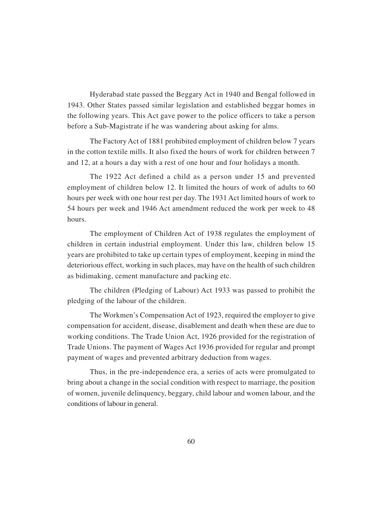Hyderabad state passed the Beggary Act in 1940 and Bengal followed in 1943. Other States passed similar legislation and established beggar homes in the following years. This Act gave power to the police officers to take a person before a Sub-Magistrate if he was wandering about asking for alms.

The Factory Act of 1881 prohibited employment of children below 7 years in the cotton textile mills. It also fixed the hours of work for children between 7 and 12, at a hours a day with a rest of one hour and four holidays a month.

The 1922 Act defined a child as a person under 15 and prevented employment of children below 12. It limited the hours of work of adults to 60 hours per week with one hour rest per day. The 1931 Act limited hours of work to 54 hours per week and 1946 Act amendment reduced the work per week to 48 hours.

The employment of Children Act of 1938 regulates the employment of children in certain industrial employment. Under this law, children below 15 years are prohibited to take up certain types of employment, keeping in mind the deteriorious effect, working in such places, may have on the health of such children as bidimaking, cement manufacture and packing etc.

The children (Pledging of Labour) Act 1933 was passed to prohibit the pledging of the labour of the children.

The Workmen's Compensation Act of 1923, required the employer to give compensation for accident, disease, disablement and death when these are due to working conditions. The Trade Union Act, 1926 provided for the registration of Trade Unions. The payment of Wages Act 1936 provided for regular and prompt payment of wages and prevented arbitrary deduction from wages.

Thus, in the pre-independence era, a series of acts were promulgated to bring about a change in the social condition with respect to marriage, the position of women, juvenile delinquency, beggary, child labour and women labour, and the conditions of labour in general.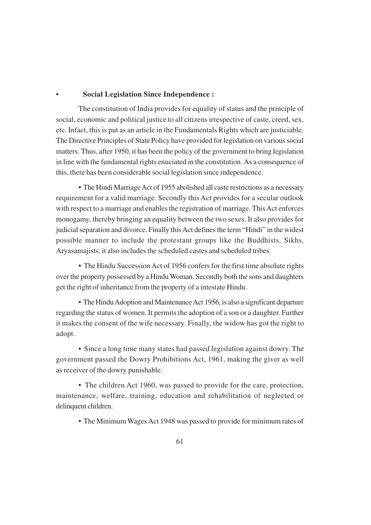#### • **Social Legislation Since Independence :**

The constitution of India provides for equality of status and the principle of social, economic and political justice to all citizens irrespective of caste, creed, sex, etc. Infact, this is put as an article in the Fundamentals Rights which are justiciable. The Directive Principles of State Policy have provided for legislation on various social matters. Thus, after 1950, it has been the policy of the government to bring legislation in line with the fundamental rights enuciated in the constitution. As a consequence of this, there has been considerable social legislation since independence.

• The Hindi Marriage Act of 1955 abolished all caste restrictions as a necessary requirement for a valid marriage. Secondly this Act provides for a secular outlook with respect to a marriage and enables the registration of marriage. This Act enforces monogamy, thereby bringing an equality between the two sexes. It also provides for judicial separation and divorce. Finally this Act defines the term "Hindi" in the widest possible manner to include the protestant groups like the Buddhists, Sikhs, Aryasamajists, it also includes the scheduled castes and scheduled tribes.

• The Hindu Succession Act of 1956 confers for the first time absolute rights over the property possessed by a Hindu Woman. Secondly both the sons and daughters get the right of inheritance from the property of a intestate Hindu.

• The Hindu Adoption and Maintenance Act 1956, is also a significant departure regarding the status of women. It permits the adoption of a son or a daughter. Further it makes the consent of the wife necessary. Finally, the widow has got the right to adopt.

• Since a long time many states had passed legislation against dowry. The government passed the Dowry Prohibitions Act, 1961, making the giver as well as receiver of the dowry punishable.

• The children Act 1960, was passed to provide for the care, protection, maintenance, welfare, training, education and rehabilitation of neglected or delinquent children.

• The Minimum Wages Act 1948 was passed to provide for minimum rates of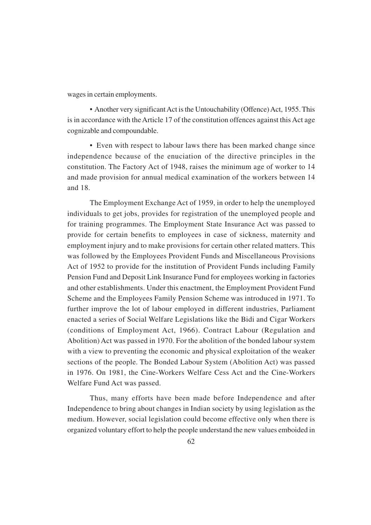wages in certain employments.

• Another very significant Act is the Untouchability (Offence) Act, 1955. This is in accordance with the Article 17 of the constitution offences against this Act age cognizable and compoundable.

• Even with respect to labour laws there has been marked change since independence because of the enuciation of the directive principles in the constitution. The Factory Act of 1948, raises the minimum age of worker to 14 and made provision for annual medical examination of the workers between 14 and 18.

The Employment Exchange Act of 1959, in order to help the unemployed individuals to get jobs, provides for registration of the unemployed people and for training programmes. The Employment State Insurance Act was passed to provide for certain benefits to employees in case of sickness, maternity and employment injury and to make provisions for certain other related matters. This was followed by the Employees Provident Funds and Miscellaneous Provisions Act of 1952 to provide for the institution of Provident Funds including Family Pension Fund and Deposit Link Insurance Fund for employees working in factories and other establishments. Under this enactment, the Employment Provident Fund Scheme and the Employees Family Pension Scheme was introduced in 1971. To further improve the lot of labour employed in different industries, Parliament enacted a series of Social Welfare Legislations like the Bidi and Cigar Workers (conditions of Employment Act, 1966). Contract Labour (Regulation and Abolition) Act was passed in 1970. For the abolition of the bonded labour system with a view to preventing the economic and physical exploitation of the weaker sections of the people. The Bonded Labour System (Abolition Act) was passed in 1976. On 1981, the Cine-Workers Welfare Cess Act and the Cine-Workers Welfare Fund Act was passed.

Thus, many efforts have been made before Independence and after Independence to bring about changes in Indian society by using legislation as the medium. However, social legislation could become effective only when there is organized voluntary effort to help the people understand the new values emboided in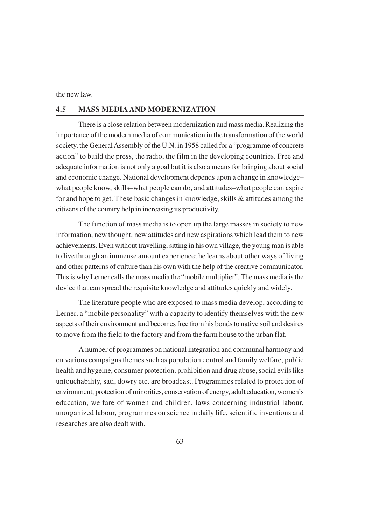the new law.

### **4.5 MASS MEDIA AND MODERNIZATION**

There is a close relation between modernization and mass media. Realizing the importance of the modern media of communication in the transformation of the world society, the General Assembly of the U.N. in 1958 called for a "programme of concrete action" to build the press, the radio, the film in the developing countries. Free and adequate information is not only a goal but it is also a means for bringing about social and economic change. National development depends upon a change in knowledge– what people know, skills–what people can do, and attitudes–what people can aspire for and hope to get. These basic changes in knowledge, skills & attitudes among the citizens of the country help in increasing its productivity.

The function of mass media is to open up the large masses in society to new information, new thought, new attitudes and new aspirations which lead them to new achievements. Even without travelling, sitting in his own village, the young man is able to live through an immense amount experience; he learns about other ways of living and other patterns of culture than his own with the help of the creative communicator. This is why Lerner calls the mass media the "mobile multiplier". The mass media is the device that can spread the requisite knowledge and attitudes quickly and widely.

The literature people who are exposed to mass media develop, according to Lerner, a "mobile personality" with a capacity to identify themselves with the new aspects of their environment and becomes free from his bonds to native soil and desires to move from the field to the factory and from the farm house to the urban flat.

A number of programmes on national integration and communal harmony and on various compaigns themes such as population control and family welfare, public health and hygeine, consumer protection, prohibition and drug abuse, social evils like untouchability, sati, dowry etc. are broadcast. Programmes related to protection of environment, protection of minorities, conservation of energy, adult education, women's education, welfare of women and children, laws concerning industrial labour, unorganized labour, programmes on science in daily life, scientific inventions and researches are also dealt with.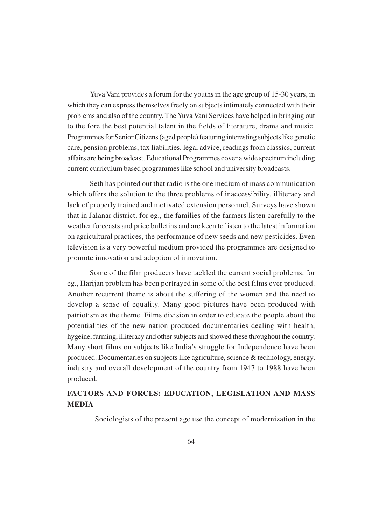Yuva Vani provides a forum for the youths in the age group of 15-30 years, in which they can express themselves freely on subjects intimately connected with their problems and also of the country. The Yuva Vani Services have helped in bringing out to the fore the best potential talent in the fields of literature, drama and music. Programmes for Senior Citizens (aged people) featuring interesting subjects like genetic care, pension problems, tax liabilities, legal advice, readings from classics, current affairs are being broadcast. Educational Programmes cover a wide spectrum including current curriculum based programmes like school and university broadcasts.

Seth has pointed out that radio is the one medium of mass communication which offers the solution to the three problems of inaccessibility, illiteracy and lack of properly trained and motivated extension personnel. Surveys have shown that in Jalanar district, for eg., the families of the farmers listen carefully to the weather forecasts and price bulletins and are keen to listen to the latest information on agricultural practices, the performance of new seeds and new pesticides. Even television is a very powerful medium provided the programmes are designed to promote innovation and adoption of innovation.

Some of the film producers have tackled the current social problems, for eg., Harijan problem has been portrayed in some of the best films ever produced. Another recurrent theme is about the suffering of the women and the need to develop a sense of equality. Many good pictures have been produced with patriotism as the theme. Films division in order to educate the people about the potentialities of the new nation produced documentaries dealing with health, hygeine, farming, illiteracy and other subjects and showed these throughout the country. Many short films on subjects like India's struggle for Independence have been produced. Documentaries on subjects like agriculture, science & technology, energy, industry and overall development of the country from 1947 to 1988 have been produced.

# **FACTORS AND FORCES: EDUCATION, LEGISLATION AND MASS MEDIA**

Sociologists of the present age use the concept of modernization in the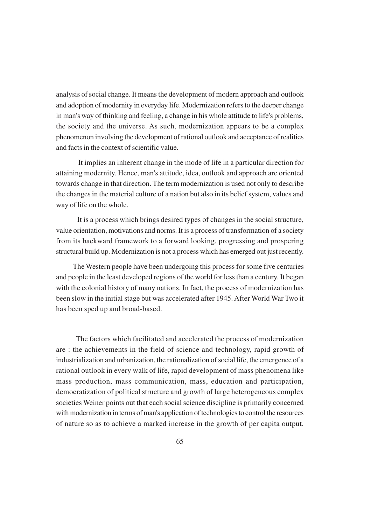analysis of social change. It means the development of modern approach and outlook and adoption of modernity in everyday life. Modernization refers to the deeper change in man's way of thinking and feeling, a change in his whole attitude to life's problems, the society and the universe. As such, modernization appears to be a complex phenomenon involving the development of rational outlook and acceptance of realities and facts in the context of scientific value.

 It implies an inherent change in the mode of life in a particular direction for attaining modernity. Hence, man's attitude, idea, outlook and approach are oriented towards change in that direction. The term modernization is used not only to describe the changes in the material culture of a nation but also in its belief system, values and way of life on the whole.

 It is a process which brings desired types of changes in the social structure, value orientation, motivations and norms. It is a process of transformation of a society from its backward framework to a forward looking, progressing and prospering structural build up. Modernization is not a process which has emerged out just recently.

 The Western people have been undergoing this process for some five centuries and people in the least developed regions of the world for less than a century. It began with the colonial history of many nations. In fact, the process of modernization has been slow in the initial stage but was accelerated after 1945. After World War Two it has been sped up and broad-based.

 The factors which facilitated and accelerated the process of modernization are : the achievements in the field of science and technology, rapid growth of industrialization and urbanization, the rationalization of social life, the emergence of a rational outlook in every walk of life, rapid development of mass phenomena like mass production, mass communication, mass, education and participation, democratization of political structure and growth of large heterogeneous complex societies Weiner points out that each social science discipline is primarily concerned with modernization in terms of man's application of technologies to control the resources of nature so as to achieve a marked increase in the growth of per capita output.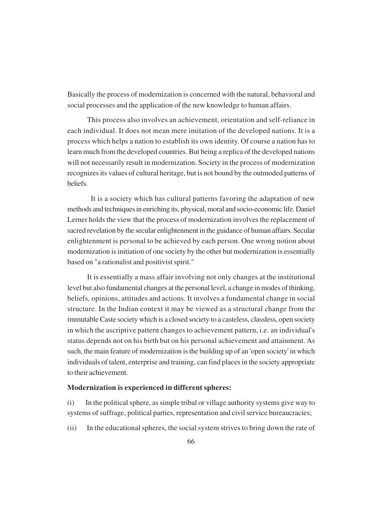Basically the process of modernization is concerned with the natural, behavioral and social processes and the application of the new knowledge to human affairs.

 This process also involves an achievement, orientation and self-reliance in each individual. It does not mean mere imitation of the developed nations. It is a process which helps a nation to establish its own identity. Of course a nation has to learn much from the developed countries. But being a replica of the developed nations will not necessarily result in modernization. Society in the process of modernization recognizes its values of cultural heritage, but is not bound by the outmoded patterns of beliefs.

 It is a society which has cultural patterns favoring the adaptation of new methods and techniques in enriching its, physical, moral and socio-economic life. Daniel Lerner holds the view that the process of modernization involves the replacement of sacred revelation by the secular enlightenment in the guidance of human affairs. Secular enlightenment is personal to be achieved by each person. One wrong notion about modernization is initiation of one society by the other but modernization is essentially based on "a rationalist and positivist spirit."

 It is essentially a mass affair involving not only changes at the institutional level but also fundamental changes at the personal level, a change in modes of thinking, beliefs, opinions, attitudes and actions. It involves a fundamental change in social structure. In the Indian context it may be viewed as a structural change from the immutable Caste society which is a closed society to a casteless, classless, open society in which the ascriptive pattern changes to achievement pattern, i.e. an individual's status depends not on his birth but on his personal achievement and attainment. As such, the main feature of modernization is the building up of an 'open society' in which individuals of talent, enterprise and training, can find places in the society appropriate to their achievement.

#### **Modernization is experienced in different spheres:**

(i) In the political sphere, as simple tribal or village authority systems give way to systems of suffrage, political parties, representation and civil service bureaucracies;

(ii) In the educational spheres, the social system strives to bring down the rate of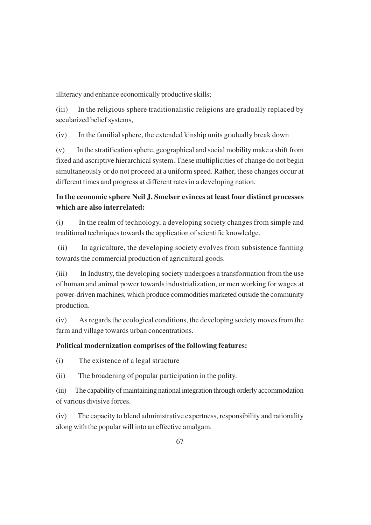illiteracy and enhance economically productive skills;

(iii) In the religious sphere traditionalistic religions are gradually replaced by secularized belief systems,

(iv) In the familial sphere, the extended kinship units gradually break down

(v) In the stratification sphere, geographical and social mobility make a shift from fixed and ascriptive hierarchical system. These multiplicities of change do not begin simultaneously or do not proceed at a uniform speed. Rather, these changes occur at different times and progress at different rates in a developing nation.

# **In the economic sphere Neil J. Smelser evinces at least four distinct processes which are also interrelated:**

(i) In the realm of technology, a developing society changes from simple and traditional techniques towards the application of scientific knowledge.

 (ii) In agriculture, the developing society evolves from subsistence farming towards the commercial production of agricultural goods.

(iii) In Industry, the developing society undergoes a transformation from the use of human and animal power towards industrialization, or men working for wages at power-driven machines, which produce commodities marketed outside the community production.

(iv) As regards the ecological conditions, the developing society moves from the farm and village towards urban concentrations.

# **Political modernization comprises of the following features:**

(i) The existence of a legal structure

(ii) The broadening of popular participation in the polity.

(iii) The capability of maintaining national integration through orderly accommodation of various divisive forces.

(iv) The capacity to blend administrative expertness, responsibility and rationality along with the popular will into an effective amalgam.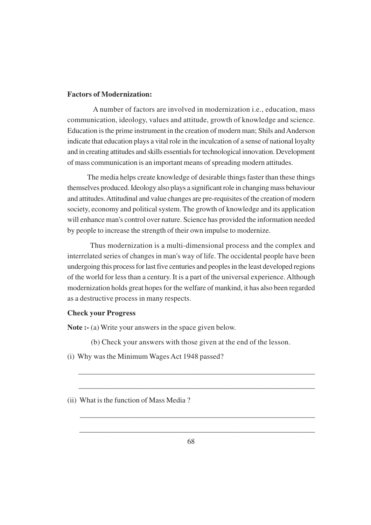#### **Factors of Modernization:**

 A number of factors are involved in modernization i.e., education, mass communication, ideology, values and attitude, growth of knowledge and science. Education is the prime instrument in the creation of modern man; Shils and Anderson indicate that education plays a vital role in the inculcation of a sense of national loyalty and in creating attitudes and skills essentials for technological innovation. Development of mass communication is an important means of spreading modern attitudes.

 The media helps create knowledge of desirable things faster than these things themselves produced. Ideology also plays a significant role in changing mass behaviour and attitudes. Attitudinal and value changes are pre-requisites of the creation of modern society, economy and political system. The growth of knowledge and its application will enhance man's control over nature. Science has provided the information needed by people to increase the strength of their own impulse to modernize.

 Thus modernization is a multi-dimensional process and the complex and interrelated series of changes in man's way of life. The occidental people have been undergoing this process for last five centuries and peoples in the least developed regions of the world for less than a century. It is a part of the universal experience. Although modernization holds great hopes for the welfare of mankind, it has also been regarded as a destructive process in many respects.

#### **Check your Progress**

**Note :-** (a) Write your answers in the space given below.

(b) Check your answers with those given at the end of the lesson.

 $\frac{1}{\sqrt{2}}$  ,  $\frac{1}{\sqrt{2}}$  ,  $\frac{1}{\sqrt{2}}$  ,  $\frac{1}{\sqrt{2}}$  ,  $\frac{1}{\sqrt{2}}$  ,  $\frac{1}{\sqrt{2}}$  ,  $\frac{1}{\sqrt{2}}$  ,  $\frac{1}{\sqrt{2}}$  ,  $\frac{1}{\sqrt{2}}$  ,  $\frac{1}{\sqrt{2}}$  ,  $\frac{1}{\sqrt{2}}$  ,  $\frac{1}{\sqrt{2}}$  ,  $\frac{1}{\sqrt{2}}$  ,  $\frac{1}{\sqrt{2}}$  ,  $\frac{1}{\sqrt{2}}$ 

\_\_\_\_\_\_\_\_\_\_\_\_\_\_\_\_\_\_\_\_\_\_\_\_\_\_\_\_\_\_\_\_\_\_\_\_\_\_\_\_\_\_\_\_\_\_\_\_\_\_\_\_\_\_\_\_\_\_\_\_\_\_\_

- (i) Why was the Minimum Wages Act 1948 passed?
- (ii) What is the function of Mass Media ?

 $\overline{\phantom{a}}$  ,  $\overline{\phantom{a}}$  ,  $\overline{\phantom{a}}$  ,  $\overline{\phantom{a}}$  ,  $\overline{\phantom{a}}$  ,  $\overline{\phantom{a}}$  ,  $\overline{\phantom{a}}$  ,  $\overline{\phantom{a}}$  ,  $\overline{\phantom{a}}$  ,  $\overline{\phantom{a}}$  ,  $\overline{\phantom{a}}$  ,  $\overline{\phantom{a}}$  ,  $\overline{\phantom{a}}$  ,  $\overline{\phantom{a}}$  ,  $\overline{\phantom{a}}$  ,  $\overline{\phantom{a}}$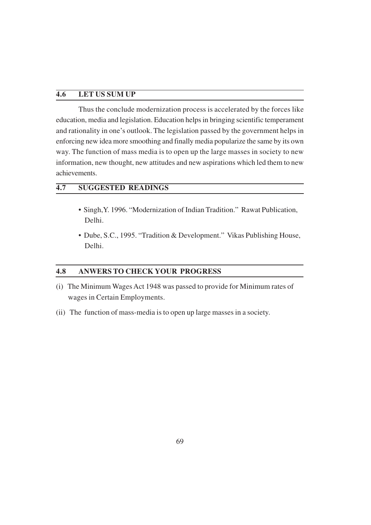# **4.6 LET US SUM UP**

Thus the conclude modernization process is accelerated by the forces like education, media and legislation. Education helps in bringing scientific temperament and rationality in one's outlook. The legislation passed by the government helps in enforcing new idea more smoothing and finally media popularize the same by its own way. The function of mass media is to open up the large masses in society to new information, new thought, new attitudes and new aspirations which led them to new achievements.

# **4.7 SUGGESTED READINGS**

- Singh,Y. 1996. "Modernization of Indian Tradition." Rawat Publication, Delhi.
- Dube, S.C., 1995. "Tradition & Development." Vikas Publishing House, Delhi.

#### **4.8 ANWERS TO CHECK YOUR PROGRESS**

- (i) The Minimum Wages Act 1948 was passed to provide for Minimum rates of wages in Certain Employments.
- (ii) The function of mass-media is to open up large masses in a society.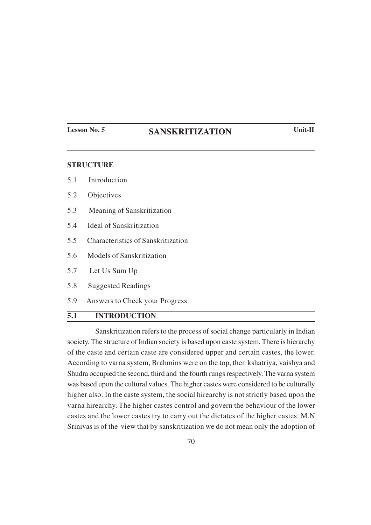# Lesson No. 5 **SANSKRITIZATION** Unit-II

#### **STRUCTURE**

5.1 Introduction

- 5.2 Objectives
- 5.3 Meaning of Sanskritization
- 5.4 Ideal of Sanskritization
- 5.5 Characteristics of Sanskritization
- 5.6 Models of Sanskritization
- 5.7 Let Us Sum Up
- 5.8 Suggested Readings
- 5.9 Answers to Check your Progress

# **5.1 INTRODUCTION**

Sanskritization refers to the process of social change particularly in Indian society. The structure of Indian society is based upon caste system. There is hierarchy of the caste and certain caste are considered upper and certain castes, the lower. According to varna system, Brahmins were on the top, then kshatriya, vaishya and Shudra occupied the second, third and the fourth rungs respectively. The varna system was based upon the cultural values. The higher castes were considered to be culturally higher also. In the caste system, the social hirearchy is not strictly based upon the varna hirearchy. The higher castes control and govern the behaviour of the lower castes and the lower castes try to carry out the dictates of the higher castes. M.N Srinivas is of the view that by sanskritization we do not mean only the adoption of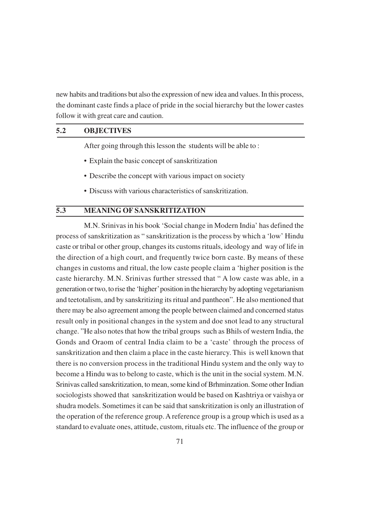new habits and traditions but also the expression of new idea and values. In this process, the dominant caste finds a place of pride in the social hierarchy but the lower castes follow it with great care and caution.

#### **5.2 OBJECTIVES**

After going through this lesson the students will be able to :

- Explain the basic concept of sanskritization
- Describe the concept with various impact on society
- Discuss with various characteristics of sanskritization.

#### **5.3 MEANING OF SANSKRITIZATION**

M.N. Srinivas in his book 'Social change in Modern India' has defined the process of sanskritization as " sanskritization is the process by which a 'low' Hindu caste or tribal or other group, changes its customs rituals, ideology and way of life in the direction of a high court, and frequently twice born caste. By means of these changes in customs and ritual, the low caste people claim a 'higher position is the caste hierarchy. M.N. Srinivas further stressed that " A low caste was able, in a generation or two, to rise the 'higher' position in the hierarchy by adopting vegetarianism and teetotalism, and by sanskritizing its ritual and pantheon". He also mentioned that there may be also agreement among the people between claimed and concerned status result only in positional changes in the system and doe snot lead to any structural change. "He also notes that how the tribal groups such as Bhils of western India, the Gonds and Oraom of central India claim to be a 'caste' through the process of sanskritization and then claim a place in the caste hierarcy. This is well known that there is no conversion process in the traditional Hindu system and the only way to become a Hindu was to belong to caste, which is the unit in the social system. M.N. Srinivas called sanskritization, to mean, some kind of Brhminzation. Some other Indian sociologists showed that sanskritization would be based on Kashtriya or vaishya or shudra models. Sometimes it can be said that sanskritization is only an illustration of the operation of the reference group. A reference group is a group which is used as a standard to evaluate ones, attitude, custom, rituals etc. The influence of the group or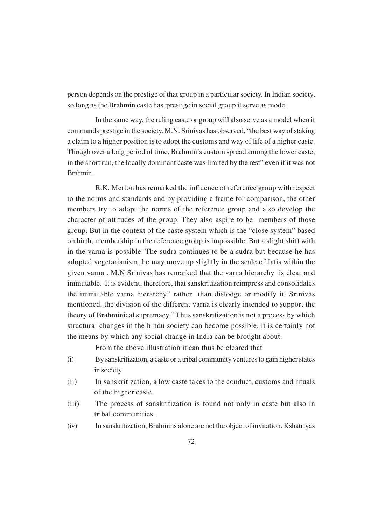person depends on the prestige of that group in a particular society. In Indian society, so long as the Brahmin caste has prestige in social group it serve as model.

In the same way, the ruling caste or group will also serve as a model when it commands prestige in the society. M.N. Srinivas has observed, "the best way of staking a claim to a higher position is to adopt the customs and way of life of a higher caste. Though over a long period of time, Brahmin's custom spread among the lower caste, in the short run, the locally dominant caste was limited by the rest" even if it was not Brahmin.

R.K. Merton has remarked the influence of reference group with respect to the norms and standards and by providing a frame for comparison, the other members try to adopt the norms of the reference group and also develop the character of attitudes of the group. They also aspire to be members of those group. But in the context of the caste system which is the "close system" based on birth, membership in the reference group is impossible. But a slight shift with in the varna is possible. The sudra continues to be a sudra but because he has adopted vegetarianism, he may move up slightly in the scale of Jatis within the given varna . M.N.Srinivas has remarked that the varna hierarchy is clear and immutable. It is evident, therefore, that sanskritization reimpress and consolidates the immutable varna hierarchy" rather than dislodge or modify it. Srinivas mentioned, the division of the different varna is clearly intended to support the theory of Brahminical supremacy." Thus sanskritization is not a process by which structural changes in the hindu society can become possible, it is certainly not the means by which any social change in India can be brought about.

From the above illustration it can thus be cleared that

- (i) By sanskritization, a caste or a tribal community ventures to gain higher states in society.
- (ii) In sanskritization, a low caste takes to the conduct, customs and rituals of the higher caste.
- (iii) The process of sanskritization is found not only in caste but also in tribal communities.
- (iv) In sanskritization, Brahmins alone are not the object of invitation. Kshatriyas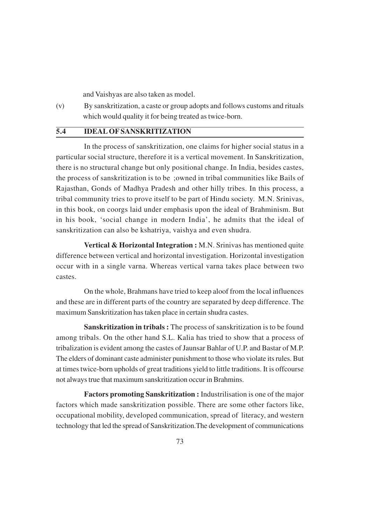and Vaishyas are also taken as model.

(v) By sanskritization, a caste or group adopts and follows customs and rituals which would quality it for being treated as twice-born.

# **5.4 IDEAL OF SANSKRITIZATION**

In the process of sanskritization, one claims for higher social status in a particular social structure, therefore it is a vertical movement. In Sanskritization, there is no structural change but only positional change. In India, besides castes, the process of sanskritization is to be ;owned in tribal communities like Bails of Rajasthan, Gonds of Madhya Pradesh and other hilly tribes. In this process, a tribal community tries to prove itself to be part of Hindu society. M.N. Srinivas, in this book, on coorgs laid under emphasis upon the ideal of Brahminism. But in his book, 'social change in modern India', he admits that the ideal of sanskritization can also be kshatriya, vaishya and even shudra.

**Vertical & Horizontal Integration :** M.N. Srinivas has mentioned quite difference between vertical and horizontal investigation. Horizontal investigation occur with in a single varna. Whereas vertical varna takes place between two castes.

On the whole, Brahmans have tried to keep aloof from the local influences and these are in different parts of the country are separated by deep difference. The maximum Sanskritization has taken place in certain shudra castes.

**Sanskritization in tribals :** The process of sanskritization is to be found among tribals. On the other hand S.L. Kalia has tried to show that a process of tribalization is evident among the castes of Jaunsar Bahlar of U.P. and Bastar of M.P. The elders of dominant caste administer punishment to those who violate its rules. But at times twice-born upholds of great traditions yield to little traditions. It is offcourse not always true that maximum sanskritization occur in Brahmins.

**Factors promoting Sanskritization :** Industrilisation is one of the major factors which made sanskritization possible. There are some other factors like, occupational mobility, developed communication, spread of literacy, and western technology that led the spread of Sanskritization.The development of communications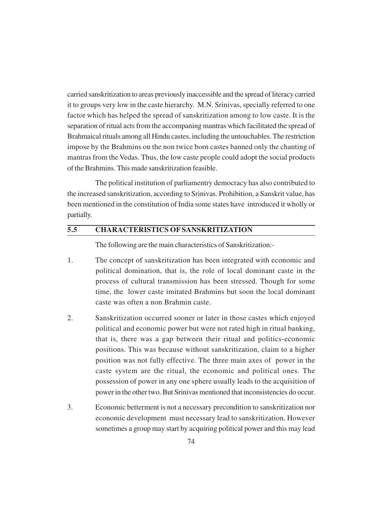carried sanskritization to areas previously inaccessible and the spread of literacy carried it to groups very low in the caste hierarchy. M.N. Srinivas, specially referred to one factor which has helped the spread of sanskritization among to low caste. It is the separation of ritual acts from the accompaning mantras which facilitated the spread of Brahmaical rituals among all Hindu castes, including the untouchables. The restriction impose by the Brahmins on the non twice born castes banned only the chanting of mantras from the Vedas. Thus, the low caste people could adopt the social products of the Brahmins. This made sanskritization feasible.

The political institution of parliamentry democracy has also contributed to the increased sanskritization, according to Srinivas. Prohibition, a Sanskrit value, has been mentioned in the constitution of India some states have introduced it wholly or partially.

# **5.5 CHARACTERISTICS OF SANSKRITIZATION**

The following are the main characteristics of Sanskritization:-

- 1. The concept of sanskritization has been integrated with economic and political domination, that is, the role of local dominant caste in the process of cultural transmission has been stressed. Though for some time, the lower caste imitated Brahmins but soon the local dominant caste was often a non Brahmin caste.
- 2. Sanskritization occurred sooner or later in those castes which enjoyed political and economic power but were not rated high in ritual banking, that is, there was a gap between their ritual and politics-economic positions. This was because without sanskritization, claim to a higher position was not fully effective. The three main axes of power in the caste system are the ritual, the economic and political ones. The possession of power in any one sphere usually leads to the acquisition of power in the other two. But Srinivas mentioned that inconsistencies do occur.
- 3. Economic betterment is not a necessary precondition to sanskritization nor economic development must necessary lead to sanskritization. However sometimes a group may start by acquiring political power and this may lead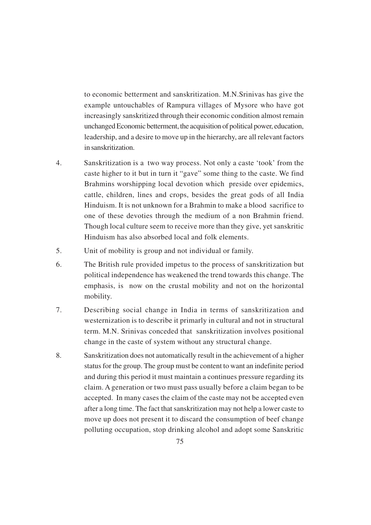to economic betterment and sanskritization. M.N.Srinivas has give the example untouchables of Rampura villages of Mysore who have got increasingly sanskritized through their economic condition almost remain unchanged Economic betterment, the acquisition of political power, education, leadership, and a desire to move up in the hierarchy, are all relevant factors in sanskritization.

- 4. Sanskritization is a two way process. Not only a caste 'took' from the caste higher to it but in turn it "gave" some thing to the caste. We find Brahmins worshipping local devotion which preside over epidemics, cattle, children, lines and crops, besides the great gods of all India Hinduism. It is not unknown for a Brahmin to make a blood sacrifice to one of these devoties through the medium of a non Brahmin friend. Though local culture seem to receive more than they give, yet sanskritic Hinduism has also absorbed local and folk elements.
- 5. Unit of mobility is group and not individual or family.
- 6. The British rule provided impetus to the process of sanskritization but political independence has weakened the trend towards this change. The emphasis, is now on the crustal mobility and not on the horizontal mobility.
- 7. Describing social change in India in terms of sanskritization and westernization is to describe it primarly in cultural and not in structural term. M.N. Srinivas conceded that sanskritization involves positional change in the caste of system without any structural change.
- 8. Sanskritization does not automatically result in the achievement of a higher status for the group. The group must be content to want an indefinite period and during this period it must maintain a continues pressure regarding its claim. A generation or two must pass usually before a claim began to be accepted. In many cases the claim of the caste may not be accepted even after a long time. The fact that sanskritization may not help a lower caste to move up does not present it to discard the consumption of beef change polluting occupation, stop drinking alcohol and adopt some Sanskritic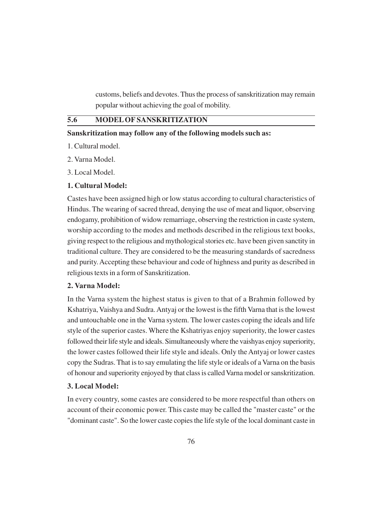customs, beliefs and devotes. Thus the process of sanskritization may remain popular without achieving the goal of mobility.

# **5.6 MODEL OF SANSKRITIZATION**

#### **Sanskritization may follow any of the following models such as:**

- 1. Cultural model.
- 2. Varna Model.
- 3. Local Model.

#### **1. Cultural Model:**

Castes have been assigned high or low status according to cultural characteristics of Hindus. The wearing of sacred thread, denying the use of meat and liquor, observing endogamy, prohibition of widow remarriage, observing the restriction in caste system, worship according to the modes and methods described in the religious text books, giving respect to the religious and mythological stories etc. have been given sanctity in traditional culture. They are considered to be the measuring standards of sacredness and purity. Accepting these behaviour and code of highness and purity as described in religious texts in a form of Sanskritization.

# **2. Varna Model:**

In the Varna system the highest status is given to that of a Brahmin followed by Kshatriya, Vaishya and Sudra. Antyaj or the lowest is the fifth Varna that is the lowest and untouchable one in the Varna system. The lower castes coping the ideals and life style of the superior castes. Where the Kshatriyas enjoy superiority, the lower castes followed their life style and ideals. Simultaneously where the vaishyas enjoy superiority, the lower castes followed their life style and ideals. Only the Antyaj or lower castes copy the Sudras. That is to say emulating the life style or ideals of a Varna on the basis of honour and superiority enjoyed by that class is called Varna model or sanskritization.

#### **3. Local Model:**

In every country, some castes are considered to be more respectful than others on account of their economic power. This caste may be called the "master caste" or the "dominant caste". So the lower caste copies the life style of the local dominant caste in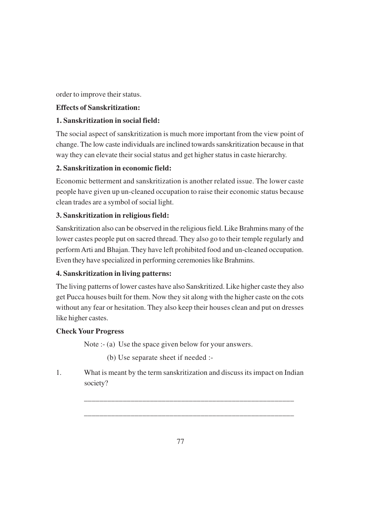order to improve their status.

# **Effects of Sanskritization:**

# **1. Sanskritization in social field:**

The social aspect of sanskritization is much more important from the view point of change. The low caste individuals are inclined towards sanskritization because in that way they can elevate their social status and get higher status in caste hierarchy.

# **2. Sanskritization in economic field:**

Economic betterment and sanskritization is another related issue. The lower caste people have given up un-cleaned occupation to raise their economic status because clean trades are a symbol of social light.

# **3. Sanskritization in religious field:**

Sanskritization also can be observed in the religious field. Like Brahmins many of the lower castes people put on sacred thread. They also go to their temple regularly and perform Arti and Bhajan. They have left prohibited food and un-cleaned occupation. Even they have specialized in performing ceremonies like Brahmins.

# **4. Sanskritization in living patterns:**

The living patterns of lower castes have also Sanskritized. Like higher caste they also get Pucca houses built for them. Now they sit along with the higher caste on the cots without any fear or hesitation. They also keep their houses clean and put on dresses like higher castes.

# **Check Your Progress**

Note :- (a) Use the space given below for your answers.

(b) Use separate sheet if needed :-

1. What is meant by the term sanskritization and discuss its impact on Indian society?

\_\_\_\_\_\_\_\_\_\_\_\_\_\_\_\_\_\_\_\_\_\_\_\_\_\_\_\_\_\_\_\_\_\_\_\_\_\_\_\_\_\_\_\_\_\_\_\_\_\_\_\_\_\_

\_\_\_\_\_\_\_\_\_\_\_\_\_\_\_\_\_\_\_\_\_\_\_\_\_\_\_\_\_\_\_\_\_\_\_\_\_\_\_\_\_\_\_\_\_\_\_\_\_\_\_\_\_\_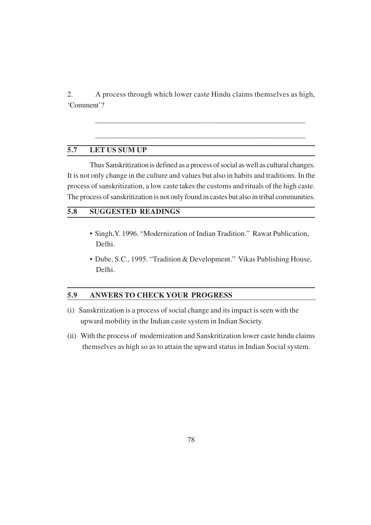2. A process through which lower caste Hindu claims themselves as high, 'Comment'?

\_\_\_\_\_\_\_\_\_\_\_\_\_\_\_\_\_\_\_\_\_\_\_\_\_\_\_\_\_\_\_\_\_\_\_\_\_\_\_\_\_\_\_\_\_\_\_\_\_\_\_\_\_\_

\_\_\_\_\_\_\_\_\_\_\_\_\_\_\_\_\_\_\_\_\_\_\_\_\_\_\_\_\_\_\_\_\_\_\_\_\_\_\_\_\_\_\_\_\_\_\_\_\_\_\_\_\_\_

# **5.7 LET US SUM UP**

Thus Sanskritization is defined as a process of social as well as cultural changes. It is not only change in the culture and values but also in habits and traditions. In the process of sanskritization, a low caste takes the customs and rituals of the high caste. The process of sanskritization is not only found in castes but also in tribal communities.

# **5.8 SUGGESTED READINGS**

- Singh,Y. 1996. "Modernization of Indian Tradition." Rawat Publication, Delhi.
- Dube, S.C., 1995. "Tradition & Development." Vikas Publishing House, Delhi.

#### **5.9 ANWERS TO CHECK YOUR PROGRESS**

- (i) Sanskritization is a process of social change and its impact is seen with the upward mobility in the Indian caste system in Indian Society.
- (ii) With the process of modernization and Sanskritization lower caste hindu claims themselves as high so as to attain the upward status in Indian Social system.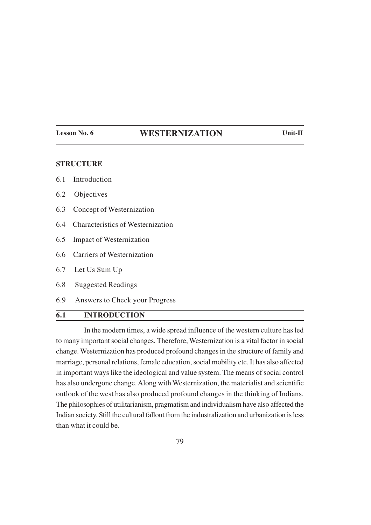# Lesson No. 6 **WESTERNIZATION** Unit-II

#### **STRUCTURE**

- 6.1 Introduction
- 6.2 Objectives
- 6.3 Concept of Westernization
- 6.4 Characteristics of Westernization
- 6.5 Impact of Westernization
- 6.6 Carriers of Westernization
- 6.7 Let Us Sum Up
- 6.8 Suggested Readings
- 6.9 Answers to Check your Progress

# **6.1 INTRODUCTION**

In the modern times, a wide spread influence of the western culture has led to many important social changes. Therefore, Westernization is a vital factor in social change. Westernization has produced profound changes in the structure of family and marriage, personal relations, female education, social mobility etc. It has also affected in important ways like the ideological and value system. The means of social control has also undergone change. Along with Westernization, the materialist and scientific outlook of the west has also produced profound changes in the thinking of Indians. The philosophies of utilitarianism, pragmatism and individualism have also affected the Indian society. Still the cultural fallout from the industralization and urbanization is less than what it could be.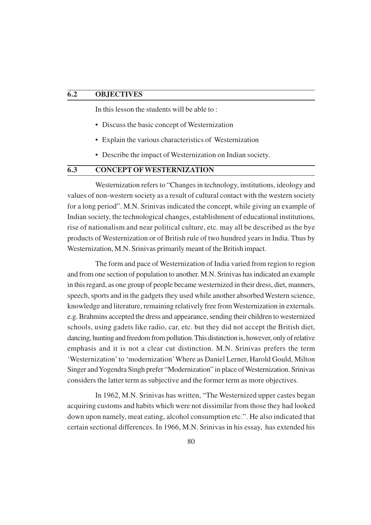#### **6.2 OBJECTIVES**

In this lesson the students will be able to :

- Discuss the basic concept of Westernization
- Explain the various characteristics of Westernization
- Describe the impact of Westernization on Indian society.

# **6.3 CONCEPT OFWESTERNIZATION**

Westernization refers to "Changes in technology, institutions, ideology and values of non-western society as a result of cultural contact with the western society for a long period". M.N. Srinivas indicated the concept, while giving an example of Indian society, the technological changes, establishment of educational institutions, rise of nationalism and near political culture, etc. may all be described as the bye products of Westernization or of British rule of two hundred years in India. Thus by Westernization, M.N. Srinivas primarily meant of the British impact.

The form and pace of Westernization of India varied from region to region and from one section of population to another. M.N. Srinivas has indicated an example in this regard, as one group of people became westernized in their dress, diet, manners, speech, sports and in the gadgets they used while another absorbed Western science, knowledge and literature, remaining relatively free from Westernization in externals. e.g. Brahmins accepted the dress and appearance, sending their children to westernized schools, using gadets like radio, car, etc. but they did not accept the British diet, dancing, hunting and freedom from pollution. This distinction is, however, only of relative emphasis and it is not a clear cut distinction. M.N. Srinivas prefers the term 'Westernization' to 'modernization'Where as Daniel Lerner, Harold Gould, Milton Singer and Yogendra Singh prefer "Modernization" in place of Westernization. Srinivas considers the latter term as subjective and the former term as more objectives.

In 1962, M.N. Srinivas has written, "The Westernized upper castes began acquiring customs and habits which were not dissimilar from those they had looked down upon namely, meat eating, alcohol consumption etc.". He also indicated that certain sectional differences. In 1966, M.N. Srinivas in his essay, has extended his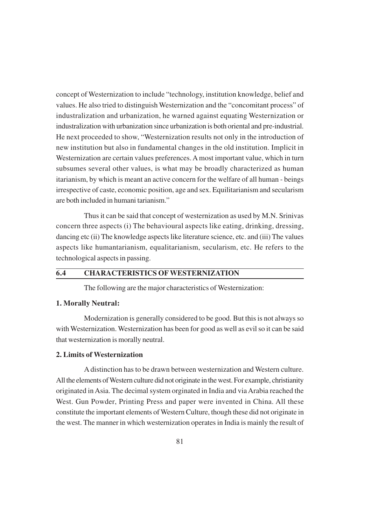concept of Westernization to include "technology, institution knowledge, belief and values. He also tried to distinguish Westernization and the "concomitant process" of industralization and urbanization, he warned against equating Westernization or industralization with urbanization since urbanization is both oriental and pre-industrial. He next proceeded to show, "Westernization results not only in the introduction of new institution but also in fundamental changes in the old institution. Implicit in Westernization are certain values preferences. A most important value, which in turn subsumes several other values, is what may be broadly characterized as human itarianism, by which is meant an active concern for the welfare of all human - beings irrespective of caste, economic position, age and sex. Equilitarianism and secularism are both included in humani tarianism."

Thus it can be said that concept of westernization as used by M.N. Srinivas concern three aspects (i) The behavioural aspects like eating, drinking, dressing, dancing etc (ii) The knowledge aspects like literature science, etc. and (iii) The values aspects like humantarianism, equalitarianism, secularism, etc. He refers to the technological aspects in passing.

# **6.4 CHARACTERISTICS OFWESTERNIZATION**

The following are the major characteristics of Westernization:

#### **1. Morally Neutral:**

Modernization is generally considered to be good. But this is not always so with Westernization. Westernization has been for good as well as evil so it can be said that westernization is morally neutral.

#### **2. Limits of Westernization**

A distinction has to be drawn between westernization and Western culture. All the elements of Western culture did not originate in the west. For example, christianity originated in Asia. The decimal system orginated in India and via Arabia reached the West. Gun Powder, Printing Press and paper were invented in China. All these constitute the important elements of Western Culture, though these did not originate in the west. The manner in which westernization operates in India is mainly the result of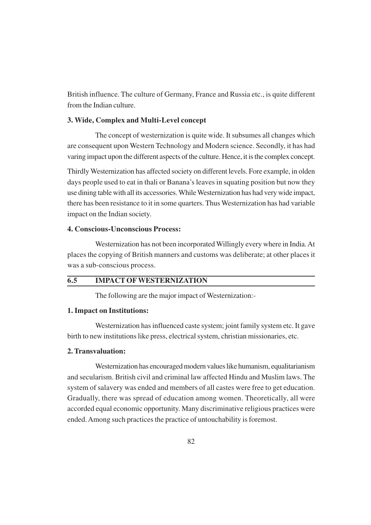British influence. The culture of Germany, France and Russia etc., is quite different from the Indian culture.

#### **3. Wide, Complex and Multi-Level concept**

The concept of westernization is quite wide. It subsumes all changes which are consequent upon Western Technology and Modern science. Secondly, it has had varing impact upon the different aspects of the culture. Hence, it is the complex concept.

Thirdly Westernization has affected society on different levels. Fore example, in olden days people used to eat in thali or Banana's leaves in squating position but now they use dining table with all its accessories. While Westernization has had very wide impact, there has been resistance to it in some quarters. Thus Westernization has had variable impact on the Indian society.

#### **4. Conscious-Unconscious Process:**

Westernization has not been incorporated Willingly every where in India. At places the copying of British manners and customs was deliberate; at other places it was a sub-conscious process.

# **6.5 IMPACT OFWESTERNIZATION**

The following are the major impact of Westernization:-

#### **1. Impact on Institutions:**

Westernization has influenced caste system; joint family system etc. It gave birth to new institutions like press, electrical system, christian missionaries, etc.

#### **2. Transvaluation:**

Westernization has encouraged modern values like humanism, equalitarianism and secularism. British civil and criminal law affected Hindu and Muslim laws. The system of salavery was ended and members of all castes were free to get education. Gradually, there was spread of education among women. Theoretically, all were accorded equal economic opportunity. Many discriminative religious practices were ended. Among such practices the practice of untouchability is foremost.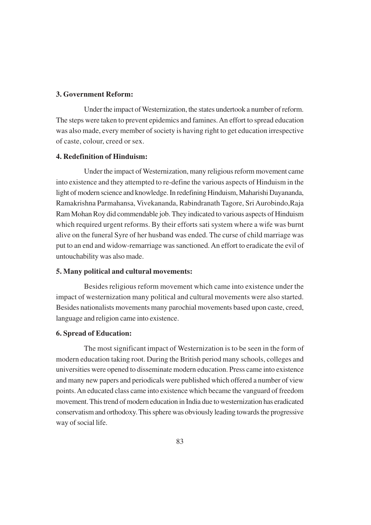#### **3. Government Reform:**

Under the impact of Westernization, the states undertook a number of reform. The steps were taken to prevent epidemics and famines. An effort to spread education was also made, every member of society is having right to get education irrespective of caste, colour, creed or sex.

#### **4. Redefinition of Hinduism:**

Under the impact of Westernization, many religious reform movement came into existence and they attempted to re-define the various aspects of Hinduism in the light of modern science and knowledge. In redefining Hinduism, Maharishi Dayananda, Ramakrishna Parmahansa, Vivekananda, Rabindranath Tagore, Sri Aurobindo,Raja Ram Mohan Roy did commendable job. They indicated to various aspects of Hinduism which required urgent reforms. By their efforts sati system where a wife was burnt alive on the funeral Syre of her husband was ended. The curse of child marriage was put to an end and widow-remarriage was sanctioned. An effort to eradicate the evil of untouchability was also made.

#### **5. Many political and cultural movements:**

Besides religious reform movement which came into existence under the impact of westernization many political and cultural movements were also started. Besides nationalists movements many parochial movements based upon caste, creed, language and religion came into existence.

#### **6. Spread of Education:**

The most significant impact of Westernization is to be seen in the form of modern education taking root. During the British period many schools, colleges and universities were opened to disseminate modern education. Press came into existence and many new papers and periodicals were published which offered a number of view points. An educated class came into existence which became the vanguard of freedom movement. This trend of modern education in India due to westernization has eradicated conservatism and orthodoxy. This sphere was obviously leading towards the progressive way of social life.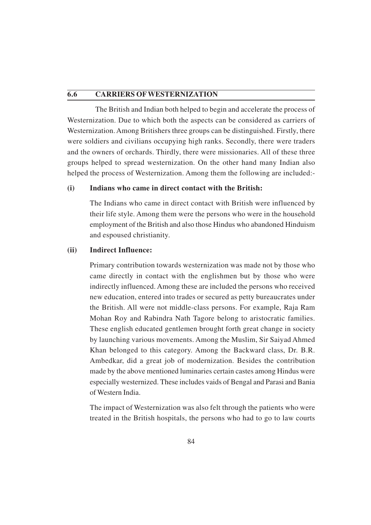#### **6.6 CARRIERS OFWESTERNIZATION**

The British and Indian both helped to begin and accelerate the process of Westernization. Due to which both the aspects can be considered as carriers of Westernization. Among Britishers three groups can be distinguished. Firstly, there were soldiers and civilians occupying high ranks. Secondly, there were traders and the owners of orchards. Thirdly, there were missionaries. All of these three groups helped to spread westernization. On the other hand many Indian also helped the process of Westernization. Among them the following are included:-

#### **(i) Indians who came in direct contact with the British:**

The Indians who came in direct contact with British were influenced by their life style. Among them were the persons who were in the household employment of the British and also those Hindus who abandoned Hinduism and espoused christianity.

# **(ii) Indirect Influence:**

Primary contribution towards westernization was made not by those who came directly in contact with the englishmen but by those who were indirectly influenced. Among these are included the persons who received new education, entered into trades or secured as petty bureaucrates under the British. All were not middle-class persons. For example, Raja Ram Mohan Roy and Rabindra Nath Tagore belong to aristocratic families. These english educated gentlemen brought forth great change in society by launching various movements. Among the Muslim, Sir Saiyad Ahmed Khan belonged to this category. Among the Backward class, Dr. B.R. Ambedkar, did a great job of modernization. Besides the contribution made by the above mentioned luminaries certain castes among Hindus were especially westernized. These includes vaids of Bengal and Parasi and Bania of Western India.

The impact of Westernization was also felt through the patients who were treated in the British hospitals, the persons who had to go to law courts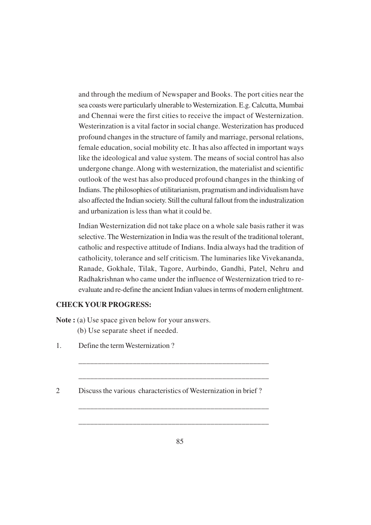and through the medium of Newspaper and Books. The port cities near the sea coasts were particularly ulnerable to Westernization. E.g. Calcutta, Mumbai and Chennai were the first cities to receive the impact of Westernization. Westerinzation is a vital factor in social change. Westerization has produced profound changes in the structure of family and marriage, personal relations, female education, social mobility etc. It has also affected in important ways like the ideological and value system. The means of social control has also undergone change. Along with westernization, the materialist and scientific outlook of the west has also produced profound changes in the thinking of Indians. The philosophies of utilitarianism, pragmatism and individualism have also affected the Indian society. Still the cultural fallout from the industralization and urbanization is less than what it could be.

Indian Westernization did not take place on a whole sale basis rather it was selective. The Westernization in India was the result of the traditional tolerant, catholic and respective attitude of Indians. India always had the tradition of catholicity, tolerance and self criticism. The luminaries like Vivekananda, Ranade, Gokhale, Tilak, Tagore, Aurbindo, Gandhi, Patel, Nehru and Radhakrishnan who came under the influence of Westernization tried to reevaluate and re-define the ancient Indian values in terms of modern enlightment.

#### **CHECK YOUR PROGRESS:**

**Note :** (a) Use space given below for your answers.

(b) Use separate sheet if needed.

1. Define the term Westernization ?

2 Discuss the various characteristics of Westernization in brief ?

\_\_\_\_\_\_\_\_\_\_\_\_\_\_\_\_\_\_\_\_\_\_\_\_\_\_\_\_\_\_\_\_\_\_\_\_\_\_\_\_\_\_\_\_\_\_\_\_\_

\_\_\_\_\_\_\_\_\_\_\_\_\_\_\_\_\_\_\_\_\_\_\_\_\_\_\_\_\_\_\_\_\_\_\_\_\_\_\_\_\_\_\_\_\_\_\_\_\_

\_\_\_\_\_\_\_\_\_\_\_\_\_\_\_\_\_\_\_\_\_\_\_\_\_\_\_\_\_\_\_\_\_\_\_\_\_\_\_\_\_\_\_\_\_\_\_\_\_

\_\_\_\_\_\_\_\_\_\_\_\_\_\_\_\_\_\_\_\_\_\_\_\_\_\_\_\_\_\_\_\_\_\_\_\_\_\_\_\_\_\_\_\_\_\_\_\_\_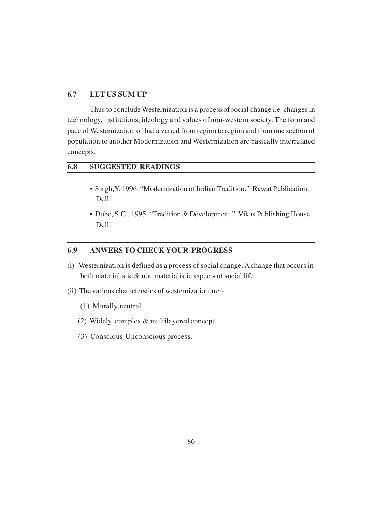# **6.7 LET US SUM UP**

Thus to conclude Westernization is a process of social change i.e. changes in technology, institutions, ideology and values of non-western society. The form and pace of Westernization of India varied from region to region and from one section of population to another Modernization and Westernization are basically interrelated concepts.

#### **6.8 SUGGESTED READINGS**

- Singh,Y. 1996. "Modernization of Indian Tradition." Rawat Publication, Delhi.
- Dube, S.C., 1995. "Tradition & Development." Vikas Publishing House, Delhi.

#### **6.9 ANWERS TO CHECK YOUR PROGRESS**

- (i) Westernization is defined as a process of social change. A change that occurs in both materialistic & non materialistic aspects of social life.
- (ii) The various characterstics of westernization are:-
	- (1) Morally neutral
	- (2) Widely complex & multilayered concept
	- (3) Conscious-Unconscious process.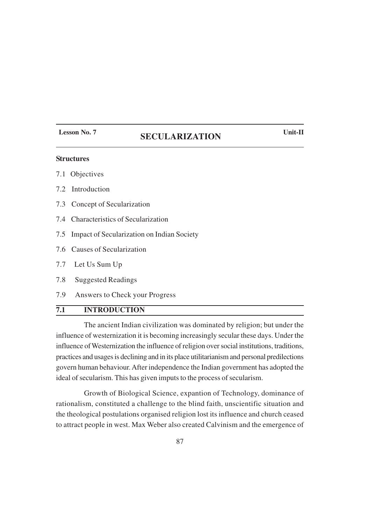# **Lesson No. 7** SECULARIZATION Unit-II

#### **Structures**

| Objectives<br>7.1 |
|-------------------|
|-------------------|

- 7.2 Introduction
- 7.3 Concept of Secularization
- 7.4 Characteristics of Secularization
- 7.5 Impact of Secularization on Indian Society
- 7.6 Causes of Secularization
- 7.7 Let Us Sum Up
- 7.8 Suggested Readings
- 7.9 Answers to Check your Progress

# **7.1 INTRODUCTION**

The ancient Indian civilization was dominated by religion; but under the influence of westernization it is becoming increasingly secular these days. Under the influence of Westernization the influence of religion over social institutions, traditions, practices and usages is declining and in its place utilitarianism and personal predilections govern human behaviour. After independence the Indian government has adopted the ideal of secularism. This has given imputs to the process of secularism.

Growth of Biological Science, expantion of Technology, dominance of rationalism, constituted a challenge to the blind faith, unscientific situation and the theological postulations organised religion lost its influence and church ceased to attract people in west. Max Weber also created Calvinism and the emergence of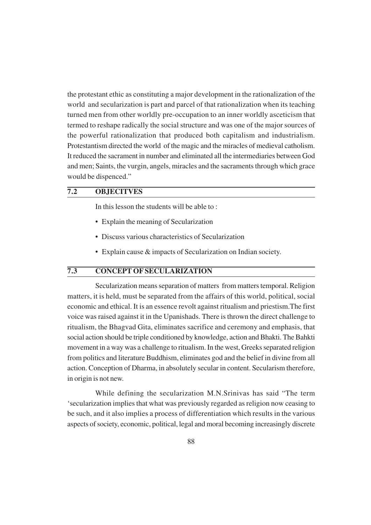the protestant ethic as constituting a major development in the rationalization of the world and secularization is part and parcel of that rationalization when its teaching turned men from other worldly pre-occupation to an inner worldly asceticism that termed to reshape radically the social structure and was one of the major sources of the powerful rationalization that produced both capitalism and industrialism. Protestantism directed the world of the magic and the miracles of medieval catholism. It reduced the sacrament in number and eliminated all the intermediaries between God and men; Saints, the vurgin, angels, miracles and the sacraments through which grace would be dispenced."

#### **7.2 OBJECITVES**

In this lesson the students will be able to :

- Explain the meaning of Secularization
- Discuss various characteristics of Secularization
- Explain cause & impacts of Secularization on Indian society.

# **7.3 CONCEPT OF SECULARIZATION**

Secularization means separation of matters from matters temporal. Religion matters, it is held, must be separated from the affairs of this world, political, social economic and ethical. It is an essence revolt against ritualism and priestism.The first voice was raised against it in the Upanishads. There is thrown the direct challenge to ritualism, the Bhagvad Gita, eliminates sacrifice and ceremony and emphasis, that social action should be triple conditioned by knowledge, action and Bhakti. The Bahkti movement in a way was a challenge to ritualism. In the west, Greeks separated religion from politics and literature Buddhism, eliminates god and the belief in divine from all action. Conception of Dharma, in absolutely secular in content. Secularism therefore, in origin is not new.

While defining the secularization M.N.Srinivas has said "The term 'secularization implies that what was previously regarded as religion now ceasing to be such, and it also implies a process of differentiation which results in the various aspects of society, economic, political, legal and moral becoming increasingly discrete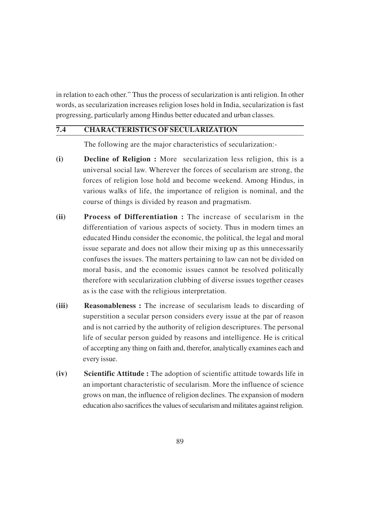in relation to each other." Thus the process of secularization is anti religion. In other words, as secularization increases religion loses hold in India, secularization is fast progressing, particularly among Hindus better educated and urban classes.

#### **7.4 CHARACTERISTICS OF SECULARIZATION**

The following are the major characteristics of secularization:-

- **(i) Decline of Religion :** More secularization less religion, this is a universal social law. Wherever the forces of secularism are strong, the forces of religion lose hold and become weekend. Among Hindus, in various walks of life, the importance of religion is nominal, and the course of things is divided by reason and pragmatism.
- **(ii) Process of Differentiation :** The increase of secularism in the differentiation of various aspects of society. Thus in modern times an educated Hindu consider the economic, the political, the legal and moral issue separate and does not allow their mixing up as this unnecessarily confuses the issues. The matters pertaining to law can not be divided on moral basis, and the economic issues cannot be resolved politically therefore with secularization clubbing of diverse issues together ceases as is the case with the religious interpretation.
- **(iii) Reasonableness :** The increase of secularism leads to discarding of superstition a secular person considers every issue at the par of reason and is not carried by the authority of religion descriptures. The personal life of secular person guided by reasons and intelligence. He is critical of accepting any thing on faith and, therefor, analytically examines each and every issue.
- **(iv) Scientific Attitude :** The adoption of scientific attitude towards life in an important characteristic of secularism. More the influence of science grows on man, the influence of religion declines. The expansion of modern education also sacrifices the values of secularism and militates against religion.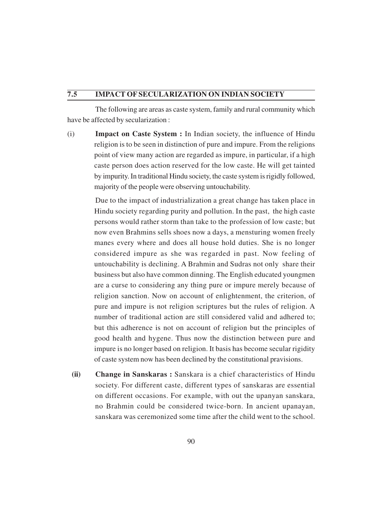# **7.5 IMPACT OF SECULARIZATION ON INDIAN SOCIETY**

The following are areas as caste system, family and rural community which have be affected by secularization :

(i) **Impact on Caste System :** In Indian society, the influence of Hindu religion is to be seen in distinction of pure and impure. From the religions point of view many action are regarded as impure, in particular, if a high caste person does action reserved for the low caste. He will get tainted by impurity. In traditional Hindu society, the caste system is rigidly followed, majority of the people were observing untouchability.

> Due to the impact of industrialization a great change has taken place in Hindu society regarding purity and pollution. In the past, the high caste persons would rather storm than take to the profession of low caste; but now even Brahmins sells shoes now a days, a mensturing women freely manes every where and does all house hold duties. She is no longer considered impure as she was regarded in past. Now feeling of untouchability is declining. A Brahmin and Sudras not only share their business but also have common dinning. The English educated youngmen are a curse to considering any thing pure or impure merely because of religion sanction. Now on account of enlightenment, the criterion, of pure and impure is not religion scriptures but the rules of religion. A number of traditional action are still considered valid and adhered to; but this adherence is not on account of religion but the principles of good health and hygene. Thus now the distinction between pure and impure is no longer based on religion. It basis has become secular rigidity of caste system now has been declined by the constitutional pravisions.

**(ii) Change in Sanskaras :** Sanskara is a chief characteristics of Hindu society. For different caste, different types of sanskaras are essential on different occasions. For example, with out the upanyan sanskara, no Brahmin could be considered twice-born. In ancient upanayan, sanskara was ceremonized some time after the child went to the school.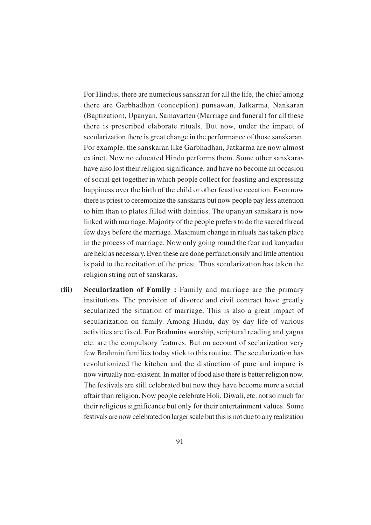For Hindus, there are numerious sanskran for all the life, the chief among there are Garbhadhan (conception) punsawan, Jatkarma, Nankaran (Baptization), Upanyan, Samavarten (Marriage and funeral) for all these there is prescribed elaborate rituals. But now, under the impact of secularization there is great change in the performance of those sanskaran. For example, the sanskaran like Garbhadhan, Jatkarma are now almost extinct. Now no educated Hindu performs them. Some other sanskaras have also lost their religion significance, and have no become an occasion of social get together in which people collect for feasting and expressing happiness over the birth of the child or other feastive occation. Even now there is priest to ceremonize the sanskaras but now people pay less attention to him than to plates filled with dainties. The upanyan sanskara is now linked with marriage. Majority of the people prefers to do the sacred thread few days before the marriage. Maximum change in rituals has taken place in the process of marriage. Now only going round the fear and kanyadan are held as necessary. Even these are done perfunctionsily and little attention is paid to the recitation of the priest. Thus secularization has taken the religion string out of sanskaras.

**(iii) Secularization of Family :** Family and marriage are the primary institutions. The provision of divorce and civil contract have greatly secularized the situation of marriage. This is also a great impact of secularization on family. Among Hindu, day by day life of various activities are fixed. For Brahmins worship, scriptural reading and yagna etc. are the compulsory features. But on account of seclarization very few Brahmin families today stick to this routine. The secularization has revolutionized the kitchen and the distinction of pure and impure is now virtually non-existent. In matter of food also there is better religion now. The festivals are still celebrated but now they have become more a social affair than religion. Now people celebrate Holi, Diwali, etc. not so much for their religious significance but only for their entertainment values. Some festivals are now celebrated on larger scale but this is not due to any realization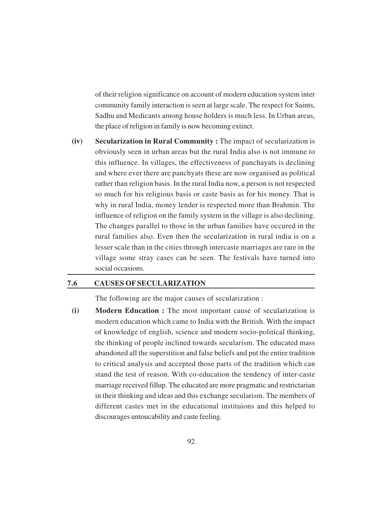of their religion significance on account of modern education system inter community family interaction is seen at large scale. The respect for Saints, Sadhu and Medicants among house holders is much less. In Urban areas, the place of religion in family is now becoming extinct.

**(iv) Secularization in Rural Community :** The impact of secularization is obviously seen in urban areas but the rural India also is not immune to this influence. In villages, the effectiveness of panchayats is declining and where ever there are panchyats these are now organised as political rather than religion basis. In the rural India now, a person is not respected so much for his religious basis or caste basis as for his money. That is why in rural India, money lender is respected more than Brahmin. The influence of religion on the family system in the village is also declining. The changes parallel to those in the urban families have occured in the rural families also. Even then the secularization in rural india is on a lesser scale than in the cities through intercaste marriages are rare in the village some stray cases can be seen. The festivals have turned into social occasions.

#### **7.6 CAUSES OF SECULARIZATION**

The following are the major causes of secularization :

**(i) Modern Education :** The most important cause of secularization is modern education which came to India with the British. With the impact of knowledge of english, science and modern socio-political thinking, the thinking of people inclined towards secularism. The educated mass abandoned all the superstition and false beliefs and put the entire tradition to critical analysis and accepted those parts of the tradition which can stand the test of reason. With co-education the tendency of inter-caste marriage received fillup. The educated are more pragmatic and restrictarian in their thinking and ideas and this exchange secularism. The members of different castes met in the educational instituions and this helped to discourages untoucability and caste feeling.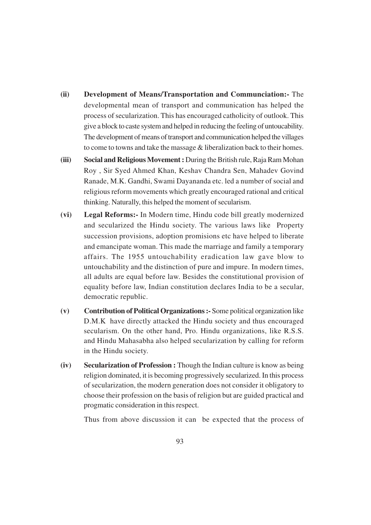- **(ii) Development of Means/Transportation and Communciation:-** The developmental mean of transport and communication has helped the process of secularization. This has encouraged catholicity of outlook. This give a block to caste system and helped in reducing the feeling of untoucability. The development of means of transport and communication helped the villages to come to towns and take the massage & liberalization back to their homes.
- **(iii) Social and Religious Movement :** During the British rule, Raja Ram Mohan Roy , Sir Syed Ahmed Khan, Keshav Chandra Sen, Mahadev Govind Ranade, M.K. Gandhi, Swami Dayananda etc. led a number of social and religious reform movements which greatly encouraged rational and critical thinking. Naturally, this helped the moment of secularism.
- **(vi) Legal Reforms:-** In Modern time, Hindu code bill greatly modernized and secularized the Hindu society. The various laws like Property succession provisions, adoption promisions etc have helped to liberate and emancipate woman. This made the marriage and family a temporary affairs. The 1955 untouchability eradication law gave blow to untouchability and the distinction of pure and impure. In modern times, all adults are equal before law. Besides the constitutional provision of equality before law, Indian constitution declares India to be a secular, democratic republic.
- **(v) Contribution of Political Organizations :-** Some political organization like D.M.K have directly attacked the Hindu society and thus encouraged secularism. On the other hand, Pro. Hindu organizations, like R.S.S. and Hindu Mahasabha also helped secularization by calling for reform in the Hindu society.
- **(iv) Secularization of Profession :** Though the Indian culture is know as being religion dominated, it is becoming progressively secularized. In this process of secularization, the modern generation does not consider it obligatory to choose their profession on the basis of religion but are guided practical and progmatic consideration in this respect.

Thus from above discussion it can be expected that the process of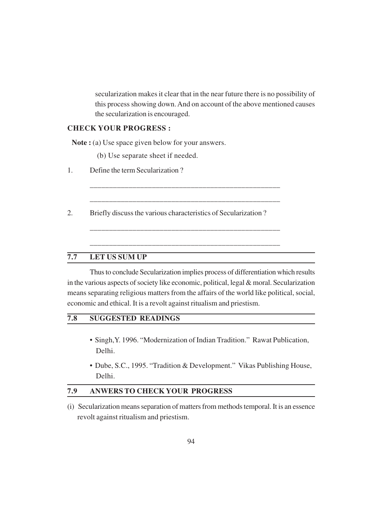secularization makes it clear that in the near future there is no possibility of this process showing down. And on account of the above mentioned causes the secularization is encouraged.

#### **CHECK YOUR PROGRESS :**

Note : (a) Use space given below for your answers.

- (b) Use separate sheet if needed.
- 1. Define the term Secularization ?
- 2. Briefly discuss the various characteristics of Secularization ?

\_\_\_\_\_\_\_\_\_\_\_\_\_\_\_\_\_\_\_\_\_\_\_\_\_\_\_\_\_\_\_\_\_\_\_\_\_\_\_\_\_\_\_\_\_\_\_\_\_

\_\_\_\_\_\_\_\_\_\_\_\_\_\_\_\_\_\_\_\_\_\_\_\_\_\_\_\_\_\_\_\_\_\_\_\_\_\_\_\_\_\_\_\_\_\_\_\_\_

\_\_\_\_\_\_\_\_\_\_\_\_\_\_\_\_\_\_\_\_\_\_\_\_\_\_\_\_\_\_\_\_\_\_\_\_\_\_\_\_\_\_\_\_\_\_\_\_\_

\_\_\_\_\_\_\_\_\_\_\_\_\_\_\_\_\_\_\_\_\_\_\_\_\_\_\_\_\_\_\_\_\_\_\_\_\_\_\_\_\_\_\_\_\_\_\_\_\_

# **7.7 LET US SUM UP**

Thus to conclude Secularization implies process of differentiation which results in the various aspects of society like economic, political, legal & moral. Secularization means separating religious matters from the affairs of the world like political, social, economic and ethical. It is a revolt against ritualism and priestism.

# **7.8 SUGGESTED READINGS**

- Singh,Y. 1996. "Modernization of Indian Tradition." Rawat Publication, Delhi.
- Dube, S.C., 1995. "Tradition & Development." Vikas Publishing House, Delhi.

#### **7.9 ANWERS TO CHECK YOUR PROGRESS**

(i) Secularization means separation of matters from methods temporal. It is an essence revolt against ritualism and priestism.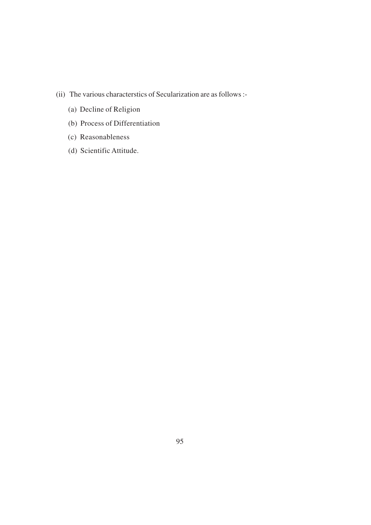- (ii) The various characterstics of Secularization are as follows :-
	- (a) Decline of Religion
	- (b) Process of Differentiation
	- (c) Reasonableness
	- (d) Scientific Attitude.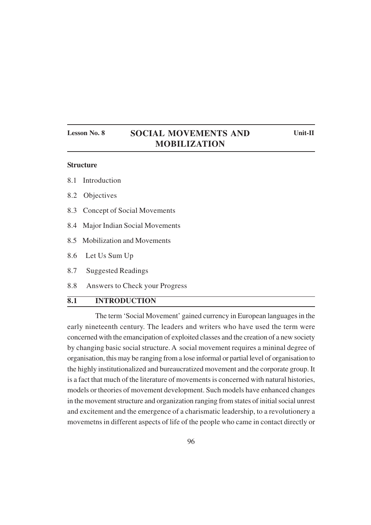# Lesson No. 8 **SOCIAL MOVEMENTS AND** Unit-II **MOBILIZATION**

#### **Structure**

8.1 Introduction

8.2 Objectives

8.3 Concept of Social Movements

8.4 Major Indian Social Movements

8.5 Mobilization and Movements

8.6 Let Us Sum Up

8.7 Suggested Readings

8.8 Answers to Check your Progress

# **8.1 INTRODUCTION**

The term 'Social Movement' gained currency in European languages in the early nineteenth century. The leaders and writers who have used the term were concerned with the emancipation of exploited classes and the creation of a new society by changing basic social structure. A social movement requires a mininal degree of organisation, this may be ranging from a lose informal or partial level of organisation to the highly institutionalized and bureaucratized movement and the corporate group. It is a fact that much of the literature of movements is concerned with natural histories, models or theories of movement development. Such models have enhanced changes in the movement structure and organization ranging from states of initial social unrest and excitement and the emergence of a charismatic leadership, to a revolutionery a movemetns in different aspects of life of the people who came in contact directly or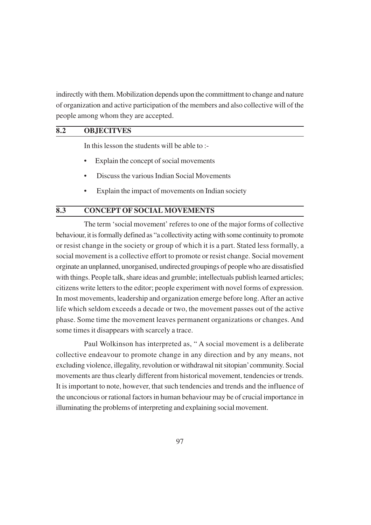indirectly with them. Mobilization depends upon the committment to change and nature of organization and active participation of the members and also collective will of the people among whom they are accepted.

#### **8.2 OBJECITVES**

In this lesson the students will be able to :-

- Explain the concept of social movements
- Discuss the various Indian Social Movements
- Explain the impact of movements on Indian society

### **8.3 CONCEPT OF SOCIAL MOVEMENTS**

The term 'social movement' referes to one of the major forms of collective behaviour, it is formally defined as "a collectivity acting with some continuity to promote or resist change in the society or group of which it is a part. Stated less formally, a social movement is a collective effort to promote or resist change. Social movement orginate an unplanned, unorganised, undirected groupings of people who are dissatisfied with things. People talk, share ideas and grumble; intellectuals publish learned articles; citizens write letters to the editor; people experiment with novel forms of expression. In most movements, leadership and organization emerge before long. After an active life which seldom exceeds a decade or two, the movement passes out of the active phase. Some time the movement leaves permanent organizations or changes. And some times it disappears with scarcely a trace.

Paul Wolkinson has interpreted as, " A social movement is a deliberate collective endeavour to promote change in any direction and by any means, not excluding violence, illegality, revolution or withdrawal nit sitopian' community. Social movements are thus clearly different from historical movement, tendencies or trends. It is important to note, however, that such tendencies and trends and the influence of the unconcious or rational factors in human behaviour may be of crucial importance in illuminating the problems of interpreting and explaining social movement.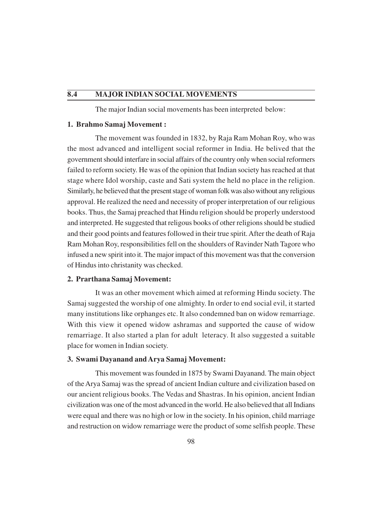#### **8.4 MAJOR INDIAN SOCIAL MOVEMENTS**

The major Indian social movements has been interpreted below:

#### **1. Brahmo Samaj Movement :**

The movement was founded in 1832, by Raja Ram Mohan Roy, who was the most advanced and intelligent social reformer in India. He belived that the government should interfare in social affairs of the country only when social reformers failed to reform society. He was of the opinion that Indian society has reached at that stage where Idol worship, caste and Sati system the held no place in the religion. Similarly, he believed that the present stage of woman folk was also without any religious approval. He realized the need and necessity of proper interpretation of our religious books. Thus, the Samaj preached that Hindu religion should be properly understood and interpreted. He suggested that religous books of other religions should be studied and their good points and features followed in their true spirit. After the death of Raja Ram Mohan Roy, responsibilities fell on the shoulders of Ravinder Nath Tagore who infused a new spirit into it. The major impact of this movement was that the conversion of Hindus into christanity was checked.

#### **2. Prarthana Samaj Movement:**

It was an other movement which aimed at reforming Hindu society. The Samaj suggested the worship of one almighty. In order to end social evil, it started many institutions like orphanges etc. It also condemned ban on widow remarriage. With this view it opened widow ashramas and supported the cause of widow remarriage. It also started a plan for adult leteracy. It also suggested a suitable place for women in Indian society.

#### **3. Swami Dayanand and Arya Samaj Movement:**

This movement was founded in 1875 by Swami Dayanand. The main object of the Arya Samaj was the spread of ancient Indian culture and civilization based on our ancient religious books. The Vedas and Shastras. In his opinion, ancient Indian civilization was one of the most advanced in the world. He also believed that all Indians were equal and there was no high or low in the society. In his opinion, child marriage and restruction on widow remarriage were the product of some selfish people. These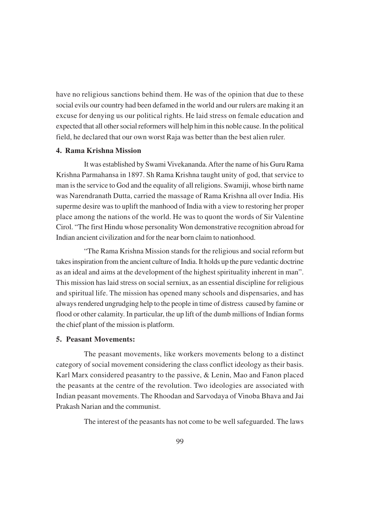have no religious sanctions behind them. He was of the opinion that due to these social evils our country had been defamed in the world and our rulers are making it an excuse for denying us our political rights. He laid stress on female education and expected that all other social reformers will help him in this noble cause. In the political field, he declared that our own worst Raja was better than the best alien ruler.

#### **4. Rama Krishna Mission**

It was established by Swami Vivekananda. After the name of his Guru Rama Krishna Parmahansa in 1897. Sh Rama Krishna taught unity of god, that service to man is the service to God and the equality of all religions. Swamiji, whose birth name was Narendranath Dutta, carried the massage of Rama Krishna all over India. His superme desire was to uplift the manhood of India with a view to restoring her proper place among the nations of the world. He was to quont the words of Sir Valentine Cirol. "The first Hindu whose personality Won demonstrative recognition abroad for Indian ancient civilization and for the near born claim to nationhood.

"The Rama Krishna Mission stands for the religious and social reform but takes inspiration from the ancient culture of India. It holds up the pure vedantic doctrine as an ideal and aims at the development of the highest spirituality inherent in man". This mission has laid stress on social serniux, as an essential discipline for religious and spiritual life. The mission has opened many schools and dispensaries, and has always rendered ungrudging help to the people in time of distress caused by famine or flood or other calamity. In particular, the up lift of the dumb millions of Indian forms the chief plant of the mission is platform.

#### **5. Peasant Movements:**

The peasant movements, like workers movements belong to a distinct category of social movement considering the class conflict ideology as their basis. Karl Marx considered peasantry to the passive, & Lenin, Mao and Fanon placed the peasants at the centre of the revolution. Two ideologies are associated with Indian peasant movements. The Rhoodan and Sarvodaya of Vinoba Bhava and Jai Prakash Narian and the communist.

The interest of the peasants has not come to be well safeguarded. The laws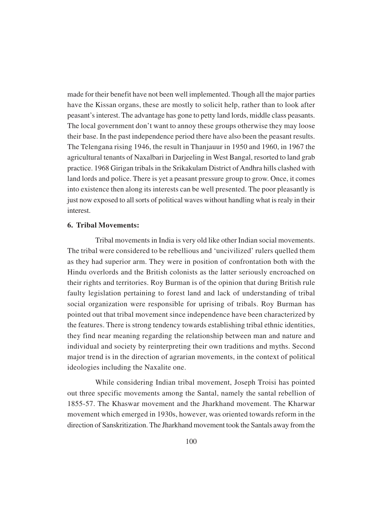made for their benefit have not been well implemented. Though all the major parties have the Kissan organs, these are mostly to solicit help, rather than to look after peasant's interest. The advantage has gone to petty land lords, middle class peasants. The local government don't want to annoy these groups otherwise they may loose their base. In the past independence period there have also been the peasant results. The Telengana rising 1946, the result in Thanjauur in 1950 and 1960, in 1967 the agricultural tenants of Naxalbari in Darjeeling in West Bangal, resorted to land grab practice. 1968 Girigan tribals in the Srikakulam District of Andhra hills clashed with land lords and police. There is yet a peasant pressure group to grow. Once, it comes into existence then along its interests can be well presented. The poor pleasantly is just now exposed to all sorts of political waves without handling what is realy in their interest.

#### **6. Tribal Movements:**

Tribal movements in India is very old like other Indian social movements. The tribal were considered to be rebellious and 'uncivilized' rulers quelled them as they had superior arm. They were in position of confrontation both with the Hindu overlords and the British colonists as the latter seriously encroached on their rights and territories. Roy Burman is of the opinion that during British rule faulty legislation pertaining to forest land and lack of understanding of tribal social organization were responsible for uprising of tribals. Roy Burman has pointed out that tribal movement since independence have been characterized by the features. There is strong tendency towards establishing tribal ethnic identities, they find near meaning regarding the relationship between man and nature and individual and society by reinterpreting their own traditions and myths. Second major trend is in the direction of agrarian movements, in the context of political ideologies including the Naxalite one.

While considering Indian tribal movement, Joseph Troisi has pointed out three specific movements among the Santal, namely the santal rebellion of 1855-57. The Khaswar movement and the Jharkhand movement. The Kharwar movement which emerged in 1930s, however, was oriented towards reform in the direction of Sanskritization. The Jharkhand movement took the Santals away from the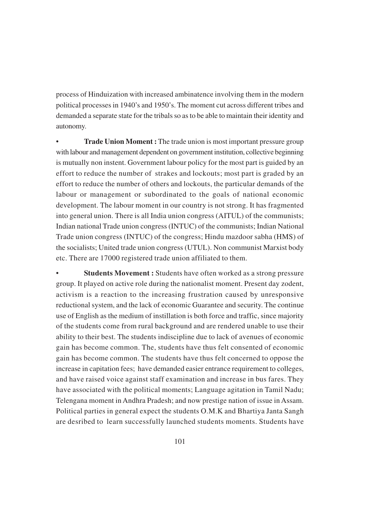process of Hinduization with increased ambinatence involving them in the modern political processes in 1940's and 1950's. The moment cut across different tribes and demanded a separate state for the tribals so as to be able to maintain their identity and autonomy.

**Trade Union Moment :** The trade union is most important pressure group with labour and management dependent on government institution, collective beginning is mutually non instent. Government labour policy for the most part is guided by an effort to reduce the number of strakes and lockouts; most part is graded by an effort to reduce the number of others and lockouts, the particular demands of the labour or management or subordinated to the goals of national economic development. The labour moment in our country is not strong. It has fragmented into general union. There is all India union congress (AITUL) of the communists; Indian national Trade union congress (INTUC) of the communists; Indian National Trade union congress (INTUC) of the congress; Hindu mazdoor sabha (HMS) of the socialists; United trade union congress (UTUL). Non communist Marxist body etc. There are 17000 registered trade union affiliated to them.

**Students Movement : Students have often worked as a strong pressure** group. It played on active role during the nationalist moment. Present day zodent, activism is a reaction to the increasing frustration caused by unresponsive reductional system, and the lack of economic Guarantee and security. The continue use of English as the medium of instillation is both force and traffic, since majority of the students come from rural background and are rendered unable to use their ability to their best. The students indiscipline due to lack of avenues of economic gain has become common. The, students have thus felt consented of economic gain has become common. The students have thus felt concerned to oppose the increase in capitation fees; have demanded easier entrance requirement to colleges, and have raised voice against staff examination and increase in bus fares. They have associated with the political moments; Language agitation in Tamil Nadu; Telengana moment in Andhra Pradesh; and now prestige nation of issue in Assam. Political parties in general expect the students O.M.K and Bhartiya Janta Sangh are desribed to learn successfully launched students moments. Students have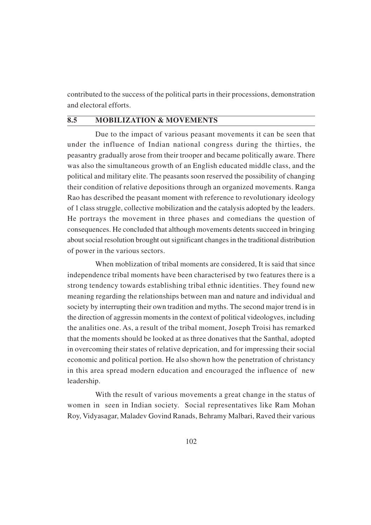contributed to the success of the political parts in their processions, demonstration and electoral efforts.

# **8.5 MOBILIZATION & MOVEMENTS**

Due to the impact of various peasant movements it can be seen that under the influence of Indian national congress during the thirties, the peasantry gradually arose from their trooper and became politically aware. There was also the simultaneous growth of an English educated middle class, and the political and military elite. The peasants soon reserved the possibility of changing their condition of relative depositions through an organized movements. Ranga Rao has described the peasant moment with reference to revolutionary ideology of 1 class struggle, collective mobilization and the catalysis adopted by the leaders. He portrays the movement in three phases and comedians the question of consequences. He concluded that although movements detents succeed in bringing about social resolution brought out significant changes in the traditional distribution of power in the various sectors.

When moblization of tribal moments are considered, It is said that since independence tribal moments have been characterised by two features there is a strong tendency towards establishing tribal ethnic identities. They found new meaning regarding the relationships between man and nature and individual and society by interrupting their own tradition and myths. The second major trend is in the direction of aggressin moments in the context of political videologves, including the analities one. As, a result of the tribal moment, Joseph Troisi has remarked that the moments should be looked at as three donatives that the Santhal, adopted in overcoming their states of relative deprication, and for impressing their social economic and political portion. He also shown how the penetration of christancy in this area spread modern education and encouraged the influence of new leadership.

With the result of various movements a great change in the status of women in seen in Indian society. Social representatives like Ram Mohan Roy, Vidyasagar, Maladev Govind Ranads, Behramy Malbari, Raved their various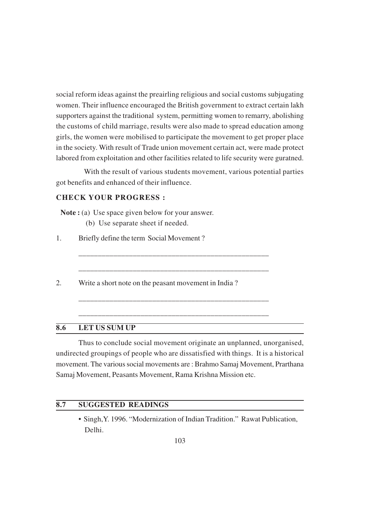social reform ideas against the preairling religious and social customs subjugating women. Their influence encouraged the British government to extract certain lakh supporters against the traditional system, permitting women to remarry, abolishing the customs of child marriage, results were also made to spread education among girls, the women were mobilised to participate the movement to get proper place in the society. With result of Trade union movement certain act, were made protect labored from exploitation and other facilities related to life security were guratned.

With the result of various students movement, various potential parties got benefits and enhanced of their influence.

\_\_\_\_\_\_\_\_\_\_\_\_\_\_\_\_\_\_\_\_\_\_\_\_\_\_\_\_\_\_\_\_\_\_\_\_\_\_\_\_\_\_\_\_\_\_\_\_\_

\_\_\_\_\_\_\_\_\_\_\_\_\_\_\_\_\_\_\_\_\_\_\_\_\_\_\_\_\_\_\_\_\_\_\_\_\_\_\_\_\_\_\_\_\_\_\_\_\_

\_\_\_\_\_\_\_\_\_\_\_\_\_\_\_\_\_\_\_\_\_\_\_\_\_\_\_\_\_\_\_\_\_\_\_\_\_\_\_\_\_\_\_\_\_\_\_\_\_

\_\_\_\_\_\_\_\_\_\_\_\_\_\_\_\_\_\_\_\_\_\_\_\_\_\_\_\_\_\_\_\_\_\_\_\_\_\_\_\_\_\_\_\_\_\_\_\_\_

# **CHECK YOUR PROGRESS :**

**Note :** (a) Use space given below for your answer.

- (b) Use separate sheet if needed.
- 1. Briefly define the term Social Movement ?
- 2. Write a short note on the peasant movement in India ?

## **8.6 LET US SUM UP**

Thus to conclude social movement originate an unplanned, unorganised, undirected groupings of people who are dissatisfied with things. It is a historical movement. The various social movements are : Brahmo Samaj Movement, Prarthana Samaj Movement, Peasants Movement, Rama Krishna Mission etc.

## **8.7 SUGGESTED READINGS**

• Singh,Y. 1996. "Modernization of Indian Tradition." Rawat Publication, Delhi.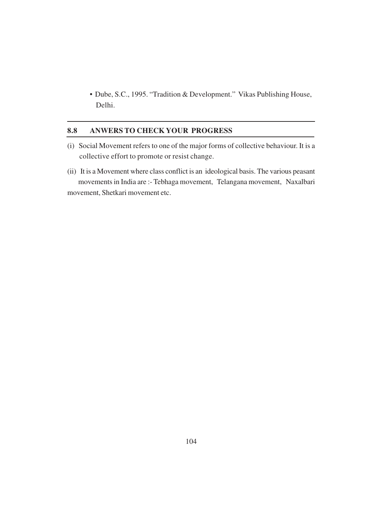• Dube, S.C., 1995. "Tradition & Development." Vikas Publishing House, Delhi.

# **8.8 ANWERS TO CHECK YOUR PROGRESS**

- (i) Social Movement refers to one of the major forms of collective behaviour. It is a collective effort to promote or resist change.
- (ii) It is a Movement where class conflict is an ideological basis. The various peasant movements in India are :- Tebhaga movement, Telangana movement, Naxalbari movement, Shetkari movement etc.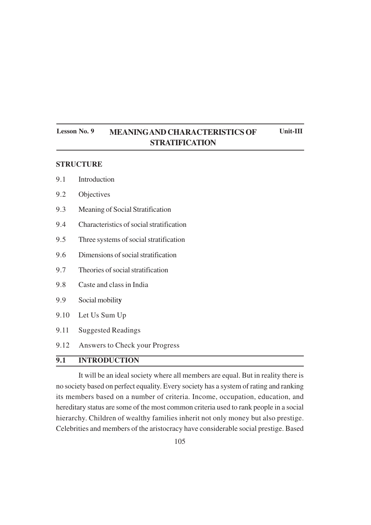# Lesson No. 9 MEANINGAND CHARACTERISTICS OF Unit-III **STRATIFICATION**

#### **STRUCTURE**

- 9.1 Introduction
- 9.2 Objectives
- 9.3 Meaning of Social Stratification
- 9.4 Characteristics of social stratification
- 9.5 Three systems of social stratification
- 9.6 Dimensions of social stratification
- 9.7 Theories of social stratification
- 9.8 Caste and class in India
- 9.9 Social mobilit**y**
- 9.10 Let Us Sum Up
- 9.11 Suggested Readings
- 9.12 Answers to Check your Progress

# **9.1 INTRODUCTION**

It will be an ideal society where all members are equal. But in reality there is no society based on perfect equality. Every society has a system of rating and ranking its members based on a number of criteria. Income, occupation, education, and hereditary status are some of the most common criteria used to rank people in a social hierarchy. Children of wealthy families inherit not only money but also prestige. Celebrities and members of the aristocracy have considerable social prestige. Based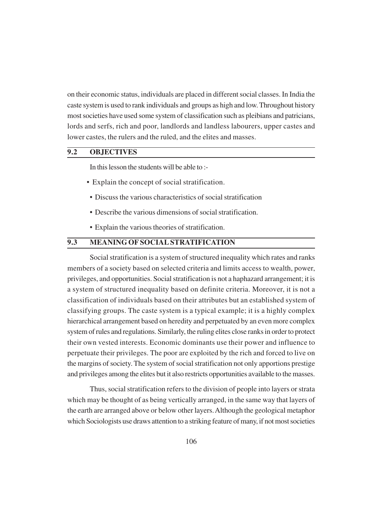on their economic status, individuals are placed in different social classes. In India the caste system is used to rank individuals and groups as high and low. Throughout history most societies have used some system of classification such as pleibians and patricians, lords and serfs, rich and poor, landlords and landless labourers, upper castes and lower castes, the rulers and the ruled, and the elites and masses.

## **9.2 OBJECTIVES**

In this lesson the students will be able to :-

- Explain the concept of social stratification.
- Discuss the various characteristics of social stratification
- Describe the various dimensions of social stratification.
- Explain the various theories of stratification.

# **9.3 MEANING OF SOCIAL STRATIFICATION**

Social stratification is a system of structured inequality which rates and ranks members of a society based on selected criteria and limits access to wealth, power, privileges, and opportunities. Social stratification is not a haphazard arrangement; it is a system of structured inequality based on definite criteria. Moreover, it is not a classification of individuals based on their attributes but an established system of classifying groups. The caste system is a typical example; it is a highly complex hierarchical arrangement based on heredity and perpetuated by an even more complex system of rules and regulations. Similarly, the ruling elites close ranks in order to protect their own vested interests. Economic dominants use their power and influence to perpetuate their privileges. The poor are exploited by the rich and forced to live on the margins of society. The system of social stratification not only apportions prestige and privileges among the elites but it also restricts opportunities available to the masses.

Thus, social stratification refers to the division of people into layers or strata which may be thought of as being vertically arranged, in the same way that layers of the earth are arranged above or below other layers. Although the geological metaphor which Sociologists use draws attention to a striking feature of many, if not most societies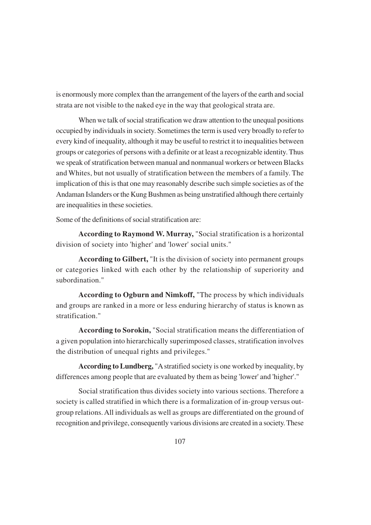is enormously more complex than the arrangement of the layers of the earth and social strata are not visible to the naked eye in the way that geological strata are.

When we talk of social stratification we draw attention to the unequal positions occupied by individuals in society. Sometimes the term is used very broadly to refer to every kind of inequality, although it may be useful to restrict it to inequalities between groups or categories of persons with a definite or at least a recognizable identity. Thus we speak of stratification between manual and nonmanual workers or between Blacks and Whites, but not usually of stratification between the members of a family. The implication of this is that one may reasonably describe such simple societies as of the Andaman Islanders or the Kung Bushmen as being unstratified although there certainly are inequalities in these societies.

Some of the definitions of social stratification are:

**According to Raymond W. Murray,** "Social stratification is a horizontal division of society into 'higher' and 'lower' social units."

**According to Gilbert,** "It is the division of society into permanent groups or categories linked with each other by the relationship of superiority and subordination."

**According to Ogburn and Nimkoff,** "The process by which individuals and groups are ranked in a more or less enduring hierarchy of status is known as stratification."

**According to Sorokin,** "Social stratification means the differentiation of a given population into hierarchically superimposed classes, stratification involves the distribution of unequal rights and privileges."

**According to Lundberg,** "A stratified society is one worked by inequality, by differences among people that are evaluated by them as being 'lower' and 'higher'."

Social stratification thus divides society into various sections. Therefore a society is called stratified in which there is a formalization of in-group versus outgroup relations. All individuals as well as groups are differentiated on the ground of recognition and privilege, consequently various divisions are created in a society. These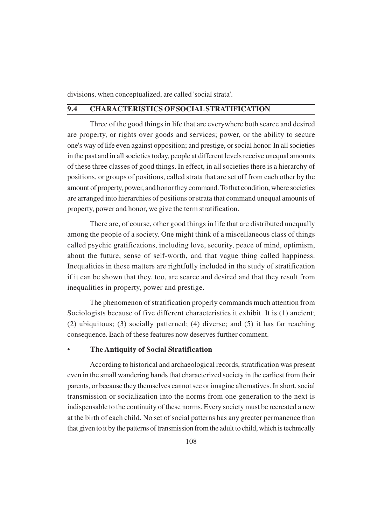divisions, when conceptualized, are called 'social strata'.

# **9.4 CHARACTERISTICS OF SOCIAL STRATIFICATION**

Three of the good things in life that are everywhere both scarce and desired are property, or rights over goods and services; power, or the ability to secure one's way of life even against opposition; and prestige, or social honor. In all societies in the past and in all societies today, people at different levels receive unequal amounts of these three classes of good things. In effect, in all societies there is a hierarchy of positions, or groups of positions, called strata that are set off from each other by the amount of property, power, and honor they command. To that condition, where societies are arranged into hierarchies of positions or strata that command unequal amounts of property, power and honor, we give the term stratification.

There are, of course, other good things in life that are distributed unequally among the people of a society. One might think of a miscellaneous class of things called psychic gratifications, including love, security, peace of mind, optimism, about the future, sense of self-worth, and that vague thing called happiness. Inequalities in these matters are rightfully included in the study of stratification if it can be shown that they, too, are scarce and desired and that they result from inequalities in property, power and prestige.

The phenomenon of stratification properly commands much attention from Sociologists because of five different characteristics it exhibit. It is (1) ancient; (2) ubiquitous; (3) socially patterned; (4) diverse; and (5) it has far reaching consequence. Each of these features now deserves further comment.

#### • **The Antiquity of Social Stratification**

According to historical and archaeological records, stratification was present even in the small wandering bands that characterized society in the earliest from their parents, or because they themselves cannot see or imagine alternatives. In short, social transmission or socialization into the norms from one generation to the next is indispensable to the continuity of these norms. Every society must be recreated a new at the birth of each child. No set of social patterns has any greater permanence than that given to it by the patterns of transmission from the adult to child, which is technically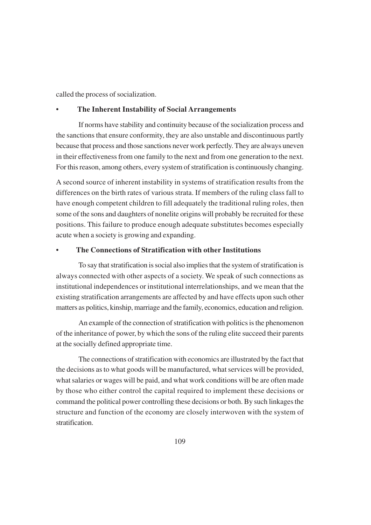called the process of socialization.

## • **The Inherent Instability of Social Arrangements**

If norms have stability and continuity because of the socialization process and the sanctions that ensure conformity, they are also unstable and discontinuous partly because that process and those sanctions never work perfectly. They are always uneven in their effectiveness from one family to the next and from one generation to the next. For this reason, among others, every system of stratification is continuously changing.

A second source of inherent instability in systems of stratification results from the differences on the birth rates of various strata. If members of the ruling class fall to have enough competent children to fill adequately the traditional ruling roles, then some of the sons and daughters of nonelite origins will probably be recruited for these positions. This failure to produce enough adequate substitutes becomes especially acute when a society is growing and expanding.

## • **The Connections of Stratification with other Institutions**

To say that stratification is social also implies that the system of stratification is always connected with other aspects of a society. We speak of such connections as institutional independences or institutional interrelationships, and we mean that the existing stratification arrangements are affected by and have effects upon such other matters as politics, kinship, marriage and the family, economics, education and religion.

An example of the connection of stratification with politics is the phenomenon of the inheritance of power, by which the sons of the ruling elite succeed their parents at the socially defined appropriate time.

The connections of stratification with economics are illustrated by the fact that the decisions as to what goods will be manufactured, what services will be provided, what salaries or wages will be paid, and what work conditions will be are often made by those who either control the capital required to implement these decisions or command the political power controlling these decisions or both. By such linkages the structure and function of the economy are closely interwoven with the system of stratification.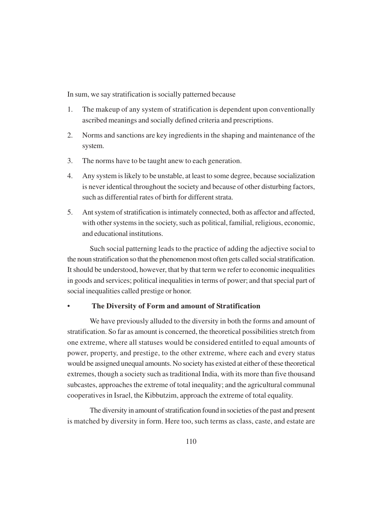In sum, we say stratification is socially patterned because

- 1. The makeup of any system of stratification is dependent upon conventionally ascribed meanings and socially defined criteria and prescriptions.
- 2. Norms and sanctions are key ingredients in the shaping and maintenance of the system.
- 3. The norms have to be taught anew to each generation.
- 4. Any system is likely to be unstable, at least to some degree, because socialization is never identical throughout the society and because of other disturbing factors, such as differential rates of birth for different strata.
- 5. Ant system of stratification is intimately connected, both as affector and affected, with other systems in the society, such as political, familial, religious, economic, and educational institutions.

Such social patterning leads to the practice of adding the adjective social to the noun stratification so that the phenomenon most often gets called social stratification. It should be understood, however, that by that term we refer to economic inequalities in goods and services; political inequalities in terms of power; and that special part of social inequalities called prestige or honor.

#### • **The Diversity of Form and amount of Stratification**

We have previously alluded to the diversity in both the forms and amount of stratification. So far as amount is concerned, the theoretical possibilities stretch from one extreme, where all statuses would be considered entitled to equal amounts of power, property, and prestige, to the other extreme, where each and every status would be assigned unequal amounts. No society has existed at either of these theoretical extremes, though a society such as traditional India, with its more than five thousand subcastes, approaches the extreme of total inequality; and the agricultural communal cooperatives in Israel, the Kibbutzim, approach the extreme of total equality.

The diversity in amount of stratification found in societies of the past and present is matched by diversity in form. Here too, such terms as class, caste, and estate are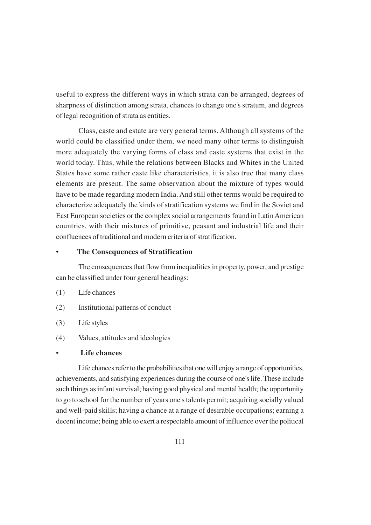useful to express the different ways in which strata can be arranged, degrees of sharpness of distinction among strata, chances to change one's stratum, and degrees of legal recognition of strata as entities.

Class, caste and estate are very general terms. Although all systems of the world could be classified under them, we need many other terms to distinguish more adequately the varying forms of class and caste systems that exist in the world today. Thus, while the relations between Blacks and Whites in the United States have some rather caste like characteristics, it is also true that many class elements are present. The same observation about the mixture of types would have to be made regarding modern India. And still other terms would be required to characterize adequately the kinds of stratification systems we find in the Soviet and East European societies or the complex social arrangements found in Latin American countries, with their mixtures of primitive, peasant and industrial life and their confluences of traditional and modern criteria of stratification.

#### • **The Consequences of Stratification**

The consequences that flow from inequalities in property, power, and prestige can be classified under four general headings:

- (1) Life chances
- (2) Institutional patterns of conduct
- (3) Life styles
- (4) Values, attitudes and ideologies

## • **Life chances**

Life chances refer to the probabilities that one will enjoy a range of opportunities, achievements, and satisfying experiences during the course of one's life. These include such things as infant survival; having good physical and mental health; the opportunity to go to school for the number of years one's talents permit; acquiring socially valued and well-paid skills; having a chance at a range of desirable occupations; earning a decent income; being able to exert a respectable amount of influence over the political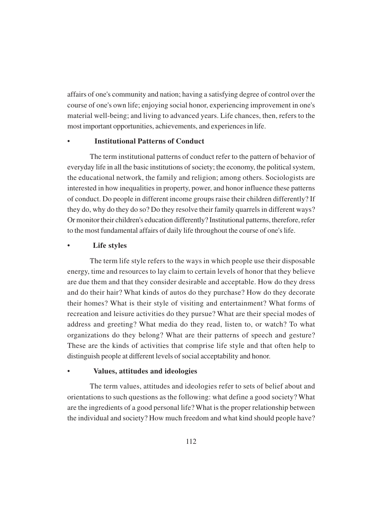affairs of one's community and nation; having a satisfying degree of control over the course of one's own life; enjoying social honor, experiencing improvement in one's material well-being; and living to advanced years. Life chances, then, refers to the most important opportunities, achievements, and experiences in life.

# • **Institutional Patterns of Conduct**

The term institutional patterns of conduct refer to the pattern of behavior of everyday life in all the basic institutions of society; the economy, the political system, the educational network, the family and religion; among others. Sociologists are interested in how inequalities in property, power, and honor influence these patterns of conduct. Do people in different income groups raise their children differently? If they do, why do they do so? Do they resolve their family quarrels in different ways? Or monitor their children's education differently? Institutional patterns, therefore, refer to the most fundamental affairs of daily life throughout the course of one's life.

### • **Life styles**

The term life style refers to the ways in which people use their disposable energy, time and resources to lay claim to certain levels of honor that they believe are due them and that they consider desirable and acceptable. How do they dress and do their hair? What kinds of autos do they purchase? How do they decorate their homes? What is their style of visiting and entertainment? What forms of recreation and leisure activities do they pursue? What are their special modes of address and greeting? What media do they read, listen to, or watch? To what organizations do they belong? What are their patterns of speech and gesture? These are the kinds of activities that comprise life style and that often help to distinguish people at different levels of social acceptability and honor.

#### • **Values, attitudes and ideologies**

The term values, attitudes and ideologies refer to sets of belief about and orientations to such questions as the following: what define a good society? What are the ingredients of a good personal life? What is the proper relationship between the individual and society? How much freedom and what kind should people have?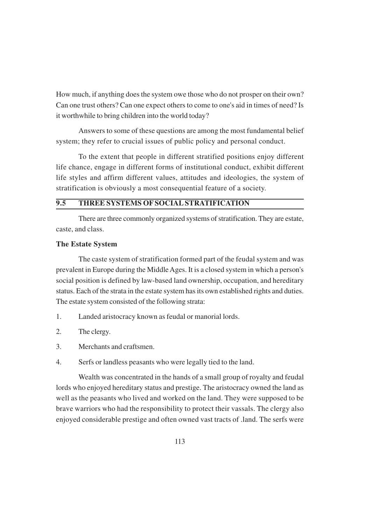How much, if anything does the system owe those who do not prosper on their own? Can one trust others? Can one expect others to come to one's aid in times of need? Is it worthwhile to bring children into the world today?

Answers to some of these questions are among the most fundamental belief system; they refer to crucial issues of public policy and personal conduct.

To the extent that people in different stratified positions enjoy different life chance, engage in different forms of institutional conduct, exhibit different life styles and affirm different values, attitudes and ideologies, the system of stratification is obviously a most consequential feature of a society.

# **9.5 THREE SYSTEMS OF SOCIAL STRATIFICATION**

There are three commonly organized systems of stratification. They are estate, caste, and class.

## **The Estate System**

The caste system of stratification formed part of the feudal system and was prevalent in Europe during the Middle Ages. It is a closed system in which a person's social position is defined by law-based land ownership, occupation, and hereditary status. Each of the strata in the estate system has its own established rights and duties. The estate system consisted of the following strata:

- 1. Landed aristocracy known as feudal or manorial lords.
- 2. The clergy.
- 3. Merchants and craftsmen.
- 4. Serfs or landless peasants who were legally tied to the land.

Wealth was concentrated in the hands of a small group of royalty and feudal lords who enjoyed hereditary status and prestige. The aristocracy owned the land as well as the peasants who lived and worked on the land. They were supposed to be brave warriors who had the responsibility to protect their vassals. The clergy also enjoyed considerable prestige and often owned vast tracts of .land. The serfs were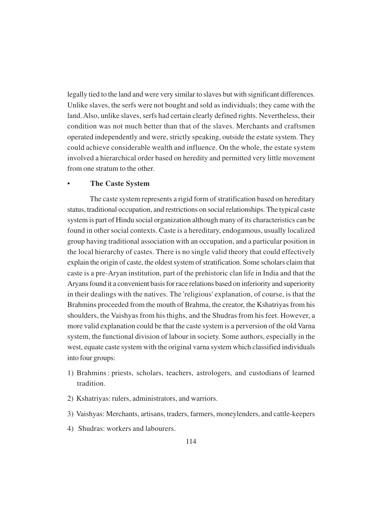legally tied to the land and were very similar to slaves but with significant differences. Unlike slaves, the serfs were not bought and sold as individuals; they came with the land. Also, unlike slaves, serfs had certain clearly defined rights. Nevertheless, their condition was not much better than that of the slaves. Merchants and craftsmen operated independently and were, strictly speaking, outside the estate system. They could achieve considerable wealth and influence. On the whole, the estate system involved a hierarchical order based on heredity and permitted very little movement from one stratum to the other.

#### • **The Caste System**

The caste system represents a rigid form of stratification based on hereditary status, traditional occupation, and restrictions on social relationships. The typical caste system is part of Hindu social organization although many of its characteristics can be found in other social contexts. Caste is a hereditary, endogamous, usually localized group having traditional association with an occupation, and a particular position in the local hierarchy of castes. There is no single valid theory that could effectively explain the origin of caste, the oldest system of stratification. Some scholars claim that caste is a pre-Aryan institution, part of the prehistoric clan life in India and that the Aryans found it a convenient basis for race relations based on inferiority and superiority in their dealings with the natives. The 'religious' explanation, of course, is that the Brahmins proceeded from the mouth of Brahma, the creator, the Kshatriyas from his shoulders, the Vaishyas from his thighs, and the Shudras from his feet. However, a more valid explanation could be that the caste system is a perversion of the old Varna system, the functional division of labour in society. Some authors, especially in the west, equate caste system with the original varna system which classified individuals into four groups:

- 1) Brahmins : priests, scholars, teachers, astrologers, and custodians of learned tradition.
- 2) Kshatriyas: rulers, administrators, and warriors.
- 3) Vaishyas: Merchants, artisans, traders, farmers, moneylenders, and cattle-keepers
- 4) Shudras: workers and labourers.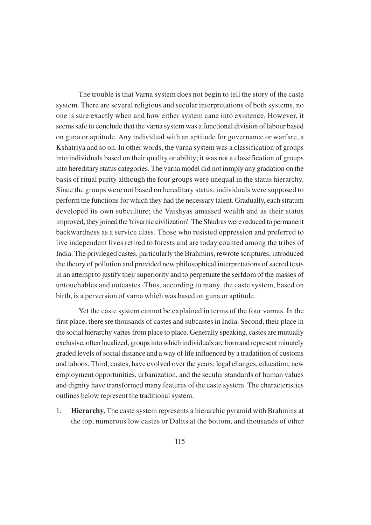The trouble is that Varna system does not begin to tell the story of the caste system. There are several religious and secular interpretations of both systems, no one is sure exactly when and how either system cane into existence. However, it seems safe to conclude that the varna system was a functional division of labour based on guna or aptitude. Any individual with an aptitude for governance or warfare, a Kshatriya and so on. In other words, the varna system was a classification of groups into individuals based on their quality or ability; it was not a classification of groups into hereditary status categories. The varna model did not inmply any gradation on the basis of ritual purity although the four groups were unequal in the status hierarchy. Since the groups were not based on hereditary status, individuals were supposed to perform the functions for which they had the necessary talent. Gradually, each stratum developed its own subculture; the Vaishyas amassed wealth and as their status improved, they joined the 'trivarnic civilization'. The Shudras were reduced to permanent backwardness as a service class. Those who resisted oppression and preferred to live independent lives retired to forests and are today counted among the tribes of India. The privileged castes, particularly the Brahmins, rewrote scriptures, introduced the theory of pollution and provided new philosophical interpretations of sacred texts in an attempt to justify their superiority and to perpetuate the serfdom of the masses of untouchables and outcastes. Thus, according to many, the caste system, based on birth, is a perversion of varna which was based on guna or aptitude.

Yet the caste system cannot be explained in terms of the four varnas. In the first place, there sre thousands of castes and subcastes in India. Second, their place in the social hierarchy varies from place to place. Generally speaking, castes are mutually exclusive, often localized, groups into which individuals are born and represent minutely graded levels of social distance and a way of life influenced by a tradatition of customs and taboos. Third, castes, have evolved over the years; legal changes, education, new employment opportunities, urbanization, and the secular standards of human values and dignity have transformed many features of the caste system. The characteristics outlines below represent the traditional system.

1. **Hierarchy.** The caste system represents a hierarchic pyramid with Brahmins at the top, numerous low castes or Dalits at the bottom, and thousands of other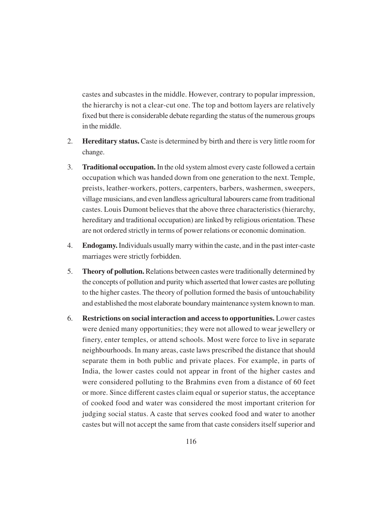castes and subcastes in the middle. However, contrary to popular impression, the hierarchy is not a clear-cut one. The top and bottom layers are relatively fixed but there is considerable debate regarding the status of the numerous groups in the middle.

- 2. **Hereditary status.** Caste is determined by birth and there is very little room for change.
- 3. **Traditional occupation.** In the old system almost every caste followed a certain occupation which was handed down from one generation to the next. Temple, preists, leather-workers, potters, carpenters, barbers, washermen, sweepers, village musicians, and even landless agricultural labourers came from traditional castes. Louis Dumont believes that the above three characteristics (hierarchy, hereditary and traditional occupation) are linked by religious orientation. These are not ordered strictly in terms of power relations or economic domination.
- 4. **Endogamy.** Individuals usually marry within the caste, and in the past inter-caste marriages were strictly forbidden.
- 5. **Theory of pollution.** Relations between castes were traditionally determined by the concepts of pollution and purity which asserted that lower castes are polluting to the higher castes. The theory of pollution formed the basis of untouchability and established the most elaborate boundary maintenance system known to man.
- 6. **Restrictions on social interaction and access to opportunities.** Lower castes were denied many opportunities; they were not allowed to wear jewellery or finery, enter temples, or attend schools. Most were force to live in separate neighbourhoods. In many areas, caste laws prescribed the distance that should separate them in both public and private places. For example, in parts of India, the lower castes could not appear in front of the higher castes and were considered polluting to the Brahmins even from a distance of 60 feet or more. Since different castes claim equal or superior status, the acceptance of cooked food and water was considered the most important criterion for judging social status. A caste that serves cooked food and water to another castes but will not accept the same from that caste considers itself superior and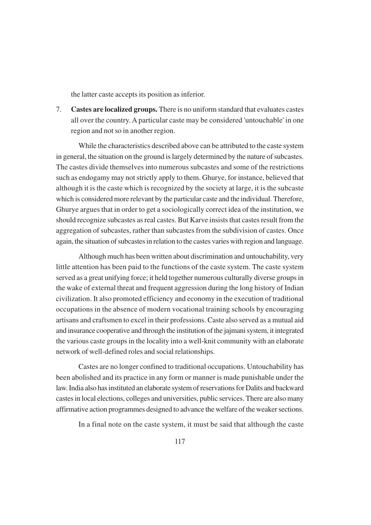the latter caste accepts its position as inferior.

7. **Castes are localized groups.** There is no uniform standard that evaluates castes all over the country. A particular caste may be considered 'untouchable' in one region and not so in another region.

While the characteristics described above can be attributed to the caste system in general, the situation on the ground is largely determined by the nature of subcastes. The castes divide themselves into numerous subcastes and some of the restrictions such as endogamy may not strictly apply to them. Ghurye, for instance, believed that although it is the caste which is recognized by the society at large, it is the subcaste which is considered more relevant by the particular caste and the individual. Therefore, Ghurye argues that in order to get a sociologically correct idea of the institution, we should recognize subcastes as real castes. But Karve insists that castes result from the aggregation of subcastes, rather than subcastes from the subdivision of castes. Once again, the situation of subcastes in relation to the castes varies with region and language.

Although much has been written about discrimination and untouchability, very little attention has been paid to the functions of the caste system. The caste system served as a great unifying force; it held together numerous culturally diverse groups in the wake of external threat and frequent aggression during the long history of Indian civilization. It also promoted efficiency and economy in the execution of traditional occupations in the absence of modern vocational training schools by encouraging artisans and craftsmen to excel in their professions. Caste also served as a mutual aid and insurance cooperative and through the institution of the jajmani system, it integrated the various caste groups in the locality into a well-knit community with an elaborate network of well-defined roles and social relationships.

Castes are no longer confined to traditional occupations. Untouchability has been abolished and its practice in any form or manner is made punishable under the law. India also has instituted an elaborate system of reservations for Dalits and backward castes in local elections, colleges and universities, public services. There are also many affirmative action programmes designed to advance the welfare of the weaker sections.

In a final note on the caste system, it must be said that although the caste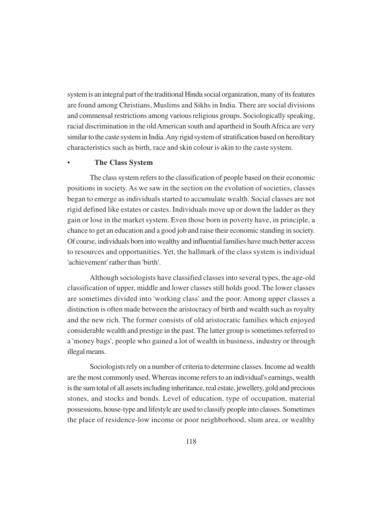system is an integral part of the traditional Hindu social organization, many of its features are found among Christians, Muslims and Sikhs in India. There are social divisions and commensal restrictions among various religious groups. Sociologically speaking, racial discrimination in the old American south and apartheid in South Africa are very similar to the caste system in India. Any rigid system of stratification based on hereditary characteristics such as birth, race and skin colour is akin to the caste system.

#### • **The Class System**

The class system refers to the classification of people based on their economic positions in society. As we saw in the section on the evolution of societies, classes began to emerge as individuals started to accumulate wealth. Social classes are not rigid defined like estates or castes. Individuals move up or down the ladder as they gain or lose in the market system. Even those born in poverty have, in principle, a chance to get an education and a good job and raise their economic standing in society. Of course, individuals born into wealthy and influential families have much better access to resources and opportunities. Yet, the hallmark of the class system is individual 'achievement' rather than 'birth'.

Although sociologists have classified classes into several types, the age-old classification of upper, middle and lower classes still holds good. The lower classes are sometimes divided into 'working class' and the poor. Among upper classes a distinction is often made between the aristocracy of birth and wealth such as royalty and the new rich. The former consists of old aristocratic families which enjoyed considerable wealth and prestige in the past. The latter group is sometimes referred to a 'money bags', people who gained a lot of wealth in business, industry or through illegal means.

Sociologists rely on a number of criteria to determine classes. Income ad wealth are the most commonly used. Whereas income refers to an individual's earnings, wealth is the sum total of all assets including inheritance, real estate, jewellery, gold and precious stones, and stocks and bonds. Level of education, type of occupation, material possessions, house-type and lifestyle are used to classify people into classes. Sometimes the place of residence-low income or poor neighborhood, slum area, or wealthy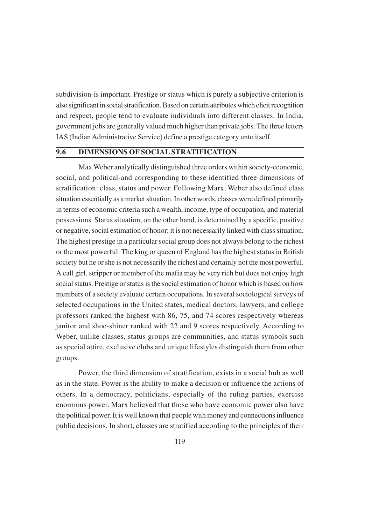subdivision-is important. Prestige or status which is purely a subjective criterion is also significant in social stratification. Based on certain attributes which elicit recognition and respect, people tend to evaluate individuals into different classes. In India, government jobs are generally valued much higher than private jobs. The three letters IAS (Indian Administrative Service) define a prestige category unto itself.

# **9.6 DIMENSIONS OF SOCIAL STRATIFICATION**

Max Weber analytically distinguished three orders within society-economic, social, and political-and corresponding to these identified three dimensions of stratification: class, status and power. Following Marx, Weber also defined class situation essentially as a market situation. In other words, classes were defined primarily in terms of economic criteria such a wealth, income, type of occupation, and material possessions. Status situation, on the other hand, is determined by a specific, positive or negative, social estimation of honor; it is not necessarily linked with class situation. The highest prestige in a particular social group does not always belong to the richest or the most powerful. The king or queen of England has the highest status in British society but he or she is not necessarily the richest and certainly not the most powerful. A call girl, stripper or member of the mafia may be very rich but does not enjoy high social status. Prestige or status is the social estimation of honor which is based on how members of a society evaluate certain occupations. In several sociological surveys of selected occupations in the United states, medical doctors, lawyers, and college professors ranked the highest with 86, 75, and 74 scores respectively whereas janitor and shoe-shiner ranked with 22 and 9 scores respectively. According to Weber, unlike classes, status groups are communities, and status symbols such as special attire, exclusive clubs and unique lifestyles distinguish them from other groups.

Power, the third dimension of stratification, exists in a social hub as well as in the state. Power is the ability to make a decision or influence the actions of others. In a democracy, politicians, especially of the ruling parties, exercise enormous power. Marx believed that those who have economic power also have the political power. It is well known that people with money and connections influence public decisions. In short, classes are stratified according to the principles of their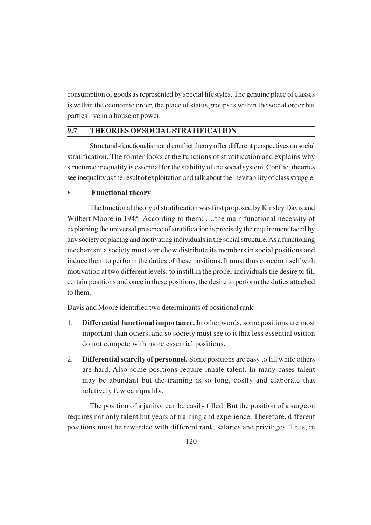consumption of goods as represented by special lifestyles. The genuine place of classes is within the economic order, the place of status groups is within the social order but parties live in a house of power.

# **9.7 THEORIES OF SOCIAL STRATIFICATION**

Structural-functionalism and conflict theory offer different perspectives on social stratification. The former looks at the functions of stratification and explains why structured inequality is essential for the stability of the social system. Conflict theories see inequality as the result of exploitation and talk about the inevitability of class struggle.

### • **Functional theory**

The functional theory of stratification was first proposed by Kinsley Davis and Wilbert Moore in 1945. According to them: ..., the main functional necessity of explaining the universal presence of stratification is precisely the requirement faced by any society of placing and motivating individuals in the social structure. As a functioning mechanism a society must somehow distribute its members in social positions and induce them to perform the duties of these positions. It must thus concern itself with motivation at two different levels: to instill in the proper individuals the desire to fill certain positions and once in these positions, the desire to perform the duties attached to them.

Davis and Moore identified two determinants of positional rank:

- 1. **Differential functional importance.** In other words, some positions are most important than others, and so society must see to it that less essential osition do not compete with more essential positions.
- 2. **Differential scarcity of personnel.** Some positions are easy to fill while others are hard. Also some positions require innate talent. In many cases talent may be abundant but the training is so long, costly and elaborate that relatively few can qualify.

The position of a janitor can be easily filled. But the position of a surgeon requires not only talent but years of training and experience. Therefore, different positions must be rewarded with different rank, salaries and priviliges. Thus, in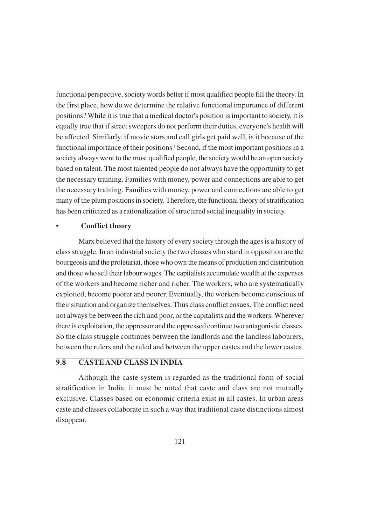functional perspective, society words better if most qualified people fill the theory. In the first place, how do we determine the relative functional importance of different positions? While it is true that a medical doctor's position is important to society, it is equally true that if street sweepers do not perform their duties, everyone's health will be affected. Similarly, if movie stars and call girls get paid well, is it because of the functional importance of their positions? Second, if the most important positions in a society always went to the most qualified people, the society would be an open society based on talent. The most talented people do not always have the opportunity to get the necessary training. Families with money, power and connections are able to get the necessary training. Families with money, power and connections are able to get many of the plum positions in society. Therefore, the functional theory of stratification has been criticized as a rationalization of structured social inequality in society.

#### • **Conflict theory**

Marx believed that the history of every society through the ages is a history of class struggle. In an industrial society the two classes who stand in opposition are the bourgeosis and the proletariat, those who own the means of production and distribution and those who sell their labour wages. The capitalists accumulate wealth at the expenses of the workers and become richer and richer. The workers, who are systematically exploited, become poorer and poorer. Eventually, the workers become conscious of their situation and organize themselves. Thus class conflict ensues. The conflict need not always be between the rich and poor, or the capitalists and the workers. Wherever there is exploitation, the oppressor and the oppressed continue two antagonistic classes. So the class struggle continues between the landlords and the landless labourers, between the rulers and the ruled and between the upper castes and the lower castes.

# **9.8 CASTE AND CLASS IN INDIA**

Although the caste system is regarded as the traditional form of social stratification in India, it must be noted that caste and class are not mutually exclusive. Classes based on economic criteria exist in all castes. In urban areas caste and classes collaborate in such a way that traditional caste distinctions almost disappear.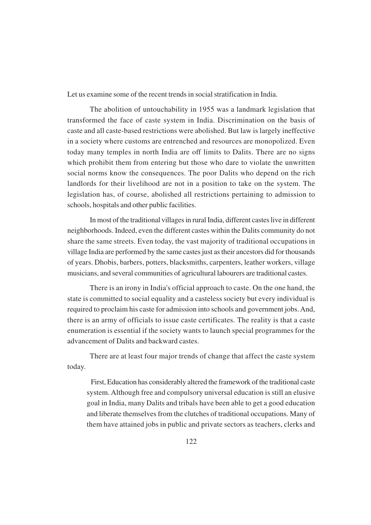Let us examine some of the recent trends in social stratification in India.

The abolition of untouchability in 1955 was a landmark legislation that transformed the face of caste system in India. Discrimination on the basis of caste and all caste-based restrictions were abolished. But law is largely ineffective in a society where customs are entrenched and resources are monopolized. Even today many temples in north India are off limits to Dalits. There are no signs which prohibit them from entering but those who dare to violate the unwritten social norms know the consequences. The poor Dalits who depend on the rich landlords for their livelihood are not in a position to take on the system. The legislation has, of course, abolished all restrictions pertaining to admission to schools, hospitals and other public facilities.

In most of the traditional villages in rural India, different castes live in different neighborhoods. Indeed, even the different castes within the Dalits community do not share the same streets. Even today, the vast majority of traditional occupations in village India are performed by the same castes just as their ancestors did for thousands of years. Dhobis, barbers, potters, blacksmiths, carpenters, leather workers, village musicians, and several communities of agricultural labourers are traditional castes.

There is an irony in India's official approach to caste. On the one hand, the state is committed to social equality and a casteless society but every individual is required to proclaim his caste for admission into schools and government jobs. And, there is an army of officials to issue caste certificates. The reality is that a caste enumeration is essential if the society wants to launch special programmes for the advancement of Dalits and backward castes.

There are at least four major trends of change that affect the caste system today.

First, Education has considerably altered the framework of the traditional caste system. Although free and compulsory universal education is still an elusive goal in India, many Dalits and tribals have been able to get a good education and liberate themselves from the clutches of traditional occupations. Many of them have attained jobs in public and private sectors as teachers, clerks and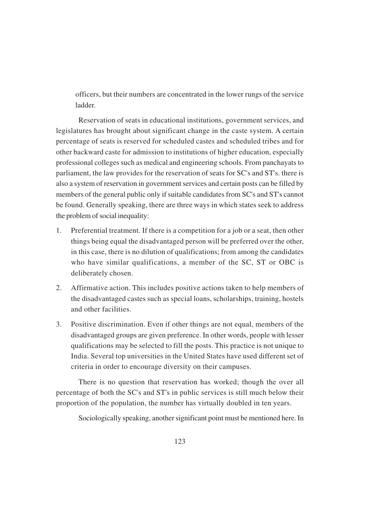officers, but their numbers are concentrated in the lower rungs of the service ladder.

Reservation of seats in educational institutions, government services, and legislatures has brought about significant change in the caste system. A certain percentage of seats is reserved for scheduled castes and scheduled tribes and for other backward caste for admission to institutions of higher education, especially professional colleges such as medical and engineering schools. From panchayats to parliament, the law provides for the reservation of seats for SC's and ST's. there is also a system of reservation in government services and certain posts can be filled by members of the general public only if suitable candidates from SC's and ST's cannot be found. Generally speaking, there are three ways in which states seek to address the problem of social inequality:

- 1. Preferential treatment. If there is a competition for a job or a seat, then other things being equal the disadvantaged person will be preferred over the other, in this case, there is no dilution of qualifications; from among the candidates who have similar qualifications, a member of the SC, ST or OBC is deliberately chosen.
- 2. Affirmative action. This includes positive actions taken to help members of the disadvantaged castes such as special loans, scholarships, training, hostels and other facilities.
- 3. Positive discrimination. Even if other things are not equal, members of the disadvantaged groups are given preference. In other words, people with lesser qualifications may be selected to fill the posts. This practice is not unique to India. Several top universities in the United States have used different set of criteria in order to encourage diversity on their campuses.

There is no question that reservation has worked; though the over all percentage of both the SC's and ST's in public services is still much below their proportion of the population, the number has virtually doubled in ten years.

Sociologically speaking, another significant point must be mentioned here. In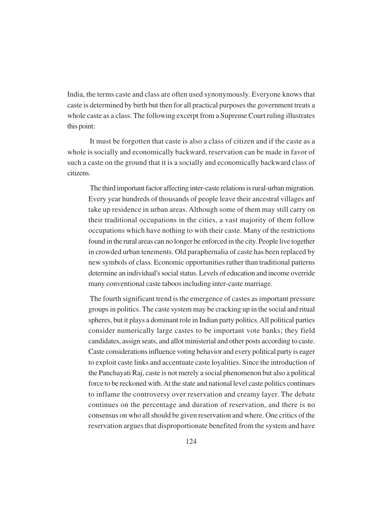India, the terms caste and class are often used synonymously. Everyone knows that caste is determined by birth but then for all practical purposes the government treats a whole caste as a class. The following excerpt from a Supreme Court ruling illustrates this point:

It must be forgotten that caste is also a class of citizen and if the caste as a whole is socially and economically backward, reservation can be made in favor of such a caste on the ground that it is a socially and economically backward class of citizens.

The third important factor affecting inter-caste relations is rural-urban migration. Every year hundreds of thousands of people leave their ancestral villages anf take up residence in urban areas. Although some of them may still carry on their traditional occupations in the cities, a vast majority of them follow occupations which have nothing to with their caste. Many of the restrictions found in the rural areas can no longer be enforced in the city. People live together in crowded urban tenements. Old paraphernalia of caste has been replaced by new symbols of class. Economic opportunities rather than traditional patterns determine an individual's social status. Levels of education and income override many conventional caste taboos including inter-caste marriage.

The fourth significant trend is the emergence of castes as important pressure groups in politics. The caste system may be cracking up in the social and ritual spheres, but it plays a dominant role in Indian party politics. All political parties consider numerically large castes to be important vote banks; they field candidates, assign seats, and allot ministerial and other posts according to caste. Caste considerations influence voting behavior and every political party is eager to exploit caste links and accentuate caste loyalities. Since the introduction of the Panchayati Raj, caste is not merely a social phenomenon but also a political force to be reckoned with. At the state and national level caste politics continues to inflame the controversy over reservation and creamy layer. The debate continues on the percentage and duration of reservation, and there is no consensus on who all should be given reservation and where. One critics of the reservation argues that disproportionate benefited from the system and have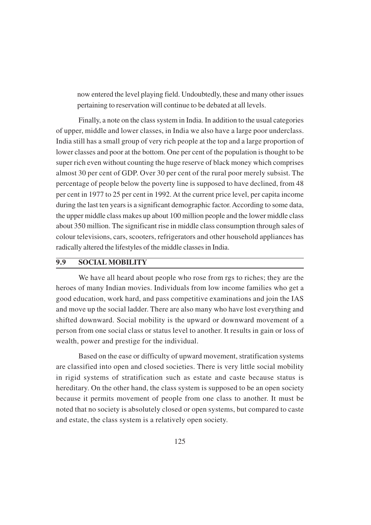now entered the level playing field. Undoubtedly, these and many other issues pertaining to reservation will continue to be debated at all levels.

Finally, a note on the class system in India. In addition to the usual categories of upper, middle and lower classes, in India we also have a large poor underclass. India still has a small group of very rich people at the top and a large proportion of lower classes and poor at the bottom. One per cent of the population is thought to be super rich even without counting the huge reserve of black money which comprises almost 30 per cent of GDP. Over 30 per cent of the rural poor merely subsist. The percentage of people below the poverty line is supposed to have declined, from 48 per cent in 1977 to 25 per cent in 1992. At the current price level, per capita income during the last ten years is a significant demographic factor. According to some data, the upper middle class makes up about 100 million people and the lower middle class about 350 million. The significant rise in middle class consumption through sales of colour televisions, cars, scooters, refrigerators and other household appliances has radically altered the lifestyles of the middle classes in India.

# **9.9 SOCIAL MOBILITY**

We have all heard about people who rose from rgs to riches; they are the heroes of many Indian movies. Individuals from low income families who get a good education, work hard, and pass competitive examinations and join the IAS and move up the social ladder. There are also many who have lost everything and shifted downward. Social mobility is the upward or downward movement of a person from one social class or status level to another. It results in gain or loss of wealth, power and prestige for the individual.

Based on the ease or difficulty of upward movement, stratification systems are classified into open and closed societies. There is very little social mobility in rigid systems of stratification such as estate and caste because status is hereditary. On the other hand, the class system is supposed to be an open society because it permits movement of people from one class to another. It must be noted that no society is absolutely closed or open systems, but compared to caste and estate, the class system is a relatively open society.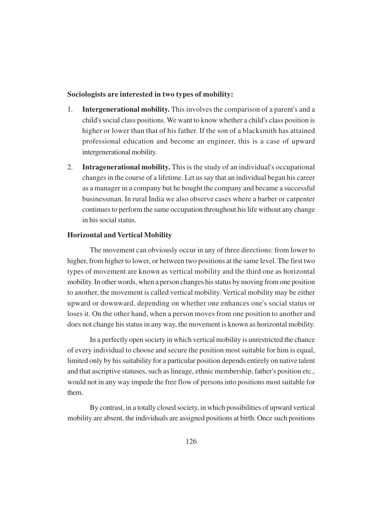#### **Sociologists are interested in two types of mobility:**

- 1. **Intergenerational mobility.** This involves the comparison of a parent's and a child's social class positions. We want to know whether a child's class position is higher or lower than that of his father. If the son of a blacksmith has attained professional education and become an engineer, this is a case of upward intergenerational mobility.
- 2. **Intragenerational mobility.** This is the study of an individual's occupational changes in the course of a lifetime. Let us say that an individual began his career as a manager in a company but he bought the company and became a successful businessman. In rural India we also observe cases where a barber or carpenter continues to perform the same occupation throughout his life without any change in his social status.

### **Horizontal and Vertical Mobility**

The movement can obviously occur in any of three directions: from lower to higher, from higher to lower, or between two positions at the same level. The first two types of movement are known as vertical mobility and the third one as horizontal mobility. In other words, when a person changes his status by moving from one position to another, the movement is called vertical mobility. Vertical mobility may be either upward or downward, depending on whether one enhances one's social status or loses it. On the other hand, when a person moves from one position to another and does not change his status in any way, the movement is known as horizontal mobility.

In a perfectly open society in which vertical mobility is unrestricted the chance of every individual to choose and secure the position most suitable for him is equal, limited only by his suitability for a particular position depends entirely on native talent and that ascriptive statuses, such as lineage, ethnic membership, father's position etc., would not in any way impede the free flow of persons into positions most suitable for them.

By contrast, in a totally closed society, in which possibilities of upward vertical mobility are absent, the individuals are assigned positions at birth. Once such positions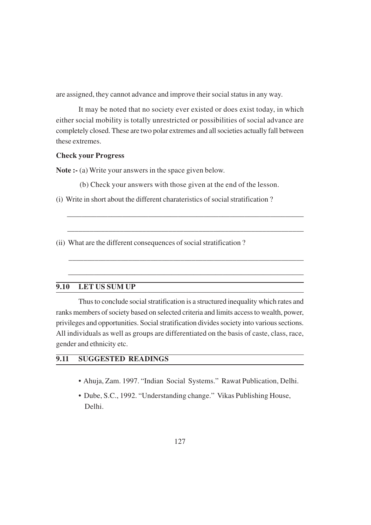are assigned, they cannot advance and improve their social status in any way.

It may be noted that no society ever existed or does exist today, in which either social mobility is totally unrestricted or possibilities of social advance are completely closed. These are two polar extremes and all societies actually fall between these extremes.

## **Check your Progress**

**Note :-** (a) Write your answers in the space given below.

(b) Check your answers with those given at the end of the lesson.

 $\frac{1}{\sqrt{2}}$  ,  $\frac{1}{\sqrt{2}}$  ,  $\frac{1}{\sqrt{2}}$  ,  $\frac{1}{\sqrt{2}}$  ,  $\frac{1}{\sqrt{2}}$  ,  $\frac{1}{\sqrt{2}}$  ,  $\frac{1}{\sqrt{2}}$  ,  $\frac{1}{\sqrt{2}}$  ,  $\frac{1}{\sqrt{2}}$  ,  $\frac{1}{\sqrt{2}}$  ,  $\frac{1}{\sqrt{2}}$  ,  $\frac{1}{\sqrt{2}}$  ,  $\frac{1}{\sqrt{2}}$  ,  $\frac{1}{\sqrt{2}}$  ,  $\frac{1}{\sqrt{2}}$ 

\_\_\_\_\_\_\_\_\_\_\_\_\_\_\_\_\_\_\_\_\_\_\_\_\_\_\_\_\_\_\_\_\_\_\_\_\_\_\_\_\_\_\_\_\_\_\_\_\_\_\_\_\_\_\_\_\_\_\_\_\_\_\_

 $\overline{\phantom{a}}$  ,  $\overline{\phantom{a}}$  ,  $\overline{\phantom{a}}$  ,  $\overline{\phantom{a}}$  ,  $\overline{\phantom{a}}$  ,  $\overline{\phantom{a}}$  ,  $\overline{\phantom{a}}$  ,  $\overline{\phantom{a}}$  ,  $\overline{\phantom{a}}$  ,  $\overline{\phantom{a}}$  ,  $\overline{\phantom{a}}$  ,  $\overline{\phantom{a}}$  ,  $\overline{\phantom{a}}$  ,  $\overline{\phantom{a}}$  ,  $\overline{\phantom{a}}$  ,  $\overline{\phantom{a}}$ 

 $\frac{1}{2}$  ,  $\frac{1}{2}$  ,  $\frac{1}{2}$  ,  $\frac{1}{2}$  ,  $\frac{1}{2}$  ,  $\frac{1}{2}$  ,  $\frac{1}{2}$  ,  $\frac{1}{2}$  ,  $\frac{1}{2}$  ,  $\frac{1}{2}$  ,  $\frac{1}{2}$  ,  $\frac{1}{2}$  ,  $\frac{1}{2}$  ,  $\frac{1}{2}$  ,  $\frac{1}{2}$  ,  $\frac{1}{2}$  ,  $\frac{1}{2}$  ,  $\frac{1}{2}$  ,  $\frac{1$ 

(i) Write in short about the different charateristics of social stratification ?

(ii) What are the different consequences of social stratification ?

## **9.10 LET US SUM UP**

Thus to conclude social stratification is a structured inequality which rates and ranks members of society based on selected criteria and limits access to wealth, power, privileges and opportunities. Social stratification divides society into various sections. All individuals as well as groups are differentiated on the basis of caste, class, race, gender and ethnicity etc.

# **9.11 SUGGESTED READINGS**

- Ahuja, Zam. 1997. "Indian Social Systems." Rawat Publication, Delhi.
- Dube, S.C., 1992. "Understanding change." Vikas Publishing House, Delhi.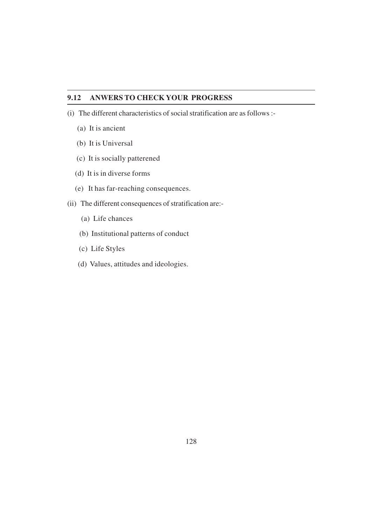# **9.12 ANWERS TO CHECK YOUR PROGRESS**

- (i) The different characteristics of social stratification are as follows :-
	- (a) It is ancient
	- (b) It is Universal
	- (c) It is socially patterened
	- (d) It is in diverse forms
	- (e) It has far-reaching consequences.
- (ii) The different consequences of stratification are:-
	- (a) Life chances
	- (b) Institutional patterns of conduct
	- (c) Life Styles
	- (d) Values, attitudes and ideologies.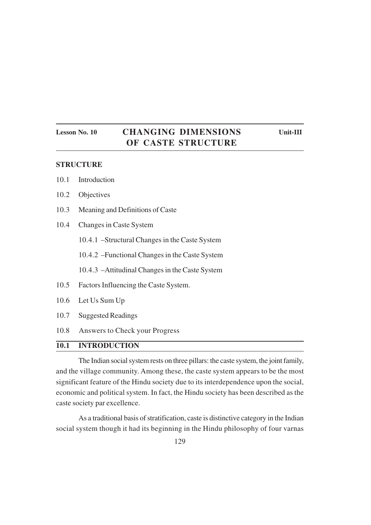# Lesson No. 10 CHANGING DIMENSIONS Unit-III **OF CASTE STRUCTURE**

#### **STRUCTURE**

- 10.1 Introduction
- 10.2 Objectives
- 10.3 Meaning and Definitions of Caste
- 10.4 Changes in Caste System
	- 10.4.1 –Structural Changes in the Caste System
	- 10.4.2 –Functional Changes in the Caste System
	- 10.4.3 –Attitudinal Changes in the Caste System
- 10.5 Factors Influencing the Caste System.
- 10.6 Let Us Sum Up
- 10.7 Suggested Readings
- 10.8 Answers to Check your Progress

# **10.1 INTRODUCTION**

The Indian social system rests on three pillars: the caste system, the joint family, and the village community. Among these, the caste system appears to be the most significant feature of the Hindu society due to its interdependence upon the social, economic and political system. In fact, the Hindu society has been described as the caste society par excellence.

As a traditional basis of stratification, caste is distinctive category in the Indian social system though it had its beginning in the Hindu philosophy of four varnas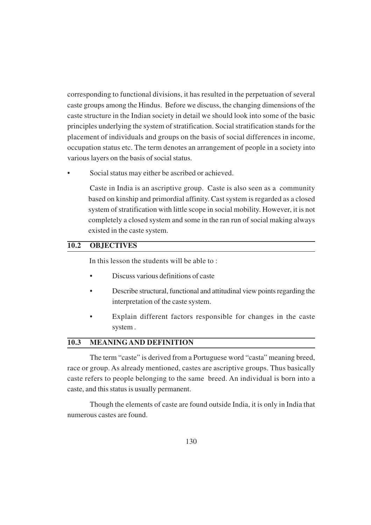corresponding to functional divisions, it has resulted in the perpetuation of several caste groups among the Hindus. Before we discuss, the changing dimensions of the caste structure in the Indian society in detail we should look into some of the basic principles underlying the system of stratification. Social stratification stands for the placement of individuals and groups on the basis of social differences in income, occupation status etc. The term denotes an arrangement of people in a society into various layers on the basis of social status.

Social status may either be ascribed or achieved.

Caste in India is an ascriptive group. Caste is also seen as a community based on kinship and primordial affinity. Cast system is regarded as a closed system of stratification with little scope in social mobility. However, it is not completely a closed system and some in the ran run of social making always existed in the caste system.

# **10.2 OBJECTIVES**

In this lesson the students will be able to :

- Discuss various definitions of caste
- Describe structural, functional and attitudinal view points regarding the interpretation of the caste system.
- Explain different factors responsible for changes in the caste system .

# **10.3 MEANINGAND DEFINITION**

The term "caste" is derived from a Portuguese word "casta" meaning breed, race or group. As already mentioned, castes are ascriptive groups. Thus basically caste refers to people belonging to the same breed. An individual is born into a caste, and this status is usually permanent.

Though the elements of caste are found outside India, it is only in India that numerous castes are found.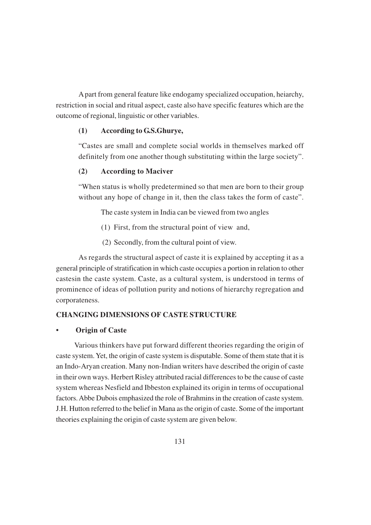A part from general feature like endogamy specialized occupation, heiarchy, restriction in social and ritual aspect, caste also have specific features which are the outcome of regional, linguistic or other variables.

## **(1) According to G.S.Ghurye,**

"Castes are small and complete social worlds in themselves marked off definitely from one another though substituting within the large society".

#### **(2) According to Maciver**

"When status is wholly predetermined so that men are born to their group without any hope of change in it, then the class takes the form of caste".

The caste system in India can be viewed from two angles

- (1) First, from the structural point of view and,
- (2) Secondly, from the cultural point of view.

As regards the structural aspect of caste it is explained by accepting it as a general principle of stratification in which caste occupies a portion in relation to other castesin the caste system. Caste, as a cultural system, is understood in terms of prominence of ideas of pollution purity and notions of hierarchy regregation and corporateness.

#### **CHANGING DIMENSIONS OF CASTE STRUCTURE**

#### • **Origin of Caste**

 Various thinkers have put forward different theories regarding the origin of caste system. Yet, the origin of caste system is disputable. Some of them state that it is an Indo-Aryan creation. Many non-Indian writers have described the origin of caste in their own ways. Herbert Risley attributed racial differences to be the cause of caste system whereas Nesfield and Ibbeston explained its origin in terms of occupational factors. Abbe Dubois emphasized the role of Brahmins in the creation of caste system. J.H. Hutton referred to the belief in Mana as the origin of caste. Some of the important theories explaining the origin of caste system are given below.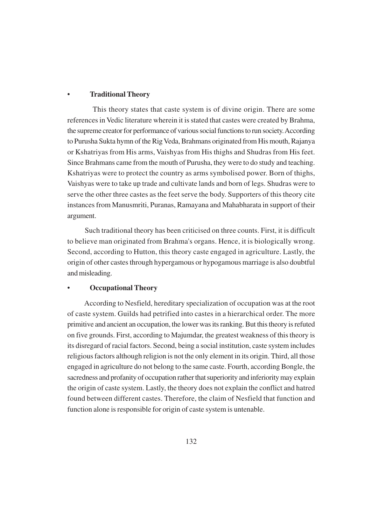#### • **Traditional Theory**

 This theory states that caste system is of divine origin. There are some references in Vedic literature wherein it is stated that castes were created by Brahma, the supreme creator for performance of various social functions to run society. According to Purusha Sukta hymn of the Rig Veda, Brahmans originated from His mouth, Rajanya or Kshatriyas from His arms, Vaishyas from His thighs and Shudras from His feet. Since Brahmans came from the mouth of Purusha, they were to do study and teaching. Kshatriyas were to protect the country as arms symbolised power. Born of thighs, Vaishyas were to take up trade and cultivate lands and born of legs. Shudras were to serve the other three castes as the feet serve the body. Supporters of this theory cite instances from Manusmriti, Puranas, Ramayana and Mahabharata in support of their argument.

 Such traditional theory has been criticised on three counts. First, it is difficult to believe man originated from Brahma's organs. Hence, it is biologically wrong. Second, according to Hutton, this theory caste engaged in agriculture. Lastly, the origin of other castes through hypergamous or hypogamous marriage is also doubtful and misleading.

#### • **Occupational Theory**

 According to Nesfield, hereditary specialization of occupation was at the root of caste system. Guilds had petrified into castes in a hierarchical order. The more primitive and ancient an occupation, the lower was its ranking. But this theory is refuted on five grounds. First, according to Majumdar, the greatest weakness of this theory is its disregard of racial factors. Second, being a social institution, caste system includes religious factors although religion is not the only element in its origin. Third, all those engaged in agriculture do not belong to the same caste. Fourth, according Bongle, the sacredness and profanity of occupation rather that superiority and inferiority may explain the origin of caste system. Lastly, the theory does not explain the conflict and hatred found between different castes. Therefore, the claim of Nesfield that function and function alone is responsible for origin of caste system is untenable.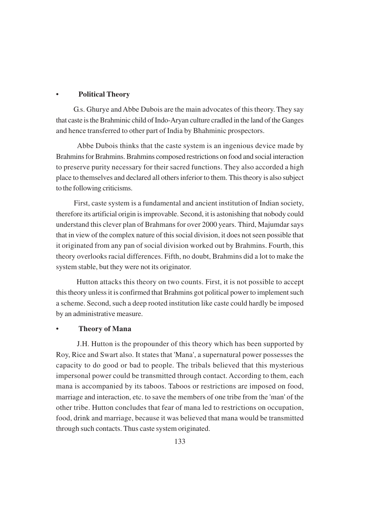## • **Political Theory**

 G.s. Ghurye and Abbe Dubois are the main advocates of this theory. They say that caste is the Brahminic child of Indo-Aryan culture cradled in the land of the Ganges and hence transferred to other part of India by Bhahminic prospectors.

 Abbe Dubois thinks that the caste system is an ingenious device made by Brahmins for Brahmins. Brahmins composed restrictions on food and social interaction to preserve purity necessary for their sacred functions. They also accorded a high place to themselves and declared all others inferior to them. This theory is also subject to the following criticisms.

 First, caste system is a fundamental and ancient institution of Indian society, therefore its artificial origin is improvable. Second, it is astonishing that nobody could understand this clever plan of Brahmans for over 2000 years. Third, Majumdar says that in view of the complex nature of this social division, it does not seen possible that it originated from any pan of social division worked out by Brahmins. Fourth, this theory overlooks racial differences. Fifth, no doubt, Brahmins did a lot to make the system stable, but they were not its originator.

 Hutton attacks this theory on two counts. First, it is not possible to accept this theory unless it is confirmed that Brahmins got political power to implement such a scheme. Second, such a deep rooted institution like caste could hardly be imposed by an administrative measure.

#### • **Theory of Mana**

 J.H. Hutton is the propounder of this theory which has been supported by Roy, Rice and Swart also. It states that 'Mana', a supernatural power possesses the capacity to do good or bad to people. The tribals believed that this mysterious impersonal power could be transmitted through contact. According to them, each mana is accompanied by its taboos. Taboos or restrictions are imposed on food, marriage and interaction, etc. to save the members of one tribe from the 'man' of the other tribe. Hutton concludes that fear of mana led to restrictions on occupation, food, drink and marriage, because it was believed that mana would be transmitted through such contacts. Thus caste system originated.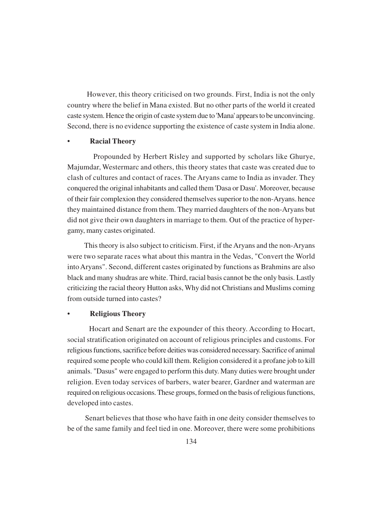However, this theory criticised on two grounds. First, India is not the only country where the belief in Mana existed. But no other parts of the world it created caste system. Hence the origin of caste system due to 'Mana' appears to be unconvincing. Second, there is no evidence supporting the existence of caste system in India alone.

### • **Racial Theory**

 Propounded by Herbert Risley and supported by scholars like Ghurye, Majumdar, Westermarc and others, this theory states that caste was created due to clash of cultures and contact of races. The Aryans came to India as invader. They conquered the original inhabitants and called them 'Dasa or Dasu'. Moreover, because of their fair complexion they considered themselves superior to the non-Aryans. hence they maintained distance from them. They married daughters of the non-Aryans but did not give their own daughters in marriage to them. Out of the practice of hypergamy, many castes originated.

 This theory is also subject to criticism. First, if the Aryans and the non-Aryans were two separate races what about this mantra in the Vedas, "Convert the World into Aryans". Second, different castes originated by functions as Brahmins are also black and many shudras are white. Third, racial basis cannot be the only basis. Lastly criticizing the racial theory Hutton asks, Why did not Christians and Muslims coming from outside turned into castes?

#### • **Religious Theory**

 Hocart and Senart are the expounder of this theory. According to Hocart, social stratification originated on account of religious principles and customs. For religious functions, sacrifice before deities was considered necessary. Sacrifice of animal required some people who could kill them. Religion considered it a profane job to kill animals. "Dasus" were engaged to perform this duty. Many duties were brought under religion. Even today services of barbers, water bearer, Gardner and waterman are required on religious occasions. These groups, formed on the basis of religious functions, developed into castes.

 Senart believes that those who have faith in one deity consider themselves to be of the same family and feel tied in one. Moreover, there were some prohibitions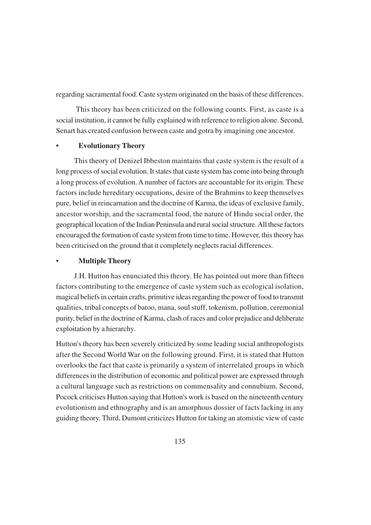regarding sacramental food. Caste system originated on the basis of these differences.

 This theory has been criticized on the following counts. First, as caste is a social institution, it cannot be fully explained with reference to religion alone. Second, Senart has created confusion between caste and gotra by imagining one ancestor.

## • **Evolutionary Theory**

 This theory of Denizel Ibbeston maintains that caste system is the result of a long process of social evolution. It states that caste system has come into being through a long process of evolution. A number of factors are accountable for its origin. These factors include hereditary occupations, desire of the Brahmins to keep themselves pure, belief in reincarnation and the doctrine of Karma, the ideas of exclusive family, ancestor worship, and the sacramental food, the nature of Hindu social order, the geographical location of the Indian Peninsula and rural social structure. All these factors encouraged the formation of caste system from time to time. However, this theory has been criticised on the ground that it completely neglects racial differences.

#### • **Multiple Theory**

 J.H. Hutton has enunciated this theory. He has pointed out more than fifteen factors contributing to the emergence of caste system such as ecological isolation, magical beliefs in certain crafts, primitive ideas regarding the power of food to transmit qualities, tribal concepts of batoo, mana, soul stuff, tokenism, pollution, ceremonial purity, belief in the doctrine of Karma, clash of races and color prejudice and deliberate exploitation by a hierarchy.

Hutton's theory has been severely criticized by some leading social anthropologists after the Second World War on the following ground. First, it is stated that Hutton overlooks the fact that caste is primarily a system of interrelated groups in which differences in the distribution of economic and political power are expressed through a cultural language such as restrictions on commensality and connubium. Second, Pocock criticises Hutton saying that Hutton's work is based on the nineteenth century evolutionism and ethnography and is an amorphous dossier of facts lacking in any guiding theory. Third, Dumont criticizes Hutton for taking an atomistic view of caste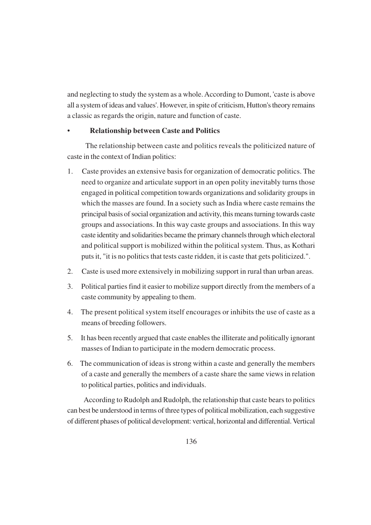and neglecting to study the system as a whole. According to Dumont, 'caste is above all a system of ideas and values'. However, in spite of criticism, Hutton's theory remains a classic as regards the origin, nature and function of caste.

## • **Relationship between Caste and Politics**

 The relationship between caste and politics reveals the politicized nature of caste in the context of Indian politics:

- 1. Caste provides an extensive basis for organization of democratic politics. The need to organize and articulate support in an open polity inevitably turns those engaged in political competition towards organizations and solidarity groups in which the masses are found. In a society such as India where caste remains the principal basis of social organization and activity, this means turning towards caste groups and associations. In this way caste groups and associations. In this way caste identity and solidarities became the primary channels through which electoral and political support is mobilized within the political system. Thus, as Kothari puts it, "it is no politics that tests caste ridden, it is caste that gets politicized.".
- 2. Caste is used more extensively in mobilizing support in rural than urban areas.
- 3. Political parties find it easier to mobilize support directly from the members of a caste community by appealing to them.
- 4. The present political system itself encourages or inhibits the use of caste as a means of breeding followers.
- 5. It has been recently argued that caste enables the illiterate and politically ignorant masses of Indian to participate in the modern democratic process.
- 6. The communication of ideas is strong within a caste and generally the members of a caste and generally the members of a caste share the same views in relation to political parties, politics and individuals.

 According to Rudolph and Rudolph, the relationship that caste bears to politics can best be understood in terms of three types of political mobilization, each suggestive of different phases of political development: vertical, horizontal and differential. Vertical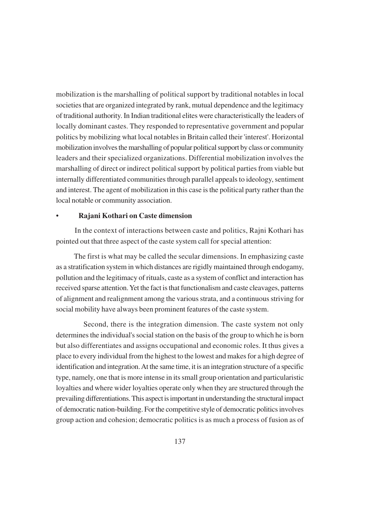mobilization is the marshalling of political support by traditional notables in local societies that are organized integrated by rank, mutual dependence and the legitimacy of traditional authority. In Indian traditional elites were characteristically the leaders of locally dominant castes. They responded to representative government and popular politics by mobilizing what local notables in Britain called their 'interest'. Horizontal mobilization involves the marshalling of popular political support by class or community leaders and their specialized organizations. Differential mobilization involves the marshalling of direct or indirect political support by political parties from viable but internally differentiated communities through parallel appeals to ideology, sentiment and interest. The agent of mobilization in this case is the political party rather than the local notable or community association.

#### • **Rajani Kothari on Caste dimension**

 In the context of interactions between caste and politics, Rajni Kothari has pointed out that three aspect of the caste system call for special attention:

 The first is what may be called the secular dimensions. In emphasizing caste as a stratification system in which distances are rigidly maintained through endogamy, pollution and the legitimacy of rituals, caste as a system of conflict and interaction has received sparse attention. Yet the fact is that functionalism and caste cleavages, patterns of alignment and realignment among the various strata, and a continuous striving for social mobility have always been prominent features of the caste system.

 Second, there is the integration dimension. The caste system not only determines the individual's social station on the basis of the group to which he is born but also differentiates and assigns occupational and economic roles. It thus gives a place to every individual from the highest to the lowest and makes for a high degree of identification and integration. At the same time, it is an integration structure of a specific type, namely, one that is more intense in its small group orientation and particularistic loyalties and where wider loyalties operate only when they are structured through the prevailing differentiations. This aspect is important in understanding the structural impact of democratic nation-building. For the competitive style of democratic politics involves group action and cohesion; democratic politics is as much a process of fusion as of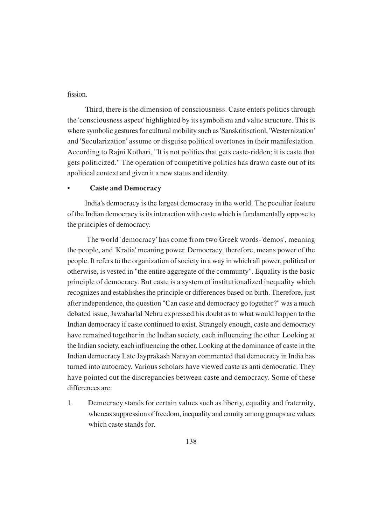fission.

 Third, there is the dimension of consciousness. Caste enters politics through the 'consciousness aspect' highlighted by its symbolism and value structure. This is where symbolic gestures for cultural mobility such as 'Sanskritisationl, 'Westernization' and 'Secularization' assume or disguise political overtones in their manifestation. According to Rajni Kothari, "It is not politics that gets caste-ridden; it is caste that gets politicized." The operation of competitive politics has drawn caste out of its apolitical context and given it a new status and identity.

## • **Caste and Democracy**

 India's democracy is the largest democracy in the world. The peculiar feature of the Indian democracy is its interaction with caste which is fundamentally oppose to the principles of democracy.

 The world 'democracy' has come from two Greek words-'demos', meaning the people, and 'Kratia' meaning power. Democracy, therefore, means power of the people. It refers to the organization of society in a way in which all power, political or otherwise, is vested in "the entire aggregate of the communty". Equality is the basic principle of democracy. But caste is a system of institutionalized inequality which recognizes and establishes the principle or differences based on birth. Therefore, just after independence, the question "Can caste and democracy go together?" was a much debated issue, Jawaharlal Nehru expressed his doubt as to what would happen to the Indian democracy if caste continued to exist. Strangely enough, caste and democracy have remained together in the Indian society, each influencing the other. Looking at the Indian society, each influencing the other. Looking at the dominance of caste in the Indian democracy Late Jayprakash Narayan commented that democracy in India has turned into autocracy. Various scholars have viewed caste as anti democratic. They have pointed out the discrepancies between caste and democracy. Some of these differences are:

1. Democracy stands for certain values such as liberty, equality and fraternity, whereas suppression of freedom, inequality and enmity among groups are values which caste stands for.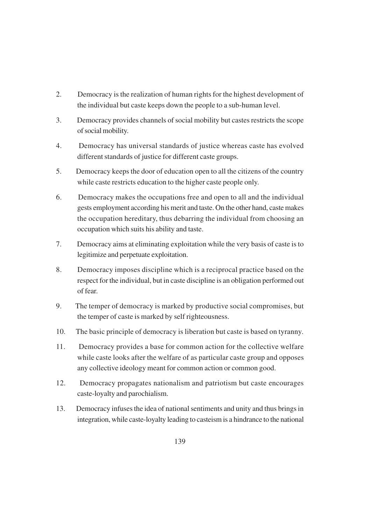- 2. Democracy is the realization of human rights for the highest development of the individual but caste keeps down the people to a sub-human level.
- 3. Democracy provides channels of social mobility but castes restricts the scope of social mobility.
- 4. Democracy has universal standards of justice whereas caste has evolved different standards of justice for different caste groups.
- 5. Democracy keeps the door of education open to all the citizens of the country while caste restricts education to the higher caste people only.
- 6. Democracy makes the occupations free and open to all and the individual gests employment according his merit and taste. On the other hand, caste makes the occupation hereditary, thus debarring the individual from choosing an occupation which suits his ability and taste.
- 7. Democracy aims at eliminating exploitation while the very basis of caste is to legitimize and perpetuate exploitation.
- 8. Democracy imposes discipline which is a reciprocal practice based on the respect for the individual, but in caste discipline is an obligation performed out of fear.
- 9. The temper of democracy is marked by productive social compromises, but the temper of caste is marked by self righteousness.
- 10. The basic principle of democracy is liberation but caste is based on tyranny.
- 11. Democracy provides a base for common action for the collective welfare while caste looks after the welfare of as particular caste group and opposes any collective ideology meant for common action or common good.
- 12. Democracy propagates nationalism and patriotism but caste encourages caste-loyalty and parochialism.
- 13. Democracy infuses the idea of national sentiments and unity and thus brings in integration, while caste-loyalty leading to casteism is a hindrance to the national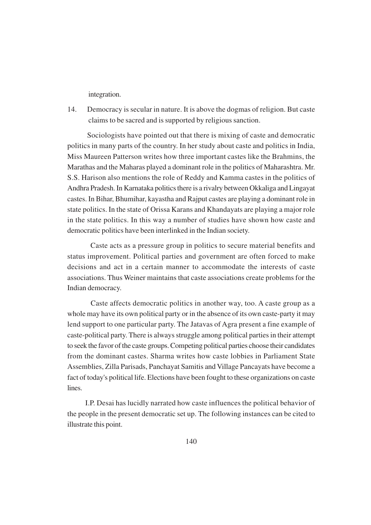integration.

14. Democracy is secular in nature. It is above the dogmas of religion. But caste claims to be sacred and is supported by religious sanction.

 Sociologists have pointed out that there is mixing of caste and democratic politics in many parts of the country. In her study about caste and politics in India, Miss Maureen Patterson writes how three important castes like the Brahmins, the Marathas and the Maharas played a dominant role in the politics of Maharashtra. Mr. S.S. Harison also mentions the role of Reddy and Kamma castes in the politics of Andhra Pradesh. In Karnataka politics there is a rivalry between Okkaliga and Lingayat castes. In Bihar, Bhumihar, kayastha and Rajput castes are playing a dominant role in state politics. In the state of Orissa Karans and Khandayats are playing a major role in the state politics. In this way a number of studies have shown how caste and democratic politics have been interlinked in the Indian society.

 Caste acts as a pressure group in politics to secure material benefits and status improvement. Political parties and government are often forced to make decisions and act in a certain manner to accommodate the interests of caste associations. Thus Weiner maintains that caste associations create problems for the Indian democracy.

 Caste affects democratic politics in another way, too. A caste group as a whole may have its own political party or in the absence of its own caste-party it may lend support to one particular party. The Jatavas of Agra present a fine example of caste-political party. There is always struggle among political parties in their attempt to seek the favor of the caste groups. Competing political parties choose their candidates from the dominant castes. Sharma writes how caste lobbies in Parliament State Assemblies, Zilla Parisads, Panchayat Samitis and Village Pancayats have become a fact of today's political life. Elections have been fought to these organizations on caste lines.

 I.P. Desai has lucidly narrated how caste influences the political behavior of the people in the present democratic set up. The following instances can be cited to illustrate this point.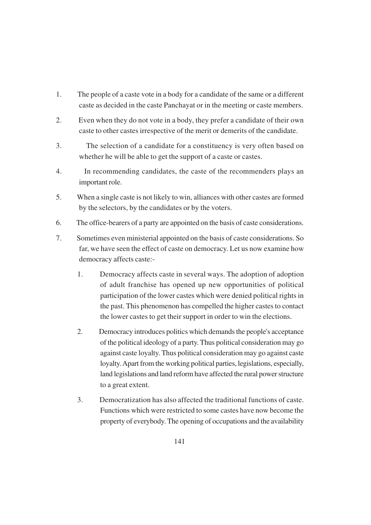- 1. The people of a caste vote in a body for a candidate of the same or a different caste as decided in the caste Panchayat or in the meeting or caste members.
- 2. Even when they do not vote in a body, they prefer a candidate of their own caste to other castes irrespective of the merit or demerits of the candidate.
- 3. The selection of a candidate for a constituency is very often based on whether he will be able to get the support of a caste or castes.
- 4. In recommending candidates, the caste of the recommenders plays an important role.
- 5. When a single caste is not likely to win, alliances with other castes are formed by the selectors, by the candidates or by the voters.
- 6. The office-bearers of a party are appointed on the basis of caste considerations.
- 7. Sometimes even ministerial appointed on the basis of caste considerations. So far, we have seen the effect of caste on democracy. Let us now examine how democracy affects caste:-
	- 1. Democracy affects caste in several ways. The adoption of adoption of adult franchise has opened up new opportunities of political participation of the lower castes which were denied political rights in the past. This phenomenon has compelled the higher castes to contact the lower castes to get their support in order to win the elections.
	- 2. Democracy introduces politics which demands the people's acceptance of the political ideology of a party. Thus political consideration may go against caste loyalty. Thus political consideration may go against caste loyalty. Apart from the working political parties, legislations, especially, land legislations and land reform have affected the rural power structure to a great extent.
	- 3. Democratization has also affected the traditional functions of caste. Functions which were restricted to some castes have now become the property of everybody. The opening of occupations and the availability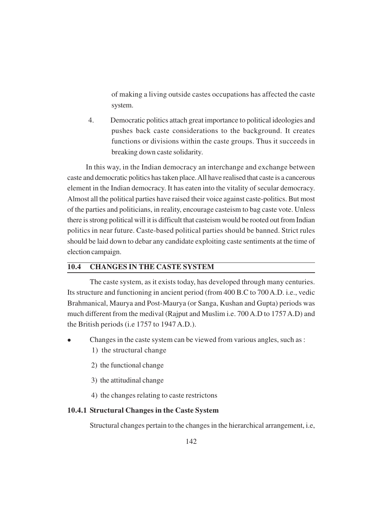of making a living outside castes occupations has affected the caste system.

4. Democratic politics attach great importance to political ideologies and pushes back caste considerations to the background. It creates functions or divisions within the caste groups. Thus it succeeds in breaking down caste solidarity.

 In this way, in the Indian democracy an interchange and exchange between caste and democratic politics has taken place. All have realised that caste is a cancerous element in the Indian democracy. It has eaten into the vitality of secular democracy. Almost all the political parties have raised their voice against caste-politics. But most of the parties and politicians, in reality, encourage casteism to bag caste vote. Unless there is strong political will it is difficult that casteism would be rooted out from Indian politics in near future. Caste-based political parties should be banned. Strict rules should be laid down to debar any candidate exploiting caste sentiments at the time of election campaign.

# **10.4 CHANGES IN THE CASTE SYSTEM**

The caste system, as it exists today, has developed through many centuries. Its structure and functioning in ancient period (from 400 B.C to 700 A.D. i.e., vedic Brahmanical, Maurya and Post-Maurya (or Sanga, Kushan and Gupta) periods was much different from the medival (Rajput and Muslim i.e. 700 A.D to 1757 A.D) and the British periods (i.e 1757 to 1947 A.D.).

- Changes in the caste system can be viewed from various angles, such as :
	- 1) the structural change
	- 2) the functional change
	- 3) the attitudinal change
	- 4) the changes relating to caste restrictons

# **10.4.1 Structural Changes in the Caste System**

Structural changes pertain to the changes in the hierarchical arrangement, i.e,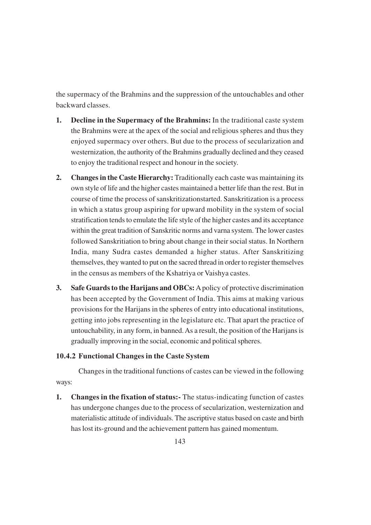the supermacy of the Brahmins and the suppression of the untouchables and other backward classes.

- **1. Decline in the Supermacy of the Brahmins:** In the traditional caste system the Brahmins were at the apex of the social and religious spheres and thus they enjoyed supermacy over others. But due to the process of secularization and westernization, the authority of the Brahmins gradually declined and they ceased to enjoy the traditional respect and honour in the society.
- **2. Changes in the Caste Hierarchy:** Traditionally each caste was maintaining its own style of life and the higher castes maintained a better life than the rest. But in course of time the process of sanskritizationstarted. Sanskritization is a process in which a status group aspiring for upward mobility in the system of social stratification tends to emulate the life style of the higher castes and its acceptance within the great tradition of Sanskritic norms and varna system. The lower castes followed Sanskritiation to bring about change in their social status. In Northern India, many Sudra castes demanded a higher status. After Sanskritizing themselves, they wanted to put on the sacred thread in order to register themselves in the census as members of the Kshatriya or Vaishya castes.
- **3. Safe Guards to the Harijans and OBCs:** A policy of protective discrimination has been accepted by the Government of India. This aims at making various provisions for the Harijans in the spheres of entry into educational institutions, getting into jobs representing in the legislature etc. That apart the practice of untouchability, in any form, in banned. As a result, the position of the Harijans is gradually improving in the social, economic and political spheres.

## **10.4.2 Functional Changes in the Caste System**

Changes in the traditional functions of castes can be viewed in the following ways:

**1. Changes in the fixation of status:-** The status-indicating function of castes has undergone changes due to the process of secularization, westernization and materialistic attitude of individuals. The ascriptive status based on caste and birth has lost its-ground and the achievement pattern has gained momentum.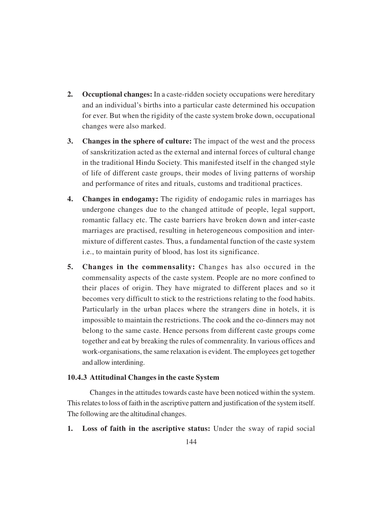- **2. Occuptional changes:** In a caste-ridden society occupations were hereditary and an individual's births into a particular caste determined his occupation for ever. But when the rigidity of the caste system broke down, occupational changes were also marked.
- **3. Changes in the sphere of culture:** The impact of the west and the process of sanskritization acted as the external and internal forces of cultural change in the traditional Hindu Society. This manifested itself in the changed style of life of different caste groups, their modes of living patterns of worship and performance of rites and rituals, customs and traditional practices.
- **4. Changes in endogamy:** The rigidity of endogamic rules in marriages has undergone changes due to the changed attitude of people, legal support, romantic fallacy etc. The caste barriers have broken down and inter-caste marriages are practised, resulting in heterogeneous composition and intermixture of different castes. Thus, a fundamental function of the caste system i.e., to maintain purity of blood, has lost its significance.
- **5. Changes in the commensality:** Changes has also occured in the commensality aspects of the caste system. People are no more confined to their places of origin. They have migrated to different places and so it becomes very difficult to stick to the restrictions relating to the food habits. Particularly in the urban places where the strangers dine in hotels, it is impossible to maintain the restrictions. The cook and the co-dinners may not belong to the same caste. Hence persons from different caste groups come together and eat by breaking the rules of commenrality. In various offices and work-organisations, the same relaxation is evident. The employees get together and allow interdining.

# **10.4.3 Attitudinal Changes in the caste System**

Changes in the attitudes towards caste have been noticed within the system. This relates to loss of faith in the ascriptive pattern and justification of the system itself. The following are the altitudinal changes.

**1. Loss of faith in the ascriptive status:** Under the sway of rapid social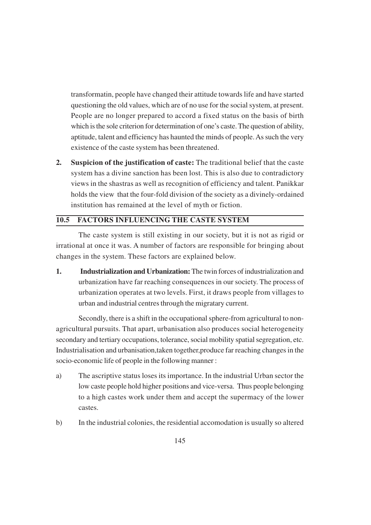transformatin, people have changed their attitude towards life and have started questioning the old values, which are of no use for the social system, at present. People are no longer prepared to accord a fixed status on the basis of birth which is the sole criterion for determination of one's caste. The question of ability, aptitude, talent and efficiency has haunted the minds of people. As such the very existence of the caste system has been threatened.

**2. Suspicion of the justification of caste:** The traditional belief that the caste system has a divine sanction has been lost. This is also due to contradictory views in the shastras as well as recognition of efficiency and talent. Panikkar holds the view that the four-fold division of the society as a divinely-ordained institution has remained at the level of myth or fiction.

# **10.5 FACTORS INFLUENCING THE CASTE SYSTEM**

The caste system is still existing in our society, but it is not as rigid or irrational at once it was. A number of factors are responsible for bringing about changes in the system. These factors are explained below.

**1. Industrialization and Urbanization:** The twin forces of industrialization and urbanization have far reaching consequences in our society. The process of urbanization operates at two levels. First, it draws people from villages to urban and industrial centres through the migratary current.

Secondly, there is a shift in the occupational sphere-from agricultural to nonagricultural pursuits. That apart, urbanisation also produces social heterogeneity secondary and tertiary occupations, tolerance, social mobility spatial segregation, etc. Industrialisation and urbanisation,taken together,produce far reaching changes in the socio-economic life of people in the following manner :

- a) The ascriptive status loses its importance. In the industrial Urban sector the low caste people hold higher positions and vice-versa. Thus people belonging to a high castes work under them and accept the supermacy of the lower castes.
- b) In the industrial colonies, the residential accomodation is usually so altered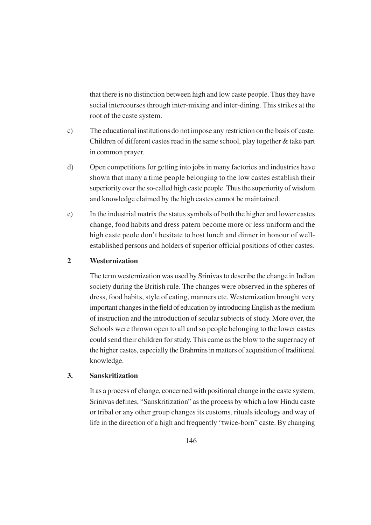that there is no distinction between high and low caste people. Thus they have social intercourses through inter-mixing and inter-dining. This strikes at the root of the caste system.

- c) The educational institutions do not impose any restriction on the basis of caste. Children of different castes read in the same school, play together & take part in common prayer.
- d) Open competitions for getting into jobs in many factories and industries have shown that many a time people belonging to the low castes establish their superiority over the so-called high caste people. Thus the superiority of wisdom and knowledge claimed by the high castes cannot be maintained.
- e) In the industrial matrix the status symbols of both the higher and lower castes change, food habits and dress patern become more or less uniform and the high caste peole don't hesitate to host lunch and dinner in honour of wellestablished persons and holders of superior official positions of other castes.

# **2 Westernization**

The term westernization was used by Srinivas to describe the change in Indian society during the British rule. The changes were observed in the spheres of dress, food habits, style of eating, manners etc. Westernization brought very important changes in the field of education by introducing English as the medium of instruction and the introduction of secular subjects of study. More over, the Schools were thrown open to all and so people belonging to the lower castes could send their children for study. This came as the blow to the supernacy of the higher castes, especially the Brahmins in matters of acquisition of traditional knowledge.

# **3. Sanskritization**

It as a process of change, concerned with positional change in the caste system, Srinivas defines, "Sanskritization" as the process by which a low Hindu caste or tribal or any other group changes its customs, rituals ideology and way of life in the direction of a high and frequently "twice-born" caste. By changing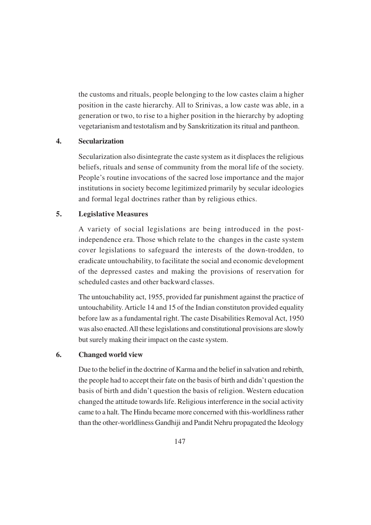the customs and rituals, people belonging to the low castes claim a higher position in the caste hierarchy. All to Srinivas, a low caste was able, in a generation or two, to rise to a higher position in the hierarchy by adopting vegetarianism and testotalism and by Sanskritization its ritual and pantheon.

# **4. Secularization**

Secularization also disintegrate the caste system as it displaces the religious beliefs, rituals and sense of community from the moral life of the society. People's routine invocations of the sacred lose importance and the major institutions in society become legitimized primarily by secular ideologies and formal legal doctrines rather than by religious ethics.

# **5. Legislative Measures**

A variety of social legislations are being introduced in the postindependence era. Those which relate to the changes in the caste system cover legislations to safeguard the interests of the down-trodden, to eradicate untouchability, to facilitate the social and economic development of the depressed castes and making the provisions of reservation for scheduled castes and other backward classes.

The untouchability act, 1955, provided far punishment against the practice of untouchability. Article 14 and 15 of the Indian constituton provided equality before law as a fundamental right. The caste Disabilities Removal Act, 1950 was also enacted. All these legislations and constitutional provisions are slowly but surely making their impact on the caste system.

# **6. Changed world view**

Due to the belief in the doctrine of Karma and the belief in salvation and rebirth, the people had to accept their fate on the basis of birth and didn't question the basis of birth and didn't question the basis of religion. Western education changed the attitude towards life. Religious interference in the social activity came to a halt. The Hindu became more concerned with this-worldliness rather than the other-worldliness Gandhiji and Pandit Nehru propagated the Ideology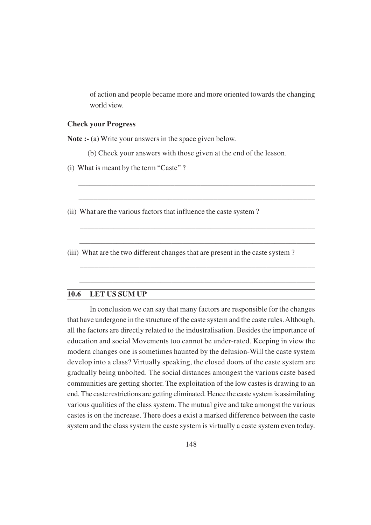of action and people became more and more oriented towards the changing world view.

#### **Check your Progress**

**Note :-** (a) Write your answers in the space given below.

(b) Check your answers with those given at the end of the lesson.

 $\frac{1}{\sqrt{2}}$  ,  $\frac{1}{\sqrt{2}}$  ,  $\frac{1}{\sqrt{2}}$  ,  $\frac{1}{\sqrt{2}}$  ,  $\frac{1}{\sqrt{2}}$  ,  $\frac{1}{\sqrt{2}}$  ,  $\frac{1}{\sqrt{2}}$  ,  $\frac{1}{\sqrt{2}}$  ,  $\frac{1}{\sqrt{2}}$  ,  $\frac{1}{\sqrt{2}}$  ,  $\frac{1}{\sqrt{2}}$  ,  $\frac{1}{\sqrt{2}}$  ,  $\frac{1}{\sqrt{2}}$  ,  $\frac{1}{\sqrt{2}}$  ,  $\frac{1}{\sqrt{2}}$ 

\_\_\_\_\_\_\_\_\_\_\_\_\_\_\_\_\_\_\_\_\_\_\_\_\_\_\_\_\_\_\_\_\_\_\_\_\_\_\_\_\_\_\_\_\_\_\_\_\_\_\_\_\_\_\_\_\_\_\_\_\_\_\_

\_\_\_\_\_\_\_\_\_\_\_\_\_\_\_\_\_\_\_\_\_\_\_\_\_\_\_\_\_\_\_\_\_\_\_\_\_\_\_\_\_\_\_\_\_\_\_\_\_\_\_\_\_\_\_\_\_\_\_\_\_\_\_

 $\frac{1}{2}$  ,  $\frac{1}{2}$  ,  $\frac{1}{2}$  ,  $\frac{1}{2}$  ,  $\frac{1}{2}$  ,  $\frac{1}{2}$  ,  $\frac{1}{2}$  ,  $\frac{1}{2}$  ,  $\frac{1}{2}$  ,  $\frac{1}{2}$  ,  $\frac{1}{2}$  ,  $\frac{1}{2}$  ,  $\frac{1}{2}$  ,  $\frac{1}{2}$  ,  $\frac{1}{2}$  ,  $\frac{1}{2}$  ,  $\frac{1}{2}$  ,  $\frac{1}{2}$  ,  $\frac{1$ 

\_\_\_\_\_\_\_\_\_\_\_\_\_\_\_\_\_\_\_\_\_\_\_\_\_\_\_\_\_\_\_\_\_\_\_\_\_\_\_\_\_\_\_\_\_\_\_\_\_\_\_\_\_\_\_\_\_\_\_\_\_\_\_

 $\mathcal{L} = \{ \mathcal{L} \mid \mathcal{L} \text{ and } \mathcal{L} \text{ and } \mathcal{L} \text{ and } \mathcal{L} \text{ and } \mathcal{L} \text{ and } \mathcal{L} \text{ and } \mathcal{L} \text{ and } \mathcal{L} \text{ and } \mathcal{L} \text{ and } \mathcal{L} \text{ and } \mathcal{L} \text{ and } \mathcal{L} \text{ and } \mathcal{L} \text{ and } \mathcal{L} \text{ and } \mathcal{L} \text{ and } \mathcal{L} \text{ and } \mathcal{L} \text{ and } \mathcal{L} \text{ and } \mathcal{L$ 

(i) What is meant by the term "Caste" ?

(ii) What are the various factors that influence the caste system ?

(iii) What are the two different changes that are present in the caste system ?

# **10.6 LET US SUM UP**

In conclusion we can say that many factors are responsible for the changes that have undergone in the structure of the caste system and the caste rules. Although, all the factors are directly related to the industralisation. Besides the importance of education and social Movements too cannot be under-rated. Keeping in view the modern changes one is sometimes haunted by the delusion-Will the caste system develop into a class? Virtually speaking, the closed doors of the caste system are gradually being unbolted. The social distances amongest the various caste based communities are getting shorter. The exploitation of the low castes is drawing to an end. The caste restrictions are getting eliminated. Hence the caste system is assimilating various qualities of the class system. The mutual give and take amongst the various castes is on the increase. There does a exist a marked difference between the caste system and the class system the caste system is virtually a caste system even today.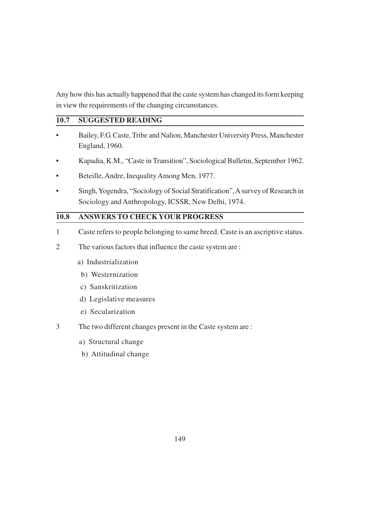Any how this has actually happened that the caste system has changed its form keeping in view the requirements of the changing circumstances.

# **10.7 SUGGESTED READING**

- Bailey, F.G. Caste, Tribe and Nalion, Manchester University Press, Manchester England, 1960.
- Kapadia, K.M., "Caste in Transition", Sociological Bulletin, September 1962.
- Beteille, Andre, Inequality Among Men, 1977.
- Singh, Yogendra, "Sociology of Social Stratification", A survey of Research in Sociology and Anthropology, ICSSR, New Delhi, 1974.

# **10.8 ANSWERS TO CHECK YOUR PROGRESS**

- 1 Caste refers to people belonging to same breed. Caste is an ascriptive status.
- 2 The various factors that influence the caste system are :
	- a) Industrialization
	- b) Westernization
	- c) Sanskritization
	- d) Legislative measures
	- e) Secularization
- 3 The two different changes present in the Caste system are :
	- a) Structural change
	- b) Attitudinal change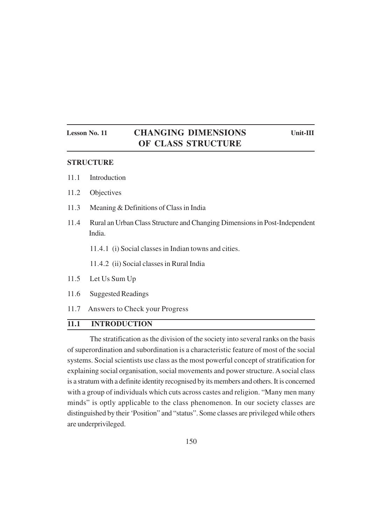# Lesson No. 11 **CHANGING DIMENSIONS** Unit-III **OF CLASS STRUCTURE**

## **STRUCTURE**

- 11.1 Introduction
- 11.2 Objectives
- 11.3 Meaning & Definitions of Class in India
- 11.4 Rural an Urban Class Structure and Changing Dimensions in Post-Independent India.
	- 11.4.1 (i) Social classes in Indian towns and cities.

11.4.2 (ii) Social classes in Rural India

- 11.5 Let Us Sum Up
- 11.6 Suggested Readings
- 11.7 Answers to Check your Progress

# **11.1 INTRODUCTION**

The stratification as the division of the society into several ranks on the basis of superordination and subordination is a characteristic feature of most of the social systems. Social scientists use class as the most powerful concept of stratification for explaining social organisation, social movements and power structure. A social class is a stratum with a definite identity recognised by its members and others. It is concerned with a group of individuals which cuts across castes and religion. "Many men many minds" is optly applicable to the class phenomenon. In our society classes are distinguished by their 'Position" and "status". Some classes are privileged while others are underprivileged.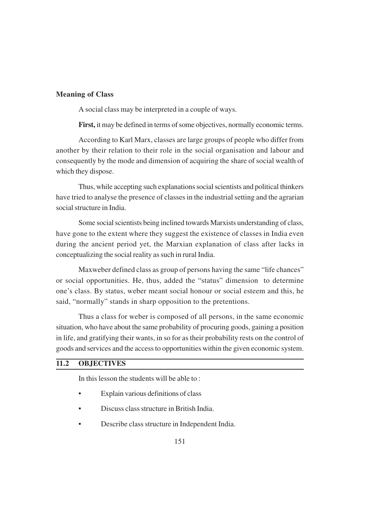## **Meaning of Class**

A social class may be interpreted in a couple of ways.

**First,** it may be defined in terms of some objectives, normally economic terms.

According to Karl Marx, classes are large groups of people who differ from another by their relation to their role in the social organisation and labour and consequently by the mode and dimension of acquiring the share of social wealth of which they dispose.

Thus, while accepting such explanations social scientists and political thinkers have tried to analyse the presence of classes in the industrial setting and the agrarian social structure in India.

Some social scientists being inclined towards Marxists understanding of class, have gone to the extent where they suggest the existence of classes in India even during the ancient period yet, the Marxian explanation of class after lacks in conceptualizing the social reality as such in rural India.

Maxweber defined class as group of persons having the same "life chances" or social opportunities. He, thus, added the "status" dimension to determine one's class. By status, weber meant social honour or social esteem and this, he said, "normally" stands in sharp opposition to the pretentions.

Thus a class for weber is composed of all persons, in the same economic situation, who have about the same probability of procuring goods, gaining a position in life, and gratifying their wants, in so for as their probability rests on the control of goods and services and the access to opportunities within the given economic system.

# **11.2 OBJECTIVES**

In this lesson the students will be able to :

- Explain various definitions of class
- Discuss class structure in British India.
- Describe class structure in Independent India.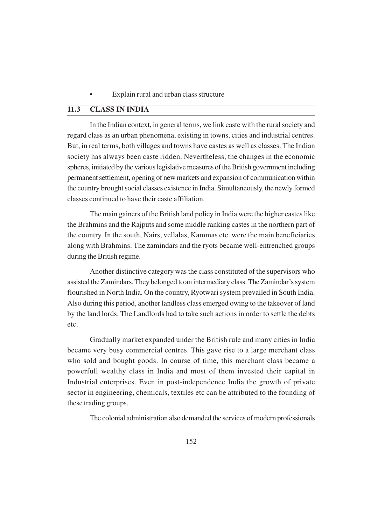• Explain rural and urban class structure

# **11.3 CLASS IN INDIA**

In the Indian context, in general terms, we link caste with the rural society and regard class as an urban phenomena, existing in towns, cities and industrial centres. But, in real terms, both villages and towns have castes as well as classes. The Indian society has always been caste ridden. Nevertheless, the changes in the economic spheres, initiated by the various legislative measures of the British government including permanent settlement, opening of new markets and expansion of communication within the country brought social classes existence in India. Simultaneously, the newly formed classes continued to have their caste affiliation.

The main gainers of the British land policy in India were the higher castes like the Brahmins and the Rajputs and some middle ranking castes in the northern part of the country. In the south, Nairs, vellalas, Kammas etc. were the main beneficiaries along with Brahmins. The zamindars and the ryots became well-entrenched groups during the British regime.

Another distinctive category was the class constituted of the supervisors who assisted the Zamindars. They belonged to an intermediary class. The Zamindar's system flourished in North India. On the country, Ryotwari system prevailed in South India. Also during this period, another landless class emerged owing to the takeover of land by the land lords. The Landlords had to take such actions in order to settle the debts etc.

Gradually market expanded under the British rule and many cities in India became very busy commercial centres. This gave rise to a large merchant class who sold and bought goods. In course of time, this merchant class became a powerfull wealthy class in India and most of them invested their capital in Industrial enterprises. Even in post-independence India the growth of private sector in engineering, chemicals, textiles etc can be attributed to the founding of these trading groups.

The colonial administration also demanded the services of modern professionals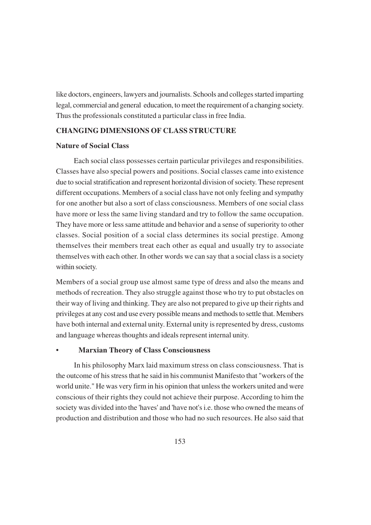like doctors, engineers, lawyers and journalists. Schools and colleges started imparting legal, commercial and general education, to meet the requirement of a changing society. Thus the professionals constituted a particular class in free India.

# **CHANGING DIMENSIONS OF CLASS STRUCTURE**

## **Nature of Social Class**

 Each social class possesses certain particular privileges and responsibilities. Classes have also special powers and positions. Social classes came into existence due to social stratification and represent horizontal division of society. These represent different occupations. Members of a social class have not only feeling and sympathy for one another but also a sort of class consciousness. Members of one social class have more or less the same living standard and try to follow the same occupation. They have more or less same attitude and behavior and a sense of superiority to other classes. Social position of a social class determines its social prestige. Among themselves their members treat each other as equal and usually try to associate themselves with each other. In other words we can say that a social class is a society within society.

Members of a social group use almost same type of dress and also the means and methods of recreation. They also struggle against those who try to put obstacles on their way of living and thinking. They are also not prepared to give up their rights and privileges at any cost and use every possible means and methods to settle that. Members have both internal and external unity. External unity is represented by dress, customs and language whereas thoughts and ideals represent internal unity.

### • **Marxian Theory of Class Consciousness**

 In his philosophy Marx laid maximum stress on class consciousness. That is the outcome of his stress that he said in his communist Manifesto that "workers of the world unite." He was very firm in his opinion that unless the workers united and were conscious of their rights they could not achieve their purpose. According to him the society was divided into the 'haves' and 'have not's i.e. those who owned the means of production and distribution and those who had no such resources. He also said that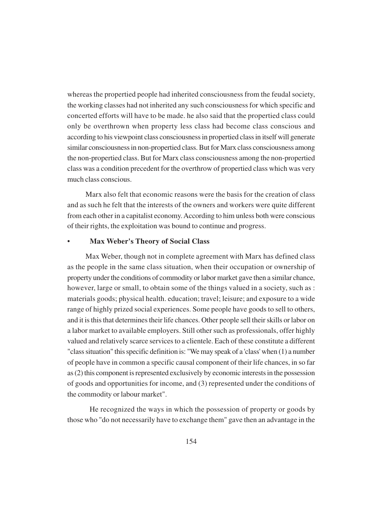whereas the propertied people had inherited consciousness from the feudal society, the working classes had not inherited any such consciousness for which specific and concerted efforts will have to be made. he also said that the propertied class could only be overthrown when property less class had become class conscious and according to his viewpoint class consciousness in propertied class in itself will generate similar consciousness in non-propertied class. But for Marx class consciousness among the non-propertied class. But for Marx class consciousness among the non-propertied class was a condition precedent for the overthrow of propertied class which was very much class conscious.

 Marx also felt that economic reasons were the basis for the creation of class and as such he felt that the interests of the owners and workers were quite different from each other in a capitalist economy. According to him unless both were conscious of their rights, the exploitation was bound to continue and progress.

### • **Max Weber's Theory of Social Class**

 Max Weber, though not in complete agreement with Marx has defined class as the people in the same class situation, when their occupation or ownership of property under the conditions of commodity or labor market gave then a similar chance, however, large or small, to obtain some of the things valued in a society, such as : materials goods; physical health. education; travel; leisure; and exposure to a wide range of highly prized social experiences. Some people have goods to sell to others, and it is this that determines their life chances. Other people sell their skills or labor on a labor market to available employers. Still other such as professionals, offer highly valued and relatively scarce services to a clientele. Each of these constitute a different "class situation" this specific definition is: "We may speak of a 'class' when (1) a number of people have in common a specific causal component of their life chances, in so far as (2) this component is represented exclusively by economic interests in the possession of goods and opportunities for income, and (3) represented under the conditions of the commodity or labour market".

 He recognized the ways in which the possession of property or goods by those who "do not necessarily have to exchange them" gave then an advantage in the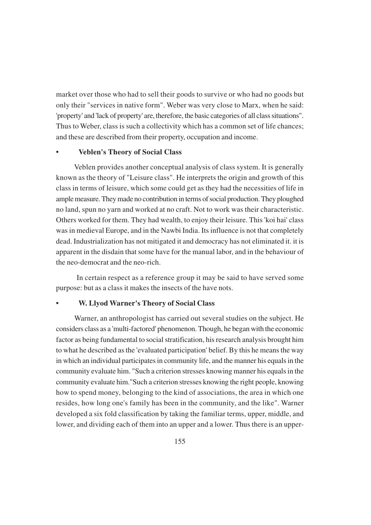market over those who had to sell their goods to survive or who had no goods but only their "services in native form". Weber was very close to Marx, when he said: 'property' and 'lack of property' are, therefore, the basic categories of all class situations". Thus to Weber, class is such a collectivity which has a common set of life chances; and these are described from their property, occupation and income.

## **• Veblen's Theory of Social Class**

 Veblen provides another conceptual analysis of class system. It is generally known as the theory of "Leisure class". He interprets the origin and growth of this class in terms of leisure, which some could get as they had the necessities of life in ample measure. They made no contribution in terms of social production. They ploughed no land, spun no yarn and worked at no craft. Not to work was their characteristic. Others worked for them. They had wealth, to enjoy their leisure. This 'koi hai' class was in medieval Europe, and in the Nawbi India. Its influence is not that completely dead. Industrialization has not mitigated it and democracy has not eliminated it. it is apparent in the disdain that some have for the manual labor, and in the behaviour of the neo-democrat and the neo-rich.

 In certain respect as a reference group it may be said to have served some purpose: but as a class it makes the insects of the have nots.

## **• W. Llyod Warner's Theory of Social Class**

 Warner, an anthropologist has carried out several studies on the subject. He considers class as a 'multi-factored' phenomenon. Though, he began with the economic factor as being fundamental to social stratification, his research analysis brought him to what he described as the 'evaluated participation' belief. By this he means the way in which an individual participates in community life, and the manner his equals in the community evaluate him. "Such a criterion stresses knowing manner his equals in the community evaluate him."Such a criterion stresses knowing the right people, knowing how to spend money, belonging to the kind of associations, the area in which one resides, how long one's family has been in the community, and the like". Warner developed a six fold classification by taking the familiar terms, upper, middle, and lower, and dividing each of them into an upper and a lower. Thus there is an upper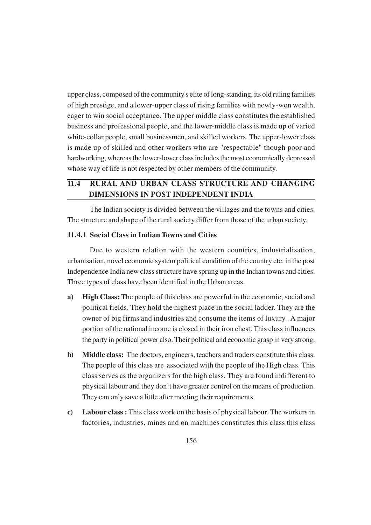upper class, composed of the community's elite of long-standing, its old ruling families of high prestige, and a lower-upper class of rising families with newly-won wealth, eager to win social acceptance. The upper middle class constitutes the established business and professional people, and the lower-middle class is made up of varied white-collar people, small businessmen, and skilled workers. The upper-lower class is made up of skilled and other workers who are "respectable" though poor and hardworking, whereas the lower-lower class includes the most economically depressed whose way of life is not respected by other members of the community.

# **11.4 RURAL AND URBAN CLASS STRUCTURE AND CHANGING DIMENSIONS IN POST INDEPENDENT INDIA**

The Indian society is divided between the villages and the towns and cities. The structure and shape of the rural society differ from those of the urban society.

# **11.4.1 Social Class in Indian Towns and Cities**

Due to western relation with the western countries, industrialisation, urbanisation, novel economic system political condition of the country etc. in the post Independence India new class structure have sprung up in the Indian towns and cities. Three types of class have been identified in the Urban areas.

- **a) High Class:** The people of this class are powerful in the economic, social and political fields. They hold the highest place in the social ladder. They are the owner of big firms and industries and consume the items of luxury . A major portion of the national income is closed in their iron chest. This class influences the party in political power also. Their political and economic grasp in very strong.
- **b) Middle class:** The doctors, engineers, teachers and traders constitute this class. The people of this class are associated with the people of the High class. This class serves as the organizers for the high class. They are found indifferent to physical labour and they don't have greater control on the means of production. They can only save a little after meeting their requirements.
- **c) Labour class :** This class work on the basis of physical labour. The workers in factories, industries, mines and on machines constitutes this class this class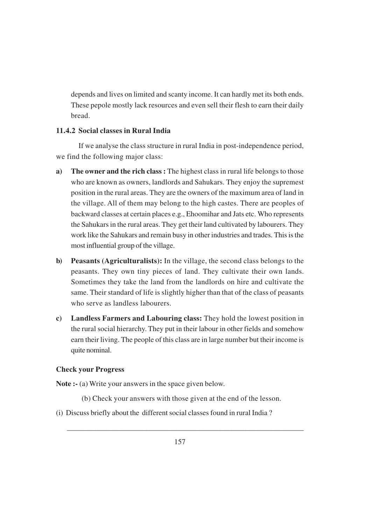depends and lives on limited and scanty income. It can hardly met its both ends. These pepole mostly lack resources and even sell their flesh to earn their daily bread.

# **11.4.2 Social classes in Rural India**

If we analyse the class structure in rural India in post-independence period, we find the following major class:

- **a) The owner and the rich class :** The highest class in rural life belongs to those who are known as owners, landlords and Sahukars. They enjoy the supremest position in the rural areas. They are the owners of the maximum area of land in the village. All of them may belong to the high castes. There are peoples of backward classes at certain places e.g., Ehoomihar and Jats etc. Who represents the Sahukars in the rural areas. They get their land cultivated by labourers. They work like the Sahukars and remain busy in other industries and trades. This is the most influential group of the village.
- **b) Peasants (Agriculturalists):** In the village, the second class belongs to the peasants. They own tiny pieces of land. They cultivate their own lands. Sometimes they take the land from the landlords on hire and cultivate the same. Their standard of life is slightly higher than that of the class of peasants who serve as landless labourers.
- **c) Landless Farmers and Labouring class:** They hold the lowest position in the rural social hierarchy. They put in their labour in other fields and somehow earn their living. The people of this class are in large number but their income is quite nominal.

## **Check your Progress**

**Note :-** (a) Write your answers in the space given below.

- (b) Check your answers with those given at the end of the lesson.
- (i) Discuss briefly about the different social classes found in rural India ?

 $\frac{1}{\sqrt{2}}$  ,  $\frac{1}{\sqrt{2}}$  ,  $\frac{1}{\sqrt{2}}$  ,  $\frac{1}{\sqrt{2}}$  ,  $\frac{1}{\sqrt{2}}$  ,  $\frac{1}{\sqrt{2}}$  ,  $\frac{1}{\sqrt{2}}$  ,  $\frac{1}{\sqrt{2}}$  ,  $\frac{1}{\sqrt{2}}$  ,  $\frac{1}{\sqrt{2}}$  ,  $\frac{1}{\sqrt{2}}$  ,  $\frac{1}{\sqrt{2}}$  ,  $\frac{1}{\sqrt{2}}$  ,  $\frac{1}{\sqrt{2}}$  ,  $\frac{1}{\sqrt{2}}$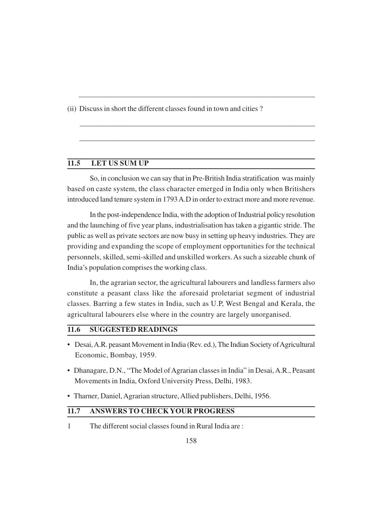(ii) Discuss in short the different classes found in town and cities ?

# **11.5 LET US SUM UP**

So, in conclusion we can say that in Pre-British India stratification was mainly based on caste system, the class character emerged in India only when Britishers introduced land tenure system in 1793 A.D in order to extract more and more revenue.

\_\_\_\_\_\_\_\_\_\_\_\_\_\_\_\_\_\_\_\_\_\_\_\_\_\_\_\_\_\_\_\_\_\_\_\_\_\_\_\_\_\_\_\_\_\_\_\_\_\_\_\_\_\_\_\_\_\_\_\_\_\_\_

\_\_\_\_\_\_\_\_\_\_\_\_\_\_\_\_\_\_\_\_\_\_\_\_\_\_\_\_\_\_\_\_\_\_\_\_\_\_\_\_\_\_\_\_\_\_\_\_\_\_\_\_\_\_\_\_\_\_\_\_\_\_\_

 $\frac{1}{2}$  ,  $\frac{1}{2}$  ,  $\frac{1}{2}$  ,  $\frac{1}{2}$  ,  $\frac{1}{2}$  ,  $\frac{1}{2}$  ,  $\frac{1}{2}$  ,  $\frac{1}{2}$  ,  $\frac{1}{2}$  ,  $\frac{1}{2}$  ,  $\frac{1}{2}$  ,  $\frac{1}{2}$  ,  $\frac{1}{2}$  ,  $\frac{1}{2}$  ,  $\frac{1}{2}$  ,  $\frac{1}{2}$  ,  $\frac{1}{2}$  ,  $\frac{1}{2}$  ,  $\frac{1$ 

In the post-independence India, with the adoption of Industrial policy resolution and the launching of five year plans, industrialisation has taken a gigantic stride. The public as well as private sectors are now busy in setting up heavy industries. They are providing and expanding the scope of employment opportunities for the technical personnels, skilled, semi-skilled and unskilled workers. As such a sizeable chunk of India's population comprises the working class.

In, the agrarian sector, the agricultural labourers and landless farmers also constitute a peasant class like the aforesaid proletariat segment of industrial classes. Barring a few states in India, such as U.P, West Bengal and Kerala, the agricultural labourers else where in the country are largely unorganised.

# **11.6 SUGGESTED READINGS**

- Desai, A.R. peasant Movement in India (Rev. ed.), The Indian Society of Agricultural Economic, Bombay, 1959.
- Dhanagare, D.N., "The Model of Agrarian classes in India" in Desai, A.R., Peasant Movements in India, Oxford University Press, Delhi, 1983.
- Tharner, Daniel, Agrarian structure, Allied publishers, Delhi, 1956.

# **11.7 ANSWERS TO CHECK YOUR PROGRESS**

1 The different social classes found in Rural India are :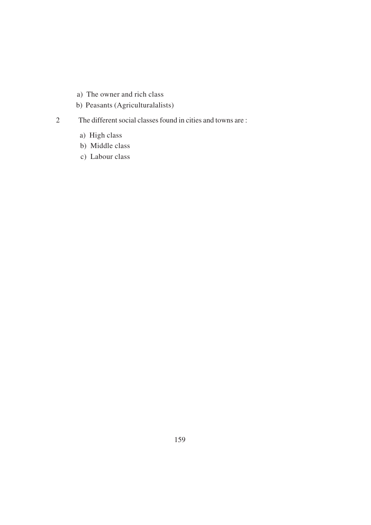- a) The owner and rich class
- b) Peasants (Agriculturalalists)

2 The different social classes found in cities and towns are :

- a) High class
- b) Middle class
- c) Labour class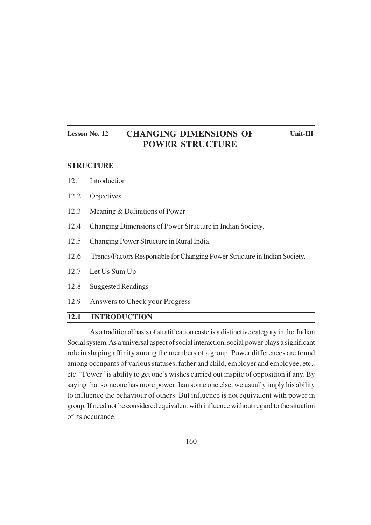# Lesson No. 12 CHANGING DIMENSIONS OF Unit-III **POWER STRUCTURE**

### **STRUCTURE**

- 12.1 Introduction
- 12.2 Objectives
- 12.3 Meaning & Definitions of Power
- 12.4 Changing Dimensions of Power Structure in Indian Society.
- 12.5 Changing Power Structure in Rural India.
- 12.6 Trends/Factors Responsible for Changing Power Structure in Indian Society.
- 12.7 Let Us Sum Up
- 12.8 Suggested Readings
- 12.9 Answers to Check your Progress

# **12.1 INTRODUCTION**

As a traditional basis of stratification caste is a distinctive category in the Indian Social system. As a universal aspect of social interaction, social power plays a significant role in shaping affinity among the members of a group. Power differences are found among occupants of various statuses, father and child, employer and employee, etc.. etc. "Power" is ability to get one's wishes carried out inspite of opposition if any. By saying that someone has more power than some one else, we usually imply his ability to influence the behaviour of others. But influence is not equivalent with power in group. If need not be considered equivalent with influence without regard to the situation of its occurance.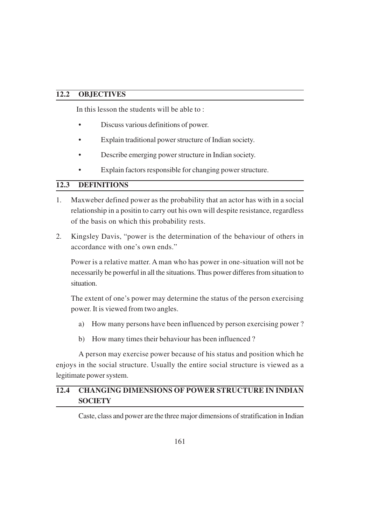# **12.2 OBJECTIVES**

In this lesson the students will be able to :

- Discuss various definitions of power.
- Explain traditional power structure of Indian society.
- Describe emerging power structure in Indian society.
- Explain factors responsible for changing power structure.

# **12.3 DEFINITIONS**

- 1. Maxweber defined power as the probability that an actor has with in a social relationship in a positin to carry out his own will despite resistance, regardless of the basis on which this probability rests.
- 2. Kingsley Davis, "power is the determination of the behaviour of others in accordance with one's own ends."

Power is a relative matter. A man who has power in one-situation will not be necessarily be powerful in all the situations. Thus power differes from situation to situation.

The extent of one's power may determine the status of the person exercising power. It is viewed from two angles.

- a) How many persons have been influenced by person exercising power ?
- b) How many times their behaviour has been influenced ?

A person may exercise power because of his status and position which he enjoys in the social structure. Usually the entire social structure is viewed as a legitimate power system.

# **12.4 CHANGING DIMENSIONS OF POWER STRUCTURE IN INDIAN SOCIETY**

Caste, class and power are the three major dimensions of stratification in Indian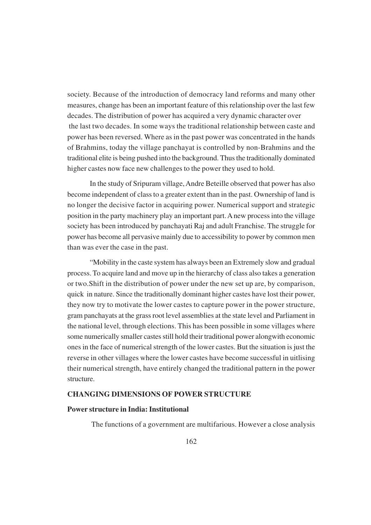society. Because of the introduction of democracy land reforms and many other measures, change has been an important feature of this relationship over the last few decades. The distribution of power has acquired a very dynamic character over the last two decades. In some ways the traditional relationship between caste and power has been reversed. Where as in the past power was concentrated in the hands of Brahmins, today the village panchayat is controlled by non-Brahmins and the traditional elite is being pushed into the background. Thus the traditionally dominated higher castes now face new challenges to the power they used to hold.

In the study of Sripuram village, Andre Beteille observed that power has also become independent of class to a greater extent than in the past. Ownership of land is no longer the decisive factor in acquiring power. Numerical support and strategic position in the party machinery play an important part. A new process into the village society has been introduced by panchayati Raj and adult Franchise. The struggle for power has become all pervasive mainly due to accessibility to power by common men than was ever the case in the past.

"Mobility in the caste system has always been an Extremely slow and gradual process. To acquire land and move up in the hierarchy of class also takes a generation or two.Shift in the distribution of power under the new set up are, by comparison, quick in nature. Since the traditionally dominant higher castes have lost their power, they now try to motivate the lower castes to capture power in the power structure, gram panchayats at the grass root level assemblies at the state level and Parliament in the national level, through elections. This has been possible in some villages where some numerically smaller castes still hold their traditional power alongwith economic ones in the face of numerical strength of the lower castes. But the situation is just the reverse in other villages where the lower castes have become successful in uitlising their numerical strength, have entirely changed the traditional pattern in the power structure.

# **CHANGING DIMENSIONS OF POWER STRUCTURE**

## **Power structure in India: Institutional**

The functions of a government are multifarious. However a close analysis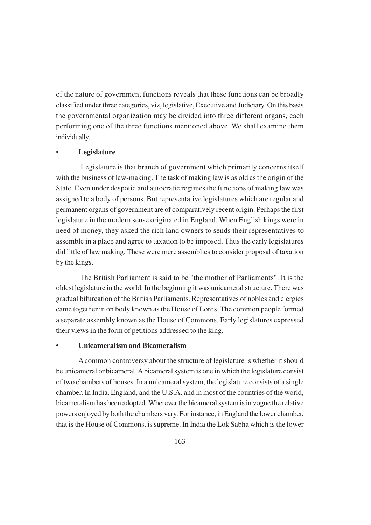of the nature of government functions reveals that these functions can be broadly classified under three categories, viz, legislative, Executive and Judiciary. On this basis the governmental organization may be divided into three different organs, each performing one of the three functions mentioned above. We shall examine them individually.

# • **Legislature**

 Legislature is that branch of government which primarily concerns itself with the business of law-making. The task of making law is as old as the origin of the State. Even under despotic and autocratic regimes the functions of making law was assigned to a body of persons. But representative legislatures which are regular and permanent organs of government are of comparatively recent origin. Perhaps the first legislature in the modern sense originated in England. When English kings were in need of money, they asked the rich land owners to sends their representatives to assemble in a place and agree to taxation to be imposed. Thus the early legislatures did little of law making. These were mere assemblies to consider proposal of taxation by the kings.

 The British Parliament is said to be "the mother of Parliaments". It is the oldest legislature in the world. In the beginning it was unicameral structure. There was gradual bifurcation of the British Parliaments. Representatives of nobles and clergies came together in on body known as the House of Lords. The common people formed a separate assembly known as the House of Commons. Early legislatures expressed their views in the form of petitions addressed to the king.

# **• Unicameralism and Bicameralism**

 A common controversy about the structure of legislature is whether it should be unicameral or bicameral. A bicameral system is one in which the legislature consist of two chambers of houses. In a unicameral system, the legislature consists of a single chamber. In India, England, and the U.S.A. and in most of the countries of the world, bicameralism has been adopted. Wherever the bicameral system is in vogue the relative powers enjoyed by both the chambers vary. For instance, in England the lower chamber, that is the House of Commons, is supreme. In India the Lok Sabha which is the lower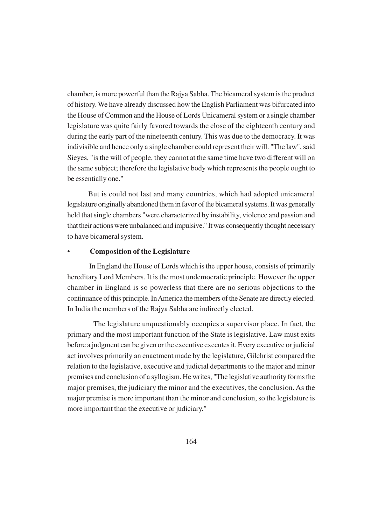chamber, is more powerful than the Rajya Sabha. The bicameral system is the product of history. We have already discussed how the English Parliament was bifurcated into the House of Common and the House of Lords Unicameral system or a single chamber legislature was quite fairly favored towards the close of the eighteenth century and during the early part of the nineteenth century. This was due to the democracy. It was indivisible and hence only a single chamber could represent their will. "The law", said Sieyes, "is the will of people, they cannot at the same time have two different will on the same subject; therefore the legislative body which represents the people ought to be essentially one."

 But is could not last and many countries, which had adopted unicameral legislature originally abandoned them in favor of the bicameral systems. It was generally held that single chambers "were characterized by instability, violence and passion and that their actions were unbalanced and impulsive." It was consequently thought necessary to have bicameral system.

## • **Composition of the Legislature**

 In England the House of Lords which is the upper house, consists of primarily hereditary Lord Members. It is the most undemocratic principle. However the upper chamber in England is so powerless that there are no serious objections to the continuance of this principle. In America the members of the Senate are directly elected. In India the members of the Rajya Sabha are indirectly elected.

 The legislature unquestionably occupies a supervisor place. In fact, the primary and the most important function of the State is legislative. Law must exits before a judgment can be given or the executive executes it. Every executive or judicial act involves primarily an enactment made by the legislature, Gilchrist compared the relation to the legislative, executive and judicial departments to the major and minor premises and conclusion of a syllogism. He writes, "The legislative authority forms the major premises, the judiciary the minor and the executives, the conclusion. As the major premise is more important than the minor and conclusion, so the legislature is more important than the executive or judiciary."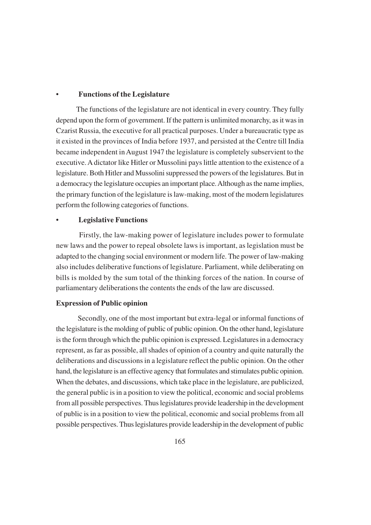## • **Functions of the Legislature**

 The functions of the legislature are not identical in every country. They fully depend upon the form of government. If the pattern is unlimited monarchy, as it was in Czarist Russia, the executive for all practical purposes. Under a bureaucratic type as it existed in the provinces of India before 1937, and persisted at the Centre till India became independent in August 1947 the legislature is completely subservient to the executive. A dictator like Hitler or Mussolini pays little attention to the existence of a legislature. Both Hitler and Mussolini suppressed the powers of the legislatures. But in a democracy the legislature occupies an important place. Although as the name implies, the primary function of the legislature is law-making, most of the modern legislatures perform the following categories of functions.

## • **Legislative Functions**

 Firstly, the law-making power of legislature includes power to formulate new laws and the power to repeal obsolete laws is important, as legislation must be adapted to the changing social environment or modern life. The power of law-making also includes deliberative functions of legislature. Parliament, while deliberating on bills is molded by the sum total of the thinking forces of the nation. In course of parliamentary deliberations the contents the ends of the law are discussed.

## **Expression of Public opinion**

 Secondly, one of the most important but extra-legal or informal functions of the legislature is the molding of public of public opinion. On the other hand, legislature is the form through which the public opinion is expressed. Legislatures in a democracy represent, as far as possible, all shades of opinion of a country and quite naturally the deliberations and discussions in a legislature reflect the public opinion. On the other hand, the legislature is an effective agency that formulates and stimulates public opinion. When the debates, and discussions, which take place in the legislature, are publicized, the general public is in a position to view the political, economic and social problems from all possible perspectives. Thus legislatures provide leadership in the development of public is in a position to view the political, economic and social problems from all possible perspectives. Thus legislatures provide leadership in the development of public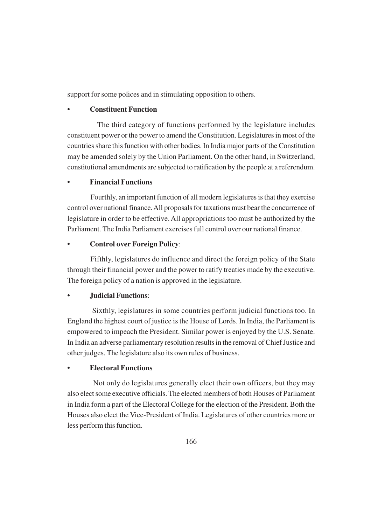support for some polices and in stimulating opposition to others.

# **• Constituent Function**

 The third category of functions performed by the legislature includes constituent power or the power to amend the Constitution. Legislatures in most of the countries share this function with other bodies. In India major parts of the Constitution may be amended solely by the Union Parliament. On the other hand, in Switzerland, constitutional amendments are subjected to ratification by the people at a referendum.

# **• Financial Functions**

 Fourthly, an important function of all modern legislatures is that they exercise control over national finance. All proposals for taxations must bear the concurrence of legislature in order to be effective. All appropriations too must be authorized by the Parliament. The India Parliament exercises full control over our national finance.

# **• Control over Foreign Policy**:

 Fifthly, legislatures do influence and direct the foreign policy of the State through their financial power and the power to ratify treaties made by the executive. The foreign policy of a nation is approved in the legislature.

# **• Judicial Functions**:

 Sixthly, legislatures in some countries perform judicial functions too. In England the highest court of justice is the House of Lords. In India, the Parliament is empowered to impeach the President. Similar power is enjoyed by the U.S. Senate. In India an adverse parliamentary resolution results in the removal of Chief Justice and other judges. The legislature also its own rules of business.

# **• Electoral Functions**

 Not only do legislatures generally elect their own officers, but they may also elect some executive officials. The elected members of both Houses of Parliament in India form a part of the Electoral College for the election of the President. Both the Houses also elect the Vice-President of India. Legislatures of other countries more or less perform this function.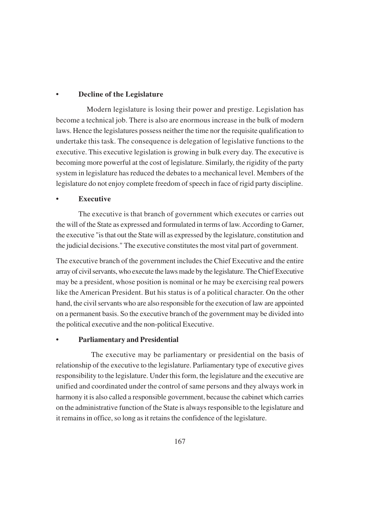## **• Decline of the Legislature**

 Modern legislature is losing their power and prestige. Legislation has become a technical job. There is also are enormous increase in the bulk of modern laws. Hence the legislatures possess neither the time nor the requisite qualification to undertake this task. The consequence is delegation of legislative functions to the executive. This executive legislation is growing in bulk every day. The executive is becoming more powerful at the cost of legislature. Similarly, the rigidity of the party system in legislature has reduced the debates to a mechanical level. Members of the legislature do not enjoy complete freedom of speech in face of rigid party discipline.

## **• Executive**

 The executive is that branch of government which executes or carries out the will of the State as expressed and formulated in terms of law. According to Garner, the executive "is that out the State will as expressed by the legislature, constitution and the judicial decisions." The executive constitutes the most vital part of government.

The executive branch of the government includes the Chief Executive and the entire array of civil servants, who execute the laws made by the legislature. The Chief Executive may be a president, whose position is nominal or he may be exercising real powers like the American President. But his status is of a political character. On the other hand, the civil servants who are also responsible for the execution of law are appointed on a permanent basis. So the executive branch of the government may be divided into the political executive and the non-political Executive.

## **• Parliamentary and Presidential**

 The executive may be parliamentary or presidential on the basis of relationship of the executive to the legislature. Parliamentary type of executive gives responsibility to the legislature. Under this form, the legislature and the executive are unified and coordinated under the control of same persons and they always work in harmony it is also called a responsible government, because the cabinet which carries on the administrative function of the State is always responsible to the legislature and it remains in office, so long as it retains the confidence of the legislature.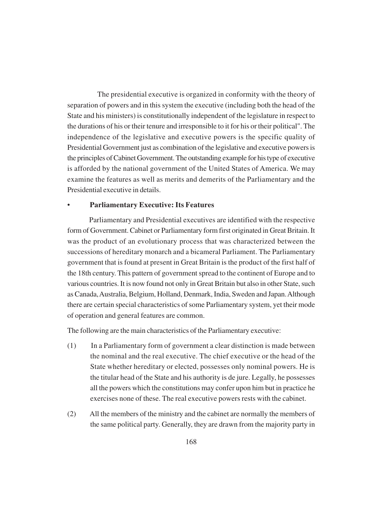The presidential executive is organized in conformity with the theory of separation of powers and in this system the executive (including both the head of the State and his ministers) is constitutionally independent of the legislature in respect to the durations of his or their tenure and irresponsible to it for his or their political". The independence of the legislative and executive powers is the specific quality of Presidential Government just as combination of the legislative and executive powers is the principles of Cabinet Government. The outstanding example for his type of executive is afforded by the national government of the United States of America. We may examine the features as well as merits and demerits of the Parliamentary and the Presidential executive in details.

## • **Parliamentary Executive: Its Features**

 Parliamentary and Presidential executives are identified with the respective form of Government. Cabinet or Parliamentary form first originated in Great Britain. It was the product of an evolutionary process that was characterized between the successions of hereditary monarch and a bicameral Parliament. The Parliamentary government that is found at present in Great Britain is the product of the first half of the 18th century. This pattern of government spread to the continent of Europe and to various countries. It is now found not only in Great Britain but also in other State, such as Canada, Australia, Belgium, Holland, Denmark, India, Sweden and Japan. Although there are certain special characteristics of some Parliamentary system, yet their mode of operation and general features are common.

The following are the main characteristics of the Parliamentary executive:

- (1) In a Parliamentary form of government a clear distinction is made between the nominal and the real executive. The chief executive or the head of the State whether hereditary or elected, possesses only nominal powers. He is the titular head of the State and his authority is de jure. Legally, he possesses all the powers which the constitutions may confer upon him but in practice he exercises none of these. The real executive powers rests with the cabinet.
- (2) All the members of the ministry and the cabinet are normally the members of the same political party. Generally, they are drawn from the majority party in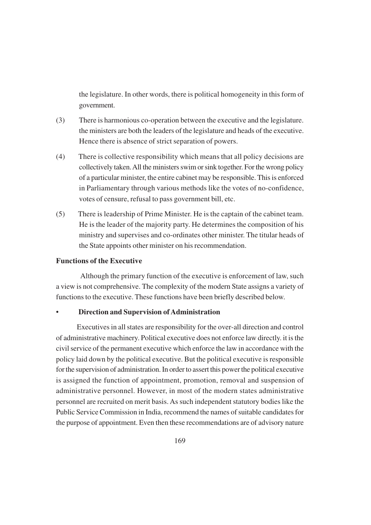the legislature. In other words, there is political homogeneity in this form of government.

- (3) There is harmonious co-operation between the executive and the legislature. the ministers are both the leaders of the legislature and heads of the executive. Hence there is absence of strict separation of powers.
- (4) There is collective responsibility which means that all policy decisions are collectively taken. All the ministers swim or sink together. For the wrong policy of a particular minister, the entire cabinet may be responsible. This is enforced in Parliamentary through various methods like the votes of no-confidence, votes of censure, refusal to pass government bill, etc.
- (5) There is leadership of Prime Minister. He is the captain of the cabinet team. He is the leader of the majority party. He determines the composition of his ministry and supervises and co-ordinates other minister. The titular heads of the State appoints other minister on his recommendation.

## **Functions of the Executive**

 Although the primary function of the executive is enforcement of law, such a view is not comprehensive. The complexity of the modern State assigns a variety of functions to the executive. These functions have been briefly described below.

## • **Direction and Supervision of Administration**

 Executives in all states are responsibility for the over-all direction and control of administrative machinery. Political executive does not enforce law directly. it is the civil service of the permanent executive which enforce the law in accordance with the policy laid down by the political executive. But the political executive is responsible for the supervision of administration. In order to assert this power the political executive is assigned the function of appointment, promotion, removal and suspension of administrative personnel. However, in most of the modern states administrative personnel are recruited on merit basis. As such independent statutory bodies like the Public Service Commission in India, recommend the names of suitable candidates for the purpose of appointment. Even then these recommendations are of advisory nature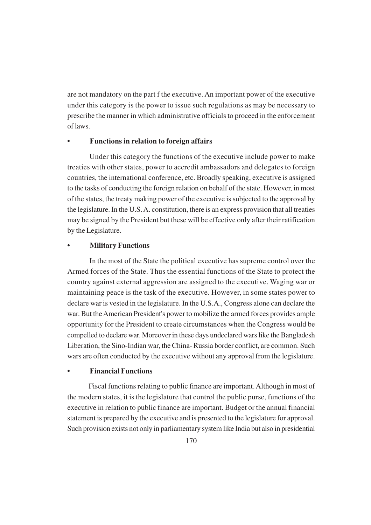are not mandatory on the part f the executive. An important power of the executive under this category is the power to issue such regulations as may be necessary to prescribe the manner in which administrative officials to proceed in the enforcement of laws.

## **• Functions in relation to foreign affairs**

 Under this category the functions of the executive include power to make treaties with other states, power to accredit ambassadors and delegates to foreign countries, the international conference, etc. Broadly speaking, executive is assigned to the tasks of conducting the foreign relation on behalf of the state. However, in most of the states, the treaty making power of the executive is subjected to the approval by the legislature. In the U.S. A. constitution, there is an express provision that all treaties may be signed by the President but these will be effective only after their ratification by the Legislature.

# **• Military Functions**

 In the most of the State the political executive has supreme control over the Armed forces of the State. Thus the essential functions of the State to protect the country against external aggression are assigned to the executive. Waging war or maintaining peace is the task of the executive. However, in some states power to declare war is vested in the legislature. In the U.S.A., Congress alone can declare the war. But the American President's power to mobilize the armed forces provides ample opportunity for the President to create circumstances when the Congress would be compelled to declare war. Moreover in these days undeclared wars like the Bangladesh Liberation, the Sino-Indian war, the China- Russia border conflict, are common. Such wars are often conducted by the executive without any approval from the legislature.

## **• Financial Functions**

 Fiscal functions relating to public finance are important. Although in most of the modern states, it is the legislature that control the public purse, functions of the executive in relation to public finance are important. Budget or the annual financial statement is prepared by the executive and is presented to the legislature for approval. Such provision exists not only in parliamentary system like India but also in presidential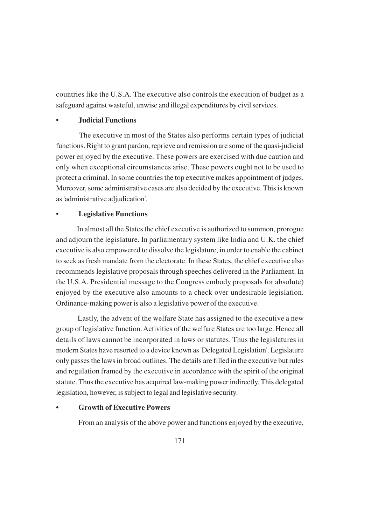countries like the U.S.A. The executive also controls the execution of budget as a safeguard against wasteful, unwise and illegal expenditures by civil services.

## **• Judicial Functions**

 The executive in most of the States also performs certain types of judicial functions. Right to grant pardon, reprieve and remission are some of the quasi-judicial power enjoyed by the executive. These powers are exercised with due caution and only when exceptional circumstances arise. These powers ought not to be used to protect a criminal. In some countries the top executive makes appointment of judges. Moreover, some administrative cases are also decided by the executive. This is known as 'administrative adjudication'.

## **• Legislative Functions**

 In almost all the States the chief executive is authorized to summon, prorogue and adjourn the legislature. In parliamentary system like India and U.K. the chief executive is also empowered to dissolve the legislature, in order to enable the cabinet to seek as fresh mandate from the electorate. In these States, the chief executive also recommends legislative proposals through speeches delivered in the Parliament. In the U.S.A. Presidential message to the Congress embody proposals for absolute) enjoyed by the executive also amounts to a check over undesirable legislation. Ordinance-making power is also a legislative power of the executive.

 Lastly, the advent of the welfare State has assigned to the executive a new group of legislative function. Activities of the welfare States are too large. Hence all details of laws cannot be incorporated in laws or statutes. Thus the legislatures in modern States have resorted to a device known as 'Delegated Legislation'. Legislature only passes the laws in broad outlines. The details are filled in the executive but rules and regulation framed by the executive in accordance with the spirit of the original statute. Thus the executive has acquired law-making power indirectly. This delegated legislation, however, is subject to legal and legislative security.

# **• Growth of Executive Powers**

From an analysis of the above power and functions enjoyed by the executive,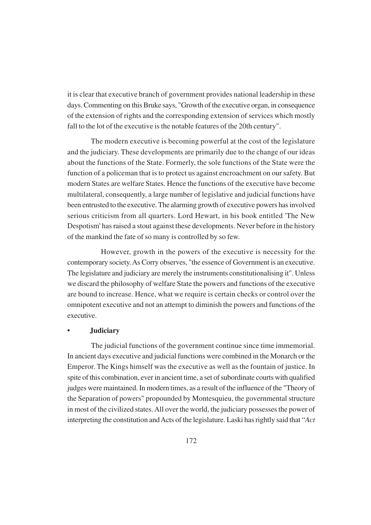it is clear that executive branch of government provides national leadership in these days. Commenting on this Bruke says, "Growth of the executive organ, in consequence of the extension of rights and the corresponding extension of services which mostly fall to the lot of the executive is the notable features of the 20th century".

 The modern executive is becoming powerful at the cost of the legislature and the judiciary. These developments are primarily due to the change of our ideas about the functions of the State. Formerly, the sole functions of the State were the function of a policeman that is to protect us against encroachment on our safety. But modern States are welfare States. Hence the functions of the executive have become multilateral, consequently, a large number of legislative and judicial functions have been entrusted to the executive. The alarming growth of executive powers has involved serious criticism from all quarters. Lord Hewart, in his book entitled 'The New Despotism' has raised a stout against these developments. Never before in the history of the mankind the fate of so many is controlled by so few.

 However, growth in the powers of the executive is necessity for the contemporary society. As Corry observes, "the essence of Government is an executive. The legislature and judiciary are merely the instruments constitutionalising it". Unless we discard the philosophy of welfare State the powers and functions of the executive are bound to increase. Hence, what we require is certain checks or control over the omnipotent executive and not an attempt to diminish the powers and functions of the executive.

## **• Judiciary**

 The judicial functions of the government continue since time immemorial. In ancient days executive and judicial functions were combined in the Monarch or the Emperor. The Kings himself was the executive as well as the fountain of justice. In spite of this combination, ever in ancient time, a set of subordinate courts with qualified judges were maintained. In modern times, as a result of the influence of the "Theory of the Separation of powers" propounded by Montesquieu, the governmental structure in most of the civilized states. All over the world, the judiciary possesses the power of interpreting the constitution and Acts of the legislature. Laski has rightly said that "*Act*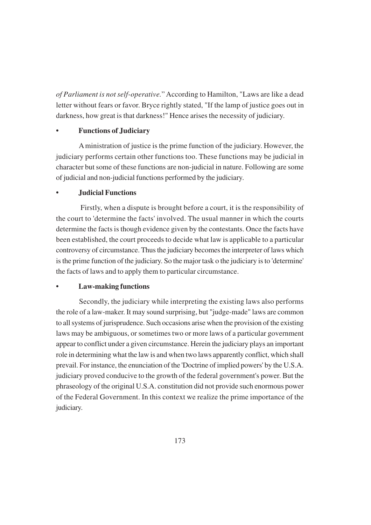*of Parliament is not self-operative.*" According to Hamilton, "Laws are like a dead letter without fears or favor. Bryce rightly stated, "If the lamp of justice goes out in darkness, how great is that darkness!" Hence arises the necessity of judiciary.

## **• Functions of Judiciary**

 A ministration of justice is the prime function of the judiciary. However, the judiciary performs certain other functions too. These functions may be judicial in character but some of these functions are non-judicial in nature. Following are some of judicial and non-judicial functions performed by the judiciary.

## **• Judicial Functions**

 Firstly, when a dispute is brought before a court, it is the responsibility of the court to 'determine the facts' involved. The usual manner in which the courts determine the facts is though evidence given by the contestants. Once the facts have been established, the court proceeds to decide what law is applicable to a particular controversy of circumstance. Thus the judiciary becomes the interpreter of laws which is the prime function of the judiciary. So the major task o the judiciary is to 'determine' the facts of laws and to apply them to particular circumstance.

# **• Law-making functions**

 Secondly, the judiciary while interpreting the existing laws also performs the role of a law-maker. It may sound surprising, but "judge-made" laws are common to all systems of jurisprudence. Such occasions arise when the provision of the existing laws may be ambiguous, or sometimes two or more laws of a particular government appear to conflict under a given circumstance. Herein the judiciary plays an important role in determining what the law is and when two laws apparently conflict, which shall prevail. For instance, the enunciation of the 'Doctrine of implied powers' by the U.S.A. judiciary proved conducive to the growth of the federal government's power. But the phraseology of the original U.S.A. constitution did not provide such enormous power of the Federal Government. In this context we realize the prime importance of the judiciary.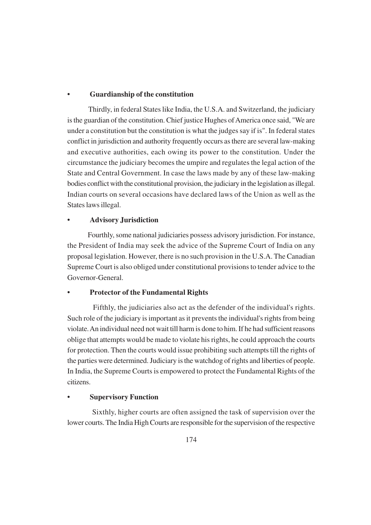## **• Guardianship of the constitution**

 Thirdly, in federal States like India, the U.S.A. and Switzerland, the judiciary is the guardian of the constitution. Chief justice Hughes of America once said, "We are under a constitution but the constitution is what the judges say if is". In federal states conflict in jurisdiction and authority frequently occurs as there are several law-making and executive authorities, each owing its power to the constitution. Under the circumstance the judiciary becomes the umpire and regulates the legal action of the State and Central Government. In case the laws made by any of these law-making bodies conflict with the constitutional provision, the judiciary in the legislation as illegal. Indian courts on several occasions have declared laws of the Union as well as the States laws illegal.

## **• Advisory Jurisdiction**

 Fourthly, some national judiciaries possess advisory jurisdiction. For instance, the President of India may seek the advice of the Supreme Court of India on any proposal legislation. However, there is no such provision in the U.S.A. The Canadian Supreme Court is also obliged under constitutional provisions to tender advice to the Governor-General.

## **• Protector of the Fundamental Rights**

 Fifthly, the judiciaries also act as the defender of the individual's rights. Such role of the judiciary is important as it prevents the individual's rights from being violate. An individual need not wait till harm is done to him. If he had sufficient reasons oblige that attempts would be made to violate his rights, he could approach the courts for protection. Then the courts would issue prohibiting such attempts till the rights of the parties were determined. Judiciary is the watchdog of rights and liberties of people. In India, the Supreme Courts is empowered to protect the Fundamental Rights of the citizens.

## **• Supervisory Function**

 Sixthly, higher courts are often assigned the task of supervision over the lower courts. The India High Courts are responsible for the supervision of the respective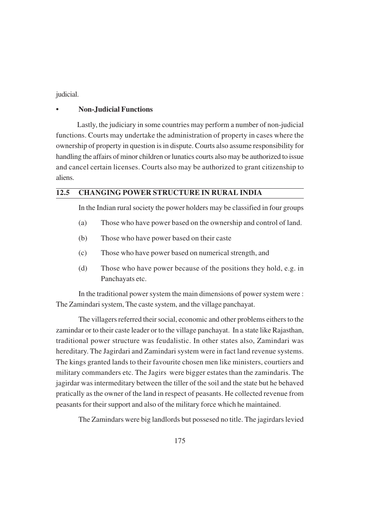judicial.

#### **• Non-Judicial Functions**

 Lastly, the judiciary in some countries may perform a number of non-judicial functions. Courts may undertake the administration of property in cases where the ownership of property in question is in dispute. Courts also assume responsibility for handling the affairs of minor children or lunatics courts also may be authorized to issue and cancel certain licenses. Courts also may be authorized to grant citizenship to aliens.

## **12.5 CHANGING POWER STRUCTURE IN RURAL INDIA**

In the Indian rural society the power holders may be classified in four groups

- (a) Those who have power based on the ownership and control of land.
- (b) Those who have power based on their caste
- (c) Those who have power based on numerical strength, and
- (d) Those who have power because of the positions they hold, e.g. in Panchayats etc.

In the traditional power system the main dimensions of power system were : The Zamindari system, The caste system, and the village panchayat.

The villagers referred their social, economic and other problems eithers to the zamindar or to their caste leader or to the village panchayat. In a state like Rajasthan, traditional power structure was feudalistic. In other states also, Zamindari was hereditary. The Jagirdari and Zamindari system were in fact land revenue systems. The kings granted lands to their favourite chosen men like ministers, courtiers and military commanders etc. The Jagirs were bigger estates than the zamindaris. The jagirdar was intermeditary between the tiller of the soil and the state but he behaved pratically as the owner of the land in respect of peasants. He collected revenue from peasants for their support and also of the military force which he maintained.

The Zamindars were big landlords but possesed no title. The jagirdars levied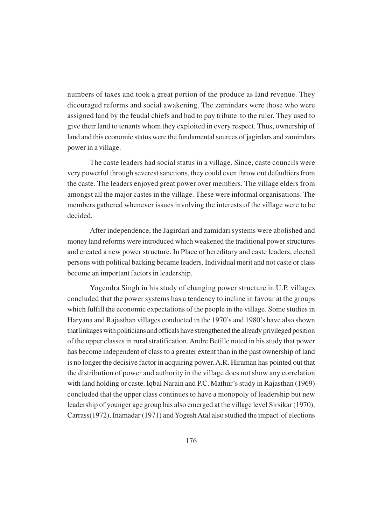numbers of taxes and took a great portion of the produce as land revenue. They dicouraged reforms and social awakening. The zamindars were those who were assigned land by the feudal chiefs and had to pay tribute to the ruler. They used to give their land to tenants whom they exploited in every respect. Thus, ownership of land and this economic status were the fundamental sources of jagirdars and zamindars power in a village.

The caste leaders had social status in a village. Since, caste councils were very powerful through severest sanctions, they could even throw out defaultiers from the caste. The leaders enjoyed great power over members. The village elders from amongst all the major castes in the village. These were informal organisations. The members gathered whenever issues involving the interests of the village were to be decided.

After independence, the Jagirdari and zamidari systems were abolished and money land reforms were introduced which weakened the traditional power structures and created a new power structure. In Place of hereditary and caste leaders, elected persons with political backing became leaders. Individual merit and not caste or class become an important factors in leadership.

Yogendra Singh in his study of changing power structure in U.P. villages concluded that the power systems has a tendency to incline in favour at the groups which fulfill the economic expectations of the people in the village. Some studies in Haryana and Rajasthan villages conducted in the 1970's and 1980's have also shown that linkages with politicians and officals have strengthened the already privileged position of the upper classes in rural stratification. Andre Betille noted in his study that power has become independent of class to a greater extent than in the past ownership of land is no longer the decisive factor in acquiring power. A.R. Hiraman has pointed out that the distribution of power and authority in the village does not show any correlation with land holding or caste. Iqbal Narain and P.C. Mathur's study in Rajasthan (1969) concluded that the upper class continues to have a monopoly of leadership but new leadership of younger age group has also emerged at the village level Sirsikar (1970), Carrass(1972), Inamadar (1971) and Yogesh Atal also studied the impact of elections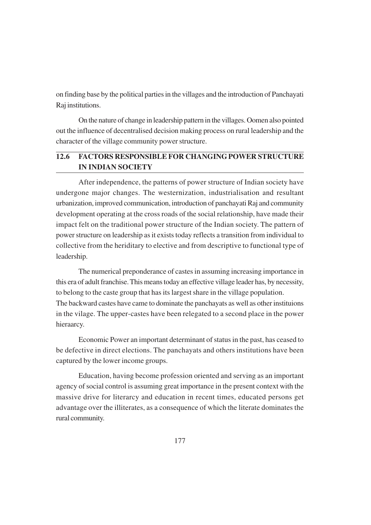on finding base by the political parties in the villages and the introduction of Panchayati Raj institutions.

On the nature of change in leadership pattern in the villages. Oomen also pointed out the influence of decentralised decision making process on rural leadership and the character of the village community power structure.

# **12.6 FACTORS RESPONSIBLE FOR CHANGING POWER STRUCTURE IN INDIAN SOCIETY**

After independence, the patterns of power structure of Indian society have undergone major changes. The westernization, industrialisation and resultant urbanization, improved communication, introduction of panchayati Raj and community development operating at the cross roads of the social relationship, have made their impact felt on the traditional power structure of the Indian society. The pattern of power structure on leadership as it exists today reflects a transition from individual to collective from the heriditary to elective and from descriptive to functional type of leadership.

The numerical preponderance of castes in assuming increasing importance in this era of adult franchise. This means today an effective village leader has, by necessity, to belong to the caste group that has its largest share in the village population. The backward castes have came to dominate the panchayats as well as other instituions in the vilage. The upper-castes have been relegated to a second place in the power hieraarcy.

Economic Power an important determinant of status in the past, has ceased to be defective in direct elections. The panchayats and others institutions have been captured by the lower income groups.

Education, having become profession oriented and serving as an important agency of social control is assuming great importance in the present context with the massive drive for literarcy and education in recent times, educated persons get advantage over the illiterates, as a consequence of which the literate dominates the rural community.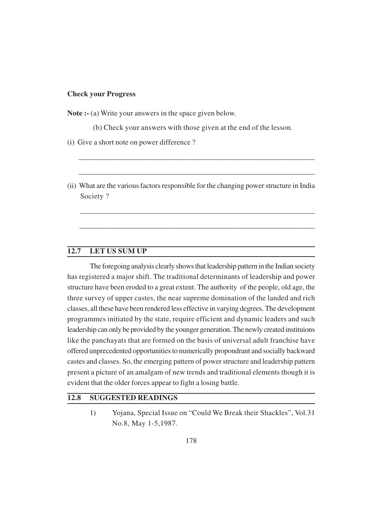#### **Check your Progress**

**Note :-** (a) Write your answers in the space given below.

(b) Check your answers with those given at the end of the lesson.

- (i) Give a short note on power difference ?
- (ii) What are the various factors responsible for the changing power structure in India Society ?

\_\_\_\_\_\_\_\_\_\_\_\_\_\_\_\_\_\_\_\_\_\_\_\_\_\_\_\_\_\_\_\_\_\_\_\_\_\_\_\_\_\_\_\_\_\_\_\_\_\_\_\_\_\_\_\_\_\_\_\_\_\_\_

 $\mathcal{L} = \{ \mathcal{L} = \{ \mathcal{L} \} \cup \{ \mathcal{L} \} \cup \{ \mathcal{L} \} \cup \{ \mathcal{L} \} \cup \{ \mathcal{L} \} \cup \{ \mathcal{L} \} \cup \{ \mathcal{L} \} \cup \{ \mathcal{L} \} \cup \{ \mathcal{L} \} \cup \{ \mathcal{L} \} \cup \{ \mathcal{L} \} \cup \{ \mathcal{L} \} \cup \{ \mathcal{L} \} \cup \{ \mathcal{L} \} \cup \{ \mathcal{L} \} \cup \{ \mathcal{L} \} \cup \{ \mathcal{L} \} \cup$ 

 $\frac{1}{\sqrt{2}}$  ,  $\frac{1}{\sqrt{2}}$  ,  $\frac{1}{\sqrt{2}}$  ,  $\frac{1}{\sqrt{2}}$  ,  $\frac{1}{\sqrt{2}}$  ,  $\frac{1}{\sqrt{2}}$  ,  $\frac{1}{\sqrt{2}}$  ,  $\frac{1}{\sqrt{2}}$  ,  $\frac{1}{\sqrt{2}}$  ,  $\frac{1}{\sqrt{2}}$  ,  $\frac{1}{\sqrt{2}}$  ,  $\frac{1}{\sqrt{2}}$  ,  $\frac{1}{\sqrt{2}}$  ,  $\frac{1}{\sqrt{2}}$  ,  $\frac{1}{\sqrt{2}}$ 

\_\_\_\_\_\_\_\_\_\_\_\_\_\_\_\_\_\_\_\_\_\_\_\_\_\_\_\_\_\_\_\_\_\_\_\_\_\_\_\_\_\_\_\_\_\_\_\_\_\_\_\_\_\_\_\_\_\_\_\_\_\_\_

## **12.7 LET US SUM UP**

The foregoing analysis clearly shows that leadership pattern in the Indian society has registered a major shift. The traditional determinants of leadership and power structure have been eroded to a great extent. The authority of the people, old age, the three survey of upper castes, the near supreme domination of the landed and rich classes, all these have been rendered less effective in varying degrees. The development programmes initiated by the state, require efficient and dynamic leaders and such leadership can only be provided by the younger generation. The newly created instituions like the panchayats that are formed on the basis of universal adult franchise have offered unprecedented opportunities to numerically propondrant and socially backward castes and classes. So, the emerging pattern of power structure and leadership pattern present a picture of an amalgam of new trends and traditional elements though it is evident that the older forces appear to fight a losing battle.

## **12.8 SUGGESTED READINGS**

1) Yojana, Special Issue on "Could We Break their Shackles", Vol.31 No.8, May 1-5,1987.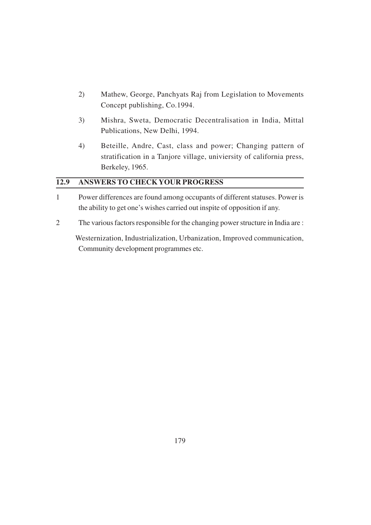- 2) Mathew, George, Panchyats Raj from Legislation to Movements Concept publishing, Co.1994.
- 3) Mishra, Sweta, Democratic Decentralisation in India, Mittal Publications, New Delhi, 1994.
- 4) Beteille, Andre, Cast, class and power; Changing pattern of stratification in a Tanjore village, univiersity of california press, Berkeley, 1965.

## **12.9 ANSWERS TO CHECK YOUR PROGRESS**

- 1 Power differences are found among occupants of different statuses. Power is the ability to get one's wishes carried out inspite of opposition if any.
- 2 The various factors responsible for the changing power structure in India are :

 Westernization, Industrialization, Urbanization, Improved communication, Community development programmes etc.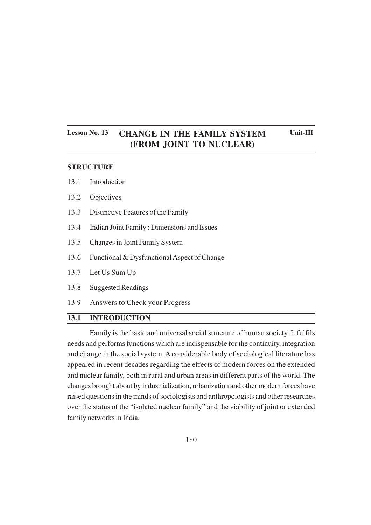# Lesson No. 13 CHANGE IN THE FAMILY SYSTEM Unit-III **(FROM JOINT TO NUCLEAR)**

#### **STRUCTURE**

- 13.1 Introduction
- 13.2 Objectives
- 13.3 Distinctive Features of the Family
- 13.4 Indian Joint Family : Dimensions and Issues
- 13.5 Changes in Joint Family System
- 13.6 Functional & Dysfunctional Aspect of Change
- 13.7 Let Us Sum Up
- 13.8 Suggested Readings
- 13.9 Answers to Check your Progress

## **13.1 INTRODUCTION**

Family is the basic and universal social structure of human society. It fulfils needs and performs functions which are indispensable for the continuity, integration and change in the social system. A considerable body of sociological literature has appeared in recent decades regarding the effects of modern forces on the extended and nuclear family, both in rural and urban areas in different parts of the world. The changes brought about by industrialization, urbanization and other modern forces have raised questions in the minds of sociologists and anthropologists and other researches over the status of the "isolated nuclear family" and the viability of joint or extended family networks in India.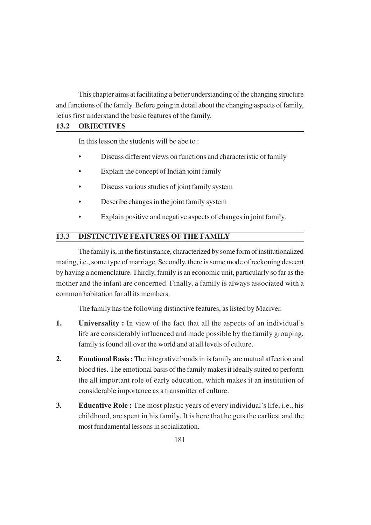This chapter aims at facilitating a better understanding of the changing structure and functions of the family. Before going in detail about the changing aspects of family, let us first understand the basic features of the family.

## **13.2 OBJECTIVES**

In this lesson the students will be abe to :

- Discuss different views on functions and characteristic of family
- Explain the concept of Indian joint family
- Discuss various studies of joint family system
- Describe changes in the joint family system
- Explain positive and negative aspects of changes in joint family.

## **13.3 DISTINCTIVE FEATURES OFTHE FAMILY**

The family is, in the first instance, characterized by some form of institutionalized mating, i.e., some type of marriage. Secondly, there is some mode of reckoning descent by having a nomenclature. Thirdly, family is an economic unit, particularly so far as the mother and the infant are concerned. Finally, a family is always associated with a common habitation for all its members.

The family has the following distinctive features, as listed by Maciver.

- **1. Universality :** In view of the fact that all the aspects of an individual's life are considerably influenced and made possible by the family grouping, family is found all over the world and at all levels of culture.
- **2. Emotional Basis :** The integrative bonds in is family are mutual affection and blood ties. The emotional basis of the family makes it ideally suited to perform the all important role of early education, which makes it an institution of considerable importance as a transmitter of culture.
- **3. Educative Role :** The most plastic years of every individual's life, i.e., his childhood, are spent in his family. It is here that he gets the earliest and the most fundamental lessons in socialization.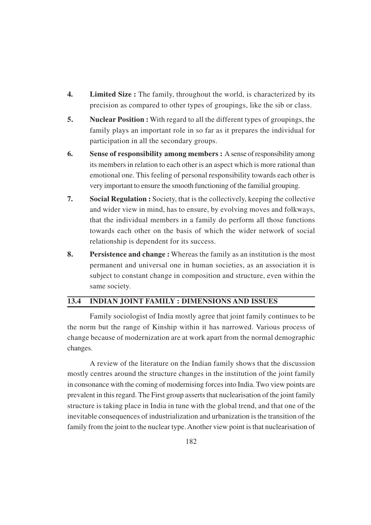- **4. Limited Size :** The family, throughout the world, is characterized by its precision as compared to other types of groupings, like the sib or class.
- **5. Nuclear Position :** With regard to all the different types of groupings, the family plays an important role in so far as it prepares the individual for participation in all the secondary groups.
- **6. Sense of responsibility among members :** A sense of responsibility among its members in relation to each other is an aspect which is more rational than emotional one. This feeling of personal responsibility towards each other is very important to ensure the smooth functioning of the familial grouping.
- **7. Social Regulation :** Society, that is the collectively, keeping the collective and wider view in mind, has to ensure, by evolving moves and folkways, that the individual members in a family do perform all those functions towards each other on the basis of which the wider network of social relationship is dependent for its success.
- **8. Persistence and change :** Whereas the family as an institution is the most permanent and universal one in human societies, as an association it is subject to constant change in composition and structure, even within the same society.

## **13.4 INDIAN JOINT FAMILY : DIMENSIONS AND ISSUES**

Family sociologist of India mostly agree that joint family continues to be the norm but the range of Kinship within it has narrowed. Various process of change because of modernization are at work apart from the normal demographic changes.

A review of the literature on the Indian family shows that the discussion mostly centres around the structure changes in the institution of the joint family in consonance with the coming of modernising forces into India. Two view points are prevalent in this regard. The First group asserts that nuclearisation of the joint family structure is taking place in India in tune with the global trend, and that one of the inevitable consequences of industrialization and urbanization is the transition of the family from the joint to the nuclear type. Another view point is that nuclearisation of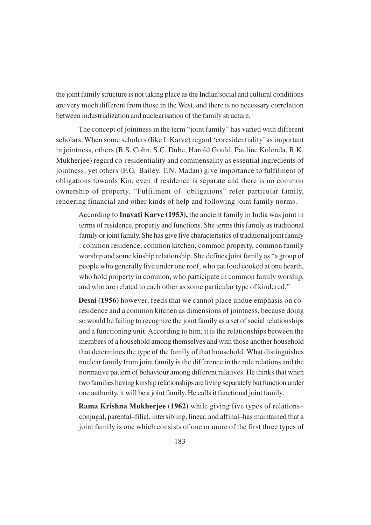the joint family structure is not taking place as the Indian social and cultural conditions are very much different from those in the West, and there is no necessary correlation between industrialization and nuclearisation of the family structure.

The concept of jointness in the term "joint family" has varied with different scholars. When some scholars (like I. Karve) regard 'coresidentiality' as important in jointness, others (B.S. Cohn, S.C. Dube, Harold Gould, Pauline Kolenda, R.K. Mukherjee) regard co-residentiality and commensality as essential ingredients of jointness; yet others (F.G. Bailey, T.N. Madan) give importance to fulfilment of obligations towards Kin, even if residence is separate and there is no common ownership of property. "Fulfilment of obligations" refer particular family, rendering financial and other kinds of help and following joint family norms.

According to **Inavati Karve (1953),** the ancient family in India was joint in terms of residence, property and functions. She terms this family as traditional family or joint family. She has give five characteristics of traditional joint family : common residence, common kitchen, common property, common family worship and some kinship relationship. She defines joint family as "a group of people who generally live under one roof, who eat food cooked at one hearth, who hold property in common, who participate in common family worship, and who are related to each other as some particular type of kindered."

**Desai (1956)** however, feeds that we cannot place undue emphasis on coresidence and a common kitchen as dimensions of jointness, because doing so would be failing to recognize the joint family as a set of social relationships and a functioning unit. According to him, it is the relationships between the members of a household among themselves and with those another household that determines the type of the family of that household. What distinguishes nuclear family from joint family is the difference in the role relations and the normative pattern of behaviour among different relatives. He thinks that when two families having kinship relationships are living separately but function under one authority, it will be a joint family. He calls it functional joint family.

**Rama Krishna Mukherjee (1962)** while giving five types of relations– conjugal, parental–filial, intersibling, linear, and affinal–has maintained that a joint family is one which consists of one or more of the first three types of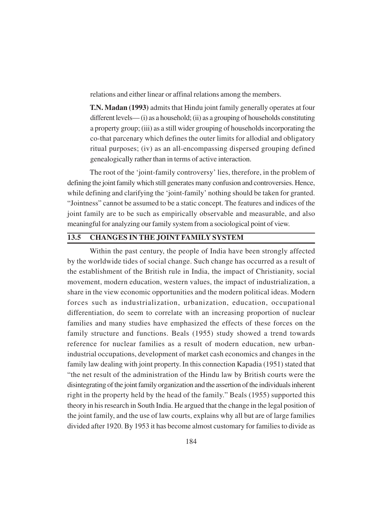relations and either linear or affinal relations among the members.

**T.N. Madan (1993)** admits that Hindu joint family generally operates at four different levels— (i) as a household; (ii) as a grouping of households constituting a property group; (iii) as a still wider grouping of households incorporating the co-that parcenary which defines the outer limits for allodial and obligatory ritual purposes; (iv) as an all-encompassing dispersed grouping defined genealogically rather than in terms of active interaction.

The root of the 'joint-family controversy' lies, therefore, in the problem of defining the joint family which still generates many confusion and controversies. Hence, while defining and clarifying the 'joint-family' nothing should be taken for granted. "Jointness" cannot be assumed to be a static concept. The features and indices of the joint family are to be such as empirically observable and measurable, and also meaningful for analyzing our family system from a sociological point of view.

## **13.5 CHANGES IN THE JOINT FAMILY SYSTEM**

Within the past century, the people of India have been strongly affected by the worldwide tides of social change. Such change has occurred as a result of the establishment of the British rule in India, the impact of Christianity, social movement, modern education, western values, the impact of industrialization, a share in the view economic opportunities and the modern political ideas. Modern forces such as industrialization, urbanization, education, occupational differentiation, do seem to correlate with an increasing proportion of nuclear families and many studies have emphasized the effects of these forces on the family structure and functions. Beals (1955) study showed a trend towards reference for nuclear families as a result of modern education, new urbanindustrial occupations, development of market cash economics and changes in the family law dealing with joint property. In this connection Kapadia (1951) stated that "the net result of the administration of the Hindu law by British courts were the disintegrating of the joint family organization and the assertion of the individuals inherent right in the property held by the head of the family." Beals (1955) supported this theory in his research in South India. He argued that the change in the legal position of the joint family, and the use of law courts, explains why all but are of large families divided after 1920. By 1953 it has become almost customary for families to divide as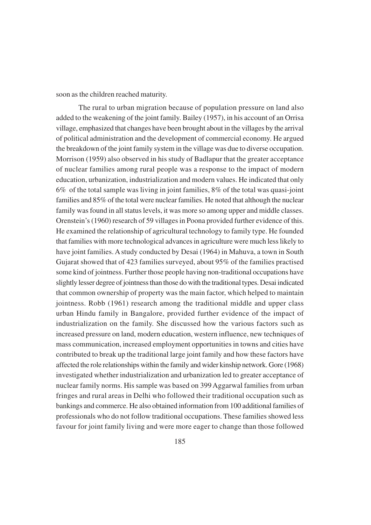soon as the children reached maturity.

The rural to urban migration because of population pressure on land also added to the weakening of the joint family. Bailey (1957), in his account of an Orrisa village, emphasized that changes have been brought about in the villages by the arrival of political administration and the development of commercial economy. He argued the breakdown of the joint family system in the village was due to diverse occupation. Morrison (1959) also observed in his study of Badlapur that the greater acceptance of nuclear families among rural people was a response to the impact of modern education, urbanization, industrialization and modern values. He indicated that only 6% of the total sample was living in joint families, 8% of the total was quasi-joint families and 85% of the total were nuclear families. He noted that although the nuclear family was found in all status levels, it was more so among upper and middle classes. Orenstein's (1960) research of 59 villages in Poona provided further evidence of this. He examined the relationship of agricultural technology to family type. He founded that families with more technological advances in agriculture were much less likely to have joint families. A study conducted by Desai (1964) in Mahuva, a town in South Gujarat showed that of 423 families surveyed, about 95% of the families practised some kind of jointness. Further those people having non-traditional occupations have slightly lesser degree of jointness than those do with the traditional types. Desai indicated that common ownership of property was the main factor, which helped to maintain jointness. Robb (1961) research among the traditional middle and upper class urban Hindu family in Bangalore, provided further evidence of the impact of industrialization on the family. She discussed how the various factors such as increased pressure on land, modern education, western influence, new techniques of mass communication, increased employment opportunities in towns and cities have contributed to break up the traditional large joint family and how these factors have affected the role relationships within the family and wider kinship network. Gore (1968) investigated whether industrialization and urbanization led to greater acceptance of nuclear family norms. His sample was based on 399 Aggarwal families from urban fringes and rural areas in Delhi who followed their traditional occupation such as bankings and commerce. He also obtained information from 100 additional families of professionals who do not follow traditional occupations. These families showed less favour for joint family living and were more eager to change than those followed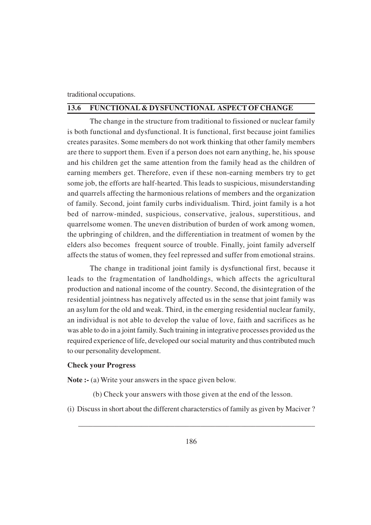traditional occupations.

## **13.6 FUNCTIONAL & DYSFUNCTIONAL ASPECT OF CHANGE**

The change in the structure from traditional to fissioned or nuclear family is both functional and dysfunctional. It is functional, first because joint families creates parasites. Some members do not work thinking that other family members are there to support them. Even if a person does not earn anything, he, his spouse and his children get the same attention from the family head as the children of earning members get. Therefore, even if these non-earning members try to get some job, the efforts are half-hearted. This leads to suspicious, misunderstanding and quarrels affecting the harmonious relations of members and the organization of family. Second, joint family curbs individualism. Third, joint family is a hot bed of narrow-minded, suspicious, conservative, jealous, superstitious, and quarrelsome women. The uneven distribution of burden of work among women, the upbringing of children, and the differentiation in treatment of women by the elders also becomes frequent source of trouble. Finally, joint family adverself affects the status of women, they feel repressed and suffer from emotional strains.

The change in traditional joint family is dysfunctional first, because it leads to the fragmentation of landholdings, which affects the agricultural production and national income of the country. Second, the disintegration of the residential jointness has negatively affected us in the sense that joint family was an asylum for the old and weak. Third, in the emerging residential nuclear family, an individual is not able to develop the value of love, faith and sacrifices as he was able to do in a joint family. Such training in integrative processes provided us the required experience of life, developed our social maturity and thus contributed much to our personality development.

#### **Check your Progress**

**Note :-** (a) Write your answers in the space given below.

- (b) Check your answers with those given at the end of the lesson.
- (i) Discuss in short about the different characterstics of family as given by Maciver ?

 $\frac{1}{\sqrt{2}}$  ,  $\frac{1}{\sqrt{2}}$  ,  $\frac{1}{\sqrt{2}}$  ,  $\frac{1}{\sqrt{2}}$  ,  $\frac{1}{\sqrt{2}}$  ,  $\frac{1}{\sqrt{2}}$  ,  $\frac{1}{\sqrt{2}}$  ,  $\frac{1}{\sqrt{2}}$  ,  $\frac{1}{\sqrt{2}}$  ,  $\frac{1}{\sqrt{2}}$  ,  $\frac{1}{\sqrt{2}}$  ,  $\frac{1}{\sqrt{2}}$  ,  $\frac{1}{\sqrt{2}}$  ,  $\frac{1}{\sqrt{2}}$  ,  $\frac{1}{\sqrt{2}}$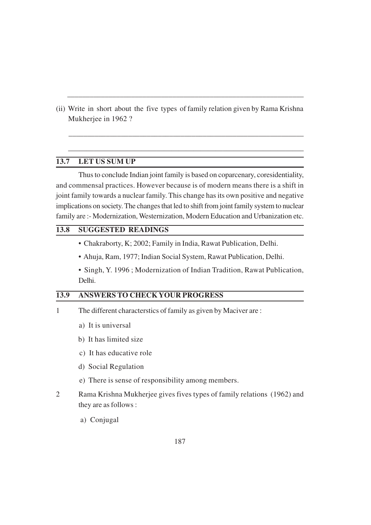(ii) Write in short about the five types of family relation given by Rama Krishna Mukherjee in 1962 ?

\_\_\_\_\_\_\_\_\_\_\_\_\_\_\_\_\_\_\_\_\_\_\_\_\_\_\_\_\_\_\_\_\_\_\_\_\_\_\_\_\_\_\_\_\_\_\_\_\_\_\_\_\_\_\_\_\_\_\_\_\_\_\_

 $\frac{1}{2}$  ,  $\frac{1}{2}$  ,  $\frac{1}{2}$  ,  $\frac{1}{2}$  ,  $\frac{1}{2}$  ,  $\frac{1}{2}$  ,  $\frac{1}{2}$  ,  $\frac{1}{2}$  ,  $\frac{1}{2}$  ,  $\frac{1}{2}$  ,  $\frac{1}{2}$  ,  $\frac{1}{2}$  ,  $\frac{1}{2}$  ,  $\frac{1}{2}$  ,  $\frac{1}{2}$  ,  $\frac{1}{2}$  ,  $\frac{1}{2}$  ,  $\frac{1}{2}$  ,  $\frac{1$ 

\_\_\_\_\_\_\_\_\_\_\_\_\_\_\_\_\_\_\_\_\_\_\_\_\_\_\_\_\_\_\_\_\_\_\_\_\_\_\_\_\_\_\_\_\_\_\_\_\_\_\_\_\_\_\_\_\_\_\_\_\_\_\_

## **13.7 LET US SUM UP**

Thus to conclude Indian joint family is based on coparcenary, coresidentiality, and commensal practices. However because is of modern means there is a shift in joint family towards a nuclear family. This change has its own positive and negative implications on society. The changes that led to shift from joint family system to nuclear family are :- Modernization, Westernization, Modern Education and Urbanization etc.

## **13.8 SUGGESTED READINGS**

- Chakraborty, K; 2002; Family in India, Rawat Publication, Delhi.
- Ahuja, Ram, 1977; Indian Social System, Rawat Publication, Delhi.
- Singh, Y. 1996 ; Modernization of Indian Tradition, Rawat Publication, Delhi.

## **13.9 ANSWERS TO CHECK YOUR PROGRESS**

- 1 The different characterstics of family as given by Maciver are :
	- a) It is universal
	- b) It has limited size
	- c) It has educative role
	- d) Social Regulation
	- e) There is sense of responsibility among members.
- 2 Rama Krishna Mukherjee gives fives types of family relations (1962) and they are as follows :
	- a) Conjugal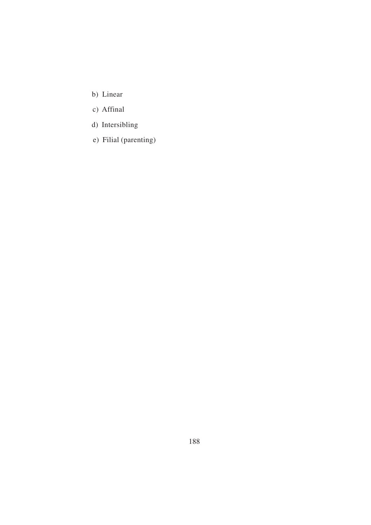- b) Linear
- c) Affinal
- d) Intersibling
- e) Filial (parenting)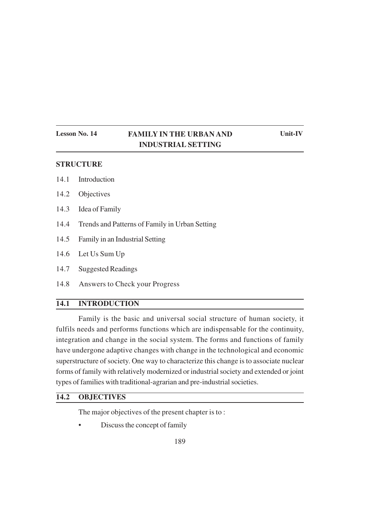# **Lesson No. 14 FAMILY IN THE URBAN AND** Unit-IV **INDUSTRIAL SETTING**

#### **STRUCTURE**

- 14.1 Introduction
- 14.2 Objectives
- 14.3 Idea of Family
- 14.4 Trends and Patterns of Family in Urban Setting
- 14.5 Family in an Industrial Setting
- 14.6 Let Us Sum Up
- 14.7 Suggested Readings
- 14.8 Answers to Check your Progress

## **14.1 INTRODUCTION**

Family is the basic and universal social structure of human society, it fulfils needs and performs functions which are indispensable for the continuity, integration and change in the social system. The forms and functions of family have undergone adaptive changes with change in the technological and economic superstructure of society. One way to characterize this change is to associate nuclear forms of family with relatively modernized or industrial society and extended or joint types of families with traditional-agrarian and pre-industrial societies.

### **14.2 OBJECTIVES**

The major objectives of the present chapter is to :

Discuss the concept of family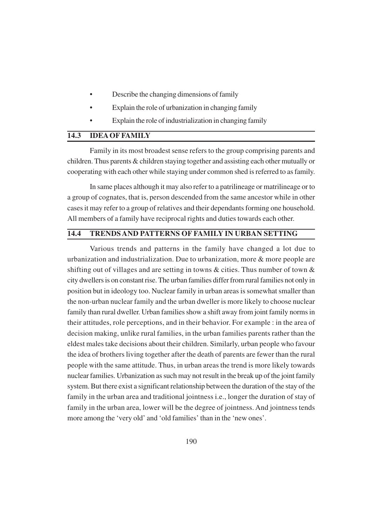- Describe the changing dimensions of family
- Explain the role of urbanization in changing family
- Explain the role of industrialization in changing family

## **14.3 IDEA OF FAMILY**

Family in its most broadest sense refers to the group comprising parents and children. Thus parents & children staying together and assisting each other mutually or cooperating with each other while staying under common shed is referred to as family.

In same places although it may also refer to a patrilineage or matrilineage or to a group of cognates, that is, person descended from the same ancestor while in other cases it may refer to a group of relatives and their dependants forming one household. All members of a family have reciprocal rights and duties towards each other.

## **14.4 TRENDS AND PATTERNS OF FAMILY IN URBAN SETTING**

Various trends and patterns in the family have changed a lot due to urbanization and industrialization. Due to urbanization, more & more people are shifting out of villages and are setting in towns & cities. Thus number of town & city dwellers is on constant rise. The urban families differ from rural families not only in position but in ideology too. Nuclear family in urban areas is somewhat smaller than the non-urban nuclear family and the urban dweller is more likely to choose nuclear family than rural dweller. Urban families show a shift away from joint family norms in their attitudes, role perceptions, and in their behavior. For example : in the area of decision making, unlike rural families, in the urban families parents rather than the eldest males take decisions about their children. Similarly, urban people who favour the idea of brothers living together after the death of parents are fewer than the rural people with the same attitude. Thus, in urban areas the trend is more likely towards nuclear families. Urbanization as such may not result in the break up of the joint family system. But there exist a significant relationship between the duration of the stay of the family in the urban area and traditional jointness i.e., longer the duration of stay of family in the urban area, lower will be the degree of jointness. And jointness tends more among the 'very old' and 'old families' than in the 'new ones'.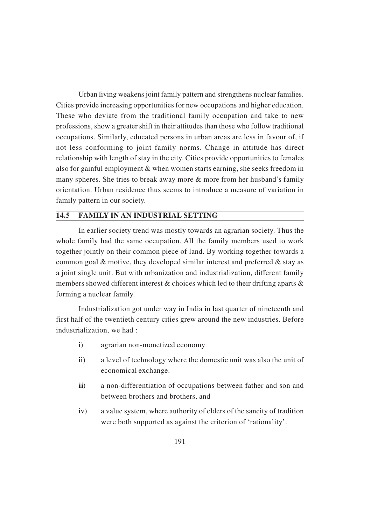Urban living weakens joint family pattern and strengthens nuclear families. Cities provide increasing opportunities for new occupations and higher education. These who deviate from the traditional family occupation and take to new professions, show a greater shift in their attitudes than those who follow traditional occupations. Similarly, educated persons in urban areas are less in favour of, if not less conforming to joint family norms. Change in attitude has direct relationship with length of stay in the city. Cities provide opportunities to females also for gainful employment & when women starts earning, she seeks freedom in many spheres. She tries to break away more & more from her husband's family orientation. Urban residence thus seems to introduce a measure of variation in family pattern in our society.

## **14.5 FAMILY IN AN INDUSTRIAL SETTING**

In earlier society trend was mostly towards an agrarian society. Thus the whole family had the same occupation. All the family members used to work together jointly on their common piece of land. By working together towards a common goal & motive, they developed similar interest and preferred & stay as a joint single unit. But with urbanization and industrialization, different family members showed different interest & choices which led to their drifting aparts & forming a nuclear family.

Industrialization got under way in India in last quarter of nineteenth and first half of the twentieth century cities grew around the new industries. Before industrialization, we had :

- i) agrarian non-monetized economy
- ii) a level of technology where the domestic unit was also the unit of economical exchange.
- iii) a non-differentiation of occupations between father and son and between brothers and brothers, and
- iv) a value system, where authority of elders of the sancity of tradition were both supported as against the criterion of 'rationality'.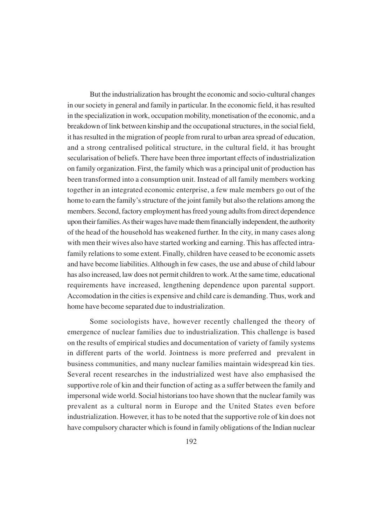But the industrialization has brought the economic and socio-cultural changes in our society in general and family in particular. In the economic field, it has resulted in the specialization in work, occupation mobility, monetisation of the economic, and a breakdown of link between kinship and the occupational structures, in the social field, it has resulted in the migration of people from rural to urban area spread of education, and a strong centralised political structure, in the cultural field, it has brought secularisation of beliefs. There have been three important effects of industrialization on family organization. First, the family which was a principal unit of production has been transformed into a consumption unit. Instead of all family members working together in an integrated economic enterprise, a few male members go out of the home to earn the family's structure of the joint family but also the relations among the members. Second, factory employment has freed young adults from direct dependence upon their families. As their wages have made them financially independent, the authority of the head of the household has weakened further. In the city, in many cases along with men their wives also have started working and earning. This has affected intrafamily relations to some extent. Finally, children have ceased to be economic assets and have become liabilities. Although in few cases, the use and abuse of child labour has also increased, law does not permit children to work. At the same time, educational requirements have increased, lengthening dependence upon parental support. Accomodation in the cities is expensive and child care is demanding. Thus, work and home have become separated due to industrialization.

Some sociologists have, however recently challenged the theory of emergence of nuclear families due to industrialization. This challenge is based on the results of empirical studies and documentation of variety of family systems in different parts of the world. Jointness is more preferred and prevalent in business communities, and many nuclear families maintain widespread kin ties. Several recent researches in the industrialized west have also emphasised the supportive role of kin and their function of acting as a suffer between the family and impersonal wide world. Social historians too have shown that the nuclear family was prevalent as a cultural norm in Europe and the United States even before industrialization. However, it has to be noted that the supportive role of kin does not have compulsory character which is found in family obligations of the Indian nuclear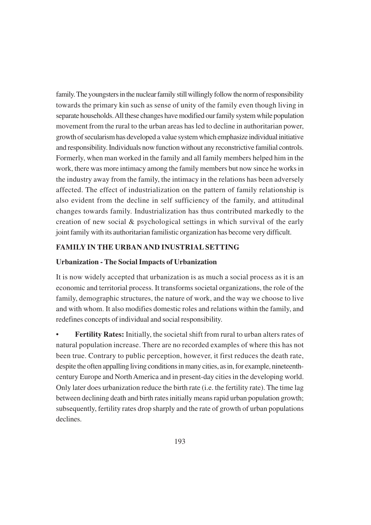family. The youngsters in the nuclear family still willingly follow the norm of responsibility towards the primary kin such as sense of unity of the family even though living in separate households. All these changes have modified our family system while population movement from the rural to the urban areas has led to decline in authoritarian power, growth of secularism has developed a value system which emphasize individual initiative and responsibility. Individuals now function without any reconstrictive familial controls. Formerly, when man worked in the family and all family members helped him in the work, there was more intimacy among the family members but now since he works in the industry away from the family, the intimacy in the relations has been adversely affected. The effect of industrialization on the pattern of family relationship is also evident from the decline in self sufficiency of the family, and attitudinal changes towards family. Industrialization has thus contributed markedly to the creation of new social & psychological settings in which survival of the early joint family with its authoritarian familistic organization has become very difficult.

## **FAMILY IN THE URBAN AND INUSTRIAL SETTING**

### **Urbanization - The Social Impacts of Urbanization**

It is now widely accepted that urbanization is as much a social process as it is an economic and territorial process. It transforms societal organizations, the role of the family, demographic structures, the nature of work, and the way we choose to live and with whom. It also modifies domestic roles and relations within the family, and redefines concepts of individual and social responsibility.

• **Fertility Rates:** Initially, the societal shift from rural to urban alters rates of natural population increase. There are no recorded examples of where this has not been true. Contrary to public perception, however, it first reduces the death rate, despite the often appalling living conditions in many cities, as in, for example, nineteenthcentury Europe and North America and in present-day cities in the developing world. Only later does urbanization reduce the birth rate (i.e. the fertility rate). The time lag between declining death and birth rates initially means rapid urban population growth; subsequently, fertility rates drop sharply and the rate of growth of urban populations declines.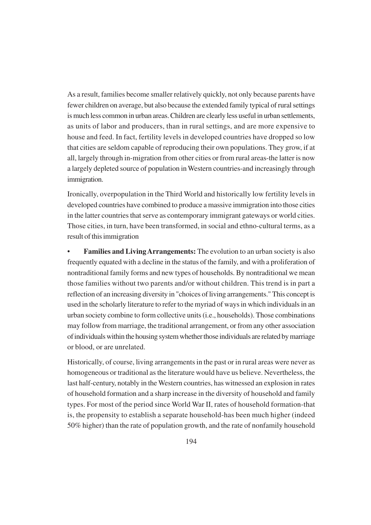As a result, families become smaller relatively quickly, not only because parents have fewer children on average, but also because the extended family typical of rural settings is much less common in urban areas. Children are clearly less useful in urban settlements, as units of labor and producers, than in rural settings, and are more expensive to house and feed. In fact, fertility levels in developed countries have dropped so low that cities are seldom capable of reproducing their own populations. They grow, if at all, largely through in-migration from other cities or from rural areas-the latter is now a largely depleted source of population in Western countries-and increasingly through immigration.

Ironically, overpopulation in the Third World and historically low fertility levels in developed countries have combined to produce a massive immigration into those cities in the latter countries that serve as contemporary immigrant gateways or world cities. Those cities, in turn, have been transformed, in social and ethno-cultural terms, as a result of this immigration

• **Families and Living Arrangements:** The evolution to an urban society is also frequently equated with a decline in the status of the family, and with a proliferation of nontraditional family forms and new types of households. By nontraditional we mean those families without two parents and/or without children. This trend is in part a reflection of an increasing diversity in "choices of living arrangements." This concept is used in the scholarly literature to refer to the myriad of ways in which individuals in an urban society combine to form collective units (i.e., households). Those combinations may follow from marriage, the traditional arrangement, or from any other association of individuals within the housing system whether those individuals are related by marriage or blood, or are unrelated.

Historically, of course, living arrangements in the past or in rural areas were never as homogeneous or traditional as the literature would have us believe. Nevertheless, the last half-century, notably in the Western countries, has witnessed an explosion in rates of household formation and a sharp increase in the diversity of household and family types. For most of the period since World War II, rates of household formation-that is, the propensity to establish a separate household-has been much higher (indeed 50% higher) than the rate of population growth, and the rate of nonfamily household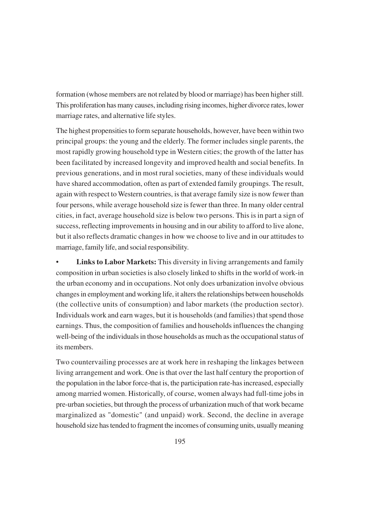formation (whose members are not related by blood or marriage) has been higher still. This proliferation has many causes, including rising incomes, higher divorce rates, lower marriage rates, and alternative life styles.

The highest propensities to form separate households, however, have been within two principal groups: the young and the elderly. The former includes single parents, the most rapidly growing household type in Western cities; the growth of the latter has been facilitated by increased longevity and improved health and social benefits. In previous generations, and in most rural societies, many of these individuals would have shared accommodation, often as part of extended family groupings. The result, again with respect to Western countries, is that average family size is now fewer than four persons, while average household size is fewer than three. In many older central cities, in fact, average household size is below two persons. This is in part a sign of success, reflecting improvements in housing and in our ability to afford to live alone, but it also reflects dramatic changes in how we choose to live and in our attitudes to marriage, family life, and social responsibility.

• **Links to Labor Markets:** This diversity in living arrangements and family composition in urban societies is also closely linked to shifts in the world of work-in the urban economy and in occupations. Not only does urbanization involve obvious changes in employment and working life, it alters the relationships between households (the collective units of consumption) and labor markets (the production sector). Individuals work and earn wages, but it is households (and families) that spend those earnings. Thus, the composition of families and households influences the changing well-being of the individuals in those households as much as the occupational status of its members.

Two countervailing processes are at work here in reshaping the linkages between living arrangement and work. One is that over the last half century the proportion of the population in the labor force-that is, the participation rate-has increased, especially among married women. Historically, of course, women always had full-time jobs in pre-urban societies, but through the process of urbanization much of that work became marginalized as "domestic" (and unpaid) work. Second, the decline in average household size has tended to fragment the incomes of consuming units, usually meaning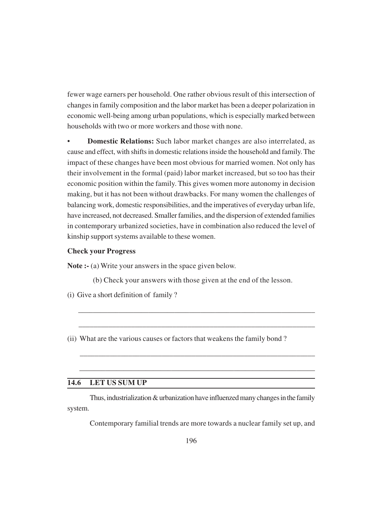fewer wage earners per household. One rather obvious result of this intersection of changes in family composition and the labor market has been a deeper polarization in economic well-being among urban populations, which is especially marked between households with two or more workers and those with none.

• **Domestic Relations:** Such labor market changes are also interrelated, as cause and effect, with shifts in domestic relations inside the household and family. The impact of these changes have been most obvious for married women. Not only has their involvement in the formal (paid) labor market increased, but so too has their economic position within the family. This gives women more autonomy in decision making, but it has not been without drawbacks. For many women the challenges of balancing work, domestic responsibilities, and the imperatives of everyday urban life, have increased, not decreased. Smaller families, and the dispersion of extended families in contemporary urbanized societies, have in combination also reduced the level of kinship support systems available to these women.

#### **Check your Progress**

**Note :-** (a) Write your answers in the space given below.

(b) Check your answers with those given at the end of the lesson.

 $\frac{1}{\sqrt{2}}$  ,  $\frac{1}{\sqrt{2}}$  ,  $\frac{1}{\sqrt{2}}$  ,  $\frac{1}{\sqrt{2}}$  ,  $\frac{1}{\sqrt{2}}$  ,  $\frac{1}{\sqrt{2}}$  ,  $\frac{1}{\sqrt{2}}$  ,  $\frac{1}{\sqrt{2}}$  ,  $\frac{1}{\sqrt{2}}$  ,  $\frac{1}{\sqrt{2}}$  ,  $\frac{1}{\sqrt{2}}$  ,  $\frac{1}{\sqrt{2}}$  ,  $\frac{1}{\sqrt{2}}$  ,  $\frac{1}{\sqrt{2}}$  ,  $\frac{1}{\sqrt{2}}$ 

\_\_\_\_\_\_\_\_\_\_\_\_\_\_\_\_\_\_\_\_\_\_\_\_\_\_\_\_\_\_\_\_\_\_\_\_\_\_\_\_\_\_\_\_\_\_\_\_\_\_\_\_\_\_\_\_\_\_\_\_\_\_\_

\_\_\_\_\_\_\_\_\_\_\_\_\_\_\_\_\_\_\_\_\_\_\_\_\_\_\_\_\_\_\_\_\_\_\_\_\_\_\_\_\_\_\_\_\_\_\_\_\_\_\_\_\_\_\_\_\_\_\_\_\_\_\_

 $\frac{1}{2}$  ,  $\frac{1}{2}$  ,  $\frac{1}{2}$  ,  $\frac{1}{2}$  ,  $\frac{1}{2}$  ,  $\frac{1}{2}$  ,  $\frac{1}{2}$  ,  $\frac{1}{2}$  ,  $\frac{1}{2}$  ,  $\frac{1}{2}$  ,  $\frac{1}{2}$  ,  $\frac{1}{2}$  ,  $\frac{1}{2}$  ,  $\frac{1}{2}$  ,  $\frac{1}{2}$  ,  $\frac{1}{2}$  ,  $\frac{1}{2}$  ,  $\frac{1}{2}$  ,  $\frac{1$ 

- (i) Give a short definition of family ?
- (ii) What are the various causes or factors that weakens the family bond ?

## **14.6 LET US SUM UP**

Thus, industrialization & urbanization have influenzed many changes in the family system.

Contemporary familial trends are more towards a nuclear family set up, and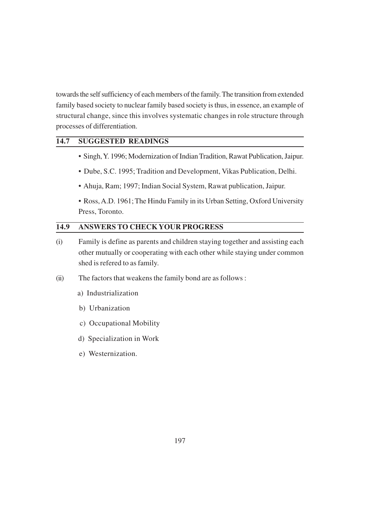towards the self sufficiency of each members of the family. The transition from extended family based society to nuclear family based society is thus, in essence, an example of structural change, since this involves systematic changes in role structure through processes of differentiation.

## **14.7 SUGGESTED READINGS**

- Singh, Y. 1996; Modernization of Indian Tradition, Rawat Publication, Jaipur.
- Dube, S.C. 1995; Tradition and Development, Vikas Publication, Delhi.
- Ahuja, Ram; 1997; Indian Social System, Rawat publication, Jaipur.
- Ross, A.D. 1961; The Hindu Family in its Urban Setting, Oxford University Press, Toronto.

## **14.9 ANSWERS TO CHECK YOUR PROGRESS**

- (i) Family is define as parents and children staying together and assisting each other mutually or cooperating with each other while staying under common shed is refered to as family.
- (ii) The factors that weakens the family bond are as follows :
	- a) Industrialization
	- b) Urbanization
	- c) Occupational Mobility
	- d) Specialization in Work
	- e) Westernization.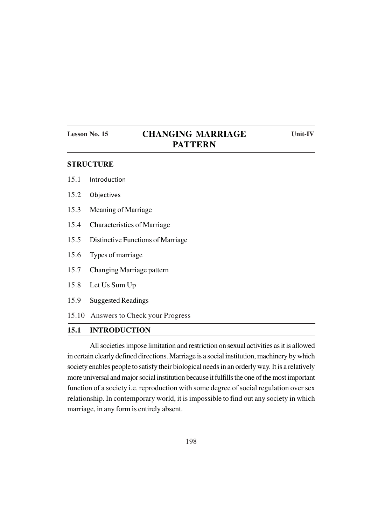# Lesson No. 15 **CHANGING MARRIAGE** Unit-IV **PATTERN**

#### **STRUCTURE**

- 15.1 Introduction
- 15.2 Objectives
- 15.3 Meaning of Marriage
- 15.4 Characteristics of Marriage
- 15.5 Distinctive Functions of Marriage
- 15.6 Types of marriage
- 15.7 Changing Marriage pattern
- 15.8 Let Us Sum Up
- 15.9 Suggested Readings
- 15.10 Answers to Check your Progress

#### **15.1 INTRODUCTION**

All societies impose limitation and restriction on sexual activities as it is allowed in certain clearly defined directions. Marriage is a social institution, machinery by which society enables people to satisfy their biological needs in an orderly way. It is a relatively more universal and major social institution because it fulfills the one of the most important function of a society i.e. reproduction with some degree of social regulation over sex relationship. In contemporary world, it is impossible to find out any society in which marriage, in any form is entirely absent.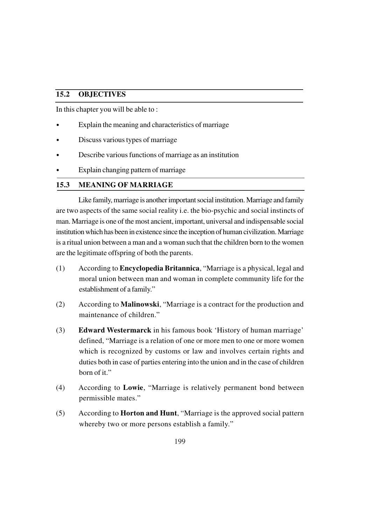## **15.2 OBJECTIVES**

In this chapter you will be able to :

- Explain the meaning and characteristics of marriage
- Discuss various types of marriage
- Describe various functions of marriage as an institution
- Explain changing pattern of marriage

## **15.3 MEANING OF MARRIAGE**

Like family, marriage is another important social institution. Marriage and family are two aspects of the same social reality i.e. the bio-psychic and social instincts of man. Marriage is one of the most ancient, important, universal and indispensable social institution which has been in existence since the inception of human civilization. Marriage is a ritual union between a man and a woman such that the children born to the women are the legitimate offspring of both the parents.

- (1) According to **Encyclopedia Britannica**, "Marriage is a physical, legal and moral union between man and woman in complete community life for the establishment of a family."
- (2) According to **Malinowski**, "Marriage is a contract for the production and maintenance of children."
- (3) **Edward Westermarck** in his famous book 'History of human marriage' defined, "Marriage is a relation of one or more men to one or more women which is recognized by customs or law and involves certain rights and duties both in case of parties entering into the union and in the case of children born of it."
- (4) According to **Lowie**, "Marriage is relatively permanent bond between permissible mates."
- (5) According to **Horton and Hunt**, "Marriage is the approved social pattern whereby two or more persons establish a family."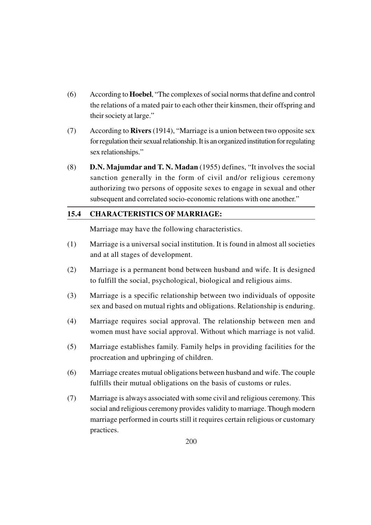- (6) According to **Hoebel**, "The complexes of social norms that define and control the relations of a mated pair to each other their kinsmen, their offspring and their society at large."
- (7) According to **Rivers** (1914), "Marriage is a union between two opposite sex for regulation their sexual relationship. It is an organized institution for regulating sex relationships."
- (8) **D.N. Majumdar and T. N. Madan** (1955) defines, "It involves the social sanction generally in the form of civil and/or religious ceremony authorizing two persons of opposite sexes to engage in sexual and other subsequent and correlated socio-economic relations with one another."

## **15.4 CHARACTERISTICS OF MARRIAGE:**

Marriage may have the following characteristics.

- (1) Marriage is a universal social institution. It is found in almost all societies and at all stages of development.
- (2) Marriage is a permanent bond between husband and wife. It is designed to fulfill the social, psychological, biological and religious aims.
- (3) Marriage is a specific relationship between two individuals of opposite sex and based on mutual rights and obligations. Relationship is enduring.
- (4) Marriage requires social approval. The relationship between men and women must have social approval. Without which marriage is not valid.
- (5) Marriage establishes family. Family helps in providing facilities for the procreation and upbringing of children.
- (6) Marriage creates mutual obligations between husband and wife. The couple fulfills their mutual obligations on the basis of customs or rules.
- (7) Marriage is always associated with some civil and religious ceremony. This social and religious ceremony provides validity to marriage. Though modern marriage performed in courts still it requires certain religious or customary practices.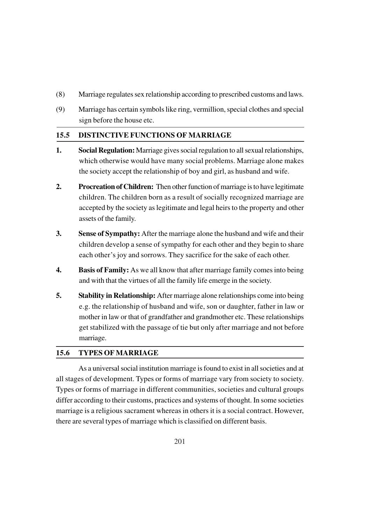- (8) Marriage regulates sex relationship according to prescribed customs and laws.
- (9) Marriage has certain symbols like ring, vermillion, special clothes and special sign before the house etc.

## **15.5 DISTINCTIVE FUNCTIONS OF MARRIAGE**

- **1. Social Regulation:** Marriage gives social regulation to all sexual relationships, which otherwise would have many social problems. Marriage alone makes the society accept the relationship of boy and girl, as husband and wife.
- **2. Procreation of Children:** Then other function of marriage is to have legitimate children. The children born as a result of socially recognized marriage are accepted by the society as legitimate and legal heirs to the property and other assets of the family.
- **3. Sense of Sympathy:** After the marriage alone the husband and wife and their children develop a sense of sympathy for each other and they begin to share each other's joy and sorrows. They sacrifice for the sake of each other.
- **4. Basis of Family:** As we all know that after marriage family comes into being and with that the virtues of all the family life emerge in the society.
- **5. Stability in Relationship:** After marriage alone relationships come into being e.g. the relationship of husband and wife, son or daughter, father in law or mother in law or that of grandfather and grandmother etc. These relationships get stabilized with the passage of tie but only after marriage and not before marriage.

## **15.6 TYPES OF MARRIAGE**

As a universal social institution marriage is found to exist in all societies and at all stages of development. Types or forms of marriage vary from society to society. Types or forms of marriage in different communities, societies and cultural groups differ according to their customs, practices and systems of thought. In some societies marriage is a religious sacrament whereas in others it is a social contract. However, there are several types of marriage which is classified on different basis.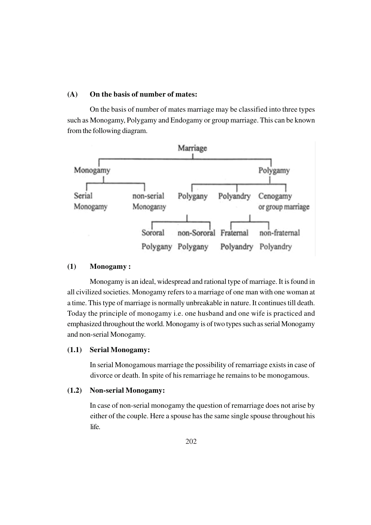#### **(A) On the basis of number of mates:**

On the basis of number of mates marriage may be classified into three types such as Monogamy, Polygamy and Endogamy or group marriage. This can be known from the following diagram.



#### **(1) Monogamy :**

Monogamy is an ideal, widespread and rational type of marriage. It is found in all civilized societies. Monogamy refers to a marriage of one man with one woman at a time. This type of marriage is normally unbreakable in nature. It continues till death. Today the principle of monogamy i.e. one husband and one wife is practiced and emphasized throughout the world. Monogamy is of two types such as serial Monogamy and non-serial Monogamy.

#### **(1.1) Serial Monogamy:**

In serial Monogamous marriage the possibility of remarriage exists in case of divorce or death. In spite of his remarriage he remains to be monogamous.

#### **(1.2) Non-serial Monogamy:**

In case of non-serial monogamy the question of remarriage does not arise by either of the couple. Here a spouse has the same single spouse throughout his life.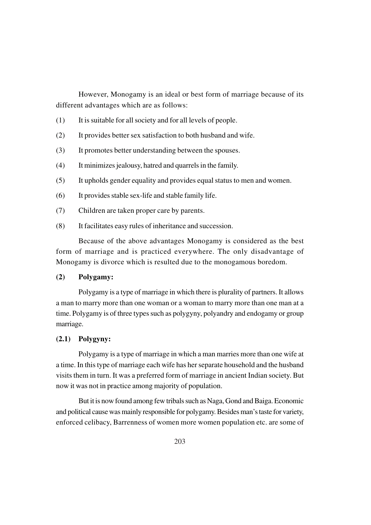However, Monogamy is an ideal or best form of marriage because of its different advantages which are as follows:

- (1) It is suitable for all society and for all levels of people.
- (2) It provides better sex satisfaction to both husband and wife.
- (3) It promotes better understanding between the spouses.
- (4) It minimizes jealousy, hatred and quarrels in the family.
- (5) It upholds gender equality and provides equal status to men and women.
- (6) It provides stable sex-life and stable family life.
- (7) Children are taken proper care by parents.
- (8) It facilitates easy rules of inheritance and succession.

Because of the above advantages Monogamy is considered as the best form of marriage and is practiced everywhere. The only disadvantage of Monogamy is divorce which is resulted due to the monogamous boredom.

## **(2) Polygamy:**

Polygamy is a type of marriage in which there is plurality of partners. It allows a man to marry more than one woman or a woman to marry more than one man at a time. Polygamy is of three types such as polygyny, polyandry and endogamy or group marriage.

### **(2.1) Polygyny:**

Polygamy is a type of marriage in which a man marries more than one wife at a time. In this type of marriage each wife has her separate household and the husband visits them in turn. It was a preferred form of marriage in ancient Indian society. But now it was not in practice among majority of population.

But it is now found among few tribals such as Naga, Gond and Baiga. Economic and political cause was mainly responsible for polygamy. Besides man's taste for variety, enforced celibacy, Barrenness of women more women population etc. are some of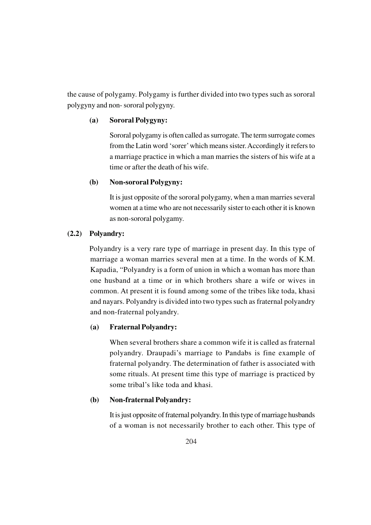the cause of polygamy. Polygamy is further divided into two types such as sororal polygyny and non- sororal polygyny.

## **(a) Sororal Polygyny:**

Sororal polygamy is often called as surrogate. The term surrogate comes from the Latin word 'sorer' which means sister. Accordingly it refers to a marriage practice in which a man marries the sisters of his wife at a time or after the death of his wife.

## **(b) Non-sororal Polygyny:**

It is just opposite of the sororal polygamy, when a man marries several women at a time who are not necessarily sister to each other it is known as non-sororal polygamy.

## **(2.2) Polyandry:**

Polyandry is a very rare type of marriage in present day. In this type of marriage a woman marries several men at a time. In the words of K.M. Kapadia, "Polyandry is a form of union in which a woman has more than one husband at a time or in which brothers share a wife or wives in common. At present it is found among some of the tribes like toda, khasi and nayars. Polyandry is divided into two types such as fraternal polyandry and non-fraternal polyandry.

## **(a) Fraternal Polyandry:**

When several brothers share a common wife it is called as fraternal polyandry. Draupadi's marriage to Pandabs is fine example of fraternal polyandry. The determination of father is associated with some rituals. At present time this type of marriage is practiced by some tribal's like toda and khasi.

## **(b) Non-fraternal Polyandry:**

It is just opposite of fraternal polyandry. In this type of marriage husbands of a woman is not necessarily brother to each other. This type of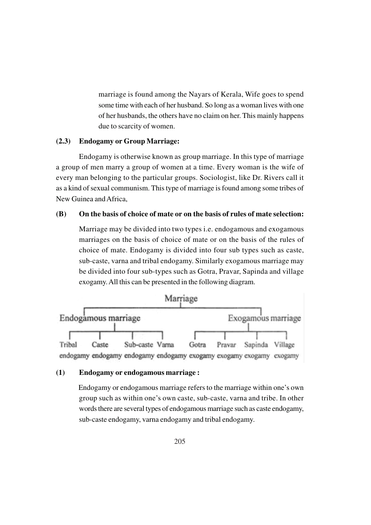marriage is found among the Nayars of Kerala, Wife goes to spend some time with each of her husband. So long as a woman lives with one of her husbands, the others have no claim on her. This mainly happens due to scarcity of women.

## **(2.3) Endogamy or Group Marriage:**

Endogamy is otherwise known as group marriage. In this type of marriage a group of men marry a group of women at a time. Every woman is the wife of every man belonging to the particular groups. Sociologist, like Dr. Rivers call it as a kind of sexual communism. This type of marriage is found among some tribes of New Guinea and Africa,

### **(B) On the basis of choice of mate or on the basis of rules of mate selection:**

Marriage may be divided into two types i.e. endogamous and exogamous marriages on the basis of choice of mate or on the basis of the rules of choice of mate. Endogamy is divided into four sub types such as caste, sub-caste, varna and tribal endogamy. Similarly exogamous marriage may be divided into four sub-types such as Gotra, Pravar, Sapinda and village exogamy. All this can be presented in the following diagram.



#### **(1) Endogamy or endogamous marriage :**

Endogamy or endogamous marriage refers to the marriage within one's own group such as within one's own caste, sub-caste, varna and tribe. In other words there are several types of endogamous marriage such as caste endogamy, sub-caste endogamy, varna endogamy and tribal endogamy.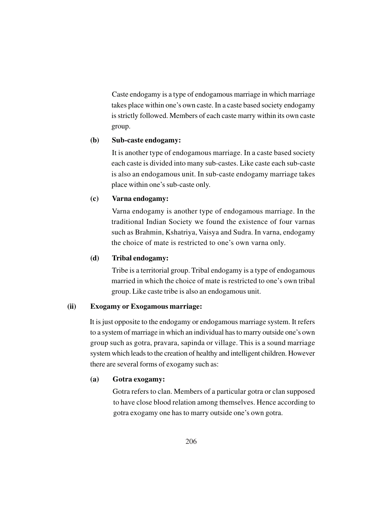Caste endogamy is a type of endogamous marriage in which marriage takes place within one's own caste. In a caste based society endogamy is strictly followed. Members of each caste marry within its own caste group.

## **(b) Sub-caste endogamy:**

It is another type of endogamous marriage. In a caste based society each caste is divided into many sub-castes. Like caste each sub-caste is also an endogamous unit. In sub-caste endogamy marriage takes place within one's sub-caste only.

## **(c) Varna endogamy:**

Varna endogamy is another type of endogamous marriage. In the traditional Indian Society we found the existence of four varnas such as Brahmin, Kshatriya, Vaisya and Sudra. In varna, endogamy the choice of mate is restricted to one's own varna only.

## **(d) Tribal endogamy:**

Tribe is a territorial group. Tribal endogamy is a type of endogamous married in which the choice of mate is restricted to one's own tribal group. Like caste tribe is also an endogamous unit.

## **(ii) Exogamy or Exogamous marriage:**

It is just opposite to the endogamy or endogamous marriage system. It refers to a system of marriage in which an individual has to marry outside one's own group such as gotra, pravara, sapinda or village. This is a sound marriage system which leads to the creation of healthy and intelligent children. However there are several forms of exogamy such as:

## **(a) Gotra exogamy:**

Gotra refers to clan. Members of a particular gotra or clan supposed to have close blood relation among themselves. Hence according to gotra exogamy one has to marry outside one's own gotra.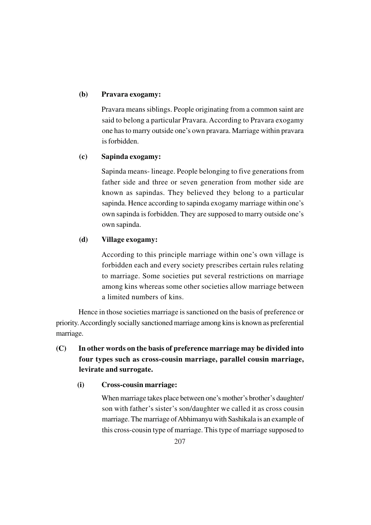### **(b) Pravara exogamy:**

Pravara means siblings. People originating from a common saint are said to belong a particular Pravara. According to Pravara exogamy one has to marry outside one's own pravara. Marriage within pravara is forbidden.

## **(c) Sapinda exogamy:**

Sapinda means- lineage. People belonging to five generations from father side and three or seven generation from mother side are known as sapindas. They believed they belong to a particular sapinda. Hence according to sapinda exogamy marriage within one's own sapinda is forbidden. They are supposed to marry outside one's own sapinda.

## **(d) Village exogamy:**

According to this principle marriage within one's own village is forbidden each and every society prescribes certain rules relating to marriage. Some societies put several restrictions on marriage among kins whereas some other societies allow marriage between a limited numbers of kins.

Hence in those societies marriage is sanctioned on the basis of preference or priority. Accordingly socially sanctioned marriage among kins is known as preferential marriage.

# **(C) In other words on the basis of preference marriage may be divided into four types such as cross-cousin marriage, parallel cousin marriage, levirate and surrogate.**

## **(i) Cross-cousin marriage:**

When marriage takes place between one's mother's brother's daughter/ son with father's sister's son/daughter we called it as cross cousin marriage. The marriage of Abhimanyu with Sashikala is an example of this cross-cousin type of marriage. This type of marriage supposed to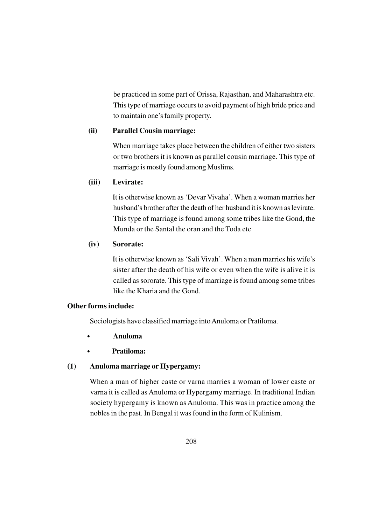be practiced in some part of Orissa, Rajasthan, and Maharashtra etc. This type of marriage occurs to avoid payment of high bride price and to maintain one's family property.

## **(ii) Parallel Cousin marriage:**

When marriage takes place between the children of either two sisters or two brothers it is known as parallel cousin marriage. This type of marriage is mostly found among Muslims.

## **(iii) Levirate:**

It is otherwise known as 'Devar Vivaha'. When a woman marries her husband's brother after the death of her husband it is known as levirate. This type of marriage is found among some tribes like the Gond, the Munda or the Santal the oran and the Toda etc

## **(iv) Sororate:**

It is otherwise known as 'Sali Vivah'. When a man marries his wife's sister after the death of his wife or even when the wife is alive it is called as sororate. This type of marriage is found among some tribes like the Kharia and the Gond.

## **Other forms include:**

Sociologists have classified marriage into Anuloma or Pratiloma.

- **Anuloma**
- **Pratiloma:**

## **(1) Anuloma marriage or Hypergamy:**

When a man of higher caste or varna marries a woman of lower caste or varna it is called as Anuloma or Hypergamy marriage. In traditional Indian society hypergamy is known as Anuloma. This was in practice among the nobles in the past. In Bengal it was found in the form of Kulinism.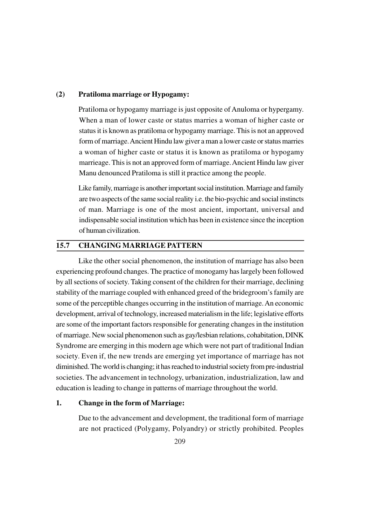## **(2) Pratiloma marriage or Hypogamy:**

Pratiloma or hypogamy marriage is just opposite of Anuloma or hypergamy. When a man of lower caste or status marries a woman of higher caste or status it is known as pratiloma or hypogamy marriage. This is not an approved form of marriage. Ancient Hindu law giver a man a lower caste or status marries a woman of higher caste or status it is known as pratiloma or hypogamy marrieage. This is not an approved form of marriage. Ancient Hindu law giver Manu denounced Pratiloma is still it practice among the people.

Like family, marriage is another important social institution. Marriage and family are two aspects of the same social reality i.e. the bio-psychic and social instincts of man. Marriage is one of the most ancient, important, universal and indispensable social institution which has been in existence since the inception of human civilization.

## **15.7 CHANGING MARRIAGE PATTERN**

Like the other social phenomenon, the institution of marriage has also been experiencing profound changes. The practice of monogamy has largely been followed by all sections of society. Taking consent of the children for their marriage, declining stability of the marriage coupled with enhanced greed of the bridegroom's family are some of the perceptible changes occurring in the institution of marriage. An economic development, arrival of technology, increased materialism in the life; legislative efforts are some of the important factors responsible for generating changes in the institution of marriage. New social phenomenon such as gay/lesbian relations, cohabitation, DINK Syndrome are emerging in this modern age which were not part of traditional Indian society. Even if, the new trends are emerging yet importance of marriage has not diminished. The world is changing; it has reached to industrial society from pre-industrial societies. The advancement in technology, urbanization, industrialization, law and education is leading to change in patterns of marriage throughout the world.

#### **1. Change in the form of Marriage:**

Due to the advancement and development, the traditional form of marriage are not practiced (Polygamy, Polyandry) or strictly prohibited. Peoples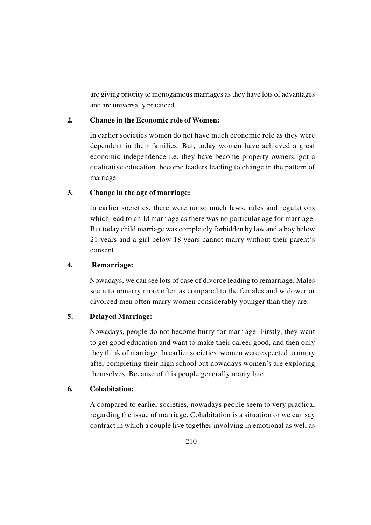are giving priority to monogamous marriages as they have lots of advantages and are universally practiced.

## **2. Change in the Economic role of Women:**

In earlier societies women do not have much economic role as they were dependent in their families. But, today women have achieved a great economic independence i.e. they have become property owners, got a qualitative education, become leaders leading to change in the pattern of marriage.

## **3. Change in the age of marriage:**

In earlier societies, there were no so much laws, rules and regulations which lead to child marriage as there was no particular age for marriage. But today child marriage was completely forbidden by law and a boy below 21 years and a girl below 18 years cannot marry without their parent's consent.

## **4. Remarriage:**

Nowadays, we can see lots of case of divorce leading to remarriage. Males seem to remarry more often as compared to the females and widower or divorced men often marry women considerably younger than they are.

## **5. Delayed Marriage:**

Nowadays, people do not become hurry for marriage. Firstly, they want to get good education and want to make their career good, and then only they think of marriage. In earlier societies, women were expected to marry after completing their high school but nowadays women's are exploring themselves. Because of this people generally marry late.

## **6. Cohabitation:**

A compared to earlier societies, nowadays people seem to very practical regarding the issue of marriage. Cohabitation is a situation or we can say contract in which a couple live together involving in emotional as well as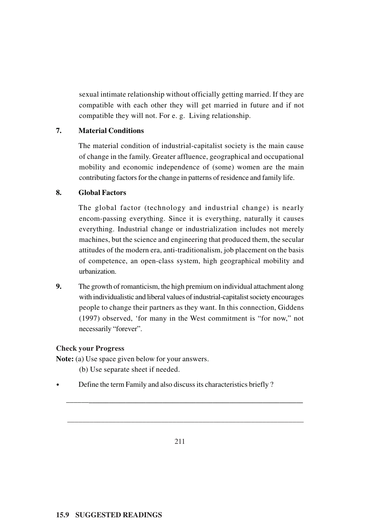sexual intimate relationship without officially getting married. If they are compatible with each other they will get married in future and if not compatible they will not. For e. g. Living relationship.

#### **7. Material Conditions**

The material condition of industrial-capitalist society is the main cause of change in the family. Greater affluence, geographical and occupational mobility and economic independence of (some) women are the main contributing factors for the change in patterns of residence and family life.

### **8. Global Factors**

The global factor (technology and industrial change) is nearly encom-passing everything. Since it is everything, naturally it causes everything. Industrial change or industrialization includes not merely machines, but the science and engineering that produced them, the secular attitudes of the modern era, anti-traditionalism, job placement on the basis of competence, an open-class system, high geographical mobility and urbanization.

**9.** The growth of romanticism, the high premium on individual attachment along with individualistic and liberal values of industrial-capitalist society encourages people to change their partners as they want. In this connection, Giddens (1997) observed, 'for many in the West commitment is "for now," not necessarily "forever".

## **Check your Progress**

**Note:** (a) Use space given below for your answers.

- (b) Use separate sheet if needed.
- Define the term Family and also discuss its characteristics briefly?

 $\overline{\phantom{a}}$  ,  $\overline{\phantom{a}}$  ,  $\overline{\phantom{a}}$  ,  $\overline{\phantom{a}}$  ,  $\overline{\phantom{a}}$  ,  $\overline{\phantom{a}}$  ,  $\overline{\phantom{a}}$  ,  $\overline{\phantom{a}}$  ,  $\overline{\phantom{a}}$  ,  $\overline{\phantom{a}}$  ,  $\overline{\phantom{a}}$  ,  $\overline{\phantom{a}}$  ,  $\overline{\phantom{a}}$  ,  $\overline{\phantom{a}}$  ,  $\overline{\phantom{a}}$  ,  $\overline{\phantom{a}}$ 

\_\_\_\_\_\_\_\_\_\_\_\_\_\_\_\_\_\_\_\_\_\_\_\_\_\_\_\_\_\_\_\_\_\_\_\_\_\_\_\_\_\_\_\_\_\_\_\_\_\_\_\_\_\_\_\_\_\_\_\_\_\_\_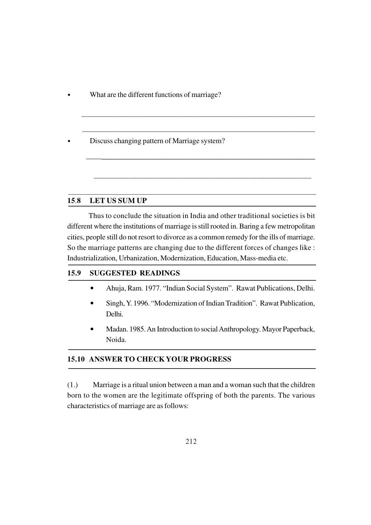- What are the different functions of marriage?
- Discuss changing pattern of Marriage system?

### **15**.**8 LET US SUM UP**

Thus to conclude the situation in India and other traditional societies is bit different where the institutions of marriage is still rooted in. Baring a few metropolitan cities, people still do not resort to divorce as a common remedy for the ills of marriage. So the marriage patterns are changing due to the different forces of changes like : Industrialization, Urbanization, Modernization, Education, Mass-media etc.

\_\_\_\_\_\_\_\_\_\_\_\_\_\_\_\_\_\_\_\_\_\_\_\_\_\_\_\_\_\_\_\_\_\_\_\_\_\_\_\_\_\_\_\_\_\_\_\_\_\_\_\_\_\_\_\_\_\_\_\_\_\_

 $\frac{1}{2}$  ,  $\frac{1}{2}$  ,  $\frac{1}{2}$  ,  $\frac{1}{2}$  ,  $\frac{1}{2}$  ,  $\frac{1}{2}$  ,  $\frac{1}{2}$  ,  $\frac{1}{2}$  ,  $\frac{1}{2}$  ,  $\frac{1}{2}$  ,  $\frac{1}{2}$  ,  $\frac{1}{2}$  ,  $\frac{1}{2}$  ,  $\frac{1}{2}$  ,  $\frac{1}{2}$  ,  $\frac{1}{2}$  ,  $\frac{1}{2}$  ,  $\frac{1}{2}$  ,  $\frac{1$ 

 $\frac{1}{2}$  ,  $\frac{1}{2}$  ,  $\frac{1}{2}$  ,  $\frac{1}{2}$  ,  $\frac{1}{2}$  ,  $\frac{1}{2}$  ,  $\frac{1}{2}$  ,  $\frac{1}{2}$  ,  $\frac{1}{2}$  ,  $\frac{1}{2}$  ,  $\frac{1}{2}$  ,  $\frac{1}{2}$  ,  $\frac{1}{2}$  ,  $\frac{1}{2}$  ,  $\frac{1}{2}$  ,  $\frac{1}{2}$  ,  $\frac{1}{2}$  ,  $\frac{1}{2}$  ,  $\frac{1$ 

\_\_\_\_\_\_\_\_\_\_\_\_\_\_\_\_\_\_\_\_\_\_\_\_\_\_\_\_\_\_\_\_\_\_\_\_\_\_\_\_\_\_\_\_\_\_\_\_\_\_\_\_\_\_\_\_

#### **15.9 SUGGESTED READINGS**

- Ahuja, Ram. 1977. "Indian Social System". Rawat Publications, Delhi.
- Singh, Y. 1996. "Modernization of Indian Tradition". Rawat Publication, Delhi.
- Madan. 1985. An Introduction to social Anthropology. Mayor Paperback, Noida.

## **15.10 ANSWER TO CHECK YOUR PROGRESS**

(1.) Marriage is a ritual union between a man and a woman such that the children born to the women are the legitimate offspring of both the parents. The various characteristics of marriage are as follows: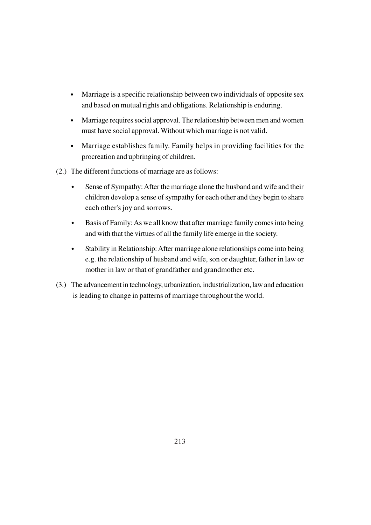- Marriage is a specific relationship between two individuals of opposite sex and based on mutual rights and obligations. Relationship is enduring.
- Marriage requires social approval. The relationship between men and women must have social approval. Without which marriage is not valid.
- Marriage establishes family. Family helps in providing facilities for the procreation and upbringing of children.
- (2.) The different functions of marriage are as follows:
	- Sense of Sympathy: After the marriage alone the husband and wife and their children develop a sense of sympathy for each other and they begin to share each other's joy and sorrows.
	- Basis of Family: As we all know that after marriage family comes into being and with that the virtues of all the family life emerge in the society.
	- Stability in Relationship: After marriage alone relationships come into being e.g. the relationship of husband and wife, son or daughter, father in law or mother in law or that of grandfather and grandmother etc.
- (3.) The advancement in technology, urbanization, industrialization, law and education is leading to change in patterns of marriage throughout the world.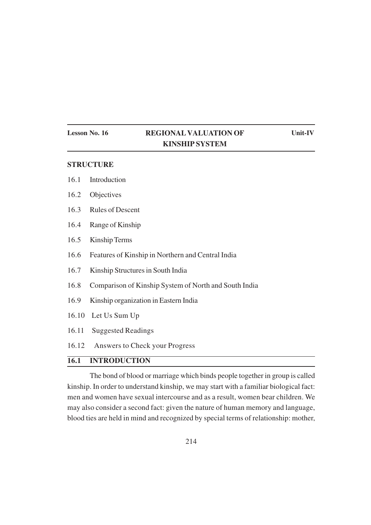# **Lesson No. 16 REGIONAL VALUATION OF Unit-IV KINSHIP SYSTEM**

#### **STRUCTURE**

- 16.1 Introduction
- 16.2 Objectives
- 16.3 Rules of Descent
- 16.4 Range of Kinship
- 16.5 Kinship Terms
- 16.6 Features of Kinship in Northern and Central India
- 16.7 Kinship Structures in South India
- 16.8 Comparison of Kinship System of North and South India
- 16.9 Kinship organization in Eastern India
- 16.10 Let Us Sum Up
- 16.11 Suggested Readings
- 16.12 Answers to Check your Progress

## **16.1 INTRODUCTION**

The bond of blood or marriage which binds people together in group is called kinship. In order to understand kinship, we may start with a familiar biological fact: men and women have sexual intercourse and as a result, women bear children. We may also consider a second fact: given the nature of human memory and language, blood ties are held in mind and recognized by special terms of relationship: mother,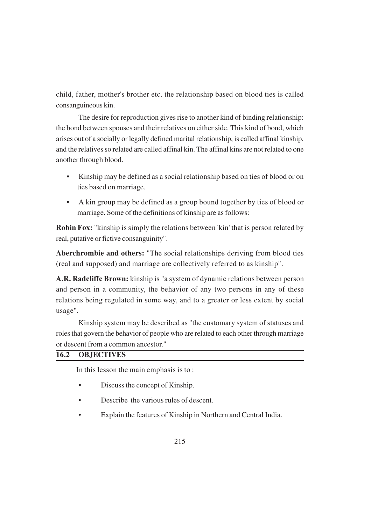child, father, mother's brother etc. the relationship based on blood ties is called consanguineous kin.

The desire for reproduction gives rise to another kind of binding relationship: the bond between spouses and their relatives on either side. This kind of bond, which arises out of a socially or legally defined marital relationship, is called affinal kinship, and the relatives so related are called affinal kin. The affinal kins are not related to one another through blood.

- Kinship may be defined as a social relationship based on ties of blood or on ties based on marriage.
- A kin group may be defined as a group bound together by ties of blood or marriage. Some of the definitions of kinship are as follows:

**Robin Fox:** "kinship is simply the relations between 'kin' that is person related by real, putative or fictive consanguinity".

**Aberchrombie and others:** "The social relationships deriving from blood ties (real and supposed) and marriage are collectively referred to as kinship".

**A.R. Radcliffe Brown:** kinship is "a system of dynamic relations between person and person in a community, the behavior of any two persons in any of these relations being regulated in some way, and to a greater or less extent by social usage".

Kinship system may be described as "the customary system of statuses and roles that govern the behavior of people who are related to each other through marriage or descent from a common ancestor."

## **16.2 OBJECTIVES**

In this lesson the main emphasis is to :

- Discuss the concept of Kinship.
- Describe the various rules of descent.
- Explain the features of Kinship in Northern and Central India.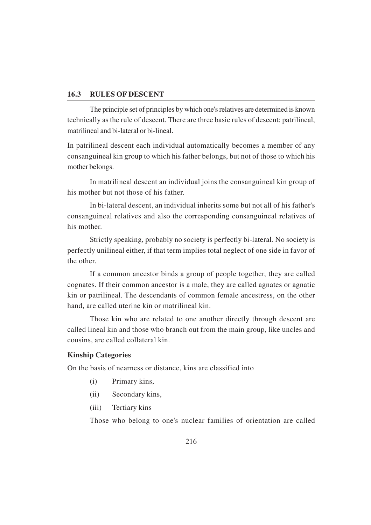#### **16.3 RULES OF DESCENT**

The principle set of principles by which one's relatives are determined is known technically as the rule of descent. There are three basic rules of descent: patrilineal, matrilineal and bi-lateral or bi-lineal.

In patrilineal descent each individual automatically becomes a member of any consanguineal kin group to which his father belongs, but not of those to which his mother belongs.

In matrilineal descent an individual joins the consanguineal kin group of his mother but not those of his father.

In bi-lateral descent, an individual inherits some but not all of his father's consanguineal relatives and also the corresponding consanguineal relatives of his mother.

Strictly speaking, probably no society is perfectly bi-lateral. No society is perfectly unilineal either, if that term implies total neglect of one side in favor of the other.

If a common ancestor binds a group of people together, they are called cognates. If their common ancestor is a male, they are called agnates or agnatic kin or patrilineal. The descendants of common female ancestress, on the other hand, are called uterine kin or matrilineal kin.

Those kin who are related to one another directly through descent are called lineal kin and those who branch out from the main group, like uncles and cousins, are called collateral kin.

#### **Kinship Categories**

On the basis of nearness or distance, kins are classified into

- (i) Primary kins,
- (ii) Secondary kins,
- (iii) Tertiary kins

Those who belong to one's nuclear families of orientation are called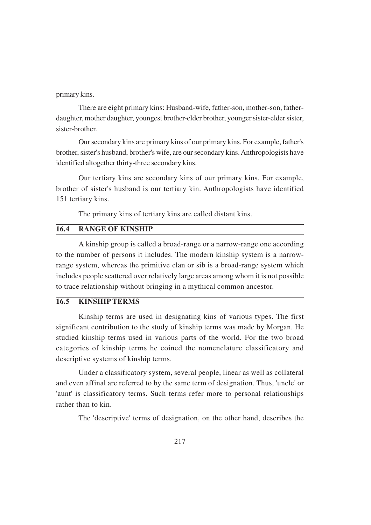primary kins.

There are eight primary kins: Husband-wife, father-son, mother-son, fatherdaughter, mother daughter, youngest brother-elder brother, younger sister-elder sister, sister-brother.

Our secondary kins are primary kins of our primary kins. For example, father's brother, sister's husband, brother's wife, are our secondary kins. Anthropologists have identified altogether thirty-three secondary kins.

Our tertiary kins are secondary kins of our primary kins. For example, brother of sister's husband is our tertiary kin. Anthropologists have identified 151 tertiary kins.

The primary kins of tertiary kins are called distant kins.

# **16.4 RANGE OF KINSHIP**

A kinship group is called a broad-range or a narrow-range one according to the number of persons it includes. The modern kinship system is a narrowrange system, whereas the primitive clan or sib is a broad-range system which includes people scattered over relatively large areas among whom it is not possible to trace relationship without bringing in a mythical common ancestor.

### **16.5 KINSHIP TERMS**

Kinship terms are used in designating kins of various types. The first significant contribution to the study of kinship terms was made by Morgan. He studied kinship terms used in various parts of the world. For the two broad categories of kinship terms he coined the nomenclature classificatory and descriptive systems of kinship terms.

Under a classificatory system, several people, linear as well as collateral and even affinal are referred to by the same term of designation. Thus, 'uncle' or 'aunt' is classificatory terms. Such terms refer more to personal relationships rather than to kin.

The 'descriptive' terms of designation, on the other hand, describes the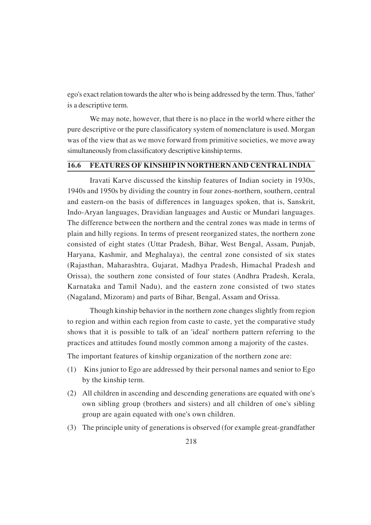ego's exact relation towards the alter who is being addressed by the term. Thus, 'father' is a descriptive term.

We may note, however, that there is no place in the world where either the pure descriptive or the pure classificatory system of nomenclature is used. Morgan was of the view that as we move forward from primitive societies, we move away simultaneously from classificatory descriptive kinship terms.

### **16.6 FEATURES OF KINSHIP IN NORTHERN AND CENTRAL INDIA**

Iravati Karve discussed the kinship features of Indian society in 1930s, 1940s and 1950s by dividing the country in four zones-northern, southern, central and eastern-on the basis of differences in languages spoken, that is, Sanskrit, Indo-Aryan languages, Dravidian languages and Austic or Mundari languages. The difference between the northern and the central zones was made in terms of plain and hilly regions. In terms of present reorganized states, the northern zone consisted of eight states (Uttar Pradesh, Bihar, West Bengal, Assam, Punjab, Haryana, Kashmir, and Meghalaya), the central zone consisted of six states (Rajasthan, Maharashtra, Gujarat, Madhya Pradesh, Himachal Pradesh and Orissa), the southern zone consisted of four states (Andhra Pradesh, Kerala, Karnataka and Tamil Nadu), and the eastern zone consisted of two states (Nagaland, Mizoram) and parts of Bihar, Bengal, Assam and Orissa.

Though kinship behavior in the northern zone changes slightly from region to region and within each region from caste to caste, yet the comparative study shows that it is possible to talk of an 'ideal' northern pattern referring to the practices and attitudes found mostly common among a majority of the castes.

The important features of kinship organization of the northern zone are:

- (1) Kins junior to Ego are addressed by their personal names and senior to Ego by the kinship term.
- (2) All children in ascending and descending generations are equated with one's own sibling group (brothers and sisters) and all children of one's sibling group are again equated with one's own children.
- (3) The principle unity of generations is observed (for example great-grandfather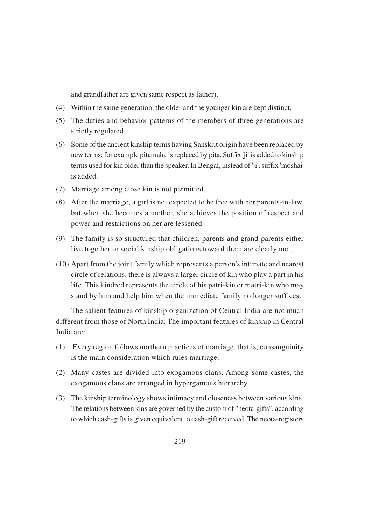and grandfather are given same respect as father).

- (4) Within the same generation, the older and the younger kin are kept distinct.
- (5) The duties and behavior patterns of the members of three generations are strictly regulated.
- (6) Some of the ancient kinship terms having Sanskrit origin have been replaced by new terms; for example pitamaha is replaced by pita. Suffix 'ji' is added to kinship terms used for kin older than the speaker. In Bengal, instead of 'ji', suffix 'moshai' is added.
- (7) Marriage among close kin is not permitted.
- (8) After the marriage, a girl is not expected to be free with her parents-in-law, but when she becomes a mother, she achieves the position of respect and power and restrictions on her are lessened.
- (9) The family is so structured that children, parents and grand-parents either live together or social kinship obligations toward them are clearly met.
- (10) Apart from the joint family which represents a person's intimate and nearest circle of relations, there is always a larger circle of kin who play a part in his life. This kindred represents the circle of his patri-kin or matri-kin who may stand by him and help him when the immediate family no longer suffices.

The salient features of kinship organization of Central India are not much different from those of North India. The important features of kinship in Central India are:

- (1) Every region follows northern practices of marriage, that is, consanguinity is the main consideration which rules marriage.
- (2) Many castes are divided into exogamous clans. Among some castes, the exogamous clans are arranged in hypergamous hierarchy.
- (3) The kinship terminology shows intimacy and closeness between various kins. The relations between kins are governed by the custom of "neota-gifts", according to which cash-gifts is given equivalent to cash-gift received. The neota-registers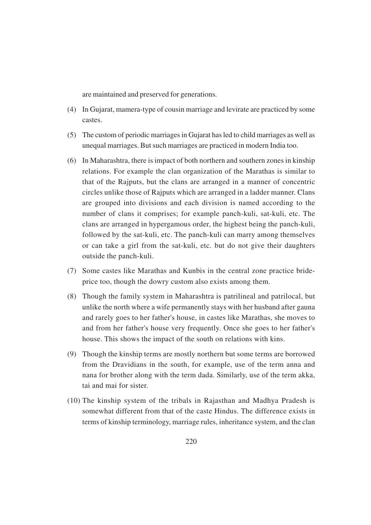are maintained and preserved for generations.

- (4) In Gujarat, mamera-type of cousin marriage and levirate are practiced by some castes.
- (5) The custom of periodic marriages in Gujarat has led to child marriages as well as unequal marriages. But such marriages are practiced in modern India too.
- (6) In Maharashtra, there is impact of both northern and southern zones in kinship relations. For example the clan organization of the Marathas is similar to that of the Rajputs, but the clans are arranged in a manner of concentric circles unlike those of Rajputs which are arranged in a ladder manner. Clans are grouped into divisions and each division is named according to the number of clans it comprises; for example panch-kuli, sat-kuli, etc. The clans are arranged in hypergamous order, the highest being the panch-kuli, followed by the sat-kuli, etc. The panch-kuli can marry among themselves or can take a girl from the sat-kuli, etc. but do not give their daughters outside the panch-kuli.
- (7) Some castes like Marathas and Kunbis in the central zone practice brideprice too, though the dowry custom also exists among them.
- (8) Though the family system in Maharashtra is patrilineal and patrilocal, but unlike the north where a wife permanently stays with her husband after gauna and rarely goes to her father's house, in castes like Marathas, she moves to and from her father's house very frequently. Once she goes to her father's house. This shows the impact of the south on relations with kins.
- (9) Though the kinship terms are mostly northern but some terms are borrowed from the Dravidians in the south, for example, use of the term anna and nana for brother along with the term dada. Similarly, use of the term akka, tai and mai for sister.
- (10) The kinship system of the tribals in Rajasthan and Madhya Pradesh is somewhat different from that of the caste Hindus. The difference exists in terms of kinship terminology, marriage rules, inheritance system, and the clan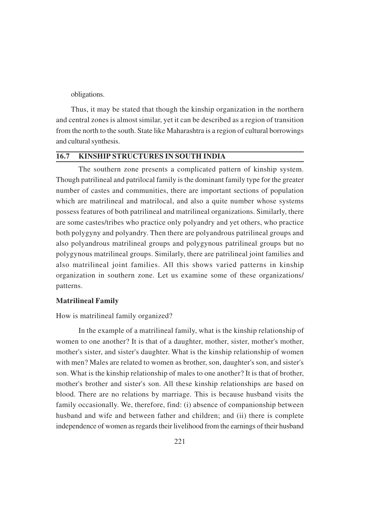obligations.

Thus, it may be stated that though the kinship organization in the northern and central zones is almost similar, yet it can be described as a region of transition from the north to the south. State like Maharashtra is a region of cultural borrowings and cultural synthesis.

### **16.7 KINSHIP STRUCTURES IN SOUTH INDIA**

The southern zone presents a complicated pattern of kinship system. Though patrilineal and patrilocal family is the dominant family type for the greater number of castes and communities, there are important sections of population which are matrilineal and matrilocal, and also a quite number whose systems possess features of both patrilineal and matrilineal organizations. Similarly, there are some castes/tribes who practice only polyandry and yet others, who practice both polygyny and polyandry. Then there are polyandrous patrilineal groups and also polyandrous matrilineal groups and polygynous patrilineal groups but no polygynous matrilineal groups. Similarly, there are patrilineal joint families and also matrilineal joint families. All this shows varied patterns in kinship organization in southern zone. Let us examine some of these organizations/ patterns.

#### **Matrilineal Family**

How is matrilineal family organized?

In the example of a matrilineal family, what is the kinship relationship of women to one another? It is that of a daughter, mother, sister, mother's mother, mother's sister, and sister's daughter. What is the kinship relationship of women with men? Males are related to women as brother, son, daughter's son, and sister's son. What is the kinship relationship of males to one another? It is that of brother, mother's brother and sister's son. All these kinship relationships are based on blood. There are no relations by marriage. This is because husband visits the family occasionally. We, therefore, find: (i) absence of companionship between husband and wife and between father and children; and (ii) there is complete independence of women as regards their livelihood from the earnings of their husband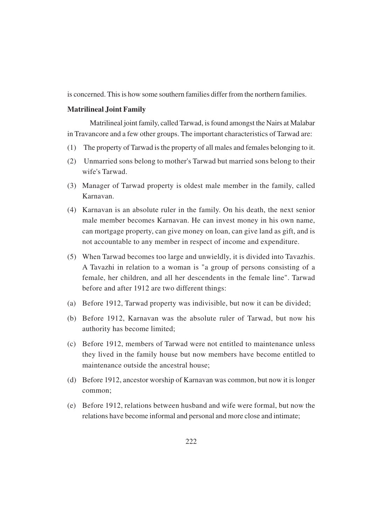is concerned. This is how some southern families differ from the northern families.

#### **Matrilineal Joint Family**

Matrilineal joint family, called Tarwad, is found amongst the Nairs at Malabar in Travancore and a few other groups. The important characteristics of Tarwad are:

- (1) The property of Tarwad is the property of all males and females belonging to it.
- (2) Unmarried sons belong to mother's Tarwad but married sons belong to their wife's Tarwad.
- (3) Manager of Tarwad property is oldest male member in the family, called Karnavan.
- (4) Karnavan is an absolute ruler in the family. On his death, the next senior male member becomes Karnavan. He can invest money in his own name, can mortgage property, can give money on loan, can give land as gift, and is not accountable to any member in respect of income and expenditure.
- (5) When Tarwad becomes too large and unwieldly, it is divided into Tavazhis. A Tavazhi in relation to a woman is "a group of persons consisting of a female, her children, and all her descendents in the female line". Tarwad before and after 1912 are two different things:
- (a) Before 1912, Tarwad property was indivisible, but now it can be divided;
- (b) Before 1912, Karnavan was the absolute ruler of Tarwad, but now his authority has become limited;
- (c) Before 1912, members of Tarwad were not entitled to maintenance unless they lived in the family house but now members have become entitled to maintenance outside the ancestral house;
- (d) Before 1912, ancestor worship of Karnavan was common, but now it is longer common;
- (e) Before 1912, relations between husband and wife were formal, but now the relations have become informal and personal and more close and intimate;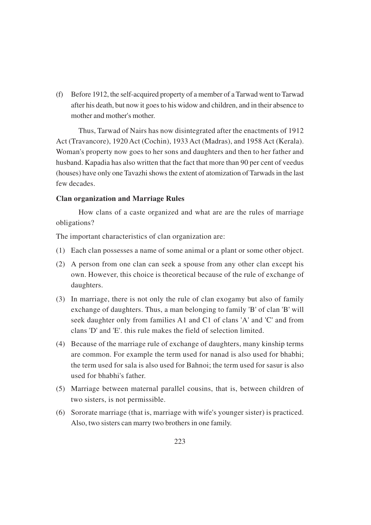(f) Before 1912, the self-acquired property of a member of a Tarwad went to Tarwad after his death, but now it goes to his widow and children, and in their absence to mother and mother's mother.

Thus, Tarwad of Nairs has now disintegrated after the enactments of 1912 Act (Travancore), 1920 Act (Cochin), 1933 Act (Madras), and 1958 Act (Kerala). Woman's property now goes to her sons and daughters and then to her father and husband. Kapadia has also written that the fact that more than 90 per cent of veedus (houses) have only one Tavazhi shows the extent of atomization of Tarwads in the last few decades.

#### **Clan organization and Marriage Rules**

How clans of a caste organized and what are are the rules of marriage obligations?

The important characteristics of clan organization are:

- (1) Each clan possesses a name of some animal or a plant or some other object.
- (2) A person from one clan can seek a spouse from any other clan except his own. However, this choice is theoretical because of the rule of exchange of daughters.
- (3) In marriage, there is not only the rule of clan exogamy but also of family exchange of daughters. Thus, a man belonging to family 'B' of clan 'B' will seek daughter only from families A1 and C1 of clans 'A' and 'C' and from clans 'D' and 'E'. this rule makes the field of selection limited.
- (4) Because of the marriage rule of exchange of daughters, many kinship terms are common. For example the term used for nanad is also used for bhabhi; the term used for sala is also used for Bahnoi; the term used for sasur is also used for bhabhi's father.
- (5) Marriage between maternal parallel cousins, that is, between children of two sisters, is not permissible.
- (6) Sororate marriage (that is, marriage with wife's younger sister) is practiced. Also, two sisters can marry two brothers in one family.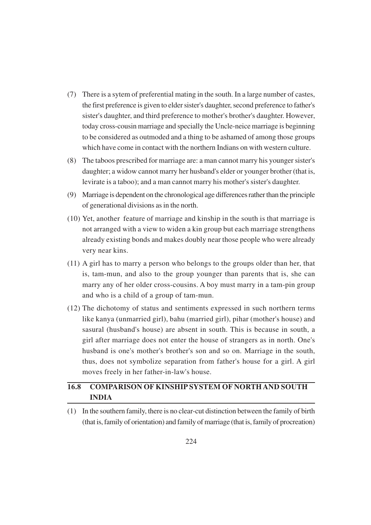- (7) There is a sytem of preferential mating in the south. In a large number of castes, the first preference is given to elder sister's daughter, second preference to father's sister's daughter, and third preference to mother's brother's daughter. However, today cross-cousin marriage and specially the Uncle-neice marriage is beginning to be considered as outmoded and a thing to be ashamed of among those groups which have come in contact with the northern Indians on with western culture.
- (8) The taboos prescribed for marriage are: a man cannot marry his younger sister's daughter; a widow cannot marry her husband's elder or younger brother (that is, levirate is a taboo); and a man cannot marry his mother's sister's daughter.
- (9) Marriage is dependent on the chronological age differences rather than the principle of generational divisions as in the north.
- (10) Yet, another feature of marriage and kinship in the south is that marriage is not arranged with a view to widen a kin group but each marriage strengthens already existing bonds and makes doubly near those people who were already very near kins.
- (11) A girl has to marry a person who belongs to the groups older than her, that is, tam-mun, and also to the group younger than parents that is, she can marry any of her older cross-cousins. A boy must marry in a tam-pin group and who is a child of a group of tam-mun.
- (12) The dichotomy of status and sentiments expressed in such northern terms like kanya (unmarried girl), bahu (married girl), pihar (mother's house) and sasural (husband's house) are absent in south. This is because in south, a girl after marriage does not enter the house of strangers as in north. One's husband is one's mother's brother's son and so on. Marriage in the south, thus, does not symbolize separation from father's house for a girl. A girl moves freely in her father-in-law's house.

# **16.8 COMPARISON OF KINSHIP SYSTEM OF NORTH AND SOUTH INDIA**

(1) In the southern family, there is no clear-cut distinction between the family of birth (that is, family of orientation) and family of marriage (that is, family of procreation)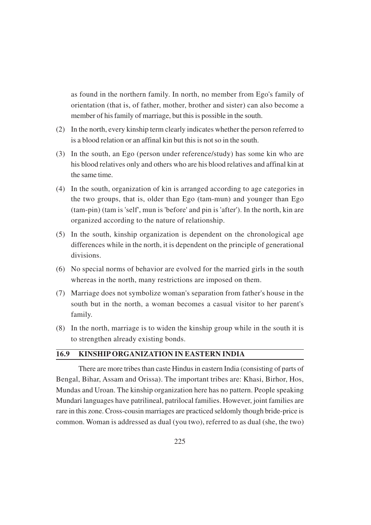as found in the northern family. In north, no member from Ego's family of orientation (that is, of father, mother, brother and sister) can also become a member of his family of marriage, but this is possible in the south.

- (2) In the north, every kinship term clearly indicates whether the person referred to is a blood relation or an affinal kin but this is not so in the south.
- (3) In the south, an Ego (person under reference/study) has some kin who are his blood relatives only and others who are his blood relatives and affinal kin at the same time.
- (4) In the south, organization of kin is arranged according to age categories in the two groups, that is, older than Ego (tam-mun) and younger than Ego (tam-pin) (tam is 'self', mun is 'before' and pin is 'after'). In the north, kin are organized according to the nature of relationship.
- (5) In the south, kinship organization is dependent on the chronological age differences while in the north, it is dependent on the principle of generational divisions.
- (6) No special norms of behavior are evolved for the married girls in the south whereas in the north, many restrictions are imposed on them.
- (7) Marriage does not symbolize woman's separation from father's house in the south but in the north, a woman becomes a casual visitor to her parent's family.
- (8) In the north, marriage is to widen the kinship group while in the south it is to strengthen already existing bonds.

## **16.9 KINSHIP ORGANIZATION IN EASTERN INDIA**

There are more tribes than caste Hindus in eastern India (consisting of parts of Bengal, Bihar, Assam and Orissa). The important tribes are: Khasi, Birhor, Hos, Mundas and Uroan. The kinship organization here has no pattern. People speaking Mundari languages have patrilineal, patrilocal families. However, joint families are rare in this zone. Cross-cousin marriages are practiced seldomly though bride-price is common. Woman is addressed as dual (you two), referred to as dual (she, the two)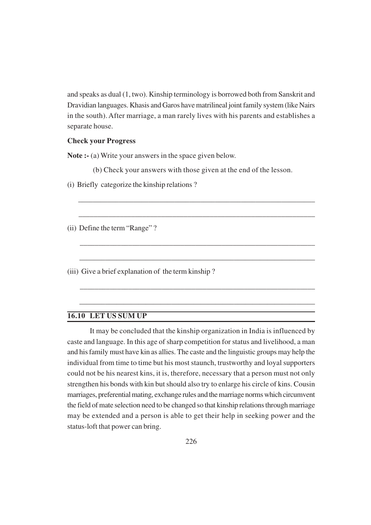and speaks as dual (1, two). Kinship terminology is borrowed both from Sanskrit and Dravidian languages. Khasis and Garos have matrilineal joint family system (like Nairs in the south). After marriage, a man rarely lives with his parents and establishes a separate house.

#### **Check your Progress**

**Note :-** (a) Write your answers in the space given below.

(b) Check your answers with those given at the end of the lesson.

 $\frac{1}{\sqrt{2}}$  ,  $\frac{1}{\sqrt{2}}$  ,  $\frac{1}{\sqrt{2}}$  ,  $\frac{1}{\sqrt{2}}$  ,  $\frac{1}{\sqrt{2}}$  ,  $\frac{1}{\sqrt{2}}$  ,  $\frac{1}{\sqrt{2}}$  ,  $\frac{1}{\sqrt{2}}$  ,  $\frac{1}{\sqrt{2}}$  ,  $\frac{1}{\sqrt{2}}$  ,  $\frac{1}{\sqrt{2}}$  ,  $\frac{1}{\sqrt{2}}$  ,  $\frac{1}{\sqrt{2}}$  ,  $\frac{1}{\sqrt{2}}$  ,  $\frac{1}{\sqrt{2}}$ 

\_\_\_\_\_\_\_\_\_\_\_\_\_\_\_\_\_\_\_\_\_\_\_\_\_\_\_\_\_\_\_\_\_\_\_\_\_\_\_\_\_\_\_\_\_\_\_\_\_\_\_\_\_\_\_\_\_\_\_\_\_\_\_

\_\_\_\_\_\_\_\_\_\_\_\_\_\_\_\_\_\_\_\_\_\_\_\_\_\_\_\_\_\_\_\_\_\_\_\_\_\_\_\_\_\_\_\_\_\_\_\_\_\_\_\_\_\_\_\_\_\_\_\_\_\_\_

 $\frac{1}{2}$  ,  $\frac{1}{2}$  ,  $\frac{1}{2}$  ,  $\frac{1}{2}$  ,  $\frac{1}{2}$  ,  $\frac{1}{2}$  ,  $\frac{1}{2}$  ,  $\frac{1}{2}$  ,  $\frac{1}{2}$  ,  $\frac{1}{2}$  ,  $\frac{1}{2}$  ,  $\frac{1}{2}$  ,  $\frac{1}{2}$  ,  $\frac{1}{2}$  ,  $\frac{1}{2}$  ,  $\frac{1}{2}$  ,  $\frac{1}{2}$  ,  $\frac{1}{2}$  ,  $\frac{1$ 

\_\_\_\_\_\_\_\_\_\_\_\_\_\_\_\_\_\_\_\_\_\_\_\_\_\_\_\_\_\_\_\_\_\_\_\_\_\_\_\_\_\_\_\_\_\_\_\_\_\_\_\_\_\_\_\_\_\_\_\_\_\_\_

 $\mathcal{L} = \{ \mathcal{L} = \{ \mathcal{L} \} \cup \{ \mathcal{L} \} \cup \{ \mathcal{L} \} \cup \{ \mathcal{L} \} \cup \{ \mathcal{L} \} \cup \{ \mathcal{L} \} \cup \{ \mathcal{L} \} \cup \{ \mathcal{L} \} \cup \{ \mathcal{L} \} \cup \{ \mathcal{L} \} \cup \{ \mathcal{L} \} \cup \{ \mathcal{L} \} \cup \{ \mathcal{L} \} \cup \{ \mathcal{L} \} \cup \{ \mathcal{L} \} \cup \{ \mathcal{L} \} \cup \{ \mathcal{L} \} \cup$ 

(i) Briefly categorize the kinship relations ?

(ii) Define the term "Range" ?

(iii) Give a brief explanation of the term kinship ?

## **16.10 LET US SUM UP**

It may be concluded that the kinship organization in India is influenced by caste and language. In this age of sharp competition for status and livelihood, a man and his family must have kin as allies. The caste and the linguistic groups may help the individual from time to time but his most staunch, trustworthy and loyal supporters could not be his nearest kins, it is, therefore, necessary that a person must not only strengthen his bonds with kin but should also try to enlarge his circle of kins. Cousin marriages, preferential mating, exchange rules and the marriage norms which circumvent the field of mate selection need to be changed so that kinship relations through marriage may be extended and a person is able to get their help in seeking power and the status-loft that power can bring.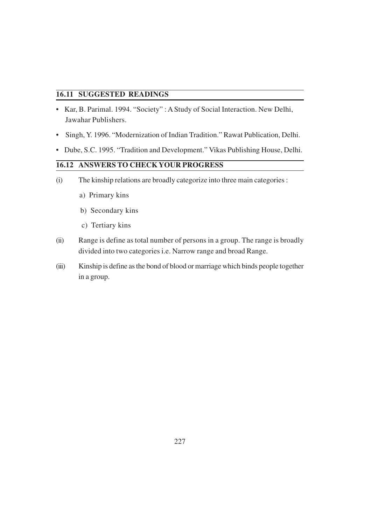## **16.11 SUGGESTED READINGS**

- Kar, B. Parimal. 1994. "Society" : A Study of Social Interaction. New Delhi, Jawahar Publishers.
- Singh, Y. 1996. "Modernization of Indian Tradition." Rawat Publication, Delhi.
- Dube, S.C. 1995. "Tradition and Development." Vikas Publishing House, Delhi.

## **16.12 ANSWERS TO CHECK YOUR PROGRESS**

- (i) The kinship relations are broadly categorize into three main categories :
	- a) Primary kins
	- b) Secondary kins
	- c) Tertiary kins
- (ii) Range is define as total number of persons in a group. The range is broadly divided into two categories i.e. Narrow range and broad Range.
- (iii) Kinship is define as the bond of blood or marriage which binds people together in a group.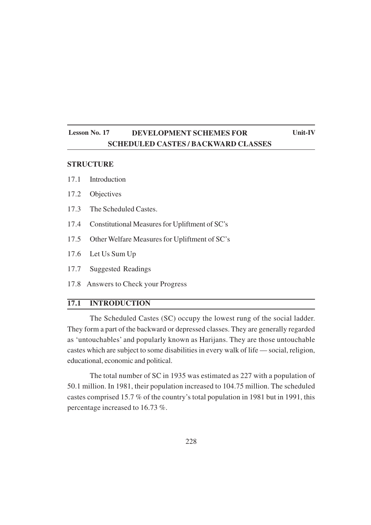# **Lesson No. 17 DEVELOPMENT SCHEMES FOR** Unit-IV **SCHEDULED CASTES / BACKWARD CLASSES**

#### **STRUCTURE**

- 17.1 Introduction
- 17.2 Objectives
- 17.3 The Scheduled Castes.
- 17.4 Constitutional Measures for Upliftment of SC's
- 17.5 Other Welfare Measures for Upliftment of SC's
- 17.6 Let Us Sum Up
- 17.7 Suggested Readings
- 17.8 Answers to Check your Progress

### **17.1 INTRODUCTION**

The Scheduled Castes (SC) occupy the lowest rung of the social ladder. They form a part of the backward or depressed classes. They are generally regarded as 'untouchables' and popularly known as Harijans. They are those untouchable castes which are subject to some disabilities in every walk of life — social, religion, educational, economic and political.

The total number of SC in 1935 was estimated as 227 with a population of 50.1 million. In 1981, their population increased to 104.75 million. The scheduled castes comprised 15.7 % of the country's total population in 1981 but in 1991, this percentage increased to 16.73 %.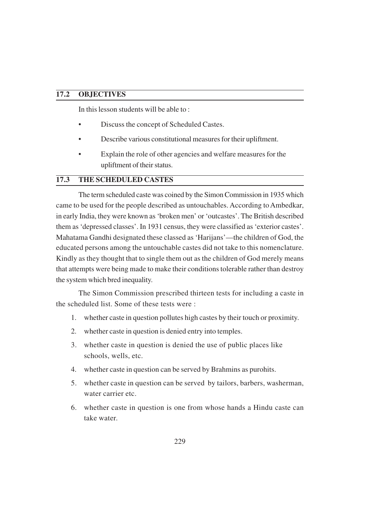## **17.2 OBJECTIVES**

In this lesson students will be able to :

- Discuss the concept of Scheduled Castes.
- Describe various constitutional measures for their upliftment.
- Explain the role of other agencies and welfare measures for the upliftment of their status.

#### **17.3 THE SCHEDULED CASTES**

The term scheduled caste was coined by the Simon Commission in 1935 which came to be used for the people described as untouchables. According to Ambedkar, in early India, they were known as 'broken men' or 'outcastes'. The British described them as 'depressed classes'. In 1931 census, they were classified as 'exterior castes'. Mahatama Gandhi designated these classed as 'Harijans'—the children of God, the educated persons among the untouchable castes did not take to this nomenclature. Kindly as they thought that to single them out as the children of God merely means that attempts were being made to make their conditions tolerable rather than destroy the system which bred inequality.

The Simon Commission prescribed thirteen tests for including a caste in the scheduled list. Some of these tests were :

- 1. whether caste in question pollutes high castes by their touch or proximity.
- 2. whether caste in question is denied entry into temples.
- 3. whether caste in question is denied the use of public places like schools, wells, etc.
- 4. whether caste in question can be served by Brahmins as purohits.
- 5. whether caste in question can be served by tailors, barbers, washerman, water carrier etc.
- 6. whether caste in question is one from whose hands a Hindu caste can take water.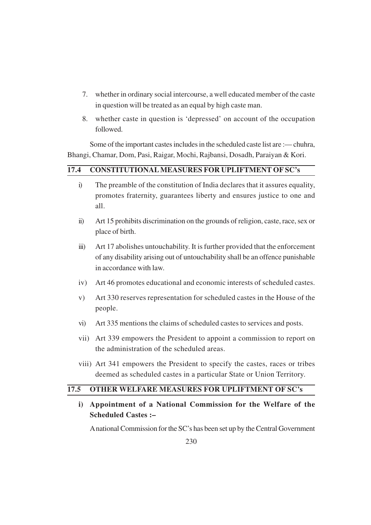- 7. whether in ordinary social intercourse, a well educated member of the caste in question will be treated as an equal by high caste man.
- 8. whether caste in question is 'depressed' on account of the occupation followed.

Some of the important castes includes in the scheduled caste list are :— chuhra, Bhangi, Chamar, Dom, Pasi, Raigar, Mochi, Rajbansi, Dosadh, Paraiyan & Kori.

## **17.4 CONSTITUTIONAL MEASURES FOR UPLIFTMENT OF SC's**

- i) The preamble of the constitution of India declares that it assures equality, promotes fraternity, guarantees liberty and ensures justice to one and all.
- ii) Art 15 prohibits discrimination on the grounds of religion, caste, race, sex or place of birth.
- iii) Art 17 abolishes untouchability. It is further provided that the enforcement of any disability arising out of untouchability shall be an offence punishable in accordance with law.
- iv) Art 46 promotes educational and economic interests of scheduled castes.
- v) Art 330 reserves representation for scheduled castes in the House of the people.
- vi) Art 335 mentions the claims of scheduled castes to services and posts.
- vii) Art 339 empowers the President to appoint a commission to report on the administration of the scheduled areas.
- viii) Art 341 empowers the President to specify the castes, races or tribes deemed as scheduled castes in a particular State or Union Territory.

#### **17.5 OTHER WELFARE MEASURES FOR UPLIFTMENT OF SC's**

**i) Appointment of a National Commission for the Welfare of the Scheduled Castes :–**

A national Commission for the SC's has been set up by the Central Government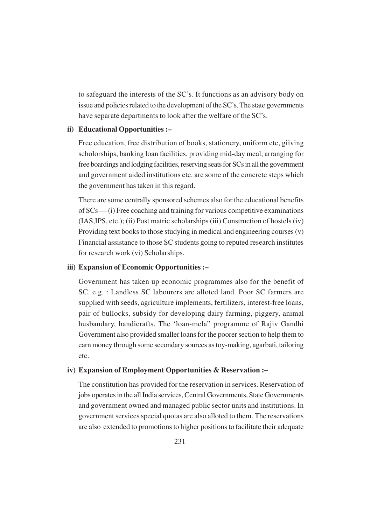to safeguard the interests of the SC's. It functions as an advisory body on issue and policies related to the development of the SC's. The state governments have separate departments to look after the welfare of the SC's.

#### **ii) Educational Opportunities :–**

Free education, free distribution of books, stationery, uniform etc, giiving scholorships, banking loan facilities, providing mid-day meal, arranging for free boardings and lodging facilities, reserving seats for SCs in all the government and government aided institutions etc. are some of the concrete steps which the government has taken in this regard.

There are some centrally sponsored schemes also for the educational benefits of SCs — (i) Free coaching and training for various competitive examinations (IAS,IPS, etc.); (ii) Post matric scholarships (iii) Construction of hostels (iv) Providing text books to those studying in medical and engineering courses (v) Financial assistance to those SC students going to reputed research institutes for research work (vi) Scholarships.

#### **iii) Expansion of Economic Opportunities :–**

Government has taken up economic programmes also for the benefit of SC. e.g. : Landless SC labourers are alloted land. Poor SC farmers are supplied with seeds, agriculture implements, fertilizers, interest-free loans, pair of bullocks, subsidy for developing dairy farming, piggery, animal husbandary, handicrafts. The 'loan-mela" programme of Rajiv Gandhi Government also provided smaller loans for the poorer section to help them to earn money through some secondary sources as toy-making, agarbati, tailoring etc.

#### **iv) Expansion of Employment Opportunities & Reservation :–**

The constitution has provided for the reservation in services. Reservation of jobs operates in the all India services, Central Governments, State Governments and government owned and managed public sector units and institutions. In government services special quotas are also alloted to them. The reservations are also extended to promotions to higher positions to facilitate their adequate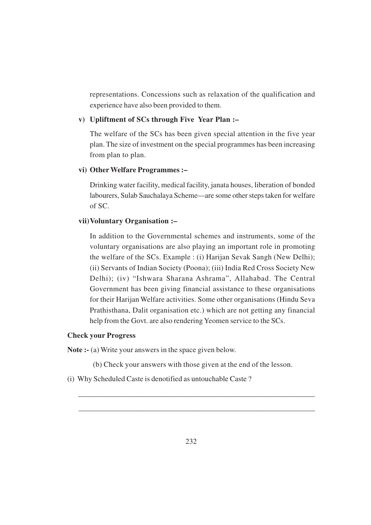representations. Concessions such as relaxation of the qualification and experience have also been provided to them.

## **v) Upliftment of SCs through Five Year Plan :–**

The welfare of the SCs has been given special attention in the five year plan. The size of investment on the special programmes has been increasing from plan to plan.

#### **vi) Other Welfare Programmes :–**

Drinking water facility, medical facility, janata houses, liberation of bonded labourers, Sulab Sauchalaya Scheme—are some other steps taken for welfare of SC.

#### **vii)Voluntary Organisation :–**

In addition to the Governmental schemes and instruments, some of the voluntary organisations are also playing an important role in promoting the welfare of the SCs. Example : (i) Harijan Sevak Sangh (New Delhi); (ii) Servants of Indian Society (Poona); (iii) India Red Cross Society New Delhi); (iv) "Ishwara Sharana Ashrama", Allahabad. The Central Government has been giving financial assistance to these organisations for their Harijan Welfare activities. Some other organisations (Hindu Seva Prathisthana, Dalit organisation etc.) which are not getting any financial help from the Govt. are also rendering Yeomen service to the SCs.

#### **Check your Progress**

**Note :-** (a) Write your answers in the space given below.

(b) Check your answers with those given at the end of the lesson.

 $\frac{1}{\sqrt{2}}$  ,  $\frac{1}{\sqrt{2}}$  ,  $\frac{1}{\sqrt{2}}$  ,  $\frac{1}{\sqrt{2}}$  ,  $\frac{1}{\sqrt{2}}$  ,  $\frac{1}{\sqrt{2}}$  ,  $\frac{1}{\sqrt{2}}$  ,  $\frac{1}{\sqrt{2}}$  ,  $\frac{1}{\sqrt{2}}$  ,  $\frac{1}{\sqrt{2}}$  ,  $\frac{1}{\sqrt{2}}$  ,  $\frac{1}{\sqrt{2}}$  ,  $\frac{1}{\sqrt{2}}$  ,  $\frac{1}{\sqrt{2}}$  ,  $\frac{1}{\sqrt{2}}$ 

\_\_\_\_\_\_\_\_\_\_\_\_\_\_\_\_\_\_\_\_\_\_\_\_\_\_\_\_\_\_\_\_\_\_\_\_\_\_\_\_\_\_\_\_\_\_\_\_\_\_\_\_\_\_\_\_\_\_\_\_\_\_\_

(i) Why Scheduled Caste is denotified as untouchable Caste ?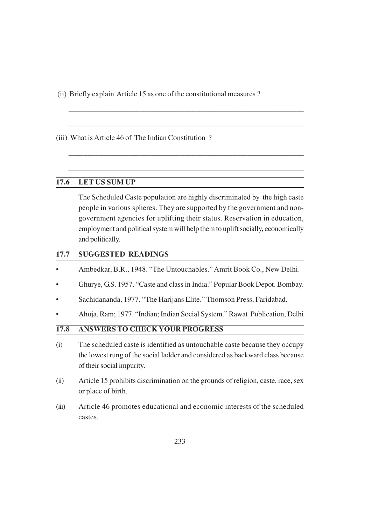(ii) Briefly explain Article 15 as one of the constitutional measures ?

\_\_\_\_\_\_\_\_\_\_\_\_\_\_\_\_\_\_\_\_\_\_\_\_\_\_\_\_\_\_\_\_\_\_\_\_\_\_\_\_\_\_\_\_\_\_\_\_\_\_\_\_\_\_\_\_\_\_\_\_\_\_\_

 $\frac{1}{2}$  ,  $\frac{1}{2}$  ,  $\frac{1}{2}$  ,  $\frac{1}{2}$  ,  $\frac{1}{2}$  ,  $\frac{1}{2}$  ,  $\frac{1}{2}$  ,  $\frac{1}{2}$  ,  $\frac{1}{2}$  ,  $\frac{1}{2}$  ,  $\frac{1}{2}$  ,  $\frac{1}{2}$  ,  $\frac{1}{2}$  ,  $\frac{1}{2}$  ,  $\frac{1}{2}$  ,  $\frac{1}{2}$  ,  $\frac{1}{2}$  ,  $\frac{1}{2}$  ,  $\frac{1$ 

\_\_\_\_\_\_\_\_\_\_\_\_\_\_\_\_\_\_\_\_\_\_\_\_\_\_\_\_\_\_\_\_\_\_\_\_\_\_\_\_\_\_\_\_\_\_\_\_\_\_\_\_\_\_\_\_\_\_\_\_\_\_\_

 $\frac{1}{2}$  ,  $\frac{1}{2}$  ,  $\frac{1}{2}$  ,  $\frac{1}{2}$  ,  $\frac{1}{2}$  ,  $\frac{1}{2}$  ,  $\frac{1}{2}$  ,  $\frac{1}{2}$  ,  $\frac{1}{2}$  ,  $\frac{1}{2}$  ,  $\frac{1}{2}$  ,  $\frac{1}{2}$  ,  $\frac{1}{2}$  ,  $\frac{1}{2}$  ,  $\frac{1}{2}$  ,  $\frac{1}{2}$  ,  $\frac{1}{2}$  ,  $\frac{1}{2}$  ,  $\frac{1$ 

(iii) What is Article 46 of The Indian Constitution ?

## **17.6 LET US SUM UP**

The Scheduled Caste population are highly discriminated by the high caste people in various spheres. They are supported by the government and nongovernment agencies for uplifting their status. Reservation in education, employment and political system will help them to uplift socially, economically and politically.

## **17.7 SUGGESTED READINGS**

- Ambedkar, B.R., 1948. "The Untouchables." Amrit Book Co., New Delhi.
- Ghurye, G.S. 1957. "Caste and class in India." Popular Book Depot. Bombay.
- Sachidananda, 1977. "The Harijans Elite." Thomson Press, Faridabad.
- Ahuja, Ram; 1977. "Indian; Indian Social System." Rawat Publication, Delhi

## **17.8 ANSWERS TO CHECK YOUR PROGRESS**

- (i) The scheduled caste is identified as untouchable caste because they occupy the lowest rung of the social ladder and considered as backward class because of their social impurity.
- (ii) Article 15 prohibits discrimination on the grounds of religion, caste, race, sex or place of birth.
- (iii) Article 46 promotes educational and economic interests of the scheduled castes.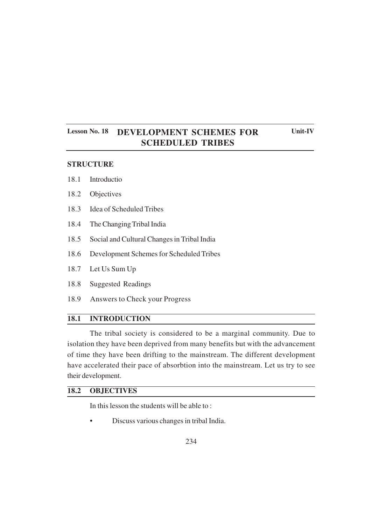# Lesson No. 18 **DEVELOPMENT SCHEMES FOR** Unit-IV **SCHEDULED TRIBES**

#### **STRUCTURE**

- 18.1 Introductio
- 18.2 Objectives
- 18.3 Idea of Scheduled Tribes
- 18.4 The Changing Tribal India
- 18.5 Social and Cultural Changes in Tribal India
- 18.6 Development Schemes for Scheduled Tribes
- 18.7 Let Us Sum Up
- 18.8 Suggested Readings
- 18.9 Answers to Check your Progress

## **18.1 INTRODUCTION**

The tribal society is considered to be a marginal community. Due to isolation they have been deprived from many benefits but with the advancement of time they have been drifting to the mainstream. The different development have accelerated their pace of absorbtion into the mainstream. Let us try to see their development.

### **18.2 OBJECTIVES**

In this lesson the students will be able to :

• Discuss various changes in tribal India.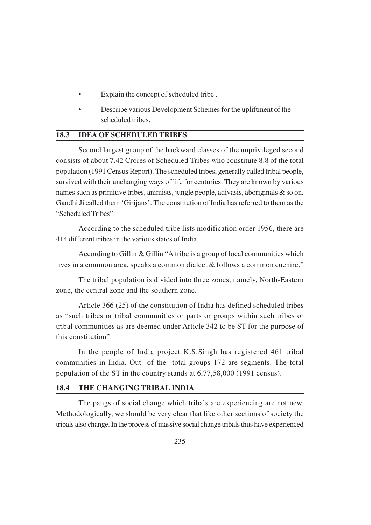- Explain the concept of scheduled tribe.
- Describe various Development Schemes for the upliftment of the scheduled tribes.

### **18.3 IDEA OF SCHEDULED TRIBES**

Second largest group of the backward classes of the unprivileged second consists of about 7.42 Crores of Scheduled Tribes who constitute 8.8 of the total population (1991 Census Report). The scheduled tribes, generally called tribal people, survived with their unchanging ways of life for centuries. They are known by various names such as primitive tribes, animists, jungle people, adivasis, aboriginals & so on. Gandhi Ji called them 'Girijans'. The constitution of India has referred to them as the "Scheduled Tribes".

According to the scheduled tribe lists modification order 1956, there are 414 different tribes in the various states of India.

According to Gillin & Gillin "A tribe is a group of local communities which lives in a common area, speaks a common dialect & follows a common cuenire."

The tribal population is divided into three zones, namely, North-Eastern zone, the central zone and the southern zone.

Article 366 (25) of the constitution of India has defined scheduled tribes as "such tribes or tribal communities or parts or groups within such tribes or tribal communities as are deemed under Article 342 to be ST for the purpose of this constitution".

In the people of India project K.S.Singh has registered 461 tribal communities in India. Out of the total groups 172 are segments. The total population of the ST in the country stands at 6,77,58,000 (1991 census).

## **18.4 THE CHANGING TRIBAL INDIA**

The pangs of social change which tribals are experiencing are not new. Methodologically, we should be very clear that like other sections of society the tribals also change. In the process of massive social change tribals thus have experienced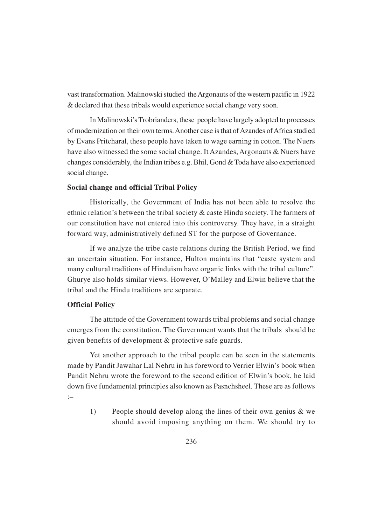vast transformation. Malinowski studied the Argonauts of the western pacific in 1922 & declared that these tribals would experience social change very soon.

In Malinowski's Trobrianders, these people have largely adopted to processes of modernization on their own terms. Another case is that of Azandes of Africa studied by Evans Pritcharal, these people have taken to wage earning in cotton. The Nuers have also witnessed the some social change. It Azandes, Argonauts & Nuers have changes considerably, the Indian tribes e.g. Bhil, Gond & Toda have also experienced social change.

#### **Social change and official Tribal Policy**

Historically, the Government of India has not been able to resolve the ethnic relation's between the tribal society & caste Hindu society. The farmers of our constitution have not entered into this controversy. They have, in a straight forward way, administratively defined ST for the purpose of Governance.

If we analyze the tribe caste relations during the British Period, we find an uncertain situation. For instance, Hulton maintains that "caste system and many cultural traditions of Hinduism have organic links with the tribal culture". Ghurye also holds similar views. However, O'Malley and Elwin believe that the tribal and the Hindu traditions are separate.

#### **Official Policy**

The attitude of the Government towards tribal problems and social change emerges from the constitution. The Government wants that the tribals should be given benefits of development & protective safe guards.

Yet another approach to the tribal people can be seen in the statements made by Pandit Jawahar Lal Nehru in his foreword to Verrier Elwin's book when Pandit Nehru wrote the foreword to the second edition of Elwin's book, he laid down five fundamental principles also known as Pasnchsheel. These are as follows :–

1) People should develop along the lines of their own genius & we should avoid imposing anything on them. We should try to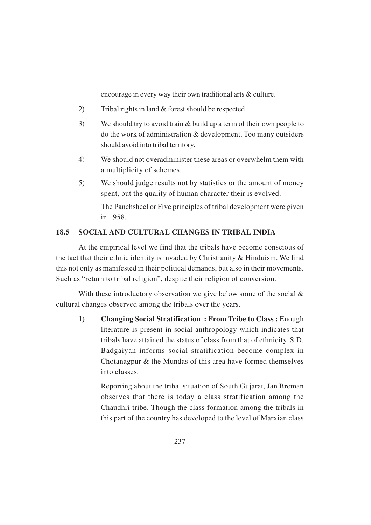encourage in every way their own traditional arts & culture.

- 2) Tribal rights in land & forest should be respected.
- 3) We should try to avoid train & build up a term of their own people to do the work of administration & development. Too many outsiders should avoid into tribal territory.
- 4) We should not overadminister these areas or overwhelm them with a multiplicity of schemes.
- 5) We should judge results not by statistics or the amount of money spent, but the quality of human character their is evolved.

The Panchsheel or Five principles of tribal development were given in 1958.

## **18.5 SOCIAL AND CULTURAL CHANGES IN TRIBAL INDIA**

At the empirical level we find that the tribals have become conscious of the tact that their ethnic identity is invaded by Christianity & Hinduism. We find this not only as manifested in their political demands, but also in their movements. Such as "return to tribal religion", despite their religion of conversion.

With these introductory observation we give below some of the social  $\&$ cultural changes observed among the tribals over the years.

**1) Changing Social Stratification : From Tribe to Class :** Enough literature is present in social anthropology which indicates that tribals have attained the status of class from that of ethnicity. S.D. Badgaiyan informs social stratification become complex in Chotanagpur & the Mundas of this area have formed themselves into classes.

Reporting about the tribal situation of South Gujarat, Jan Breman observes that there is today a class stratification among the Chaudhri tribe. Though the class formation among the tribals in this part of the country has developed to the level of Marxian class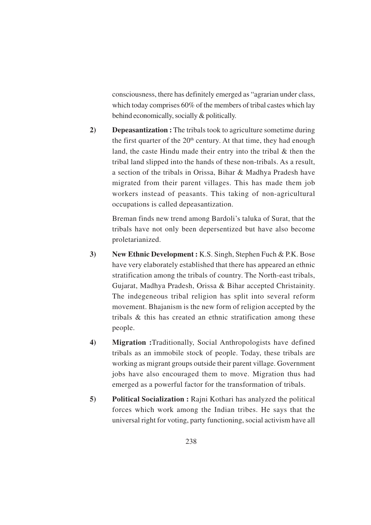consciousness, there has definitely emerged as "agrarian under class, which today comprises 60% of the members of tribal castes which lay behind economically, socially & politically.

**2) Depeasantization :** The tribals took to agriculture sometime during the first quarter of the  $20<sup>th</sup>$  century. At that time, they had enough land, the caste Hindu made their entry into the tribal & then the tribal land slipped into the hands of these non-tribals. As a result, a section of the tribals in Orissa, Bihar & Madhya Pradesh have migrated from their parent villages. This has made them job workers instead of peasants. This taking of non-agricultural occupations is called depeasantization.

> Breman finds new trend among Bardoli's taluka of Surat, that the tribals have not only been depersentized but have also become proletarianized.

- **3) New Ethnic Development :** K.S. Singh, Stephen Fuch & P.K. Bose have very elaborately established that there has appeared an ethnic stratification among the tribals of country. The North-east tribals, Gujarat, Madhya Pradesh, Orissa & Bihar accepted Christainity. The indegeneous tribal religion has split into several reform movement. Bhajanism is the new form of religion accepted by the tribals & this has created an ethnic stratification among these people.
- **4) Migration :**Traditionally, Social Anthropologists have defined tribals as an immobile stock of people. Today, these tribals are working as migrant groups outside their parent village. Government jobs have also encouraged them to move. Migration thus had emerged as a powerful factor for the transformation of tribals.
- **5) Political Socialization :** Rajni Kothari has analyzed the political forces which work among the Indian tribes. He says that the universal right for voting, party functioning, social activism have all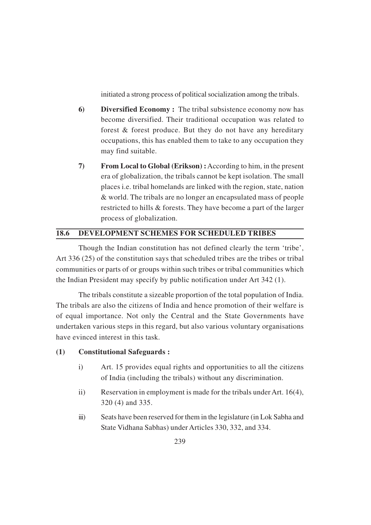initiated a strong process of political socialization among the tribals.

- **6) Diversified Economy :** The tribal subsistence economy now has become diversified. Their traditional occupation was related to forest & forest produce. But they do not have any hereditary occupations, this has enabled them to take to any occupation they may find suitable.
- **7) From Local to Global (Erikson) :**According to him, in the present era of globalization, the tribals cannot be kept isolation. The small places i.e. tribal homelands are linked with the region, state, nation & world. The tribals are no longer an encapsulated mass of people restricted to hills & forests. They have become a part of the larger process of globalization.

## **18.6 DEVELOPMENT SCHEMES FOR SCHEDULED TRIBES**

Though the Indian constitution has not defined clearly the term 'tribe', Art 336 (25) of the constitution says that scheduled tribes are the tribes or tribal communities or parts of or groups within such tribes or tribal communities which the Indian President may specify by public notification under Art 342 (1).

The tribals constitute a sizeable proportion of the total population of India. The tribals are also the citizens of India and hence promotion of their welfare is of equal importance. Not only the Central and the State Governments have undertaken various steps in this regard, but also various voluntary organisations have evinced interest in this task.

#### **(1) Constitutional Safeguards :**

- i) Art. 15 provides equal rights and opportunities to all the citizens of India (including the tribals) without any discrimination.
- ii) Reservation in employment is made for the tribals under Art. 16(4), 320 (4) and 335.
- iii) Seats have been reserved for them in the legislature (in Lok Sabha and State Vidhana Sabhas) under Articles 330, 332, and 334.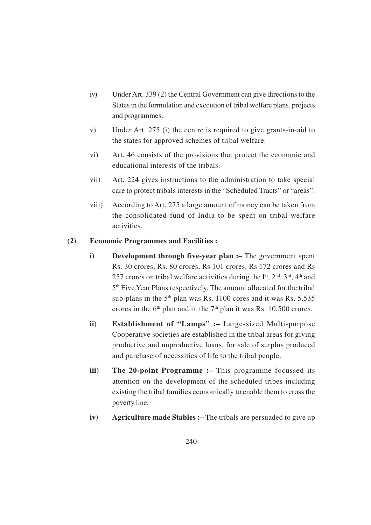- iv) Under Art. 339 (2) the Central Government can give directions to the States in the formulation and execution of tribal welfare plans, projects and programmes.
- v) Under Art. 275 (i) the centre is required to give grants-in-aid to the states for approved schemes of tribal welfare.
- vi) Art. 46 consists of the provisions that protect the economic and educational interests of the tribals.
- vii) Art. 224 gives instructions to the administration to take special care to protect tribals interests in the "Scheduled Tracts" or "areas".
- viii) According to Art. 275 a large amount of money can be taken from the consolidated fund of India to be spent on tribal welfare activities.

### **(2) Economic Programmes and Facilities :**

- **i) Development through five-year plan :–** The government spent Rs. 30 crores, Rs. 80 crores, Rs 101 crores, Rs 172 crores and Rs 257 crores on tribal welfare activities during the  $I<sup>st</sup>$ ,  $2<sup>nd</sup>$ ,  $3<sup>rd</sup>$ ,  $4<sup>th</sup>$  and 5 th Five Year Plans respectively. The amount allocated for the tribal sub-plans in the  $5<sup>th</sup>$  plan was Rs. 1100 cores and it was Rs. 5,535 crores in the  $6<sup>th</sup>$  plan and in the  $7<sup>th</sup>$  plan it was Rs. 10,500 crores.
- **ii) Establishment of "Lamps" :–** Large-sized Multi-purpose Cooperative societies are established in the tribal areas for giving productive and unproductive loans, for sale of surplus produced and purchase of necessities of life to the tribal people.
- **iii) The 20-point Programme :–** This programme focussed its attention on the development of the scheduled tribes including existing the tribal families economically to enable them to cross the poverty line.
- **iv) Agriculture made Stables :–** The tribals are persuaded to give up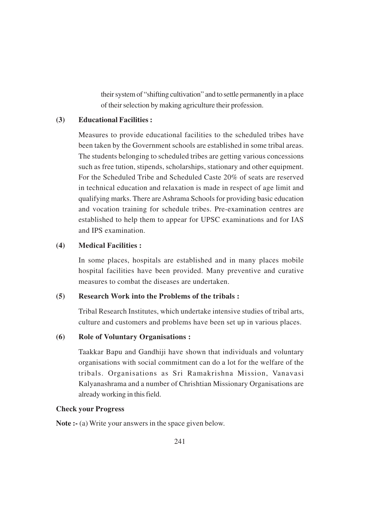their system of "shifting cultivation" and to settle permanently in a place of their selection by making agriculture their profession.

### **(3) Educational Facilities :**

Measures to provide educational facilities to the scheduled tribes have been taken by the Government schools are established in some tribal areas. The students belonging to scheduled tribes are getting various concessions such as free tution, stipends, scholarships, stationary and other equipment. For the Scheduled Tribe and Scheduled Caste 20% of seats are reserved in technical education and relaxation is made in respect of age limit and qualifying marks. There are Ashrama Schools for providing basic education and vocation training for schedule tribes. Pre-examination centres are established to help them to appear for UPSC examinations and for IAS and IPS examination.

### **(4) Medical Facilities :**

In some places, hospitals are established and in many places mobile hospital facilities have been provided. Many preventive and curative measures to combat the diseases are undertaken.

#### **(5) Research Work into the Problems of the tribals :**

Tribal Research Institutes, which undertake intensive studies of tribal arts, culture and customers and problems have been set up in various places.

## **(6) Role of Voluntary Organisations :**

Taakkar Bapu and Gandhiji have shown that individuals and voluntary organisations with social commitment can do a lot for the welfare of the tribals. Organisations as Sri Ramakrishna Mission, Vanavasi Kalyanashrama and a number of Chrishtian Missionary Organisations are already working in this field.

#### **Check your Progress**

**Note :-** (a) Write your answers in the space given below.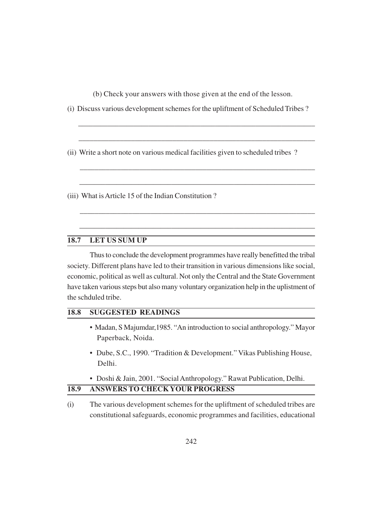(b) Check your answers with those given at the end of the lesson.

(i) Discuss various development schemes for the upliftment of Scheduled Tribes ?

 $\frac{1}{\sqrt{2}}$  ,  $\frac{1}{\sqrt{2}}$  ,  $\frac{1}{\sqrt{2}}$  ,  $\frac{1}{\sqrt{2}}$  ,  $\frac{1}{\sqrt{2}}$  ,  $\frac{1}{\sqrt{2}}$  ,  $\frac{1}{\sqrt{2}}$  ,  $\frac{1}{\sqrt{2}}$  ,  $\frac{1}{\sqrt{2}}$  ,  $\frac{1}{\sqrt{2}}$  ,  $\frac{1}{\sqrt{2}}$  ,  $\frac{1}{\sqrt{2}}$  ,  $\frac{1}{\sqrt{2}}$  ,  $\frac{1}{\sqrt{2}}$  ,  $\frac{1}{\sqrt{2}}$ 

\_\_\_\_\_\_\_\_\_\_\_\_\_\_\_\_\_\_\_\_\_\_\_\_\_\_\_\_\_\_\_\_\_\_\_\_\_\_\_\_\_\_\_\_\_\_\_\_\_\_\_\_\_\_\_\_\_\_\_\_\_\_\_

\_\_\_\_\_\_\_\_\_\_\_\_\_\_\_\_\_\_\_\_\_\_\_\_\_\_\_\_\_\_\_\_\_\_\_\_\_\_\_\_\_\_\_\_\_\_\_\_\_\_\_\_\_\_\_\_\_\_\_\_\_\_\_

 $\frac{1}{2}$  ,  $\frac{1}{2}$  ,  $\frac{1}{2}$  ,  $\frac{1}{2}$  ,  $\frac{1}{2}$  ,  $\frac{1}{2}$  ,  $\frac{1}{2}$  ,  $\frac{1}{2}$  ,  $\frac{1}{2}$  ,  $\frac{1}{2}$  ,  $\frac{1}{2}$  ,  $\frac{1}{2}$  ,  $\frac{1}{2}$  ,  $\frac{1}{2}$  ,  $\frac{1}{2}$  ,  $\frac{1}{2}$  ,  $\frac{1}{2}$  ,  $\frac{1}{2}$  ,  $\frac{1$ 

 $\overline{\phantom{a}}$  ,  $\overline{\phantom{a}}$  ,  $\overline{\phantom{a}}$  ,  $\overline{\phantom{a}}$  ,  $\overline{\phantom{a}}$  ,  $\overline{\phantom{a}}$  ,  $\overline{\phantom{a}}$  ,  $\overline{\phantom{a}}$  ,  $\overline{\phantom{a}}$  ,  $\overline{\phantom{a}}$  ,  $\overline{\phantom{a}}$  ,  $\overline{\phantom{a}}$  ,  $\overline{\phantom{a}}$  ,  $\overline{\phantom{a}}$  ,  $\overline{\phantom{a}}$  ,  $\overline{\phantom{a}}$ 

 $\frac{1}{2}$  ,  $\frac{1}{2}$  ,  $\frac{1}{2}$  ,  $\frac{1}{2}$  ,  $\frac{1}{2}$  ,  $\frac{1}{2}$  ,  $\frac{1}{2}$  ,  $\frac{1}{2}$  ,  $\frac{1}{2}$  ,  $\frac{1}{2}$  ,  $\frac{1}{2}$  ,  $\frac{1}{2}$  ,  $\frac{1}{2}$  ,  $\frac{1}{2}$  ,  $\frac{1}{2}$  ,  $\frac{1}{2}$  ,  $\frac{1}{2}$  ,  $\frac{1}{2}$  ,  $\frac{1$ 

(ii) Write a short note on various medical facilities given to scheduled tribes ?

(iii) What is Article 15 of the Indian Constitution ?

### **18.7 LET US SUM UP**

Thus to conclude the development programmes have really benefitted the tribal society. Different plans have led to their transition in various dimensions like social, economic, political as well as cultural. Not only the Central and the State Government have taken various steps but also many voluntary organization help in the uplistment of the schduled tribe.

## **18.8 SUGGESTED READINGS**

- Madan, S Majumdar,1985. "An introduction to social anthropology." Mayor Paperback, Noida.
- Dube, S.C., 1990. "Tradition & Development." Vikas Publishing House, Delhi.
- Doshi & Jain, 2001. "Social Anthropology." Rawat Publication, Delhi.

#### **18.9 ANSWERS TO CHECK YOUR PROGRESS**

(i) The various development schemes for the upliftment of scheduled tribes are constitutional safeguards, economic programmes and facilities, educational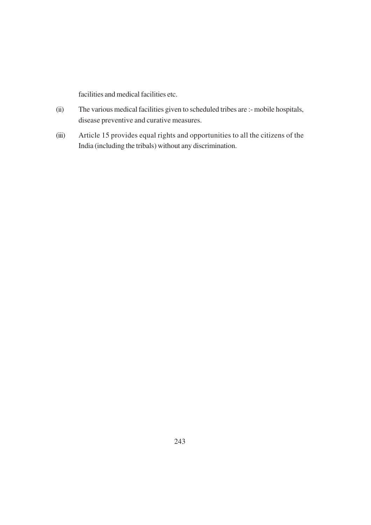facilities and medical facilities etc.

- (ii) The various medical facilities given to scheduled tribes are :- mobile hospitals, disease preventive and curative measures.
- (iii) Article 15 provides equal rights and opportunities to all the citizens of the India (including the tribals) without any discrimination.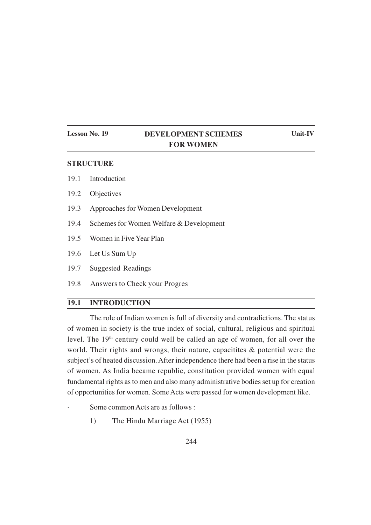# **Lesson No. 19 DEVELOPMENT SCHEMES** Unit-IV **FOR WOMEN**

#### **STRUCTURE**

- 19.1 Introduction
- 19.2 Objectives
- 19.3 Approaches for Women Development
- 19.4 Schemes for Women Welfare & Development
- 19.5 Women in Five Year Plan
- 19.6 Let Us Sum Up
- 19.7 Suggested Readings
- 19.8 Answers to Check your Progres

#### **19.1 INTRODUCTION**

The role of Indian women is full of diversity and contradictions. The status of women in society is the true index of social, cultural, religious and spiritual level. The 19<sup>th</sup> century could well be called an age of women, for all over the world. Their rights and wrongs, their nature, capacitites & potential were the subject's of heated discussion. After independence there had been a rise in the status of women. As India became republic, constitution provided women with equal fundamental rights as to men and also many administrative bodies set up for creation of opportunities for women. Some Acts were passed for women development like.

- Some common Acts are as follows :
	- 1) The Hindu Marriage Act (1955)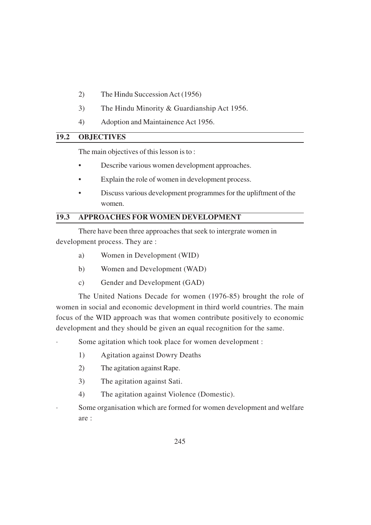- 2) The Hindu Succession Act (1956)
- 3) The Hindu Minority & Guardianship Act 1956.
- 4) Adoption and Maintainence Act 1956.

## **19.2 OBJECTIVES**

The main objectives of this lesson is to :

- Describe various women development approaches.
- Explain the role of women in development process.
- Discuss various development programmes for the upliftment of the women.

## **19.3 APPROACHES FOR WOMEN DEVELOPMENT**

There have been three approaches that seek to intergrate women in development process. They are :

- a) Women in Development (WID)
- b) Women and Development (WAD)
- c) Gender and Development (GAD)

The United Nations Decade for women (1976-85) brought the role of women in social and economic development in third world countries. The main focus of the WID approach was that women contribute positively to economic development and they should be given an equal recognition for the same.

Some agitation which took place for women development :

- 1) Agitation against Dowry Deaths
- 2) The agitation against Rape.
- 3) The agitation against Sati.
- 4) The agitation against Violence (Domestic).

Some organisation which are formed for women development and welfare are :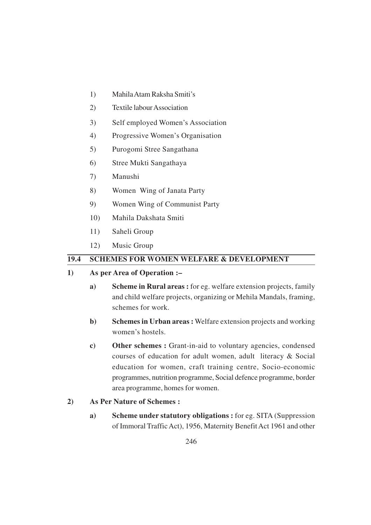- 1) Mahila Atam Raksha Smiti's
- 2) Textile labour Association
- 3) Self employed Women's Association
- 4) Progressive Women's Organisation
- 5) Purogomi Stree Sangathana
- 6) Stree Mukti Sangathaya
- 7) Manushi
- 8) Women Wing of Janata Party
- 9) Women Wing of Communist Party
- 10) Mahila Dakshata Smiti
- 11) Saheli Group
- 12) Music Group

### **19.4 SCHEMES FOR WOMEN WELFARE & DEVELOPMENT**

#### **1) As per Area of Operation :–**

- **a) Scheme in Rural areas :** for eg. welfare extension projects, family and child welfare projects, organizing or Mehila Mandals, framing, schemes for work.
- **b) Schemes in Urban areas :** Welfare extension projects and working women's hostels.
- **c) Other schemes :** Grant-in-aid to voluntary agencies, condensed courses of education for adult women, adult literacy & Social education for women, craft training centre, Socio-economic programmes, nutrition programme, Social defence programme, border area programme, homes for women.

## **2) As Per Nature of Schemes :**

**a) Scheme under statutory obligations :** for eg. SITA (Suppression of Immoral Traffic Act), 1956, Maternity Benefit Act 1961 and other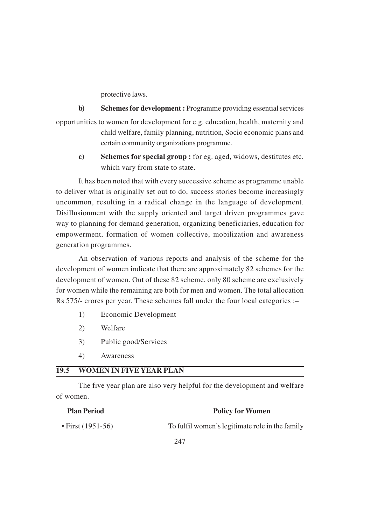protective laws.

- **b) Schemes for development :** Programme providing essential services opportunities to women for development for e.g. education, health, maternity and child welfare, family planning, nutrition, Socio economic plans and certain community organizations programme.
	- **c) Schemes for special group :** for eg. aged, widows, destitutes etc. which vary from state to state.

It has been noted that with every successive scheme as programme unable to deliver what is originally set out to do, success stories become increasingly uncommon, resulting in a radical change in the language of development. Disillusionment with the supply oriented and target driven programmes gave way to planning for demand generation, organizing beneficiaries, education for empowerment, formation of women collective, mobilization and awareness generation programmes.

An observation of various reports and analysis of the scheme for the development of women indicate that there are approximately 82 schemes for the development of women. Out of these 82 scheme, only 80 scheme are exclusively for women while the remaining are both for men and women. The total allocation Rs 575/- crores per year. These schemes fall under the four local categories :–

- 1) Economic Development
- 2) Welfare
- 3) Public good/Services
- 4) Awareness

#### **19.5 WOMEN IN FIVE YEAR PLAN**

The five year plan are also very helpful for the development and welfare of women.

| <b>Plan Period</b>  | <b>Policy for Women</b>                         |  |
|---------------------|-------------------------------------------------|--|
| • First $(1951-56)$ | To fulfil women's legitimate role in the family |  |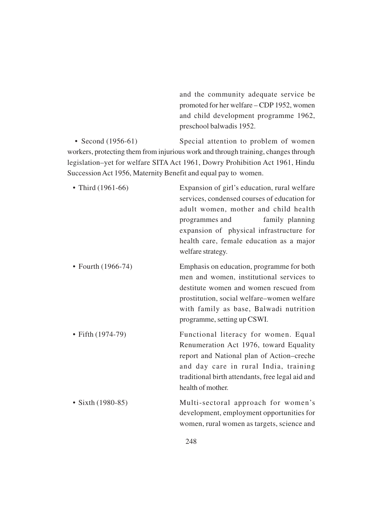and the community adequate service be promoted for her welfare – CDP 1952, women and child development programme 1962, preschool balwadis 1952.

• Second (1956-61) Special attention to problem of women workers, protecting them from injurious work and through training, changes through legislation–yet for welfare SITA Act 1961, Dowry Prohibition Act 1961, Hindu Succession Act 1956, Maternity Benefit and equal pay to women.

- Third (1961-66) Expansion of girl's education, rural welfare services, condensed courses of education for adult women, mother and child health programmes and family planning expansion of physical infrastructure for health care, female education as a major welfare strategy. • Fourth (1966-74) Emphasis on education, programme for both
	- men and women, institutional services to destitute women and women rescued from prostitution, social welfare–women welfare with family as base, Balwadi nutrition programme, setting up CSWI.
- Fifth (1974-79) Functional literacy for women. Equal Renumeration Act 1976, toward Equality report and National plan of Action–creche and day care in rural India, training traditional birth attendants, free legal aid and health of mother.
- Sixth (1980-85) Multi-sectoral approach for women's development, employment opportunities for women, rural women as targets, science and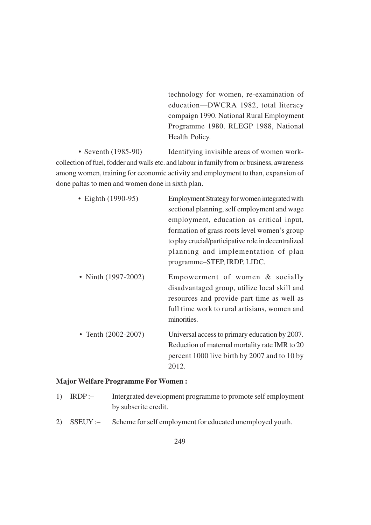technology for women, re-examination of education—DWCRA 1982, total literacy compaign 1990. National Rural Employment Programme 1980. RLEGP 1988, National Health Policy.

• Seventh (1985-90) Identifying invisible areas of women workcollection of fuel, fodder and walls etc. and labour in family from or business, awareness among women, training for economic activity and employment to than, expansion of done paltas to men and women done in sixth plan.

- Eighth (1990-95) Employment Strategy for women integrated with sectional planning, self employment and wage employment, education as critical input, formation of grass roots level women's group to play crucial/participative role in decentralized planning and implementation of plan programme–STEP, IRDP, LIDC.
- Ninth (1997-2002) Empowerment of women & socially disadvantaged group, utilize local skill and resources and provide part time as well as full time work to rural artisians, women and minorities.
- Tenth (2002-2007) Universal access to primary education by 2007. Reduction of maternal mortality rate IMR to 20 percent 1000 live birth by 2007 and to 10 by 2012.

#### **Major Welfare Programme For Women :**

- 1) IRDP :– Intergrated development programme to promote self employment by subscrite credit.
- 2) SSEUY :– Scheme for self employment for educated unemployed youth.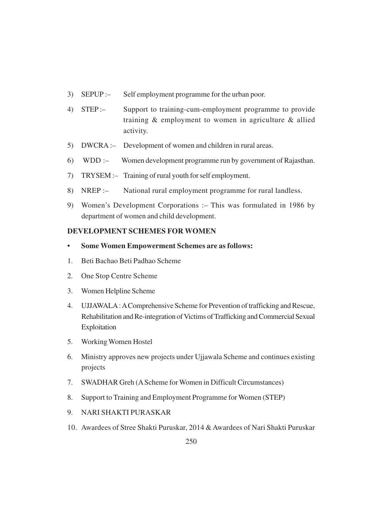- 3) SEPUP :– Self employment programme for the urban poor.
- 4) STEP :– Support to training-cum-employment programme to provide training & employment to women in agriculture & allied activity.
- 5) DWCRA :– Development of women and children in rural areas.
- 6) WDD :– Women development programme run by government of Rajasthan.
- 7) TRYSEM :– Training of rural youth for self employment.
- 8) NREP :– National rural employment programme for rural landless.
- 9) Women's Development Corporations :– This was formulated in 1986 by department of women and child development.

#### **DEVELOPMENT SCHEMES FOR WOMEN**

- **Some Women Empowerment Schemes are as follows:**
- 1. Beti Bachao Beti Padhao Scheme
- 2. One Stop Centre Scheme
- 3. Women Helpline Scheme
- 4. UJJAWALA : A Comprehensive Scheme for Prevention of trafficking and Rescue, Rehabilitation and Re-integration of Victims of Trafficking and Commercial Sexual Exploitation
- 5. Working Women Hostel
- 6. Ministry approves new projects under Ujjawala Scheme and continues existing projects
- 7. SWADHAR Greh (A Scheme for Women in Difficult Circumstances)
- 8. Support to Training and Employment Programme for Women (STEP)
- 9. NARI SHAKTI PURASKAR
- 10. Awardees of Stree Shakti Puruskar, 2014 & Awardees of Nari Shakti Puruskar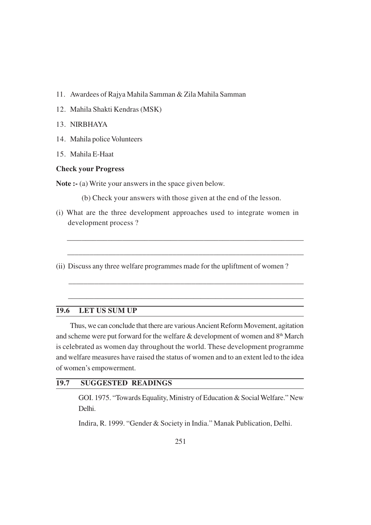- 11. Awardees of Rajya Mahila Samman & Zila Mahila Samman
- 12. Mahila Shakti Kendras (MSK)
- 13. NIRBHAYA
- 14. Mahila police Volunteers
- 15. Mahila E-Haat

#### **Check your Progress**

**Note :-** (a) Write your answers in the space given below.

(b) Check your answers with those given at the end of the lesson.

(i) What are the three development approaches used to integrate women in development process ?

 $\frac{1}{\sqrt{2}}$  ,  $\frac{1}{\sqrt{2}}$  ,  $\frac{1}{\sqrt{2}}$  ,  $\frac{1}{\sqrt{2}}$  ,  $\frac{1}{\sqrt{2}}$  ,  $\frac{1}{\sqrt{2}}$  ,  $\frac{1}{\sqrt{2}}$  ,  $\frac{1}{\sqrt{2}}$  ,  $\frac{1}{\sqrt{2}}$  ,  $\frac{1}{\sqrt{2}}$  ,  $\frac{1}{\sqrt{2}}$  ,  $\frac{1}{\sqrt{2}}$  ,  $\frac{1}{\sqrt{2}}$  ,  $\frac{1}{\sqrt{2}}$  ,  $\frac{1}{\sqrt{2}}$ 

\_\_\_\_\_\_\_\_\_\_\_\_\_\_\_\_\_\_\_\_\_\_\_\_\_\_\_\_\_\_\_\_\_\_\_\_\_\_\_\_\_\_\_\_\_\_\_\_\_\_\_\_\_\_\_\_\_\_\_\_\_\_\_

\_\_\_\_\_\_\_\_\_\_\_\_\_\_\_\_\_\_\_\_\_\_\_\_\_\_\_\_\_\_\_\_\_\_\_\_\_\_\_\_\_\_\_\_\_\_\_\_\_\_\_\_\_\_\_\_\_\_\_\_\_\_\_

 $\frac{1}{2}$  ,  $\frac{1}{2}$  ,  $\frac{1}{2}$  ,  $\frac{1}{2}$  ,  $\frac{1}{2}$  ,  $\frac{1}{2}$  ,  $\frac{1}{2}$  ,  $\frac{1}{2}$  ,  $\frac{1}{2}$  ,  $\frac{1}{2}$  ,  $\frac{1}{2}$  ,  $\frac{1}{2}$  ,  $\frac{1}{2}$  ,  $\frac{1}{2}$  ,  $\frac{1}{2}$  ,  $\frac{1}{2}$  ,  $\frac{1}{2}$  ,  $\frac{1}{2}$  ,  $\frac{1$ 

(ii) Discuss any three welfare programmes made for the upliftment of women ?

#### **19.6 LET US SUM UP**

Thus, we can conclude that there are various Ancient Reform Movement, agitation and scheme were put forward for the welfare  $\&$  development of women and  $8<sup>th</sup>$  March is celebrated as women day throughout the world. These development programme and welfare measures have raised the status of women and to an extent led to the idea of women's empowerment.

# **19.7 SUGGESTED READINGS**

GOI. 1975. "Towards Equality, Ministry of Education & Social Welfare." New Delhi.

Indira, R. 1999. "Gender & Society in India." Manak Publication, Delhi.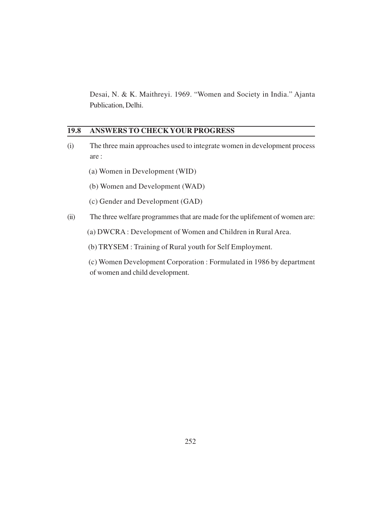Desai, N. & K. Maithreyi. 1969. "Women and Society in India." Ajanta Publication, Delhi.

## **19.8 ANSWERS TO CHECK YOUR PROGRESS**

- (i) The three main approaches used to integrate women in development process are :
	- (a) Women in Development (WID)
	- (b) Women and Development (WAD)
	- (c) Gender and Development (GAD)
- (ii) The three welfare programmes that are made for the uplifement of women are:

(a) DWCRA : Development of Women and Children in Rural Area.

(b) TRYSEM : Training of Rural youth for Self Employment.

 (c) Women Development Corporation : Formulated in 1986 by department of women and child development.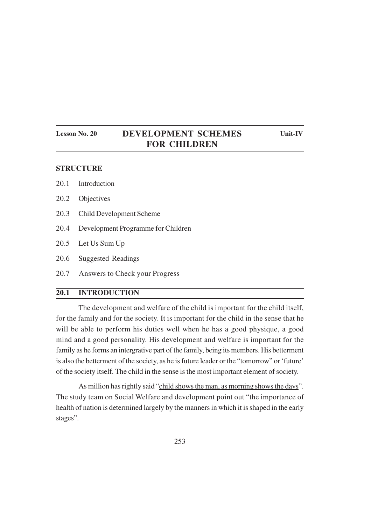# Lesson No. 20 **DEVELOPMENT SCHEMES** Unit-IV **FOR CHILDREN**

#### **STRUCTURE**

- 20.1 Introduction
- 20.2 Objectives
- 20.3 Child Development Scheme
- 20.4 Development Programme for Children
- 20.5 Let Us Sum Up
- 20.6 Suggested Readings
- 20.7 Answers to Check your Progress

## **20.1 INTRODUCTION**

The development and welfare of the child is important for the child itself, for the family and for the society. It is important for the child in the sense that he will be able to perform his duties well when he has a good physique, a good mind and a good personality. His development and welfare is important for the family as he forms an intergrative part of the family, being its members. His betterment is also the betterment of the society, as he is future leader or the "tomorrow" or 'future' of the society itself. The child in the sense is the most important element of society.

As million has rightly said "child shows the man, as morning shows the days". The study team on Social Welfare and development point out "the importance of health of nation is determined largely by the manners in which it is shaped in the early stages".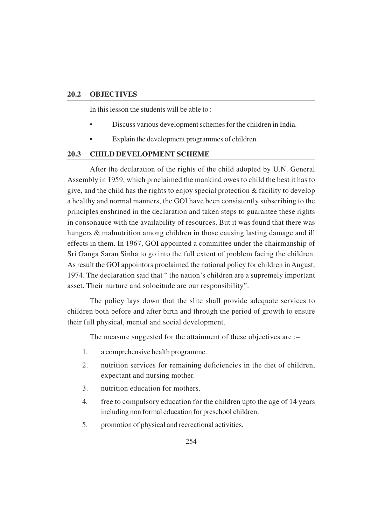## **20.2 OBJECTIVES**

In this lesson the students will be able to :

- Discuss various development schemes for the children in India.
- Explain the development programmes of children.

# **20.3 CHILD DEVELOPMENT SCHEME**

After the declaration of the rights of the child adopted by U.N. General Assembly in 1959, which proclaimed the mankind owes to child the best it has to give, and the child has the rights to enjoy special protection & facility to develop a healthy and normal manners, the GOI have been consistently subscribing to the principles enshrined in the declaration and taken steps to guarantee these rights in consonauce with the availability of resources. But it was found that there was hungers & malnutrition among children in those causing lasting damage and ill effects in them. In 1967, GOI appointed a committee under the chairmanship of Sri Ganga Saran Sinha to go into the full extent of problem facing the children. As result the GOI appointors proclaimed the national policy for children in August, 1974. The declaration said that " the nation's children are a supremely important asset. Their nurture and solocitude are our responsibility".

The policy lays down that the slite shall provide adequate services to children both before and after birth and through the period of growth to ensure their full physical, mental and social development.

The measure suggested for the attainment of these objectives are :–

- 1. a comprehensive health programme.
- 2. nutrition services for remaining deficiencies in the diet of children, expectant and nursing mother.
- 3. nutrition education for mothers.
- 4. free to compulsory education for the children upto the age of 14 years including non formal education for preschool children.
- 5. promotion of physical and recreational activities.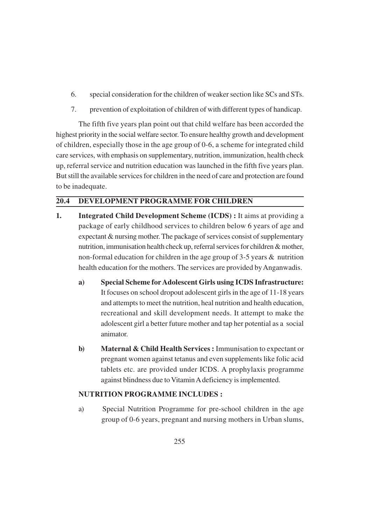- 6. special consideration for the children of weaker section like SCs and STs.
- 7. prevention of exploitation of children of with different types of handicap.

The fifth five years plan point out that child welfare has been accorded the highest priority in the social welfare sector. To ensure healthy growth and development of children, especially those in the age group of 0-6, a scheme for integrated child care services, with emphasis on supplementary, nutrition, immunization, health check up, referral service and nutrition education was launched in the fifth five years plan. But still the available services for children in the need of care and protection are found to be inadequate.

## **20.4 DEVELOPMENT PROGRAMME FOR CHILDREN**

- **1. Integrated Child Development Scheme (ICDS) :** It aims at providing a package of early childhood services to children below 6 years of age and expectant & nursing mother. The package of services consist of supplementary nutrition, immunisation health check up, referral services for children & mother, non-formal education for children in the age group of 3-5 years & nutrition health education for the mothers. The services are provided by Anganwadis.
	- **a) Special Scheme forAdolescent Girls using ICDS Infrastructure:** It focuses on school dropout adolescent girls in the age of 11-18 years and attempts to meet the nutrition, heal nutrition and health education, recreational and skill development needs. It attempt to make the adolescent girl a better future mother and tap her potential as a social animator.
	- **b) Maternal & Child Health Services :** Immunisation to expectant or pregnant women against tetanus and even supplements like folic acid tablets etc. are provided under ICDS. A prophylaxis programme against blindness due to Vitamin A deficiency is implemented.

# **NUTRITION PROGRAMME INCLUDES :**

a) Special Nutrition Programme for pre-school children in the age group of 0-6 years, pregnant and nursing mothers in Urban slums,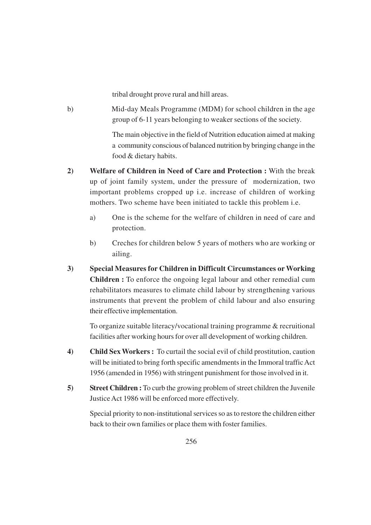tribal drought prove rural and hill areas.

b) Mid-day Meals Programme (MDM) for school children in the age group of 6-11 years belonging to weaker sections of the society.

> The main objective in the field of Nutrition education aimed at making a community conscious of balanced nutrition by bringing change in the food & dietary habits.

- **2) Welfare of Children in Need of Care and Protection :** With the break up of joint family system, under the pressure of modernization, two important problems cropped up i.e. increase of children of working mothers. Two scheme have been initiated to tackle this problem i.e.
	- a) One is the scheme for the welfare of children in need of care and protection.
	- b) Creches for children below 5 years of mothers who are working or ailing.
- **3) Special Measures for Children in Difficult Circumstances or Working Children :** To enforce the ongoing legal labour and other remedial cum rehabilitators measures to elimate child labour by strengthening various instruments that prevent the problem of child labour and also ensuring their effective implementation.

To organize suitable literacy/vocational training programme & recruitional facilities after working hours for over all development of working children.

- **4) Child Sex Workers :** To curtail the social evil of child prostitution, caution will be initiated to bring forth specific amendments in the Immoral traffic Act 1956 (amended in 1956) with stringent punishment for those involved in it.
- **5) Street Children :** To curb the growing problem of street children the Juvenile Justice Act 1986 will be enforced more effectively.

Special priority to non-institutional services so as to restore the children either back to their own families or place them with foster families.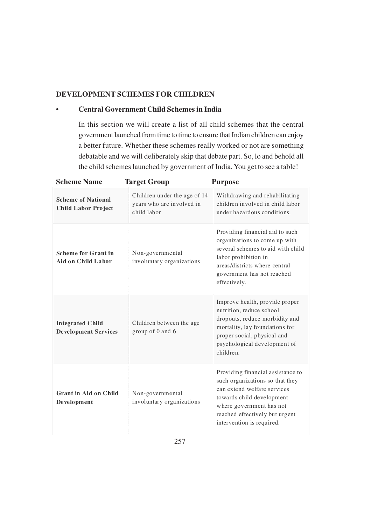# **DEVELOPMENT SCHEMES FOR CHILDREN**

#### • **Central Government Child Schemes in India**

In this section we will create a list of all child schemes that the central government launched from time to time to ensure that Indian children can enjoy a better future. Whether these schemes really worked or not are something debatable and we will deliberately skip that debate part. So, lo and behold all the child schemes launched by government of India. You get to see a table!

| <b>Scheme Name</b>                                      | <b>Target Group</b>                                                      | <b>Purpose</b>                                                                                                                                                                                                              |
|---------------------------------------------------------|--------------------------------------------------------------------------|-----------------------------------------------------------------------------------------------------------------------------------------------------------------------------------------------------------------------------|
| <b>Scheme of National</b><br><b>Child Labor Project</b> | Children under the age of 14<br>years who are involved in<br>child labor | Withdrawing and rehabilitating<br>children involved in child labor<br>under hazardous conditions.                                                                                                                           |
| <b>Scheme for Grant in</b><br><b>Aid on Child Labor</b> | Non-governmental<br>involuntary organizations                            | Providing financial aid to such<br>organizations to come up with<br>several schemes to aid with child<br>labor prohibition in<br>areas/districts where central<br>government has not reached<br>effectively.                |
| <b>Integrated Child</b><br><b>Development Services</b>  | Children between the age<br>group of 0 and 6                             | Improve health, provide proper<br>nutrition, reduce school<br>dropouts, reduce morbidity and<br>mortality, lay foundations for<br>proper social, physical and<br>psychological development of<br>children.                  |
| <b>Grant in Aid on Child</b><br>Development             | Non-governmental<br>involuntary organizations                            | Providing financial assistance to<br>such organizations so that they<br>can extend welfare services<br>towards child development<br>where government has not<br>reached effectively but urgent<br>intervention is required. |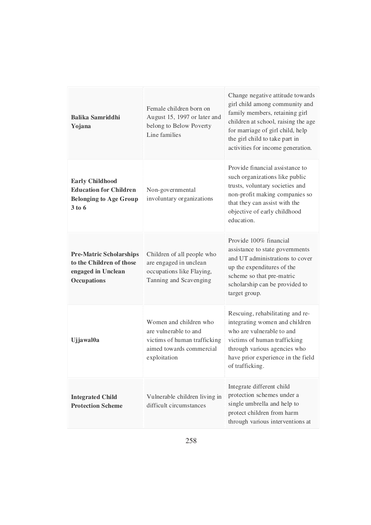| Balika Samriddhi<br>Yojana                                                                             | Female children born on<br>August 15, 1997 or later and<br>belong to Below Poverty<br>Line families                         | Change negative attitude towards<br>girl child among community and<br>family members, retaining girl<br>children at school, raising the age<br>for marriage of girl child, help<br>the girl child to take part in<br>activities for income generation. |
|--------------------------------------------------------------------------------------------------------|-----------------------------------------------------------------------------------------------------------------------------|--------------------------------------------------------------------------------------------------------------------------------------------------------------------------------------------------------------------------------------------------------|
| <b>Early Childhood</b><br><b>Education for Children</b><br><b>Belonging to Age Group</b><br>3 to 6     | Non-governmental<br>involuntary organizations                                                                               | Provide financial assistance to<br>such organizations like public<br>trusts, voluntary societies and<br>non-profit making companies so<br>that they can assist with the<br>objective of early childhood<br>education.                                  |
| <b>Pre-Matric Scholarships</b><br>to the Children of those<br>engaged in Unclean<br><b>Occupations</b> | Children of all people who<br>are engaged in unclean<br>occupations like Flaying,<br>Tanning and Scavenging                 | Provide 100% financial<br>assistance to state governments<br>and UT administrations to cover<br>up the expenditures of the<br>scheme so that pre-matric<br>scholarship can be provided to<br>target group.                                             |
| Ujjawal0a                                                                                              | Women and children who<br>are vulnerable to and<br>victims of human trafficking<br>aimed towards commercial<br>exploitation | Rescuing, rehabilitating and re-<br>integrating women and children<br>who are vulnerable to and<br>victims of human trafficking<br>through various agencies who<br>have prior experience in the field<br>of trafficking.                               |
| <b>Integrated Child</b><br><b>Protection Scheme</b>                                                    | Vulnerable children living in<br>difficult circumstances                                                                    | Integrate different child<br>protection schemes under a<br>single umbrella and help to<br>protect children from harm<br>through various interventions at                                                                                               |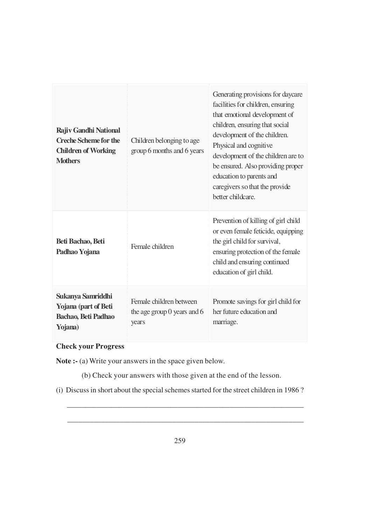| Rajiv Gandhi National<br><b>Creche Scheme for the</b><br><b>Children of Working</b><br><b>Mothers</b> | Children belonging to age<br>group 6 months and 6 years             | Generating provisions for daycare<br>facilities for children, ensuring<br>that emotional development of<br>children, ensuring that social<br>development of the children.<br>Physical and cognitive<br>development of the children are to<br>be ensured. Also providing proper<br>education to parents and<br>caregivers so that the provide<br>better childcare. |
|-------------------------------------------------------------------------------------------------------|---------------------------------------------------------------------|-------------------------------------------------------------------------------------------------------------------------------------------------------------------------------------------------------------------------------------------------------------------------------------------------------------------------------------------------------------------|
| Beti Bachao, Beti<br>Padhao Yojana                                                                    | Female children                                                     | Prevention of killing of girl child<br>or even female feticide, equipping<br>the girl child for survival,<br>ensuring protection of the female<br>child and ensuring continued<br>education of girl child.                                                                                                                                                        |
| Sukanya Samriddhi<br>Yojana (part of Beti<br>Bachao, Beti Padhao<br>Yojana)                           | Female children between<br>the age group $0$ years and $6$<br>years | Promote savings for girl child for<br>her future education and<br>marriage.                                                                                                                                                                                                                                                                                       |

# **Check your Progress**

Note :- (a) Write your answers in the space given below.

- (b) Check your answers with those given at the end of the lesson.
- (i) Discuss in short about the special schemes started for the street children in 1986 ?

 $\frac{1}{\sqrt{2}}$  ,  $\frac{1}{\sqrt{2}}$  ,  $\frac{1}{\sqrt{2}}$  ,  $\frac{1}{\sqrt{2}}$  ,  $\frac{1}{\sqrt{2}}$  ,  $\frac{1}{\sqrt{2}}$  ,  $\frac{1}{\sqrt{2}}$  ,  $\frac{1}{\sqrt{2}}$  ,  $\frac{1}{\sqrt{2}}$  ,  $\frac{1}{\sqrt{2}}$  ,  $\frac{1}{\sqrt{2}}$  ,  $\frac{1}{\sqrt{2}}$  ,  $\frac{1}{\sqrt{2}}$  ,  $\frac{1}{\sqrt{2}}$  ,  $\frac{1}{\sqrt{2}}$ 

\_\_\_\_\_\_\_\_\_\_\_\_\_\_\_\_\_\_\_\_\_\_\_\_\_\_\_\_\_\_\_\_\_\_\_\_\_\_\_\_\_\_\_\_\_\_\_\_\_\_\_\_\_\_\_\_\_\_\_\_\_\_\_